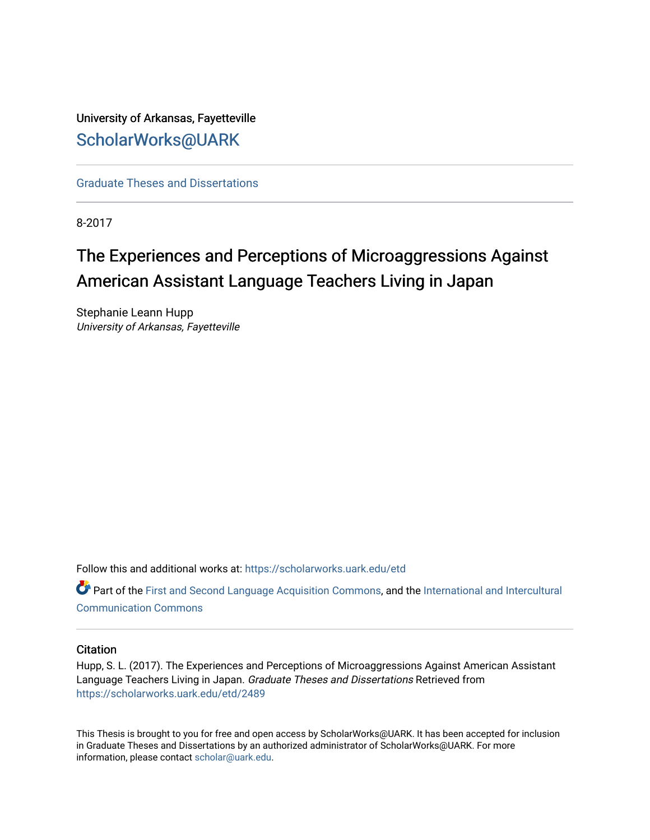University of Arkansas, Fayetteville [ScholarWorks@UARK](https://scholarworks.uark.edu/) 

[Graduate Theses and Dissertations](https://scholarworks.uark.edu/etd) 

8-2017

# The Experiences and Perceptions of Microaggressions Against American Assistant Language Teachers Living in Japan

Stephanie Leann Hupp University of Arkansas, Fayetteville

Follow this and additional works at: [https://scholarworks.uark.edu/etd](https://scholarworks.uark.edu/etd?utm_source=scholarworks.uark.edu%2Fetd%2F2489&utm_medium=PDF&utm_campaign=PDFCoverPages)

**C** Part of the [First and Second Language Acquisition Commons](http://network.bepress.com/hgg/discipline/377?utm_source=scholarworks.uark.edu%2Fetd%2F2489&utm_medium=PDF&utm_campaign=PDFCoverPages), and the International and Intercultural [Communication Commons](http://network.bepress.com/hgg/discipline/331?utm_source=scholarworks.uark.edu%2Fetd%2F2489&utm_medium=PDF&utm_campaign=PDFCoverPages)

# **Citation**

Hupp, S. L. (2017). The Experiences and Perceptions of Microaggressions Against American Assistant Language Teachers Living in Japan. Graduate Theses and Dissertations Retrieved from [https://scholarworks.uark.edu/etd/2489](https://scholarworks.uark.edu/etd/2489?utm_source=scholarworks.uark.edu%2Fetd%2F2489&utm_medium=PDF&utm_campaign=PDFCoverPages)

This Thesis is brought to you for free and open access by ScholarWorks@UARK. It has been accepted for inclusion in Graduate Theses and Dissertations by an authorized administrator of ScholarWorks@UARK. For more information, please contact [scholar@uark.edu.](mailto:scholar@uark.edu)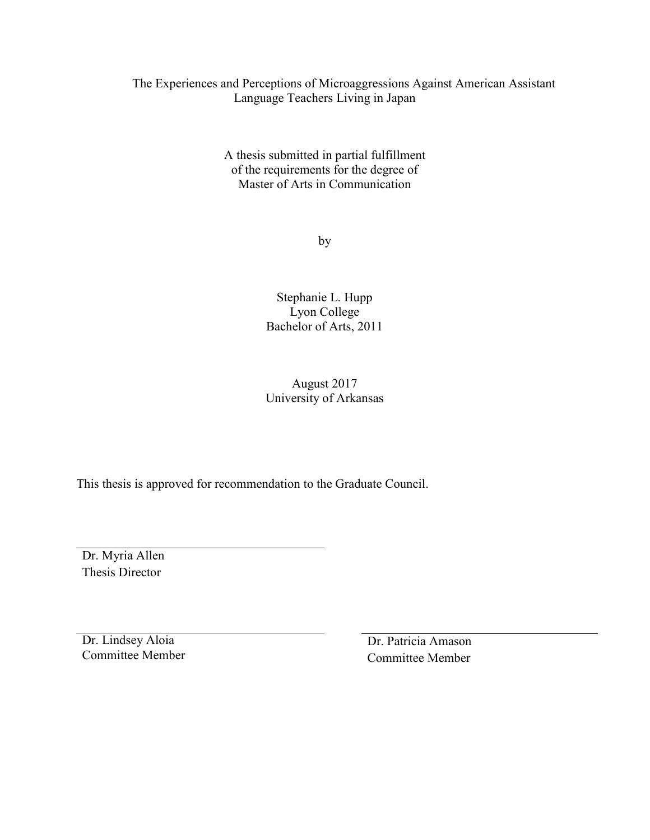# The Experiences and Perceptions of Microaggressions Against American Assistant Language Teachers Living in Japan

A thesis submitted in partial fulfillment of the requirements for the degree of Master of Arts in Communication

by

Stephanie L. Hupp Lyon College Bachelor of Arts, 2011

# August 2017 University of Arkansas

This thesis is approved for recommendation to the Graduate Council.

Dr. Myria Allen Thesis Director

Dr. Lindsey Aloia Committee Member

Dr. Patricia Amason Committee Member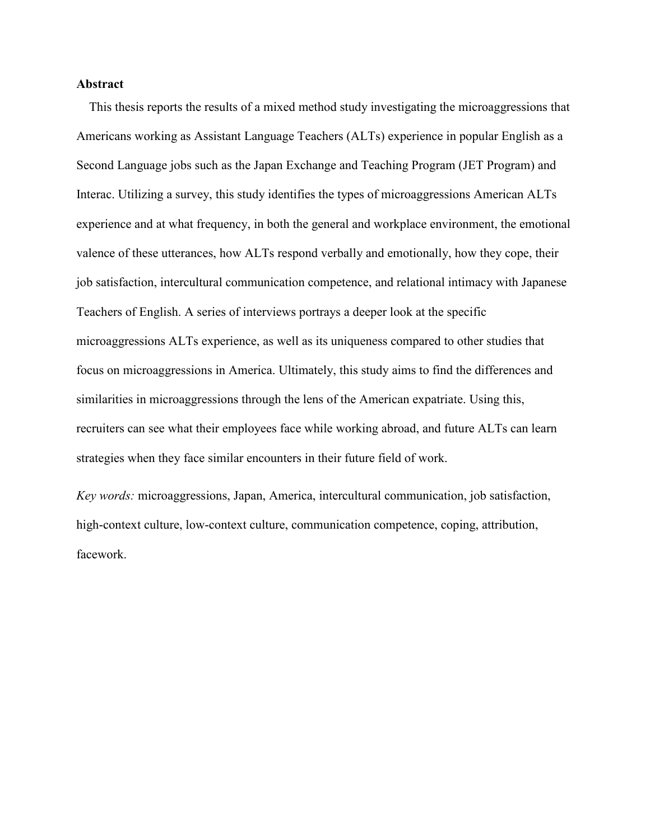# **Abstract**

This thesis reports the results of a mixed method study investigating the microaggressions that Americans working as Assistant Language Teachers (ALTs) experience in popular English as a Second Language jobs such as the Japan Exchange and Teaching Program (JET Program) and Interac. Utilizing a survey, this study identifies the types of microaggressions American ALTs experience and at what frequency, in both the general and workplace environment, the emotional valence of these utterances, how ALTs respond verbally and emotionally, how they cope, their job satisfaction, intercultural communication competence, and relational intimacy with Japanese Teachers of English. A series of interviews portrays a deeper look at the specific microaggressions ALTs experience, as well as its uniqueness compared to other studies that focus on microaggressions in America. Ultimately, this study aims to find the differences and similarities in microaggressions through the lens of the American expatriate. Using this, recruiters can see what their employees face while working abroad, and future ALTs can learn strategies when they face similar encounters in their future field of work.

*Key words:* microaggressions, Japan, America, intercultural communication, job satisfaction, high-context culture, low-context culture, communication competence, coping, attribution, facework.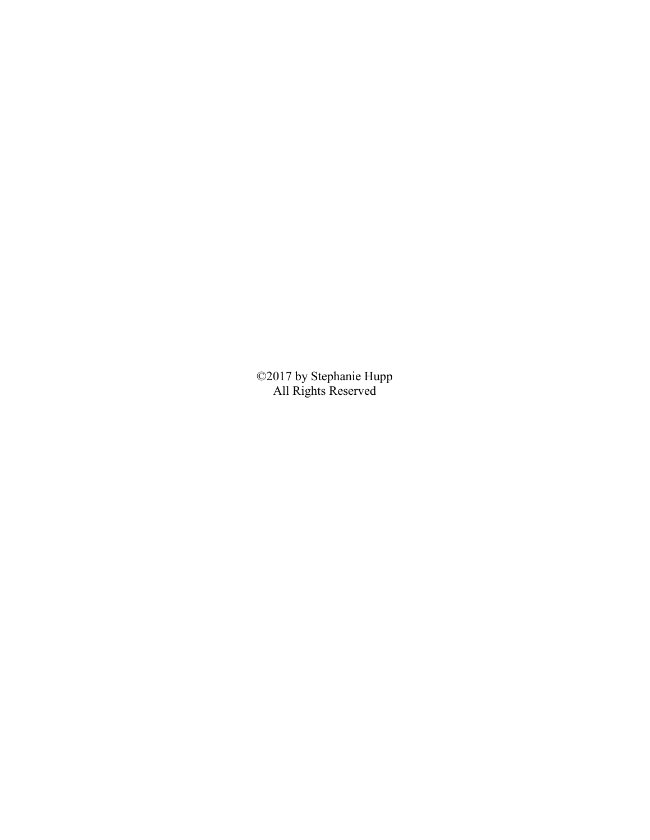©2017 by Stephanie Hupp All Rights Reserved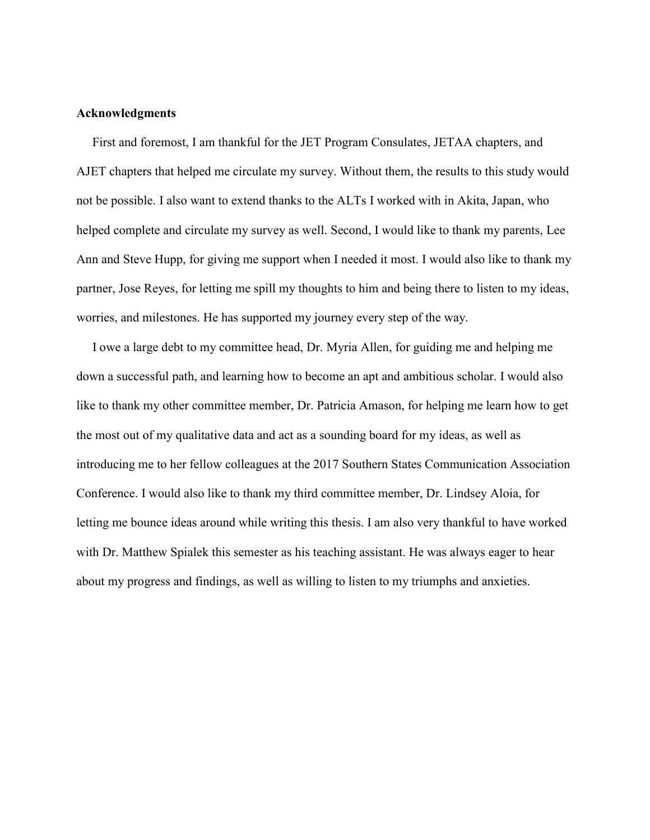# **Acknowledgments**

 First and foremost, I am thankful for the JET Program Consulates, JETAA chapters, and AJET chapters that helped me circulate my survey. Without them, the results to this study would not be possible. I also want to extend thanks to the ALTs I worked with in Akita, Japan, who helped complete and circulate my survey as well. Second, I would like to thank my parents, Lee Ann and Steve Hupp, for giving me support when I needed it most. I would also like to thank my partner, Jose Reyes, for letting me spill my thoughts to him and being there to listen to my ideas, worries, and milestones. He has supported my journey every step of the way.

 I owe a large debt to my committee head, Dr. Myria Allen, for guiding me and helping me down a successful path, and learning how to become an apt and ambitious scholar. I would also like to thank my other committee member, Dr. Patricia Amason, for helping me learn how to get the most out of my qualitative data and act as a sounding board for my ideas, as well as introducing me to her fellow colleagues at the 2017 Southern States Communication Association Conference. I would also like to thank my third committee member, Dr. Lindsey Aloia, for letting me bounce ideas around while writing this thesis. I am also very thankful to have worked with Dr. Matthew Spialek this semester as his teaching assistant. He was always eager to hear about my progress and findings, as well as willing to listen to my triumphs and anxieties.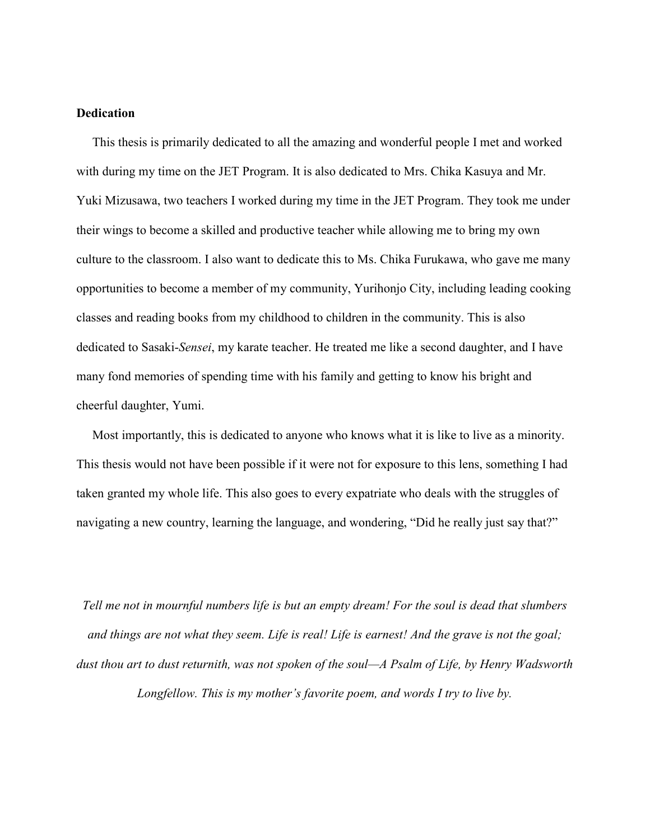# **Dedication**

 This thesis is primarily dedicated to all the amazing and wonderful people I met and worked with during my time on the JET Program. It is also dedicated to Mrs. Chika Kasuya and Mr. Yuki Mizusawa, two teachers I worked during my time in the JET Program. They took me under their wings to become a skilled and productive teacher while allowing me to bring my own culture to the classroom. I also want to dedicate this to Ms. Chika Furukawa, who gave me many opportunities to become a member of my community, Yurihonjo City, including leading cooking classes and reading books from my childhood to children in the community. This is also dedicated to Sasaki-*Sensei*, my karate teacher. He treated me like a second daughter, and I have many fond memories of spending time with his family and getting to know his bright and cheerful daughter, Yumi.

 Most importantly, this is dedicated to anyone who knows what it is like to live as a minority. This thesis would not have been possible if it were not for exposure to this lens, something I had taken granted my whole life. This also goes to every expatriate who deals with the struggles of navigating a new country, learning the language, and wondering, "Did he really just say that?"

*Tell me not in mournful numbers life is but an empty dream! For the soul is dead that slumbers and things are not what they seem. Life is real! Life is earnest! And the grave is not the goal; dust thou art to dust returnith, was not spoken of the soul—A Psalm of Life, by Henry Wadsworth Longfellow. This is my mother's favorite poem, and words I try to live by.*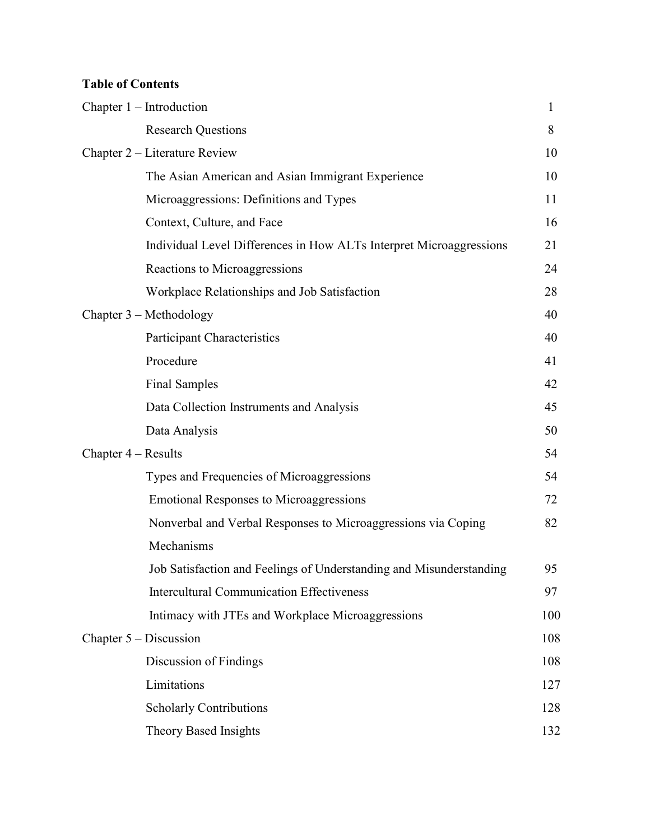# **Table of Contents**

|                       | Chapter $1$ – Introduction                                          | 1   |
|-----------------------|---------------------------------------------------------------------|-----|
|                       | <b>Research Questions</b>                                           | 8   |
|                       | Chapter 2 – Literature Review                                       | 10  |
|                       | The Asian American and Asian Immigrant Experience                   | 10  |
|                       | Microaggressions: Definitions and Types                             | 11  |
|                       | Context, Culture, and Face                                          | 16  |
|                       | Individual Level Differences in How ALTs Interpret Microaggressions | 21  |
|                       | Reactions to Microaggressions                                       | 24  |
|                       | Workplace Relationships and Job Satisfaction                        | 28  |
|                       | Chapter 3 – Methodology                                             | 40  |
|                       | <b>Participant Characteristics</b>                                  | 40  |
|                       | Procedure                                                           | 41  |
|                       | <b>Final Samples</b>                                                | 42  |
|                       | Data Collection Instruments and Analysis                            | 45  |
|                       | Data Analysis                                                       | 50  |
| Chapter $4 - Results$ |                                                                     | 54  |
|                       | Types and Frequencies of Microaggressions                           | 54  |
|                       | <b>Emotional Responses to Microaggressions</b>                      | 72  |
|                       | Nonverbal and Verbal Responses to Microaggressions via Coping       | 82  |
|                       | Mechanisms                                                          |     |
|                       | Job Satisfaction and Feelings of Understanding and Misunderstanding | 95  |
|                       | <b>Intercultural Communication Effectiveness</b>                    | 97  |
|                       | Intimacy with JTEs and Workplace Microaggressions                   | 100 |
|                       | Chapter $5 -$ Discussion                                            | 108 |
|                       | Discussion of Findings                                              | 108 |
|                       | Limitations                                                         | 127 |
|                       | <b>Scholarly Contributions</b>                                      | 128 |
|                       | Theory Based Insights                                               | 132 |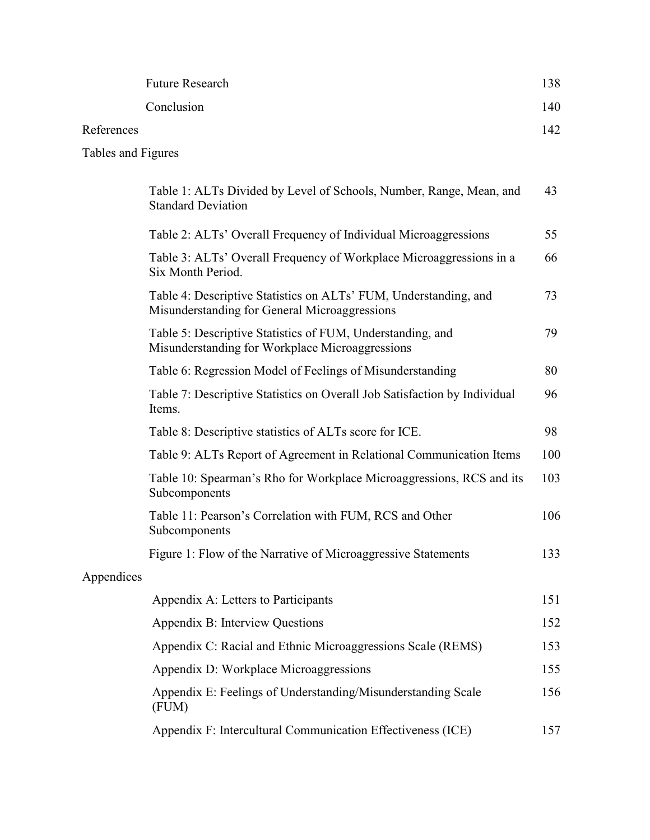|                    | <b>Future Research</b>                                                                                            | 138 |
|--------------------|-------------------------------------------------------------------------------------------------------------------|-----|
|                    | Conclusion                                                                                                        | 140 |
| References         |                                                                                                                   | 142 |
| Tables and Figures |                                                                                                                   |     |
|                    | Table 1: ALTs Divided by Level of Schools, Number, Range, Mean, and<br><b>Standard Deviation</b>                  | 43  |
|                    | Table 2: ALTs' Overall Frequency of Individual Microaggressions                                                   | 55  |
|                    | Table 3: ALTs' Overall Frequency of Workplace Microaggressions in a<br>Six Month Period.                          | 66  |
|                    | Table 4: Descriptive Statistics on ALTs' FUM, Understanding, and<br>Misunderstanding for General Microaggressions | 73  |
|                    | Table 5: Descriptive Statistics of FUM, Understanding, and<br>Misunderstanding for Workplace Microaggressions     | 79  |
|                    | Table 6: Regression Model of Feelings of Misunderstanding                                                         | 80  |
|                    | Table 7: Descriptive Statistics on Overall Job Satisfaction by Individual<br>Items.                               | 96  |
|                    | Table 8: Descriptive statistics of ALTs score for ICE.                                                            | 98  |
|                    | Table 9: ALTs Report of Agreement in Relational Communication Items                                               | 100 |
|                    | Table 10: Spearman's Rho for Workplace Microaggressions, RCS and its<br>Subcomponents                             | 103 |
|                    | Table 11: Pearson's Correlation with FUM, RCS and Other<br>Subcomponents                                          | 106 |
|                    | Figure 1: Flow of the Narrative of Microaggressive Statements                                                     | 133 |
| Appendices         |                                                                                                                   |     |
|                    | Appendix A: Letters to Participants                                                                               | 151 |
|                    | Appendix B: Interview Questions                                                                                   | 152 |
|                    | Appendix C: Racial and Ethnic Microaggressions Scale (REMS)                                                       | 153 |
|                    | Appendix D: Workplace Microaggressions                                                                            | 155 |
|                    | Appendix E: Feelings of Understanding/Misunderstanding Scale<br>(FUM)                                             | 156 |
|                    | Appendix F: Intercultural Communication Effectiveness (ICE)                                                       | 157 |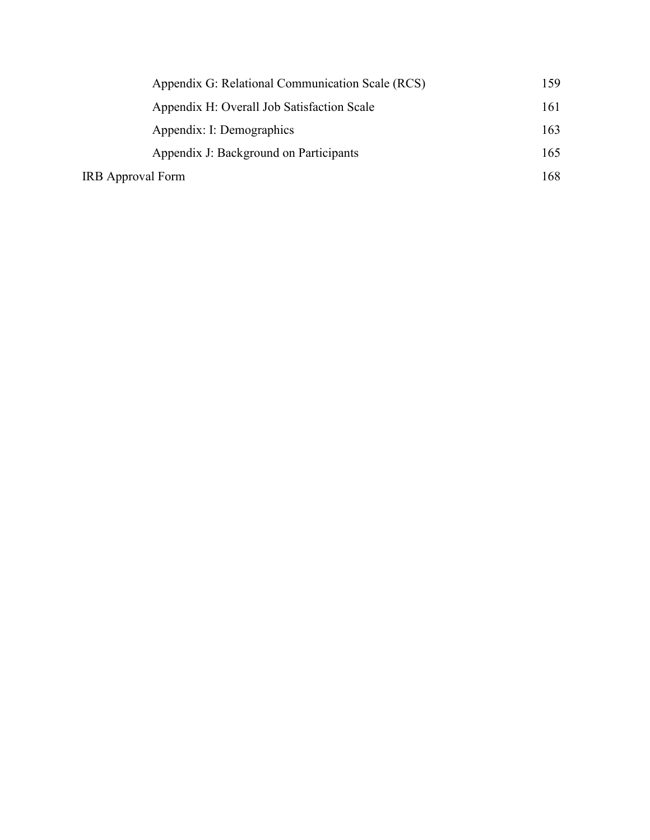| Appendix G: Relational Communication Scale (RCS) | 159 |
|--------------------------------------------------|-----|
| Appendix H: Overall Job Satisfaction Scale       | 161 |
| Appendix: I: Demographics                        | 163 |
| Appendix J: Background on Participants           | 165 |
| <b>IRB</b> Approval Form                         |     |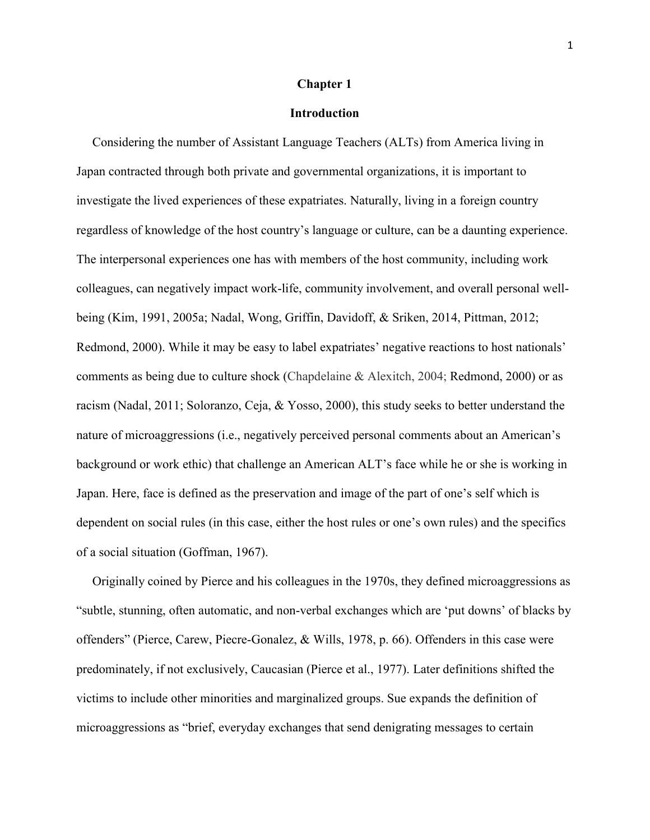# **Chapter 1**

#### **Introduction**

 Considering the number of Assistant Language Teachers (ALTs) from America living in Japan contracted through both private and governmental organizations, it is important to investigate the lived experiences of these expatriates. Naturally, living in a foreign country regardless of knowledge of the host country's language or culture, can be a daunting experience. The interpersonal experiences one has with members of the host community, including work colleagues, can negatively impact work-life, community involvement, and overall personal wellbeing (Kim, 1991, 2005a; Nadal, Wong, Griffin, Davidoff, & Sriken, 2014, Pittman, 2012; Redmond, 2000). While it may be easy to label expatriates' negative reactions to host nationals' comments as being due to culture shock (Chapdelaine & Alexitch, 2004; Redmond, 2000) or as racism (Nadal, 2011; Soloranzo, Ceja, & Yosso, 2000), this study seeks to better understand the nature of microaggressions (i.e., negatively perceived personal comments about an American's background or work ethic) that challenge an American ALT's face while he or she is working in Japan. Here, face is defined as the preservation and image of the part of one's self which is dependent on social rules (in this case, either the host rules or one's own rules) and the specifics of a social situation (Goffman, 1967).

 Originally coined by Pierce and his colleagues in the 1970s, they defined microaggressions as "subtle, stunning, often automatic, and non-verbal exchanges which are 'put downs' of blacks by offenders" (Pierce, Carew, Piecre-Gonalez, & Wills, 1978, p. 66). Offenders in this case were predominately, if not exclusively, Caucasian (Pierce et al., 1977). Later definitions shifted the victims to include other minorities and marginalized groups. Sue expands the definition of microaggressions as "brief, everyday exchanges that send denigrating messages to certain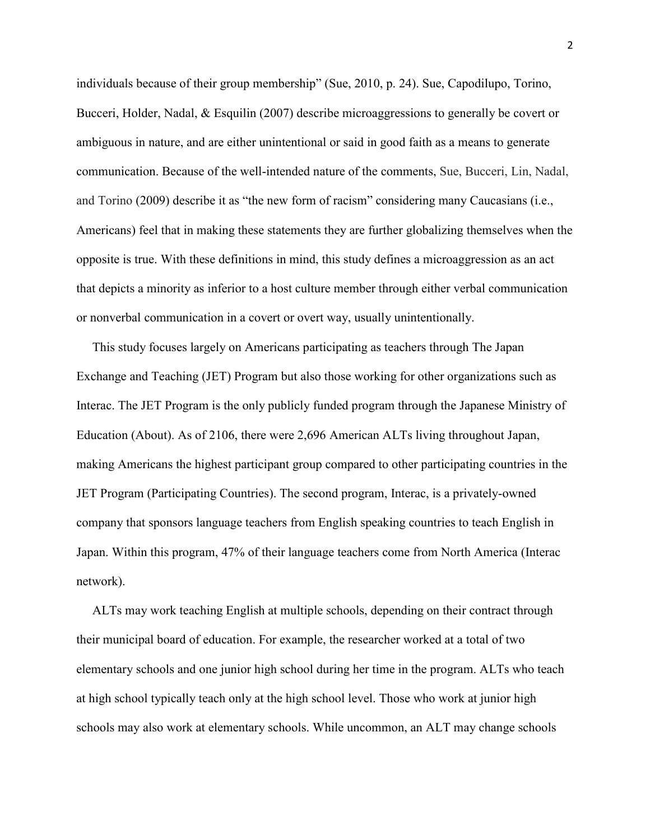individuals because of their group membership" (Sue, 2010, p. 24). Sue, Capodilupo, Torino, Bucceri, Holder, Nadal, & Esquilin (2007) describe microaggressions to generally be covert or ambiguous in nature, and are either unintentional or said in good faith as a means to generate communication. Because of the well-intended nature of the comments, Sue, Bucceri, Lin, Nadal, and Torino (2009) describe it as "the new form of racism" considering many Caucasians (i.e., Americans) feel that in making these statements they are further globalizing themselves when the opposite is true. With these definitions in mind, this study defines a microaggression as an act that depicts a minority as inferior to a host culture member through either verbal communication or nonverbal communication in a covert or overt way, usually unintentionally.

 This study focuses largely on Americans participating as teachers through The Japan Exchange and Teaching (JET) Program but also those working for other organizations such as Interac. The JET Program is the only publicly funded program through the Japanese Ministry of Education (About). As of 2106, there were 2,696 American ALTs living throughout Japan, making Americans the highest participant group compared to other participating countries in the JET Program (Participating Countries). The second program, Interac, is a privately-owned company that sponsors language teachers from English speaking countries to teach English in Japan. Within this program, 47% of their language teachers come from North America (Interac network).

 ALTs may work teaching English at multiple schools, depending on their contract through their municipal board of education. For example, the researcher worked at a total of two elementary schools and one junior high school during her time in the program. ALTs who teach at high school typically teach only at the high school level. Those who work at junior high schools may also work at elementary schools. While uncommon, an ALT may change schools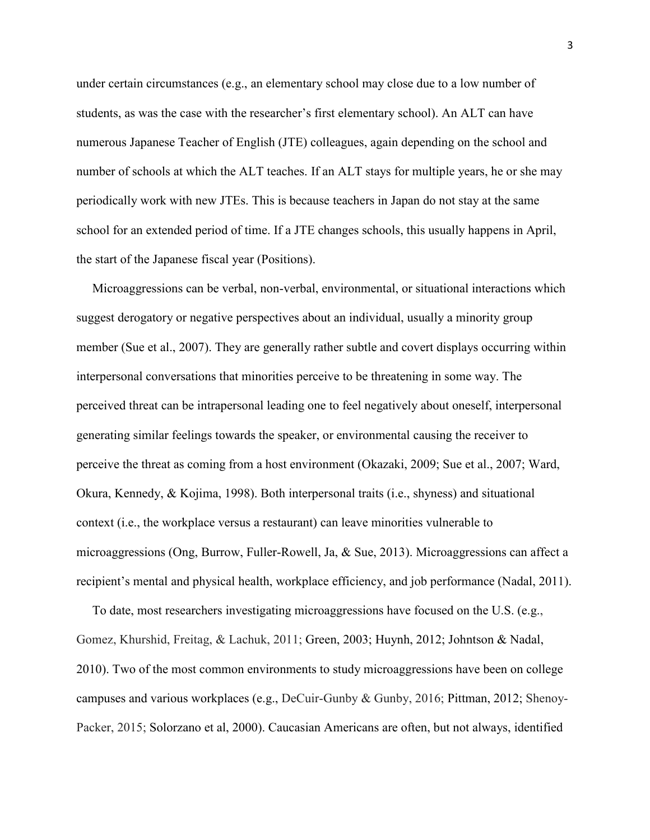under certain circumstances (e.g., an elementary school may close due to a low number of students, as was the case with the researcher's first elementary school). An ALT can have numerous Japanese Teacher of English (JTE) colleagues, again depending on the school and number of schools at which the ALT teaches. If an ALT stays for multiple years, he or she may periodically work with new JTEs. This is because teachers in Japan do not stay at the same school for an extended period of time. If a JTE changes schools, this usually happens in April, the start of the Japanese fiscal year (Positions).

 Microaggressions can be verbal, non-verbal, environmental, or situational interactions which suggest derogatory or negative perspectives about an individual, usually a minority group member (Sue et al., 2007). They are generally rather subtle and covert displays occurring within interpersonal conversations that minorities perceive to be threatening in some way. The perceived threat can be intrapersonal leading one to feel negatively about oneself, interpersonal generating similar feelings towards the speaker, or environmental causing the receiver to perceive the threat as coming from a host environment (Okazaki, 2009; Sue et al., 2007; Ward, Okura, Kennedy, & Kojima, 1998). Both interpersonal traits (i.e., shyness) and situational context (i.e., the workplace versus a restaurant) can leave minorities vulnerable to microaggressions (Ong, Burrow, Fuller-Rowell, Ja, & Sue, 2013). Microaggressions can affect a recipient's mental and physical health, workplace efficiency, and job performance (Nadal, 2011).

 To date, most researchers investigating microaggressions have focused on the U.S. (e.g., Gomez, Khurshid, Freitag, & Lachuk, 2011; Green, 2003; Huynh, 2012; Johntson & Nadal, 2010). Two of the most common environments to study microaggressions have been on college campuses and various workplaces (e.g., DeCuir-Gunby & Gunby, 2016; Pittman, 2012; Shenoy-Packer, 2015; Solorzano et al, 2000). Caucasian Americans are often, but not always, identified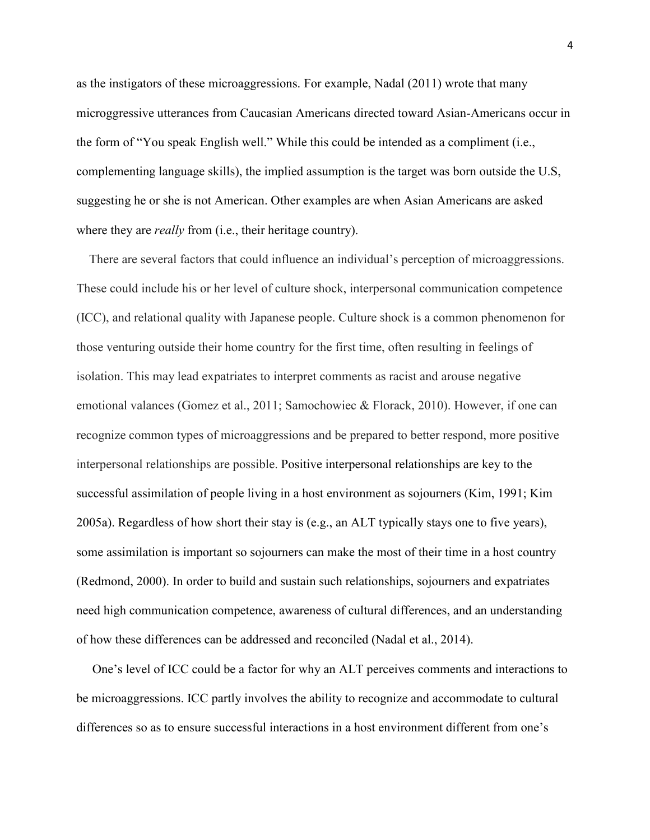as the instigators of these microaggressions. For example, Nadal (2011) wrote that many microggressive utterances from Caucasian Americans directed toward Asian-Americans occur in the form of "You speak English well." While this could be intended as a compliment (i.e., complementing language skills), the implied assumption is the target was born outside the U.S, suggesting he or she is not American. Other examples are when Asian Americans are asked where they are *really* from (i.e., their heritage country).

 There are several factors that could influence an individual's perception of microaggressions. These could include his or her level of culture shock, interpersonal communication competence (ICC), and relational quality with Japanese people. Culture shock is a common phenomenon for those venturing outside their home country for the first time, often resulting in feelings of isolation. This may lead expatriates to interpret comments as racist and arouse negative emotional valances (Gomez et al., 2011; Samochowiec & Florack, 2010). However, if one can recognize common types of microaggressions and be prepared to better respond, more positive interpersonal relationships are possible. Positive interpersonal relationships are key to the successful assimilation of people living in a host environment as sojourners (Kim, 1991; Kim 2005a). Regardless of how short their stay is (e.g., an ALT typically stays one to five years), some assimilation is important so sojourners can make the most of their time in a host country (Redmond, 2000). In order to build and sustain such relationships, sojourners and expatriates need high communication competence, awareness of cultural differences, and an understanding of how these differences can be addressed and reconciled (Nadal et al., 2014).

 One's level of ICC could be a factor for why an ALT perceives comments and interactions to be microaggressions. ICC partly involves the ability to recognize and accommodate to cultural differences so as to ensure successful interactions in a host environment different from one's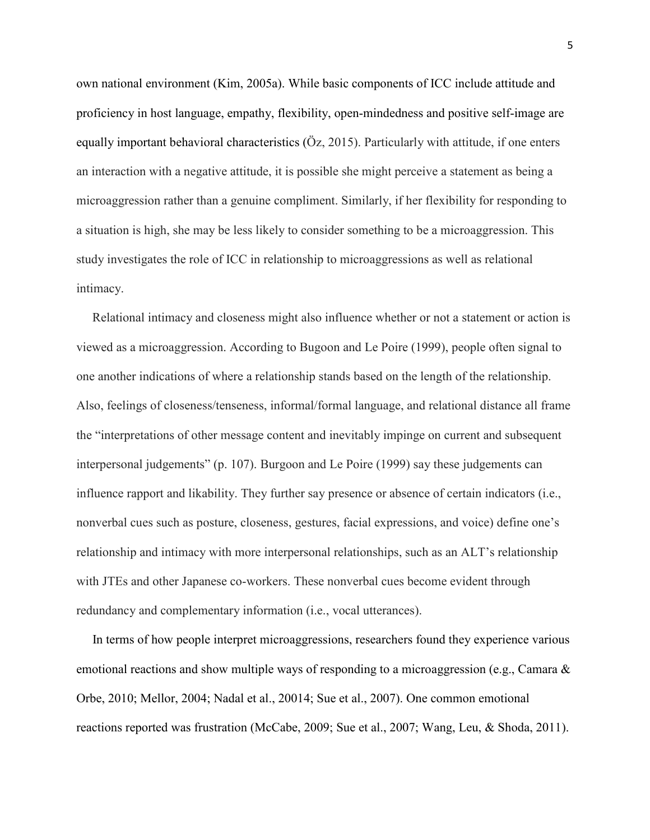own national environment (Kim, 2005a). While basic components of ICC include attitude and proficiency in host language, empathy, flexibility, open-mindedness and positive self-image are equally important behavioral characteristics (Öz, 2015). Particularly with attitude, if one enters an interaction with a negative attitude, it is possible she might perceive a statement as being a microaggression rather than a genuine compliment. Similarly, if her flexibility for responding to a situation is high, she may be less likely to consider something to be a microaggression. This study investigates the role of ICC in relationship to microaggressions as well as relational intimacy.

 Relational intimacy and closeness might also influence whether or not a statement or action is viewed as a microaggression. According to Bugoon and Le Poire (1999), people often signal to one another indications of where a relationship stands based on the length of the relationship. Also, feelings of closeness/tenseness, informal/formal language, and relational distance all frame the "interpretations of other message content and inevitably impinge on current and subsequent interpersonal judgements" (p. 107). Burgoon and Le Poire (1999) say these judgements can influence rapport and likability. They further say presence or absence of certain indicators (i.e., nonverbal cues such as posture, closeness, gestures, facial expressions, and voice) define one's relationship and intimacy with more interpersonal relationships, such as an ALT's relationship with JTEs and other Japanese co-workers. These nonverbal cues become evident through redundancy and complementary information (i.e., vocal utterances).

 In terms of how people interpret microaggressions, researchers found they experience various emotional reactions and show multiple ways of responding to a microaggression (e.g., Camara  $\&$ Orbe, 2010; Mellor, 2004; Nadal et al., 20014; Sue et al., 2007). One common emotional reactions reported was frustration (McCabe, 2009; Sue et al., 2007; Wang, Leu, & Shoda, 2011).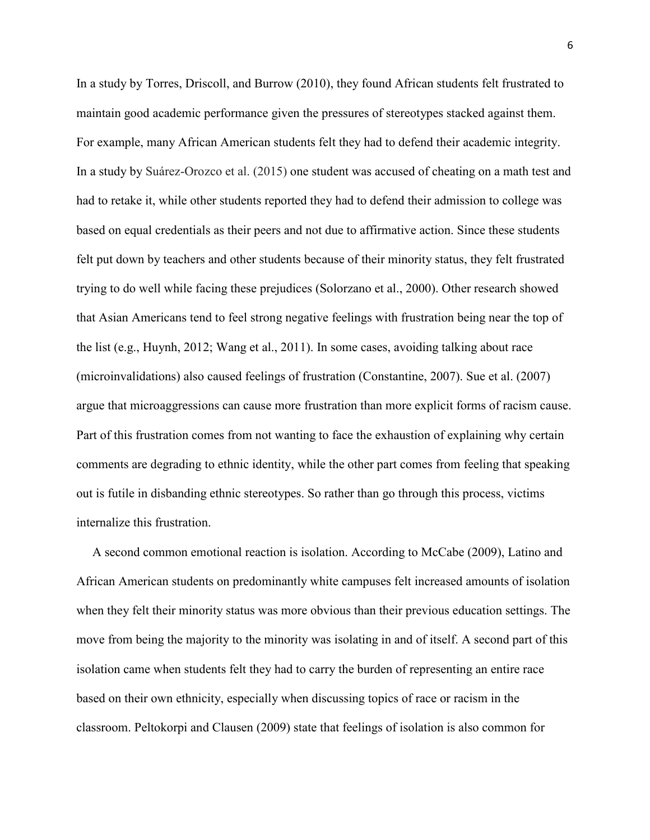In a study by Torres, Driscoll, and Burrow (2010), they found African students felt frustrated to maintain good academic performance given the pressures of stereotypes stacked against them. For example, many African American students felt they had to defend their academic integrity. In a study by Suárez-Orozco et al. (2015) one student was accused of cheating on a math test and had to retake it, while other students reported they had to defend their admission to college was based on equal credentials as their peers and not due to affirmative action. Since these students felt put down by teachers and other students because of their minority status, they felt frustrated trying to do well while facing these prejudices (Solorzano et al., 2000). Other research showed that Asian Americans tend to feel strong negative feelings with frustration being near the top of the list (e.g., Huynh, 2012; Wang et al., 2011). In some cases, avoiding talking about race (microinvalidations) also caused feelings of frustration (Constantine, 2007). Sue et al. (2007) argue that microaggressions can cause more frustration than more explicit forms of racism cause. Part of this frustration comes from not wanting to face the exhaustion of explaining why certain comments are degrading to ethnic identity, while the other part comes from feeling that speaking out is futile in disbanding ethnic stereotypes. So rather than go through this process, victims internalize this frustration.

 A second common emotional reaction is isolation. According to McCabe (2009), Latino and African American students on predominantly white campuses felt increased amounts of isolation when they felt their minority status was more obvious than their previous education settings. The move from being the majority to the minority was isolating in and of itself. A second part of this isolation came when students felt they had to carry the burden of representing an entire race based on their own ethnicity, especially when discussing topics of race or racism in the classroom. Peltokorpi and Clausen (2009) state that feelings of isolation is also common for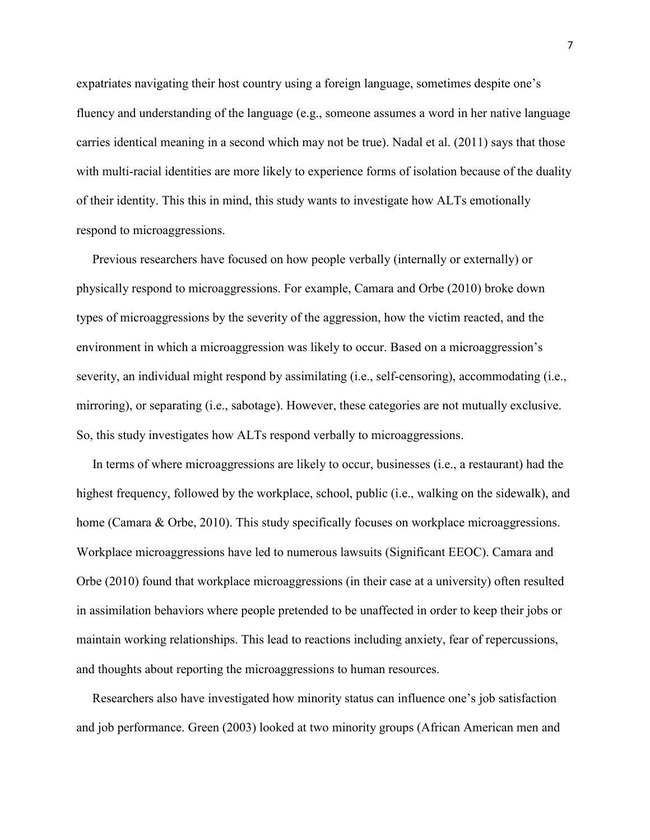expatriates navigating their host country using a foreign language, sometimes despite one's fluency and understanding of the language (e.g., someone assumes a word in her native language carries identical meaning in a second which may not be true). Nadal et al. (2011) says that those with multi-racial identities are more likely to experience forms of isolation because of the duality of their identity. This this in mind, this study wants to investigate how ALTs emotionally respond to microaggressions.

 Previous researchers have focused on how people verbally (internally or externally) or physically respond to microaggressions. For example, Camara and Orbe (2010) broke down types of microaggressions by the severity of the aggression, how the victim reacted, and the environment in which a microaggression was likely to occur. Based on a microaggression's severity, an individual might respond by assimilating (i.e., self-censoring), accommodating (i.e., mirroring), or separating (i.e., sabotage). However, these categories are not mutually exclusive. So, this study investigates how ALTs respond verbally to microaggressions.

 In terms of where microaggressions are likely to occur, businesses (i.e., a restaurant) had the highest frequency, followed by the workplace, school, public (i.e., walking on the sidewalk), and home (Camara & Orbe, 2010). This study specifically focuses on workplace microaggressions. Workplace microaggressions have led to numerous lawsuits (Significant EEOC). Camara and Orbe (2010) found that workplace microaggressions (in their case at a university) often resulted in assimilation behaviors where people pretended to be unaffected in order to keep their jobs or maintain working relationships. This lead to reactions including anxiety, fear of repercussions, and thoughts about reporting the microaggressions to human resources.

 Researchers also have investigated how minority status can influence one's job satisfaction and job performance. Green (2003) looked at two minority groups (African American men and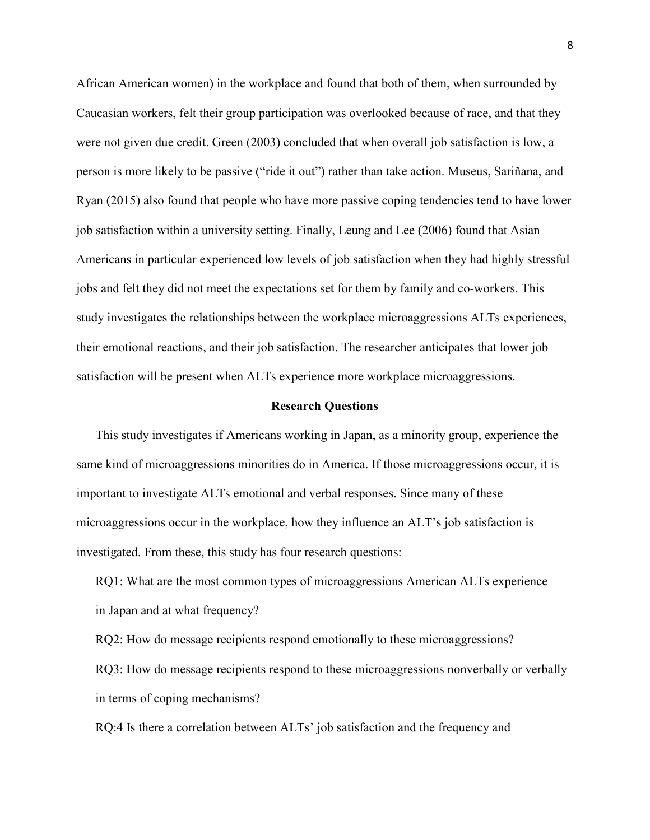African American women) in the workplace and found that both of them, when surrounded by Caucasian workers, felt their group participation was overlooked because of race, and that they were not given due credit. Green (2003) concluded that when overall job satisfaction is low, a person is more likely to be passive ("ride it out") rather than take action. Museus, Sariñana, and Ryan (2015) also found that people who have more passive coping tendencies tend to have lower job satisfaction within a university setting. Finally, Leung and Lee (2006) found that Asian Americans in particular experienced low levels of job satisfaction when they had highly stressful jobs and felt they did not meet the expectations set for them by family and co-workers. This study investigates the relationships between the workplace microaggressions ALTs experiences, their emotional reactions, and their job satisfaction. The researcher anticipates that lower job satisfaction will be present when ALTs experience more workplace microaggressions.

#### **Research Questions**

 This study investigates if Americans working in Japan, as a minority group, experience the same kind of microaggressions minorities do in America. If those microaggressions occur, it is important to investigate ALTs emotional and verbal responses. Since many of these microaggressions occur in the workplace, how they influence an ALT's job satisfaction is investigated. From these, this study has four research questions:

 RQ1: What are the most common types of microaggressions American ALTs experience in Japan and at what frequency?

 RQ2: How do message recipients respond emotionally to these microaggressions? RQ3: How do message recipients respond to these microaggressions nonverbally or verbally in terms of coping mechanisms?

RQ:4 Is there a correlation between ALTs' job satisfaction and the frequency and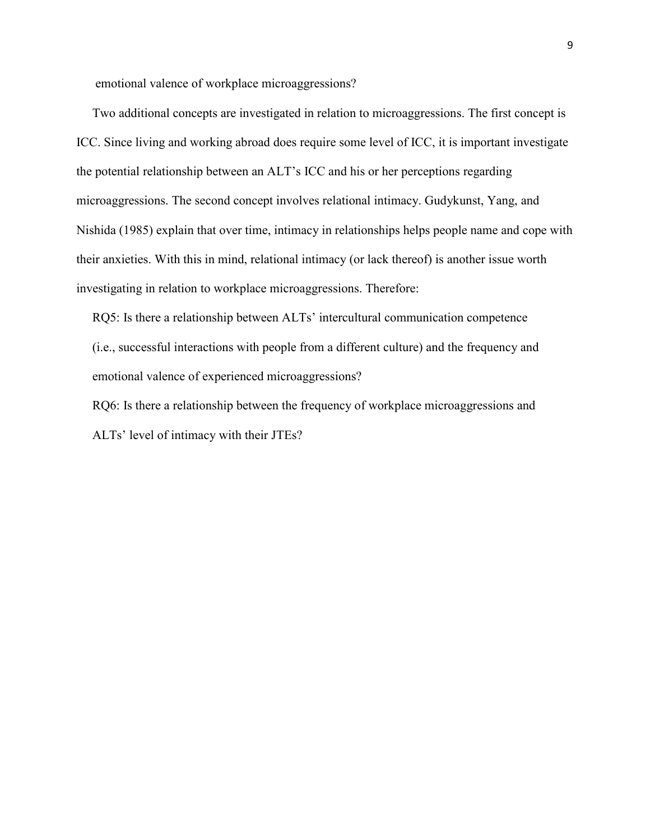emotional valence of workplace microaggressions?

 Two additional concepts are investigated in relation to microaggressions. The first concept is ICC. Since living and working abroad does require some level of ICC, it is important investigate the potential relationship between an ALT's ICC and his or her perceptions regarding microaggressions. The second concept involves relational intimacy. Gudykunst, Yang, and Nishida (1985) explain that over time, intimacy in relationships helps people name and cope with their anxieties. With this in mind, relational intimacy (or lack thereof) is another issue worth investigating in relation to workplace microaggressions. Therefore:

 RQ5: Is there a relationship between ALTs' intercultural communication competence (i.e., successful interactions with people from a different culture) and the frequency and emotional valence of experienced microaggressions?

 RQ6: Is there a relationship between the frequency of workplace microaggressions and ALTs' level of intimacy with their JTEs?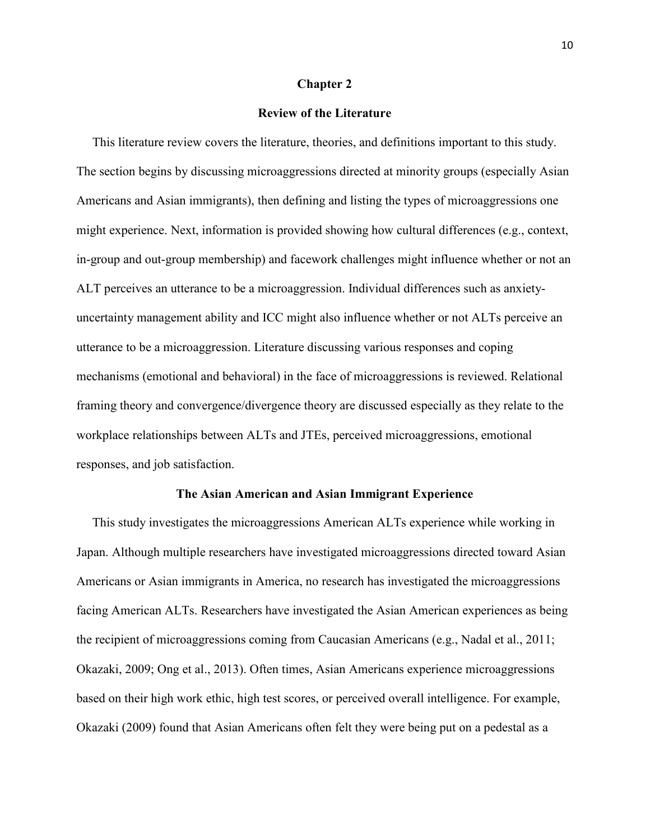# **Chapter 2**

# **Review of the Literature**

 This literature review covers the literature, theories, and definitions important to this study. The section begins by discussing microaggressions directed at minority groups (especially Asian Americans and Asian immigrants), then defining and listing the types of microaggressions one might experience. Next, information is provided showing how cultural differences (e.g., context, in-group and out-group membership) and facework challenges might influence whether or not an ALT perceives an utterance to be a microaggression. Individual differences such as anxietyuncertainty management ability and ICC might also influence whether or not ALTs perceive an utterance to be a microaggression. Literature discussing various responses and coping mechanisms (emotional and behavioral) in the face of microaggressions is reviewed. Relational framing theory and convergence/divergence theory are discussed especially as they relate to the workplace relationships between ALTs and JTEs, perceived microaggressions, emotional responses, and job satisfaction.

#### **The Asian American and Asian Immigrant Experience**

 This study investigates the microaggressions American ALTs experience while working in Japan. Although multiple researchers have investigated microaggressions directed toward Asian Americans or Asian immigrants in America, no research has investigated the microaggressions facing American ALTs. Researchers have investigated the Asian American experiences as being the recipient of microaggressions coming from Caucasian Americans (e.g., Nadal et al., 2011; Okazaki, 2009; Ong et al., 2013). Often times, Asian Americans experience microaggressions based on their high work ethic, high test scores, or perceived overall intelligence. For example, Okazaki (2009) found that Asian Americans often felt they were being put on a pedestal as a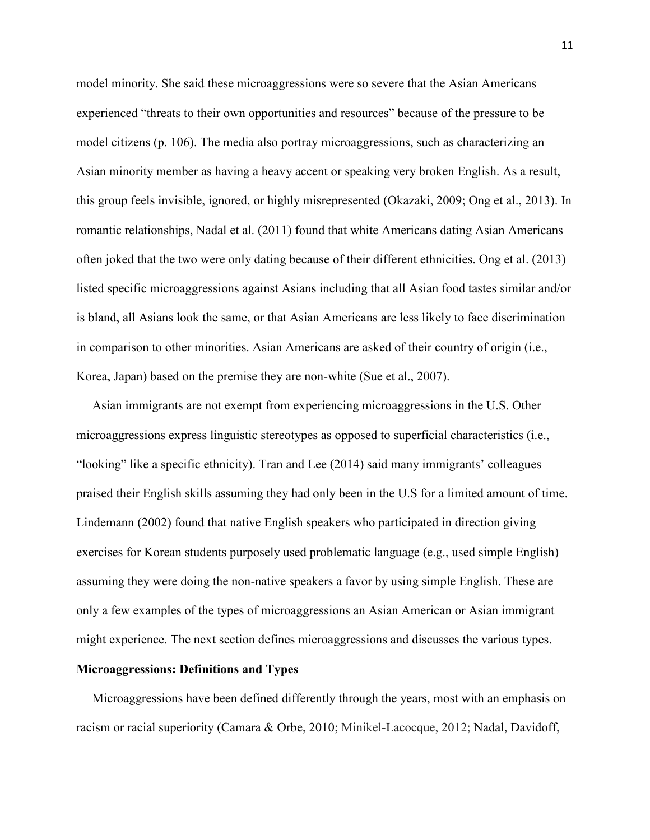model minority. She said these microaggressions were so severe that the Asian Americans experienced "threats to their own opportunities and resources" because of the pressure to be model citizens (p. 106). The media also portray microaggressions, such as characterizing an Asian minority member as having a heavy accent or speaking very broken English. As a result, this group feels invisible, ignored, or highly misrepresented (Okazaki, 2009; Ong et al., 2013). In romantic relationships, Nadal et al. (2011) found that white Americans dating Asian Americans often joked that the two were only dating because of their different ethnicities. Ong et al. (2013) listed specific microaggressions against Asians including that all Asian food tastes similar and/or is bland, all Asians look the same, or that Asian Americans are less likely to face discrimination in comparison to other minorities. Asian Americans are asked of their country of origin (i.e., Korea, Japan) based on the premise they are non-white (Sue et al., 2007).

 Asian immigrants are not exempt from experiencing microaggressions in the U.S. Other microaggressions express linguistic stereotypes as opposed to superficial characteristics (i.e., "looking" like a specific ethnicity). Tran and Lee (2014) said many immigrants' colleagues praised their English skills assuming they had only been in the U.S for a limited amount of time. Lindemann (2002) found that native English speakers who participated in direction giving exercises for Korean students purposely used problematic language (e.g., used simple English) assuming they were doing the non-native speakers a favor by using simple English. These are only a few examples of the types of microaggressions an Asian American or Asian immigrant might experience. The next section defines microaggressions and discusses the various types.

# **Microaggressions: Definitions and Types**

 Microaggressions have been defined differently through the years, most with an emphasis on racism or racial superiority (Camara & Orbe, 2010; Minikel-Lacocque, 2012; Nadal, Davidoff,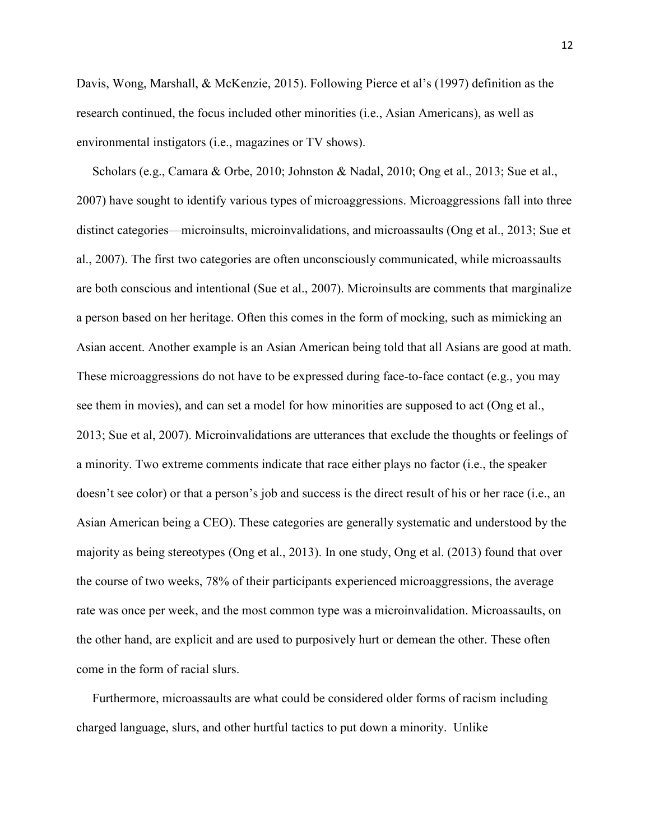Davis, Wong, Marshall, & McKenzie, 2015). Following Pierce et al's (1997) definition as the research continued, the focus included other minorities (i.e., Asian Americans), as well as environmental instigators (i.e., magazines or TV shows).

 Scholars (e.g., Camara & Orbe, 2010; Johnston & Nadal, 2010; Ong et al., 2013; Sue et al., 2007) have sought to identify various types of microaggressions. Microaggressions fall into three distinct categories—microinsults, microinvalidations, and microassaults (Ong et al., 2013; Sue et al., 2007). The first two categories are often unconsciously communicated, while microassaults are both conscious and intentional (Sue et al., 2007). Microinsults are comments that marginalize a person based on her heritage. Often this comes in the form of mocking, such as mimicking an Asian accent. Another example is an Asian American being told that all Asians are good at math. These microaggressions do not have to be expressed during face-to-face contact (e.g., you may see them in movies), and can set a model for how minorities are supposed to act (Ong et al., 2013; Sue et al, 2007). Microinvalidations are utterances that exclude the thoughts or feelings of a minority. Two extreme comments indicate that race either plays no factor (i.e., the speaker doesn't see color) or that a person's job and success is the direct result of his or her race (i.e., an Asian American being a CEO). These categories are generally systematic and understood by the majority as being stereotypes (Ong et al., 2013). In one study, Ong et al. (2013) found that over the course of two weeks, 78% of their participants experienced microaggressions, the average rate was once per week, and the most common type was a microinvalidation. Microassaults, on the other hand, are explicit and are used to purposively hurt or demean the other. These often come in the form of racial slurs.

 Furthermore, microassaults are what could be considered older forms of racism including charged language, slurs, and other hurtful tactics to put down a minority. Unlike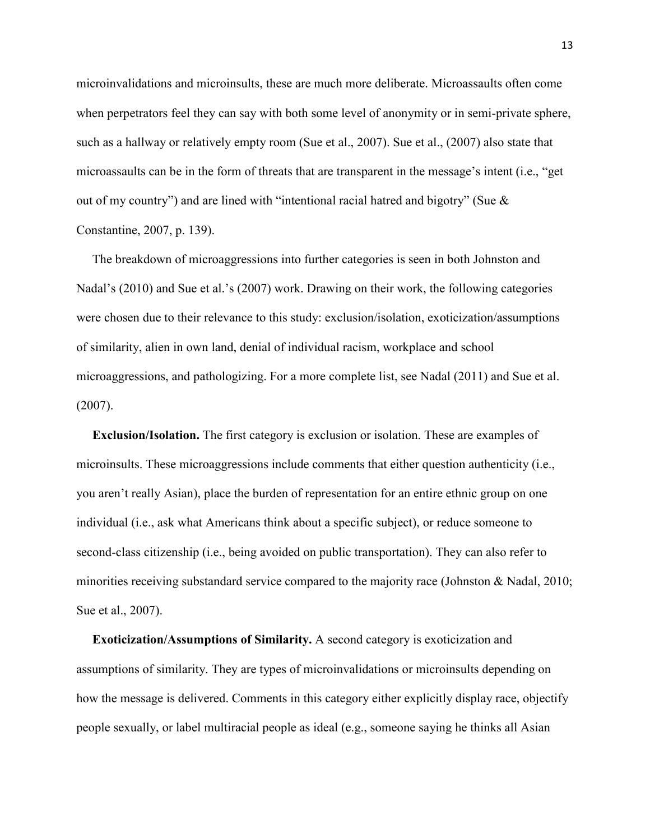microinvalidations and microinsults, these are much more deliberate. Microassaults often come when perpetrators feel they can say with both some level of anonymity or in semi-private sphere, such as a hallway or relatively empty room (Sue et al., 2007). Sue et al., (2007) also state that microassaults can be in the form of threats that are transparent in the message's intent (i.e., "get out of my country") and are lined with "intentional racial hatred and bigotry" (Sue & Constantine, 2007, p. 139).

 The breakdown of microaggressions into further categories is seen in both Johnston and Nadal's (2010) and Sue et al.'s (2007) work. Drawing on their work, the following categories were chosen due to their relevance to this study: exclusion/isolation, exoticization/assumptions of similarity, alien in own land, denial of individual racism, workplace and school microaggressions, and pathologizing. For a more complete list, see Nadal (2011) and Sue et al. (2007).

 **Exclusion/Isolation.** The first category is exclusion or isolation. These are examples of microinsults. These microaggressions include comments that either question authenticity (i.e., you aren't really Asian), place the burden of representation for an entire ethnic group on one individual (i.e., ask what Americans think about a specific subject), or reduce someone to second-class citizenship (i.e., being avoided on public transportation). They can also refer to minorities receiving substandard service compared to the majority race (Johnston & Nadal, 2010; Sue et al., 2007).

 **Exoticization/Assumptions of Similarity.** A second category is exoticization and assumptions of similarity. They are types of microinvalidations or microinsults depending on how the message is delivered. Comments in this category either explicitly display race, objectify people sexually, or label multiracial people as ideal (e.g., someone saying he thinks all Asian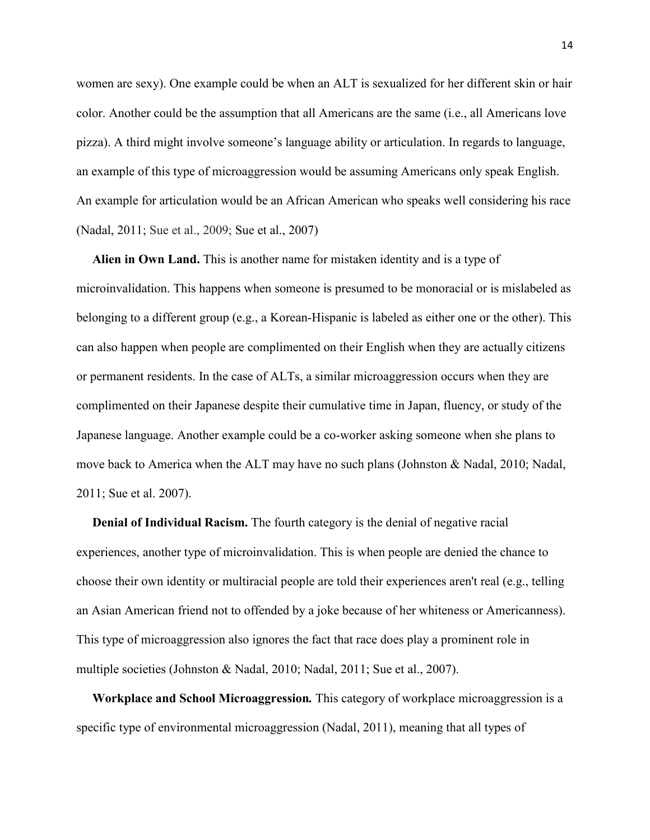women are sexy). One example could be when an ALT is sexualized for her different skin or hair color. Another could be the assumption that all Americans are the same (i.e., all Americans love pizza). A third might involve someone's language ability or articulation. In regards to language, an example of this type of microaggression would be assuming Americans only speak English. An example for articulation would be an African American who speaks well considering his race (Nadal, 2011; Sue et al., 2009; Sue et al., 2007)

 **Alien in Own Land.** This is another name for mistaken identity and is a type of microinvalidation. This happens when someone is presumed to be monoracial or is mislabeled as belonging to a different group (e.g., a Korean-Hispanic is labeled as either one or the other). This can also happen when people are complimented on their English when they are actually citizens or permanent residents. In the case of ALTs, a similar microaggression occurs when they are complimented on their Japanese despite their cumulative time in Japan, fluency, or study of the Japanese language. Another example could be a co-worker asking someone when she plans to move back to America when the ALT may have no such plans (Johnston & Nadal, 2010; Nadal, 2011; Sue et al. 2007).

 **Denial of Individual Racism.** The fourth category is the denial of negative racial experiences, another type of microinvalidation. This is when people are denied the chance to choose their own identity or multiracial people are told their experiences aren't real (e.g., telling an Asian American friend not to offended by a joke because of her whiteness or Americanness). This type of microaggression also ignores the fact that race does play a prominent role in multiple societies (Johnston & Nadal, 2010; Nadal, 2011; Sue et al., 2007).

 **Workplace and School Microaggression***.* This category of workplace microaggression is a specific type of environmental microaggression (Nadal, 2011), meaning that all types of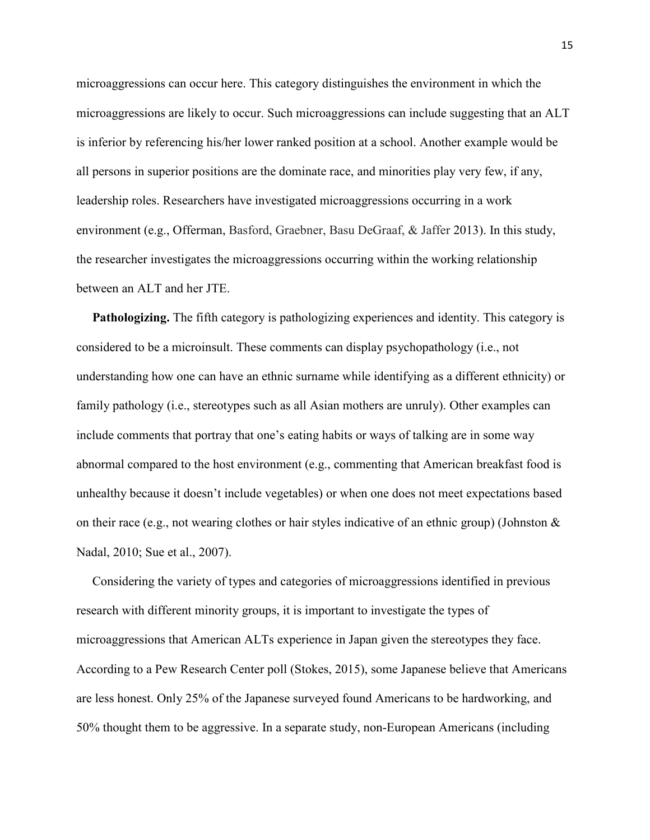microaggressions can occur here. This category distinguishes the environment in which the microaggressions are likely to occur. Such microaggressions can include suggesting that an ALT is inferior by referencing his/her lower ranked position at a school. Another example would be all persons in superior positions are the dominate race, and minorities play very few, if any, leadership roles. Researchers have investigated microaggressions occurring in a work environment (e.g., Offerman, Basford, Graebner, Basu DeGraaf, & Jaffer 2013). In this study, the researcher investigates the microaggressions occurring within the working relationship between an ALT and her JTE.

 **Pathologizing.** The fifth category is pathologizing experiences and identity. This category is considered to be a microinsult. These comments can display psychopathology (i.e., not understanding how one can have an ethnic surname while identifying as a different ethnicity) or family pathology (i.e., stereotypes such as all Asian mothers are unruly). Other examples can include comments that portray that one's eating habits or ways of talking are in some way abnormal compared to the host environment (e.g., commenting that American breakfast food is unhealthy because it doesn't include vegetables) or when one does not meet expectations based on their race (e.g., not wearing clothes or hair styles indicative of an ethnic group) (Johnston  $\&$ Nadal, 2010; Sue et al., 2007).

 Considering the variety of types and categories of microaggressions identified in previous research with different minority groups, it is important to investigate the types of microaggressions that American ALTs experience in Japan given the stereotypes they face. According to a Pew Research Center poll (Stokes, 2015), some Japanese believe that Americans are less honest. Only 25% of the Japanese surveyed found Americans to be hardworking, and 50% thought them to be aggressive. In a separate study, non-European Americans (including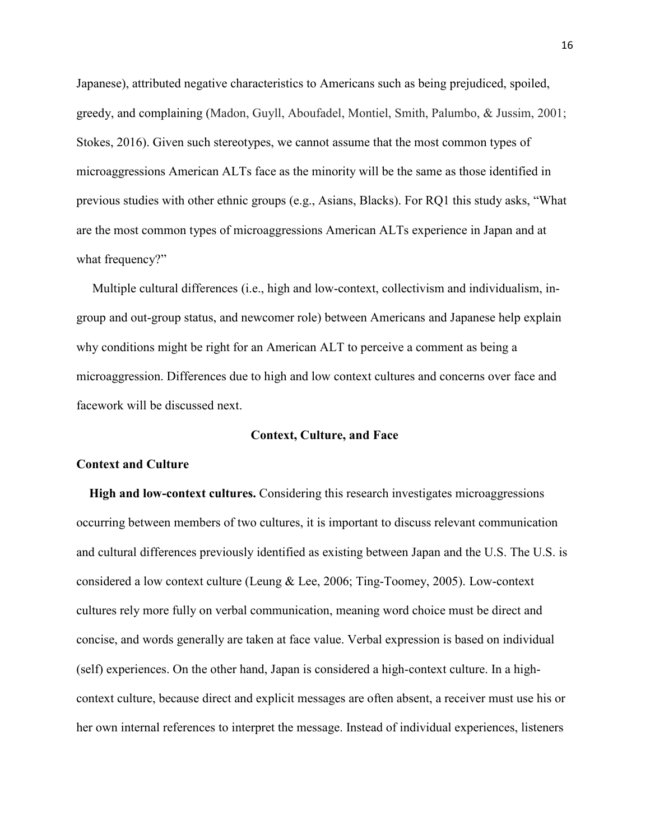Japanese), attributed negative characteristics to Americans such as being prejudiced, spoiled, greedy, and complaining (Madon, Guyll, Aboufadel, Montiel, Smith, Palumbo, & Jussim, 2001; Stokes, 2016). Given such stereotypes, we cannot assume that the most common types of microaggressions American ALTs face as the minority will be the same as those identified in previous studies with other ethnic groups (e.g., Asians, Blacks). For RQ1 this study asks, "What are the most common types of microaggressions American ALTs experience in Japan and at what frequency?"

 Multiple cultural differences (i.e., high and low-context, collectivism and individualism, ingroup and out-group status, and newcomer role) between Americans and Japanese help explain why conditions might be right for an American ALT to perceive a comment as being a microaggression. Differences due to high and low context cultures and concerns over face and facework will be discussed next.

# **Context, Culture, and Face**

# **Context and Culture**

 **High and low-context cultures.** Considering this research investigates microaggressions occurring between members of two cultures, it is important to discuss relevant communication and cultural differences previously identified as existing between Japan and the U.S. The U.S. is considered a low context culture (Leung & Lee, 2006; Ting-Toomey, 2005). Low-context cultures rely more fully on verbal communication, meaning word choice must be direct and concise, and words generally are taken at face value. Verbal expression is based on individual (self) experiences. On the other hand, Japan is considered a high-context culture. In a highcontext culture, because direct and explicit messages are often absent, a receiver must use his or her own internal references to interpret the message. Instead of individual experiences, listeners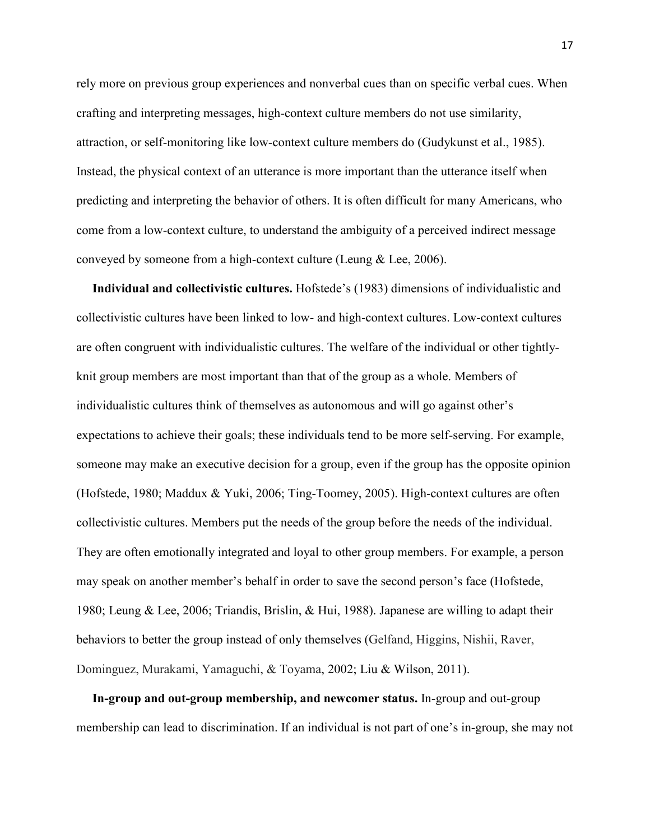rely more on previous group experiences and nonverbal cues than on specific verbal cues. When crafting and interpreting messages, high-context culture members do not use similarity, attraction, or self-monitoring like low-context culture members do (Gudykunst et al., 1985). Instead, the physical context of an utterance is more important than the utterance itself when predicting and interpreting the behavior of others. It is often difficult for many Americans, who come from a low-context culture, to understand the ambiguity of a perceived indirect message conveyed by someone from a high-context culture (Leung & Lee, 2006).

 **Individual and collectivistic cultures.** Hofstede's (1983) dimensions of individualistic and collectivistic cultures have been linked to low- and high-context cultures. Low-context cultures are often congruent with individualistic cultures. The welfare of the individual or other tightlyknit group members are most important than that of the group as a whole. Members of individualistic cultures think of themselves as autonomous and will go against other's expectations to achieve their goals; these individuals tend to be more self-serving. For example, someone may make an executive decision for a group, even if the group has the opposite opinion (Hofstede, 1980; Maddux & Yuki, 2006; Ting-Toomey, 2005). High-context cultures are often collectivistic cultures. Members put the needs of the group before the needs of the individual. They are often emotionally integrated and loyal to other group members. For example, a person may speak on another member's behalf in order to save the second person's face (Hofstede, 1980; Leung & Lee, 2006; Triandis, Brislin, & Hui, 1988). Japanese are willing to adapt their behaviors to better the group instead of only themselves (Gelfand, Higgins, Nishii, Raver, Dominguez, Murakami, Yamaguchi, & Toyama, 2002; Liu & Wilson, 2011).

 **In-group and out-group membership, and newcomer status.** In-group and out-group membership can lead to discrimination. If an individual is not part of one's in-group, she may not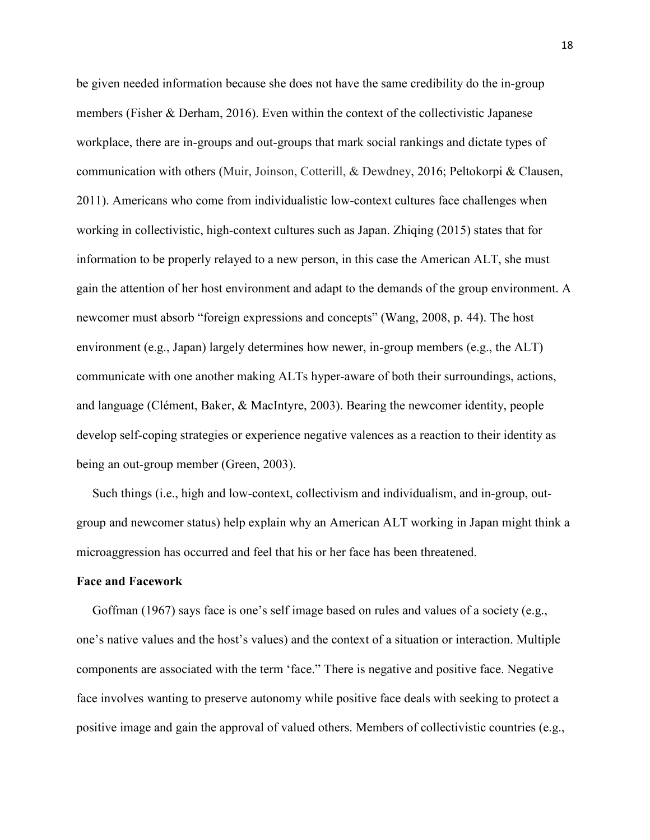be given needed information because she does not have the same credibility do the in-group members (Fisher & Derham, 2016). Even within the context of the collectivistic Japanese workplace, there are in-groups and out-groups that mark social rankings and dictate types of communication with others (Muir, Joinson, Cotterill, & Dewdney, 2016; Peltokorpi & Clausen, 2011). Americans who come from individualistic low-context cultures face challenges when working in collectivistic, high-context cultures such as Japan. Zhiqing (2015) states that for information to be properly relayed to a new person, in this case the American ALT, she must gain the attention of her host environment and adapt to the demands of the group environment. A newcomer must absorb "foreign expressions and concepts" (Wang, 2008, p. 44). The host environment (e.g., Japan) largely determines how newer, in-group members (e.g., the ALT) communicate with one another making ALTs hyper-aware of both their surroundings, actions, and language (Clément, Baker, & MacIntyre, 2003). Bearing the newcomer identity, people develop self-coping strategies or experience negative valences as a reaction to their identity as being an out-group member (Green, 2003).

 Such things (i.e., high and low-context, collectivism and individualism, and in-group, outgroup and newcomer status) help explain why an American ALT working in Japan might think a microaggression has occurred and feel that his or her face has been threatened.

#### **Face and Facework**

 Goffman (1967) says face is one's self image based on rules and values of a society (e.g., one's native values and the host's values) and the context of a situation or interaction. Multiple components are associated with the term 'face." There is negative and positive face. Negative face involves wanting to preserve autonomy while positive face deals with seeking to protect a positive image and gain the approval of valued others. Members of collectivistic countries (e.g.,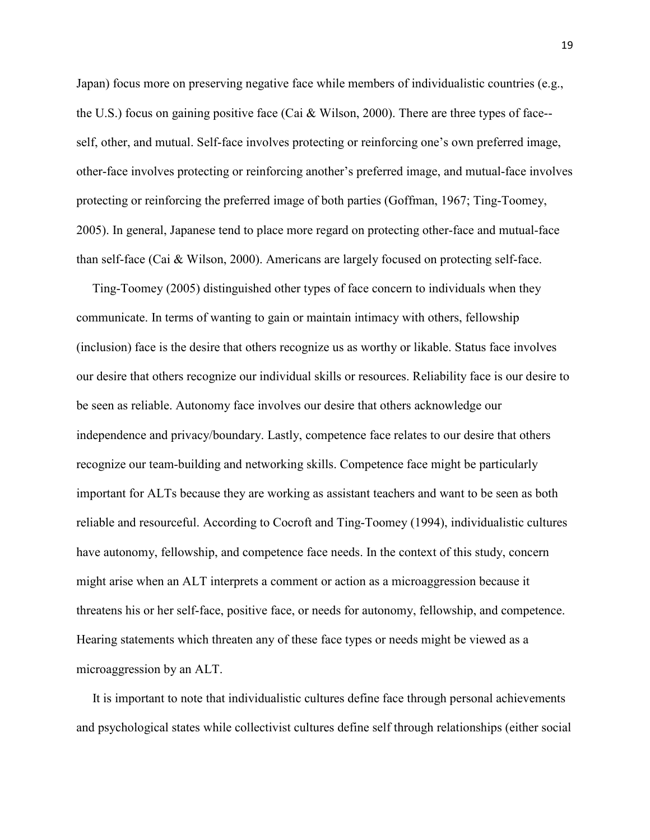Japan) focus more on preserving negative face while members of individualistic countries (e.g., the U.S.) focus on gaining positive face (Cai & Wilson, 2000). There are three types of face- self, other, and mutual. Self-face involves protecting or reinforcing one's own preferred image, other-face involves protecting or reinforcing another's preferred image, and mutual-face involves protecting or reinforcing the preferred image of both parties (Goffman, 1967; Ting-Toomey, 2005). In general, Japanese tend to place more regard on protecting other-face and mutual-face than self-face (Cai & Wilson, 2000). Americans are largely focused on protecting self-face.

 Ting-Toomey (2005) distinguished other types of face concern to individuals when they communicate. In terms of wanting to gain or maintain intimacy with others, fellowship (inclusion) face is the desire that others recognize us as worthy or likable. Status face involves our desire that others recognize our individual skills or resources. Reliability face is our desire to be seen as reliable. Autonomy face involves our desire that others acknowledge our independence and privacy/boundary. Lastly, competence face relates to our desire that others recognize our team-building and networking skills. Competence face might be particularly important for ALTs because they are working as assistant teachers and want to be seen as both reliable and resourceful. According to Cocroft and Ting-Toomey (1994), individualistic cultures have autonomy, fellowship, and competence face needs. In the context of this study, concern might arise when an ALT interprets a comment or action as a microaggression because it threatens his or her self-face, positive face, or needs for autonomy, fellowship, and competence. Hearing statements which threaten any of these face types or needs might be viewed as a microaggression by an ALT.

 It is important to note that individualistic cultures define face through personal achievements and psychological states while collectivist cultures define self through relationships (either social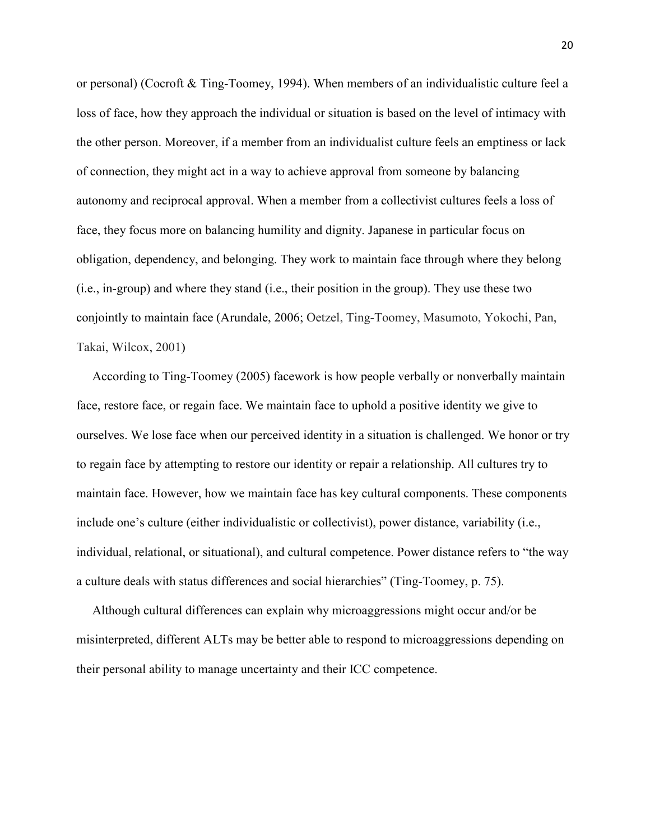or personal) (Cocroft & Ting-Toomey, 1994). When members of an individualistic culture feel a loss of face, how they approach the individual or situation is based on the level of intimacy with the other person. Moreover, if a member from an individualist culture feels an emptiness or lack of connection, they might act in a way to achieve approval from someone by balancing autonomy and reciprocal approval. When a member from a collectivist cultures feels a loss of face, they focus more on balancing humility and dignity. Japanese in particular focus on obligation, dependency, and belonging. They work to maintain face through where they belong (i.e., in-group) and where they stand (i.e., their position in the group). They use these two conjointly to maintain face (Arundale, 2006; Oetzel, Ting-Toomey, Masumoto, Yokochi, Pan, Takai, Wilcox, 2001)

 According to Ting-Toomey (2005) facework is how people verbally or nonverbally maintain face, restore face, or regain face. We maintain face to uphold a positive identity we give to ourselves. We lose face when our perceived identity in a situation is challenged. We honor or try to regain face by attempting to restore our identity or repair a relationship. All cultures try to maintain face. However, how we maintain face has key cultural components. These components include one's culture (either individualistic or collectivist), power distance, variability (i.e., individual, relational, or situational), and cultural competence. Power distance refers to "the way a culture deals with status differences and social hierarchies" (Ting-Toomey, p. 75).

 Although cultural differences can explain why microaggressions might occur and/or be misinterpreted, different ALTs may be better able to respond to microaggressions depending on their personal ability to manage uncertainty and their ICC competence.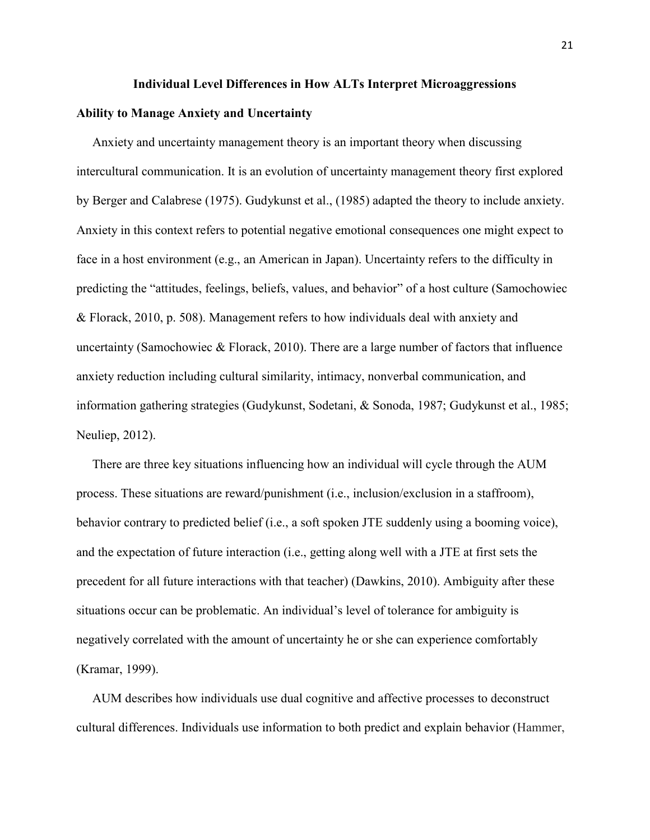#### **Individual Level Differences in How ALTs Interpret Microaggressions**

#### **Ability to Manage Anxiety and Uncertainty**

 Anxiety and uncertainty management theory is an important theory when discussing intercultural communication. It is an evolution of uncertainty management theory first explored by Berger and Calabrese (1975). Gudykunst et al., (1985) adapted the theory to include anxiety. Anxiety in this context refers to potential negative emotional consequences one might expect to face in a host environment (e.g., an American in Japan). Uncertainty refers to the difficulty in predicting the "attitudes, feelings, beliefs, values, and behavior" of a host culture (Samochowiec & Florack, 2010, p. 508). Management refers to how individuals deal with anxiety and uncertainty (Samochowiec & Florack, 2010). There are a large number of factors that influence anxiety reduction including cultural similarity, intimacy, nonverbal communication, and information gathering strategies (Gudykunst, Sodetani, & Sonoda, 1987; Gudykunst et al., 1985; Neuliep, 2012).

 There are three key situations influencing how an individual will cycle through the AUM process. These situations are reward/punishment (i.e., inclusion/exclusion in a staffroom), behavior contrary to predicted belief (i.e., a soft spoken JTE suddenly using a booming voice), and the expectation of future interaction (i.e., getting along well with a JTE at first sets the precedent for all future interactions with that teacher) (Dawkins, 2010). Ambiguity after these situations occur can be problematic. An individual's level of tolerance for ambiguity is negatively correlated with the amount of uncertainty he or she can experience comfortably (Kramar, 1999).

 AUM describes how individuals use dual cognitive and affective processes to deconstruct cultural differences. Individuals use information to both predict and explain behavior (Hammer,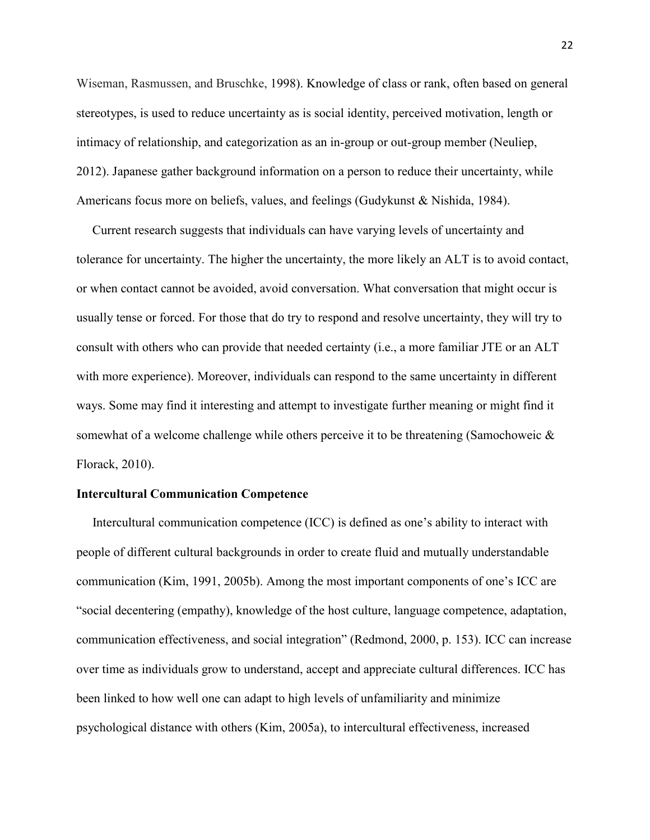Wiseman, Rasmussen, and Bruschke, 1998). Knowledge of class or rank, often based on general stereotypes, is used to reduce uncertainty as is social identity, perceived motivation, length or intimacy of relationship, and categorization as an in-group or out-group member (Neuliep, 2012). Japanese gather background information on a person to reduce their uncertainty, while Americans focus more on beliefs, values, and feelings (Gudykunst & Nishida, 1984).

 Current research suggests that individuals can have varying levels of uncertainty and tolerance for uncertainty. The higher the uncertainty, the more likely an ALT is to avoid contact, or when contact cannot be avoided, avoid conversation. What conversation that might occur is usually tense or forced. For those that do try to respond and resolve uncertainty, they will try to consult with others who can provide that needed certainty (i.e., a more familiar JTE or an ALT with more experience). Moreover, individuals can respond to the same uncertainty in different ways. Some may find it interesting and attempt to investigate further meaning or might find it somewhat of a welcome challenge while others perceive it to be threatening (Samochoweic & Florack, 2010).

# **Intercultural Communication Competence**

 Intercultural communication competence (ICC) is defined as one's ability to interact with people of different cultural backgrounds in order to create fluid and mutually understandable communication (Kim, 1991, 2005b). Among the most important components of one's ICC are "social decentering (empathy), knowledge of the host culture, language competence, adaptation, communication effectiveness, and social integration" (Redmond, 2000, p. 153). ICC can increase over time as individuals grow to understand, accept and appreciate cultural differences. ICC has been linked to how well one can adapt to high levels of unfamiliarity and minimize psychological distance with others (Kim, 2005a), to intercultural effectiveness, increased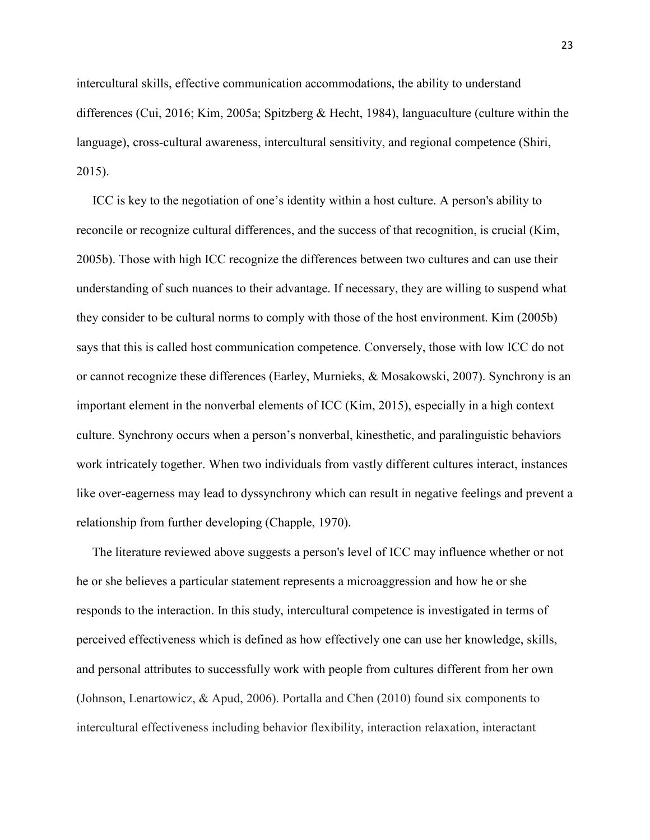intercultural skills, effective communication accommodations, the ability to understand differences (Cui, 2016; Kim, 2005a; Spitzberg & Hecht, 1984), languaculture (culture within the language), cross-cultural awareness, intercultural sensitivity, and regional competence (Shiri, 2015).

 ICC is key to the negotiation of one's identity within a host culture. A person's ability to reconcile or recognize cultural differences, and the success of that recognition, is crucial (Kim, 2005b). Those with high ICC recognize the differences between two cultures and can use their understanding of such nuances to their advantage. If necessary, they are willing to suspend what they consider to be cultural norms to comply with those of the host environment. Kim (2005b) says that this is called host communication competence. Conversely, those with low ICC do not or cannot recognize these differences (Earley, Murnieks, & Mosakowski, 2007). Synchrony is an important element in the nonverbal elements of ICC (Kim, 2015), especially in a high context culture. Synchrony occurs when a person's nonverbal, kinesthetic, and paralinguistic behaviors work intricately together. When two individuals from vastly different cultures interact, instances like over-eagerness may lead to dyssynchrony which can result in negative feelings and prevent a relationship from further developing (Chapple, 1970).

 The literature reviewed above suggests a person's level of ICC may influence whether or not he or she believes a particular statement represents a microaggression and how he or she responds to the interaction. In this study, intercultural competence is investigated in terms of perceived effectiveness which is defined as how effectively one can use her knowledge, skills, and personal attributes to successfully work with people from cultures different from her own (Johnson, Lenartowicz, & Apud, 2006). Portalla and Chen (2010) found six components to intercultural effectiveness including behavior flexibility, interaction relaxation, interactant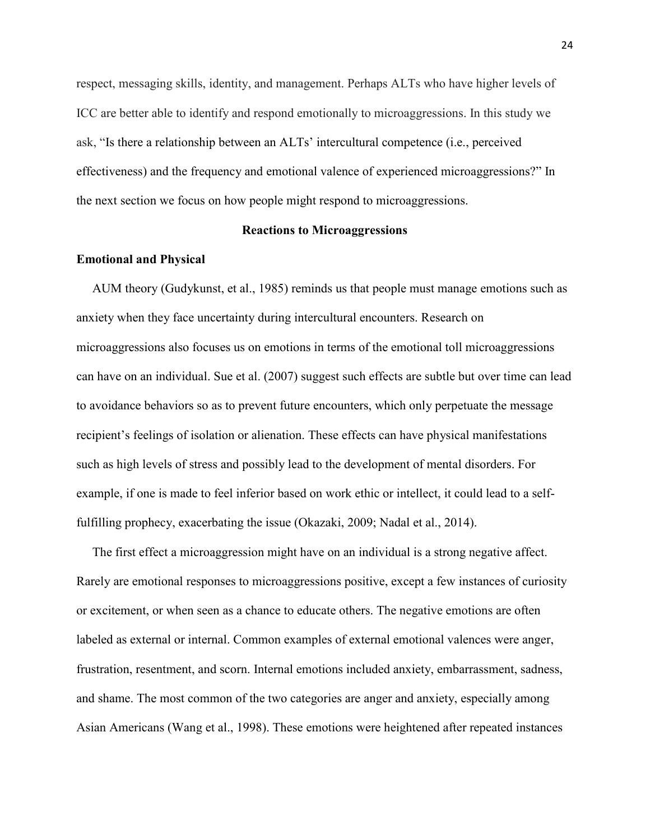respect, messaging skills, identity, and management. Perhaps ALTs who have higher levels of ICC are better able to identify and respond emotionally to microaggressions. In this study we ask, "Is there a relationship between an ALTs' intercultural competence (i.e., perceived effectiveness) and the frequency and emotional valence of experienced microaggressions?" In the next section we focus on how people might respond to microaggressions.

# **Reactions to Microaggressions**

## **Emotional and Physical**

 AUM theory (Gudykunst, et al., 1985) reminds us that people must manage emotions such as anxiety when they face uncertainty during intercultural encounters. Research on microaggressions also focuses us on emotions in terms of the emotional toll microaggressions can have on an individual. Sue et al. (2007) suggest such effects are subtle but over time can lead to avoidance behaviors so as to prevent future encounters, which only perpetuate the message recipient's feelings of isolation or alienation. These effects can have physical manifestations such as high levels of stress and possibly lead to the development of mental disorders. For example, if one is made to feel inferior based on work ethic or intellect, it could lead to a selffulfilling prophecy, exacerbating the issue (Okazaki, 2009; Nadal et al., 2014).

 The first effect a microaggression might have on an individual is a strong negative affect. Rarely are emotional responses to microaggressions positive, except a few instances of curiosity or excitement, or when seen as a chance to educate others. The negative emotions are often labeled as external or internal. Common examples of external emotional valences were anger, frustration, resentment, and scorn. Internal emotions included anxiety, embarrassment, sadness, and shame. The most common of the two categories are anger and anxiety, especially among Asian Americans (Wang et al., 1998). These emotions were heightened after repeated instances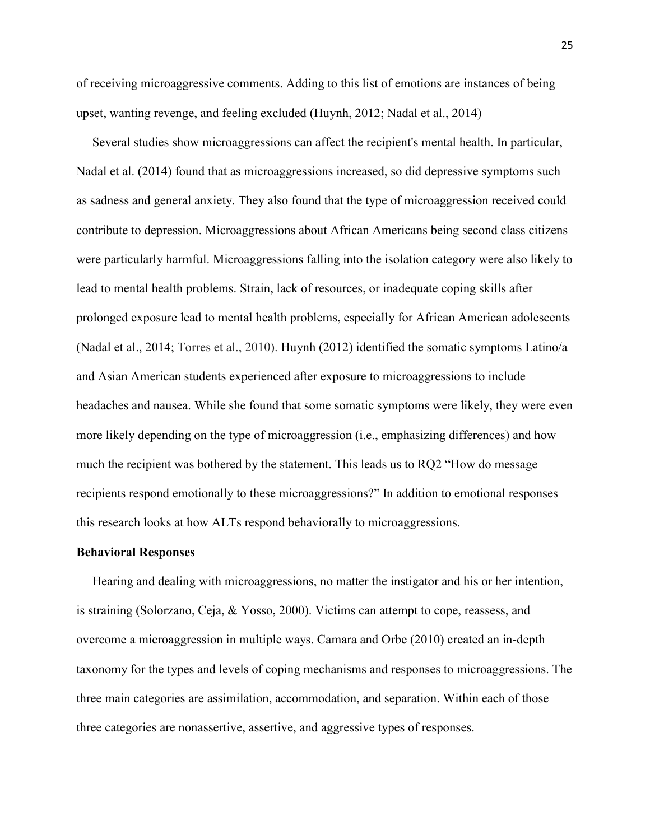of receiving microaggressive comments. Adding to this list of emotions are instances of being upset, wanting revenge, and feeling excluded (Huynh, 2012; Nadal et al., 2014)

 Several studies show microaggressions can affect the recipient's mental health. In particular, Nadal et al. (2014) found that as microaggressions increased, so did depressive symptoms such as sadness and general anxiety. They also found that the type of microaggression received could contribute to depression. Microaggressions about African Americans being second class citizens were particularly harmful. Microaggressions falling into the isolation category were also likely to lead to mental health problems. Strain, lack of resources, or inadequate coping skills after prolonged exposure lead to mental health problems, especially for African American adolescents (Nadal et al., 2014; Torres et al., 2010). Huynh (2012) identified the somatic symptoms Latino/a and Asian American students experienced after exposure to microaggressions to include headaches and nausea. While she found that some somatic symptoms were likely, they were even more likely depending on the type of microaggression (i.e., emphasizing differences) and how much the recipient was bothered by the statement. This leads us to RQ2 "How do message recipients respond emotionally to these microaggressions?" In addition to emotional responses this research looks at how ALTs respond behaviorally to microaggressions.

#### **Behavioral Responses**

 Hearing and dealing with microaggressions, no matter the instigator and his or her intention, is straining (Solorzano, Ceja, & Yosso, 2000). Victims can attempt to cope, reassess, and overcome a microaggression in multiple ways. Camara and Orbe (2010) created an in-depth taxonomy for the types and levels of coping mechanisms and responses to microaggressions. The three main categories are assimilation, accommodation, and separation. Within each of those three categories are nonassertive, assertive, and aggressive types of responses.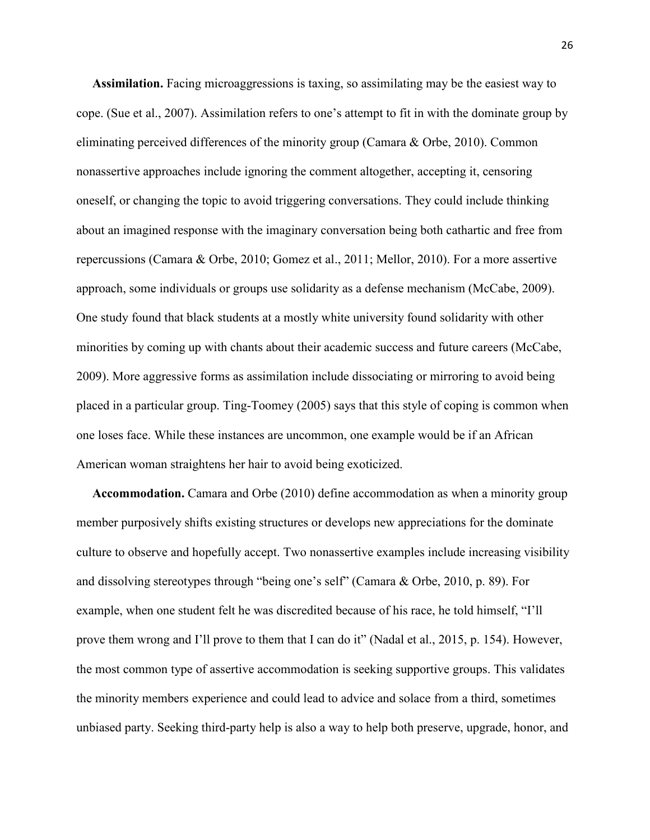**Assimilation.** Facing microaggressions is taxing, so assimilating may be the easiest way to cope. (Sue et al., 2007). Assimilation refers to one's attempt to fit in with the dominate group by eliminating perceived differences of the minority group (Camara & Orbe, 2010). Common nonassertive approaches include ignoring the comment altogether, accepting it, censoring oneself, or changing the topic to avoid triggering conversations. They could include thinking about an imagined response with the imaginary conversation being both cathartic and free from repercussions (Camara & Orbe, 2010; Gomez et al., 2011; Mellor, 2010). For a more assertive approach, some individuals or groups use solidarity as a defense mechanism (McCabe, 2009). One study found that black students at a mostly white university found solidarity with other minorities by coming up with chants about their academic success and future careers (McCabe, 2009). More aggressive forms as assimilation include dissociating or mirroring to avoid being placed in a particular group. Ting-Toomey (2005) says that this style of coping is common when one loses face. While these instances are uncommon, one example would be if an African American woman straightens her hair to avoid being exoticized.

 **Accommodation.** Camara and Orbe (2010) define accommodation as when a minority group member purposively shifts existing structures or develops new appreciations for the dominate culture to observe and hopefully accept. Two nonassertive examples include increasing visibility and dissolving stereotypes through "being one's self" (Camara & Orbe, 2010, p. 89). For example, when one student felt he was discredited because of his race, he told himself, "I'll prove them wrong and I'll prove to them that I can do it" (Nadal et al., 2015, p. 154). However, the most common type of assertive accommodation is seeking supportive groups. This validates the minority members experience and could lead to advice and solace from a third, sometimes unbiased party. Seeking third-party help is also a way to help both preserve, upgrade, honor, and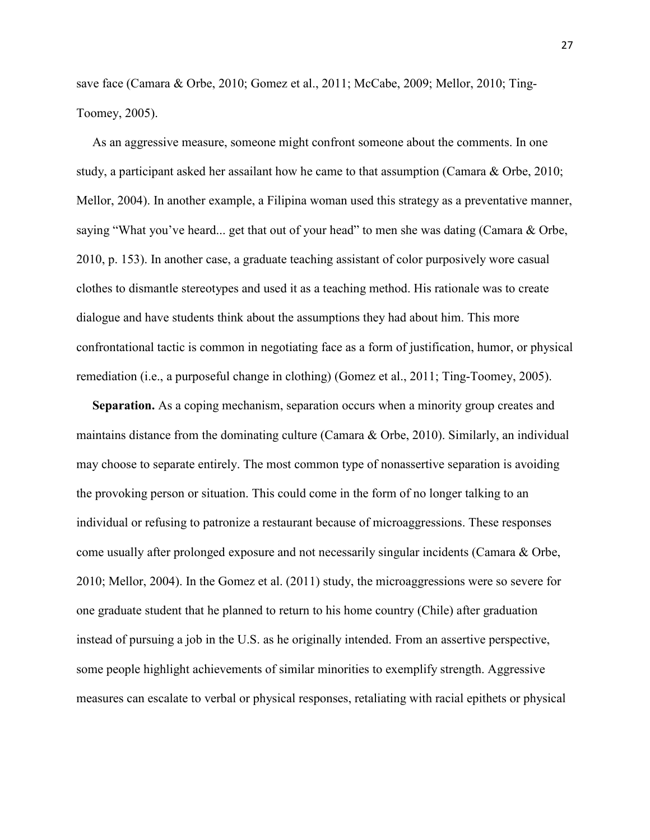save face (Camara & Orbe, 2010; Gomez et al., 2011; McCabe, 2009; Mellor, 2010; Ting-Toomey, 2005).

 As an aggressive measure, someone might confront someone about the comments. In one study, a participant asked her assailant how he came to that assumption (Camara & Orbe, 2010; Mellor, 2004). In another example, a Filipina woman used this strategy as a preventative manner, saying "What you've heard... get that out of your head" to men she was dating (Camara & Orbe, 2010, p. 153). In another case, a graduate teaching assistant of color purposively wore casual clothes to dismantle stereotypes and used it as a teaching method. His rationale was to create dialogue and have students think about the assumptions they had about him. This more confrontational tactic is common in negotiating face as a form of justification, humor, or physical remediation (i.e., a purposeful change in clothing) (Gomez et al., 2011; Ting-Toomey, 2005).

 **Separation.** As a coping mechanism, separation occurs when a minority group creates and maintains distance from the dominating culture (Camara & Orbe, 2010). Similarly, an individual may choose to separate entirely. The most common type of nonassertive separation is avoiding the provoking person or situation. This could come in the form of no longer talking to an individual or refusing to patronize a restaurant because of microaggressions. These responses come usually after prolonged exposure and not necessarily singular incidents (Camara & Orbe, 2010; Mellor, 2004). In the Gomez et al. (2011) study, the microaggressions were so severe for one graduate student that he planned to return to his home country (Chile) after graduation instead of pursuing a job in the U.S. as he originally intended. From an assertive perspective, some people highlight achievements of similar minorities to exemplify strength. Aggressive measures can escalate to verbal or physical responses, retaliating with racial epithets or physical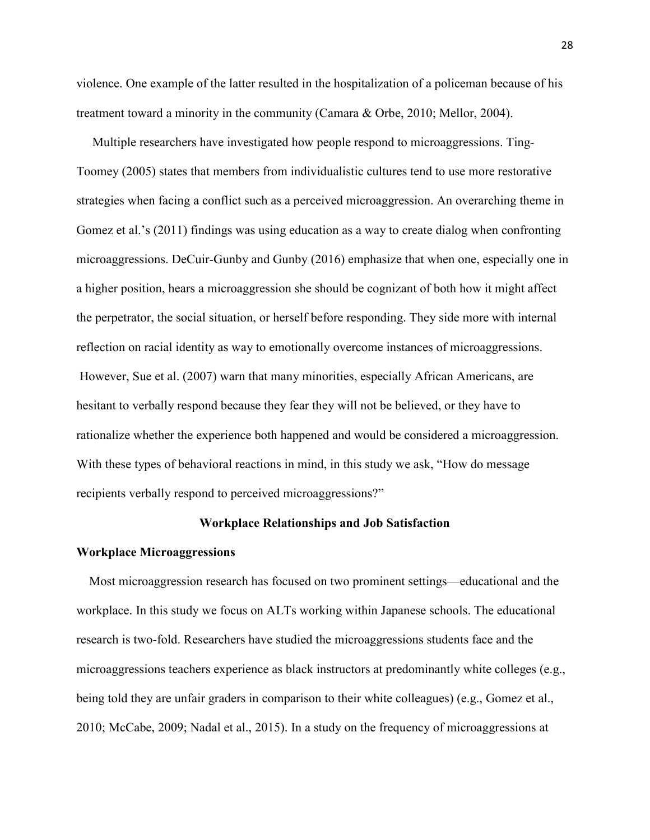violence. One example of the latter resulted in the hospitalization of a policeman because of his treatment toward a minority in the community (Camara & Orbe, 2010; Mellor, 2004).

 Multiple researchers have investigated how people respond to microaggressions. Ting-Toomey (2005) states that members from individualistic cultures tend to use more restorative strategies when facing a conflict such as a perceived microaggression. An overarching theme in Gomez et al.'s (2011) findings was using education as a way to create dialog when confronting microaggressions. DeCuir-Gunby and Gunby (2016) emphasize that when one, especially one in a higher position, hears a microaggression she should be cognizant of both how it might affect the perpetrator, the social situation, or herself before responding. They side more with internal reflection on racial identity as way to emotionally overcome instances of microaggressions. However, Sue et al. (2007) warn that many minorities, especially African Americans, are hesitant to verbally respond because they fear they will not be believed, or they have to rationalize whether the experience both happened and would be considered a microaggression. With these types of behavioral reactions in mind, in this study we ask, "How do message" recipients verbally respond to perceived microaggressions?"

### **Workplace Relationships and Job Satisfaction**

### **Workplace Microaggressions**

 Most microaggression research has focused on two prominent settings—educational and the workplace. In this study we focus on ALTs working within Japanese schools. The educational research is two-fold. Researchers have studied the microaggressions students face and the microaggressions teachers experience as black instructors at predominantly white colleges (e.g., being told they are unfair graders in comparison to their white colleagues) (e.g., Gomez et al., 2010; McCabe, 2009; Nadal et al., 2015). In a study on the frequency of microaggressions at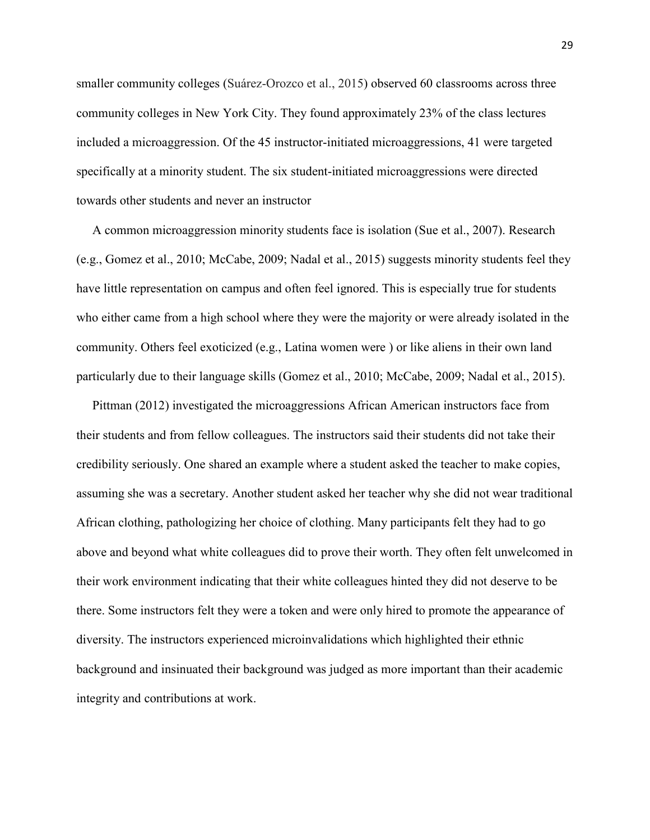smaller community colleges (Suárez-Orozco et al., 2015) observed 60 classrooms across three community colleges in New York City. They found approximately 23% of the class lectures included a microaggression. Of the 45 instructor-initiated microaggressions, 41 were targeted specifically at a minority student. The six student-initiated microaggressions were directed towards other students and never an instructor

 A common microaggression minority students face is isolation (Sue et al., 2007). Research (e.g., Gomez et al., 2010; McCabe, 2009; Nadal et al., 2015) suggests minority students feel they have little representation on campus and often feel ignored. This is especially true for students who either came from a high school where they were the majority or were already isolated in the community. Others feel exoticized (e.g., Latina women were ) or like aliens in their own land particularly due to their language skills (Gomez et al., 2010; McCabe, 2009; Nadal et al., 2015).

 Pittman (2012) investigated the microaggressions African American instructors face from their students and from fellow colleagues. The instructors said their students did not take their credibility seriously. One shared an example where a student asked the teacher to make copies, assuming she was a secretary. Another student asked her teacher why she did not wear traditional African clothing, pathologizing her choice of clothing. Many participants felt they had to go above and beyond what white colleagues did to prove their worth. They often felt unwelcomed in their work environment indicating that their white colleagues hinted they did not deserve to be there. Some instructors felt they were a token and were only hired to promote the appearance of diversity. The instructors experienced microinvalidations which highlighted their ethnic background and insinuated their background was judged as more important than their academic integrity and contributions at work.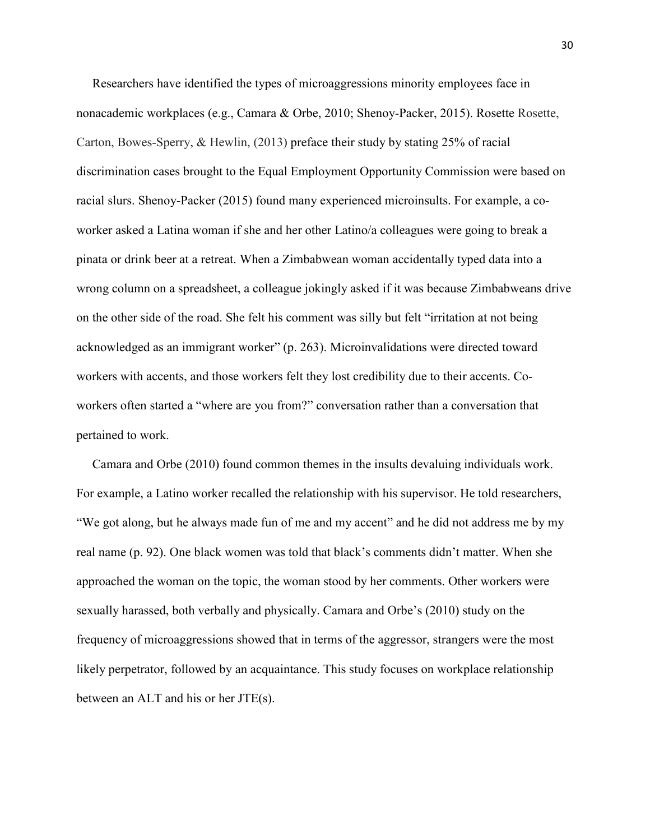Researchers have identified the types of microaggressions minority employees face in nonacademic workplaces (e.g., Camara & Orbe, 2010; Shenoy-Packer, 2015). Rosette Rosette, Carton, Bowes-Sperry, & Hewlin, (2013) preface their study by stating 25% of racial discrimination cases brought to the Equal Employment Opportunity Commission were based on racial slurs. Shenoy-Packer (2015) found many experienced microinsults. For example, a coworker asked a Latina woman if she and her other Latino/a colleagues were going to break a pinata or drink beer at a retreat. When a Zimbabwean woman accidentally typed data into a wrong column on a spreadsheet, a colleague jokingly asked if it was because Zimbabweans drive on the other side of the road. She felt his comment was silly but felt "irritation at not being acknowledged as an immigrant worker" (p. 263). Microinvalidations were directed toward workers with accents, and those workers felt they lost credibility due to their accents. Coworkers often started a "where are you from?" conversation rather than a conversation that pertained to work.

 Camara and Orbe (2010) found common themes in the insults devaluing individuals work. For example, a Latino worker recalled the relationship with his supervisor. He told researchers, "We got along, but he always made fun of me and my accent" and he did not address me by my real name (p. 92). One black women was told that black's comments didn't matter. When she approached the woman on the topic, the woman stood by her comments. Other workers were sexually harassed, both verbally and physically. Camara and Orbe's (2010) study on the frequency of microaggressions showed that in terms of the aggressor, strangers were the most likely perpetrator, followed by an acquaintance. This study focuses on workplace relationship between an ALT and his or her JTE(s).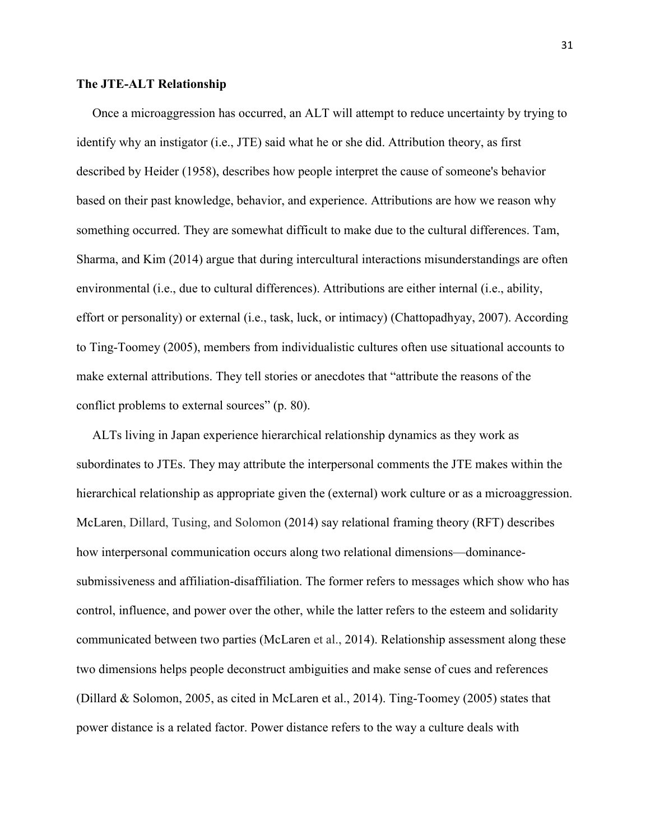# **The JTE-ALT Relationship**

 Once a microaggression has occurred, an ALT will attempt to reduce uncertainty by trying to identify why an instigator (i.e., JTE) said what he or she did. Attribution theory, as first described by Heider (1958), describes how people interpret the cause of someone's behavior based on their past knowledge, behavior, and experience. Attributions are how we reason why something occurred. They are somewhat difficult to make due to the cultural differences. Tam, Sharma, and Kim (2014) argue that during intercultural interactions misunderstandings are often environmental (i.e., due to cultural differences). Attributions are either internal (i.e., ability, effort or personality) or external (i.e., task, luck, or intimacy) (Chattopadhyay, 2007). According to Ting-Toomey (2005), members from individualistic cultures often use situational accounts to make external attributions. They tell stories or anecdotes that "attribute the reasons of the conflict problems to external sources" (p. 80).

 ALTs living in Japan experience hierarchical relationship dynamics as they work as subordinates to JTEs. They may attribute the interpersonal comments the JTE makes within the hierarchical relationship as appropriate given the (external) work culture or as a microaggression. McLaren, Dillard, Tusing, and Solomon (2014) say relational framing theory (RFT) describes how interpersonal communication occurs along two relational dimensions—dominancesubmissiveness and affiliation-disaffiliation. The former refers to messages which show who has control, influence, and power over the other, while the latter refers to the esteem and solidarity communicated between two parties (McLaren et al., 2014). Relationship assessment along these two dimensions helps people deconstruct ambiguities and make sense of cues and references (Dillard & Solomon, 2005, as cited in McLaren et al., 2014). Ting-Toomey (2005) states that power distance is a related factor. Power distance refers to the way a culture deals with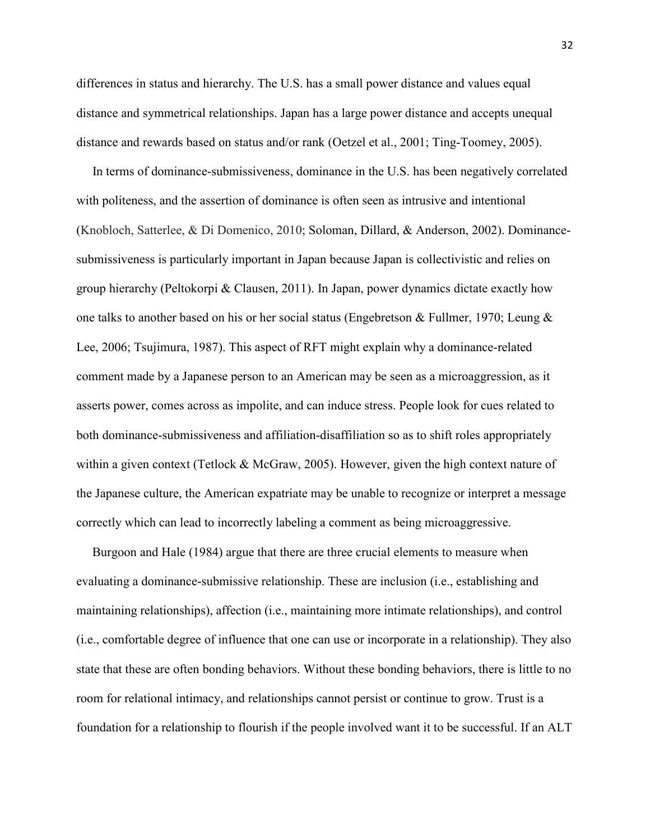differences in status and hierarchy. The U.S. has a small power distance and values equal distance and symmetrical relationships. Japan has a large power distance and accepts unequal distance and rewards based on status and/or rank (Oetzel et al., 2001; Ting-Toomey, 2005).

 In terms of dominance-submissiveness, dominance in the U.S. has been negatively correlated with politeness, and the assertion of dominance is often seen as intrusive and intentional (Knobloch, Satterlee, & Di Domenico, 2010; Soloman, Dillard, & Anderson, 2002). Dominancesubmissiveness is particularly important in Japan because Japan is collectivistic and relies on group hierarchy (Peltokorpi & Clausen, 2011). In Japan, power dynamics dictate exactly how one talks to another based on his or her social status (Engebretson & Fullmer, 1970; Leung & Lee, 2006; Tsujimura, 1987). This aspect of RFT might explain why a dominance-related comment made by a Japanese person to an American may be seen as a microaggression, as it asserts power, comes across as impolite, and can induce stress. People look for cues related to both dominance-submissiveness and affiliation-disaffiliation so as to shift roles appropriately within a given context (Tetlock & McGraw, 2005). However, given the high context nature of the Japanese culture, the American expatriate may be unable to recognize or interpret a message correctly which can lead to incorrectly labeling a comment as being microaggressive.

 Burgoon and Hale (1984) argue that there are three crucial elements to measure when evaluating a dominance-submissive relationship. These are inclusion (i.e., establishing and maintaining relationships), affection (i.e., maintaining more intimate relationships), and control (i.e., comfortable degree of influence that one can use or incorporate in a relationship). They also state that these are often bonding behaviors. Without these bonding behaviors, there is little to no room for relational intimacy, and relationships cannot persist or continue to grow. Trust is a foundation for a relationship to flourish if the people involved want it to be successful. If an ALT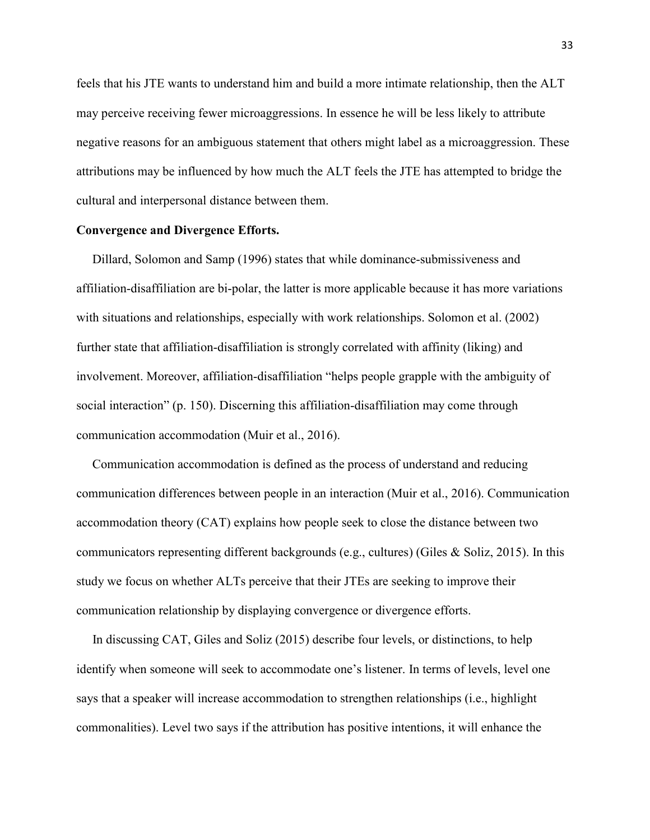feels that his JTE wants to understand him and build a more intimate relationship, then the ALT may perceive receiving fewer microaggressions. In essence he will be less likely to attribute negative reasons for an ambiguous statement that others might label as a microaggression. These attributions may be influenced by how much the ALT feels the JTE has attempted to bridge the cultural and interpersonal distance between them.

### **Convergence and Divergence Efforts.**

 Dillard, Solomon and Samp (1996) states that while dominance-submissiveness and affiliation-disaffiliation are bi-polar, the latter is more applicable because it has more variations with situations and relationships, especially with work relationships. Solomon et al. (2002) further state that affiliation-disaffiliation is strongly correlated with affinity (liking) and involvement. Moreover, affiliation-disaffiliation "helps people grapple with the ambiguity of social interaction" (p. 150). Discerning this affiliation-disaffiliation may come through communication accommodation (Muir et al., 2016).

 Communication accommodation is defined as the process of understand and reducing communication differences between people in an interaction (Muir et al., 2016). Communication accommodation theory (CAT) explains how people seek to close the distance between two communicators representing different backgrounds (e.g., cultures) (Giles & Soliz, 2015). In this study we focus on whether ALTs perceive that their JTEs are seeking to improve their communication relationship by displaying convergence or divergence efforts.

 In discussing CAT, Giles and Soliz (2015) describe four levels, or distinctions, to help identify when someone will seek to accommodate one's listener. In terms of levels, level one says that a speaker will increase accommodation to strengthen relationships (i.e., highlight commonalities). Level two says if the attribution has positive intentions, it will enhance the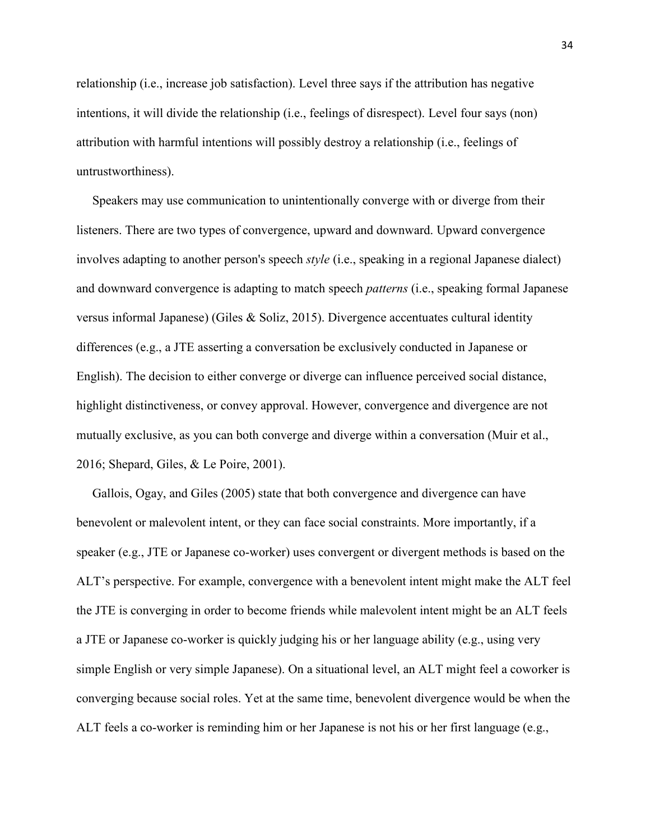relationship (i.e., increase job satisfaction). Level three says if the attribution has negative intentions, it will divide the relationship (i.e., feelings of disrespect). Level four says (non) attribution with harmful intentions will possibly destroy a relationship (i.e., feelings of untrustworthiness).

 Speakers may use communication to unintentionally converge with or diverge from their listeners. There are two types of convergence, upward and downward. Upward convergence involves adapting to another person's speech *style* (i.e., speaking in a regional Japanese dialect) and downward convergence is adapting to match speech *patterns* (i.e., speaking formal Japanese versus informal Japanese) (Giles & Soliz, 2015). Divergence accentuates cultural identity differences (e.g., a JTE asserting a conversation be exclusively conducted in Japanese or English). The decision to either converge or diverge can influence perceived social distance, highlight distinctiveness, or convey approval. However, convergence and divergence are not mutually exclusive, as you can both converge and diverge within a conversation (Muir et al., 2016; Shepard, Giles, & Le Poire, 2001).

 Gallois, Ogay, and Giles (2005) state that both convergence and divergence can have benevolent or malevolent intent, or they can face social constraints. More importantly, if a speaker (e.g., JTE or Japanese co-worker) uses convergent or divergent methods is based on the ALT's perspective. For example, convergence with a benevolent intent might make the ALT feel the JTE is converging in order to become friends while malevolent intent might be an ALT feels a JTE or Japanese co-worker is quickly judging his or her language ability (e.g., using very simple English or very simple Japanese). On a situational level, an ALT might feel a coworker is converging because social roles. Yet at the same time, benevolent divergence would be when the ALT feels a co-worker is reminding him or her Japanese is not his or her first language (e.g.,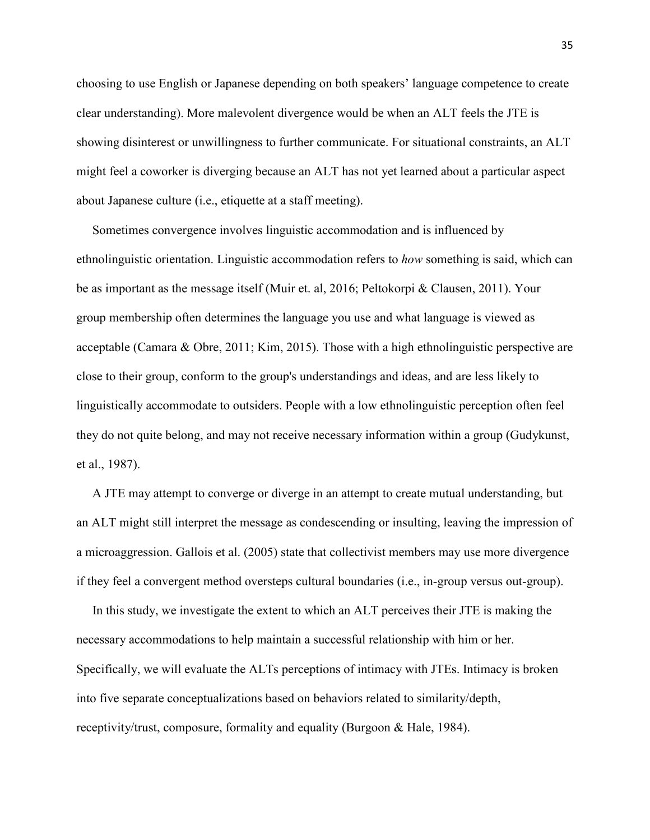choosing to use English or Japanese depending on both speakers' language competence to create clear understanding). More malevolent divergence would be when an ALT feels the JTE is showing disinterest or unwillingness to further communicate. For situational constraints, an ALT might feel a coworker is diverging because an ALT has not yet learned about a particular aspect about Japanese culture (i.e., etiquette at a staff meeting).

 Sometimes convergence involves linguistic accommodation and is influenced by ethnolinguistic orientation. Linguistic accommodation refers to *how* something is said, which can be as important as the message itself (Muir et. al, 2016; Peltokorpi & Clausen, 2011). Your group membership often determines the language you use and what language is viewed as acceptable (Camara & Obre, 2011; Kim, 2015). Those with a high ethnolinguistic perspective are close to their group, conform to the group's understandings and ideas, and are less likely to linguistically accommodate to outsiders. People with a low ethnolinguistic perception often feel they do not quite belong, and may not receive necessary information within a group (Gudykunst, et al., 1987).

 A JTE may attempt to converge or diverge in an attempt to create mutual understanding, but an ALT might still interpret the message as condescending or insulting, leaving the impression of a microaggression. Gallois et al. (2005) state that collectivist members may use more divergence if they feel a convergent method oversteps cultural boundaries (i.e., in-group versus out-group).

 In this study, we investigate the extent to which an ALT perceives their JTE is making the necessary accommodations to help maintain a successful relationship with him or her. Specifically, we will evaluate the ALTs perceptions of intimacy with JTEs. Intimacy is broken into five separate conceptualizations based on behaviors related to similarity/depth, receptivity/trust, composure, formality and equality (Burgoon & Hale, 1984).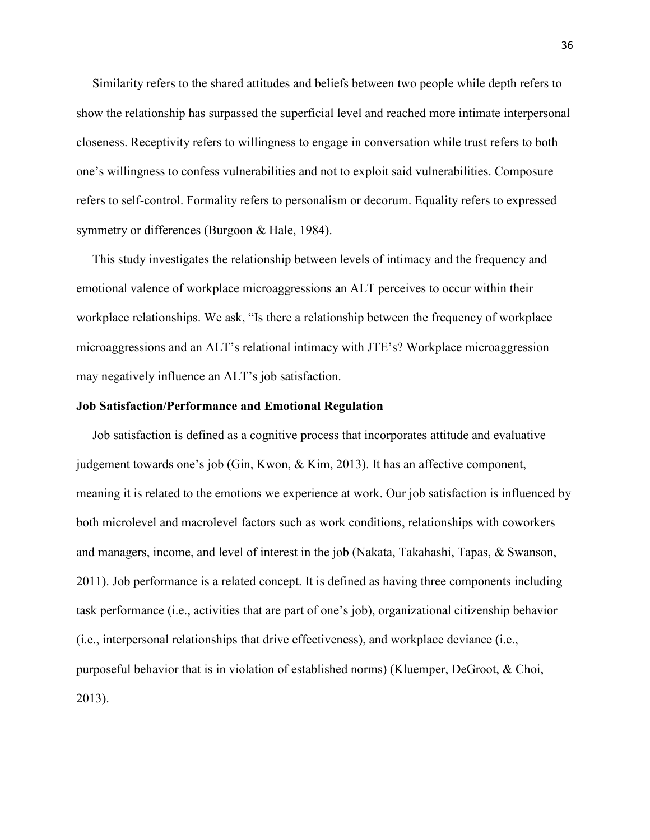Similarity refers to the shared attitudes and beliefs between two people while depth refers to show the relationship has surpassed the superficial level and reached more intimate interpersonal closeness. Receptivity refers to willingness to engage in conversation while trust refers to both one's willingness to confess vulnerabilities and not to exploit said vulnerabilities. Composure refers to self-control. Formality refers to personalism or decorum. Equality refers to expressed symmetry or differences (Burgoon & Hale, 1984).

 This study investigates the relationship between levels of intimacy and the frequency and emotional valence of workplace microaggressions an ALT perceives to occur within their workplace relationships. We ask, "Is there a relationship between the frequency of workplace microaggressions and an ALT's relational intimacy with JTE's? Workplace microaggression may negatively influence an ALT's job satisfaction.

# **Job Satisfaction/Performance and Emotional Regulation**

 Job satisfaction is defined as a cognitive process that incorporates attitude and evaluative judgement towards one's job (Gin, Kwon, & Kim, 2013). It has an affective component, meaning it is related to the emotions we experience at work. Our job satisfaction is influenced by both microlevel and macrolevel factors such as work conditions, relationships with coworkers and managers, income, and level of interest in the job (Nakata, Takahashi, Tapas, & Swanson, 2011). Job performance is a related concept. It is defined as having three components including task performance (i.e., activities that are part of one's job), organizational citizenship behavior (i.e., interpersonal relationships that drive effectiveness), and workplace deviance (i.e., purposeful behavior that is in violation of established norms) (Kluemper, DeGroot, & Choi, 2013).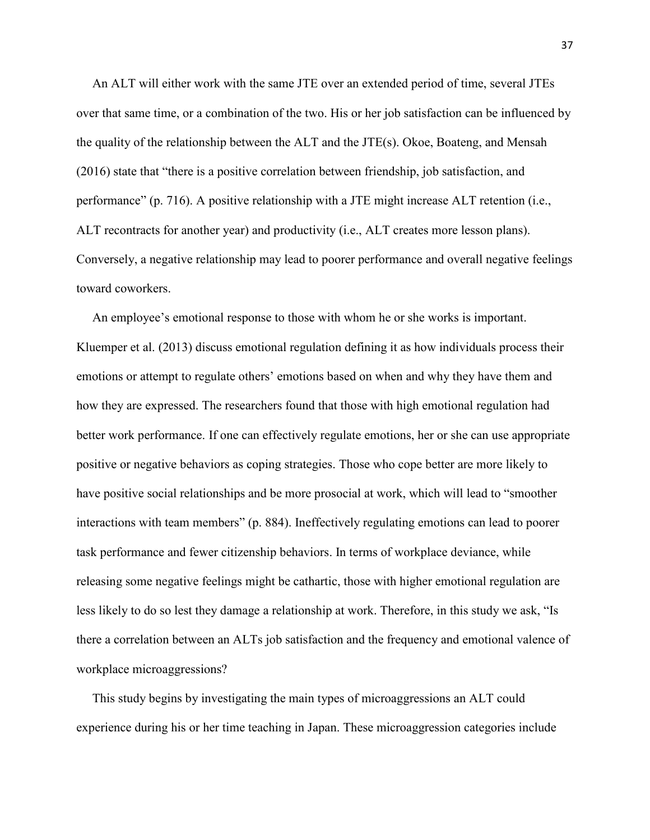An ALT will either work with the same JTE over an extended period of time, several JTEs over that same time, or a combination of the two. His or her job satisfaction can be influenced by the quality of the relationship between the ALT and the JTE(s). Okoe, Boateng, and Mensah (2016) state that "there is a positive correlation between friendship, job satisfaction, and performance" (p. 716). A positive relationship with a JTE might increase ALT retention (i.e., ALT recontracts for another year) and productivity (i.e., ALT creates more lesson plans). Conversely, a negative relationship may lead to poorer performance and overall negative feelings toward coworkers.

 An employee's emotional response to those with whom he or she works is important. Kluemper et al. (2013) discuss emotional regulation defining it as how individuals process their emotions or attempt to regulate others' emotions based on when and why they have them and how they are expressed. The researchers found that those with high emotional regulation had better work performance. If one can effectively regulate emotions, her or she can use appropriate positive or negative behaviors as coping strategies. Those who cope better are more likely to have positive social relationships and be more prosocial at work, which will lead to "smoother interactions with team members" (p. 884). Ineffectively regulating emotions can lead to poorer task performance and fewer citizenship behaviors. In terms of workplace deviance, while releasing some negative feelings might be cathartic, those with higher emotional regulation are less likely to do so lest they damage a relationship at work. Therefore, in this study we ask, "Is there a correlation between an ALTs job satisfaction and the frequency and emotional valence of workplace microaggressions?

 This study begins by investigating the main types of microaggressions an ALT could experience during his or her time teaching in Japan. These microaggression categories include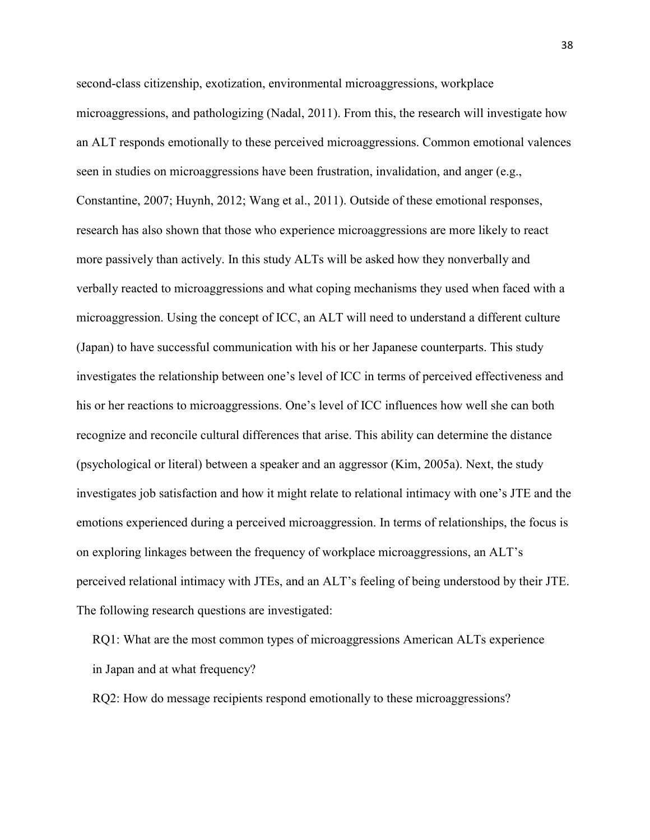second-class citizenship, exotization, environmental microaggressions, workplace microaggressions, and pathologizing (Nadal, 2011). From this, the research will investigate how an ALT responds emotionally to these perceived microaggressions. Common emotional valences seen in studies on microaggressions have been frustration, invalidation, and anger (e.g., Constantine, 2007; Huynh, 2012; Wang et al., 2011). Outside of these emotional responses, research has also shown that those who experience microaggressions are more likely to react more passively than actively. In this study ALTs will be asked how they nonverbally and verbally reacted to microaggressions and what coping mechanisms they used when faced with a microaggression. Using the concept of ICC, an ALT will need to understand a different culture (Japan) to have successful communication with his or her Japanese counterparts. This study investigates the relationship between one's level of ICC in terms of perceived effectiveness and his or her reactions to microaggressions. One's level of ICC influences how well she can both recognize and reconcile cultural differences that arise. This ability can determine the distance (psychological or literal) between a speaker and an aggressor (Kim, 2005a). Next, the study investigates job satisfaction and how it might relate to relational intimacy with one's JTE and the emotions experienced during a perceived microaggression. In terms of relationships, the focus is on exploring linkages between the frequency of workplace microaggressions, an ALT's perceived relational intimacy with JTEs, and an ALT's feeling of being understood by their JTE. The following research questions are investigated:

 RQ1: What are the most common types of microaggressions American ALTs experience in Japan and at what frequency?

RQ2: How do message recipients respond emotionally to these microaggressions?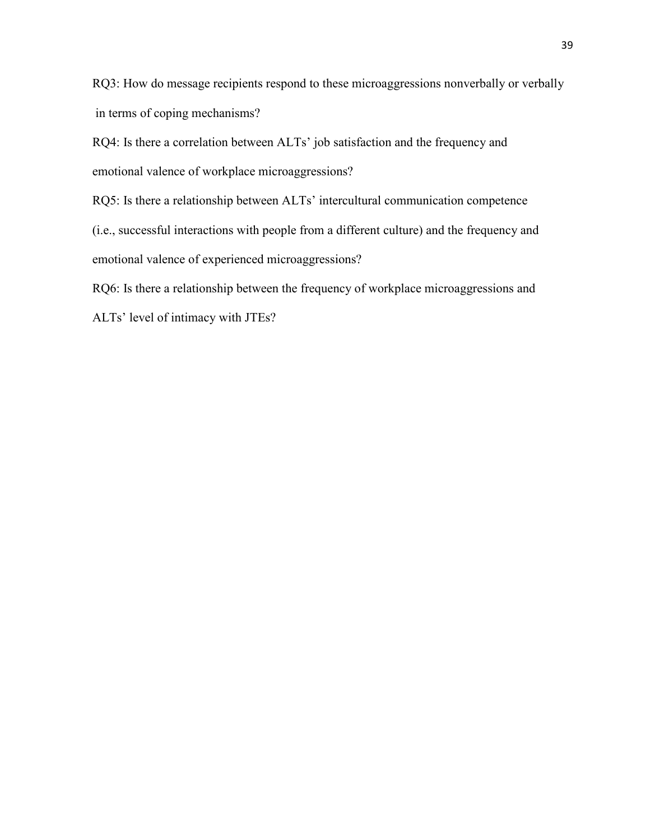RQ3: How do message recipients respond to these microaggressions nonverbally or verbally in terms of coping mechanisms?

 RQ4: Is there a correlation between ALTs' job satisfaction and the frequency and emotional valence of workplace microaggressions?

RQ5: Is there a relationship between ALTs' intercultural communication competence

 (i.e., successful interactions with people from a different culture) and the frequency and emotional valence of experienced microaggressions?

RQ6: Is there a relationship between the frequency of workplace microaggressions and

ALTs' level of intimacy with JTEs?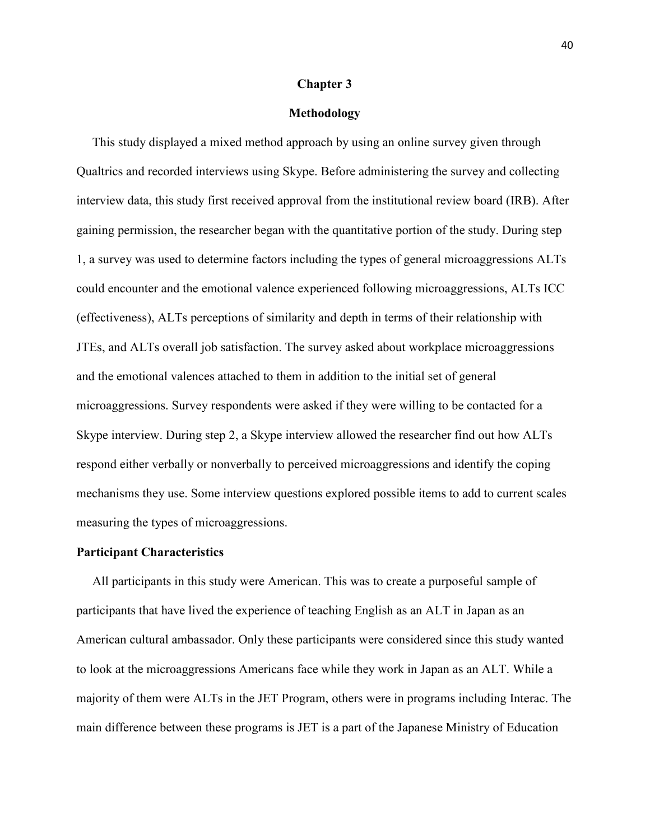# **Chapter 3**

# **Methodology**

 This study displayed a mixed method approach by using an online survey given through Qualtrics and recorded interviews using Skype. Before administering the survey and collecting interview data, this study first received approval from the institutional review board (IRB). After gaining permission, the researcher began with the quantitative portion of the study. During step 1, a survey was used to determine factors including the types of general microaggressions ALTs could encounter and the emotional valence experienced following microaggressions, ALTs ICC (effectiveness), ALTs perceptions of similarity and depth in terms of their relationship with JTEs, and ALTs overall job satisfaction. The survey asked about workplace microaggressions and the emotional valences attached to them in addition to the initial set of general microaggressions. Survey respondents were asked if they were willing to be contacted for a Skype interview. During step 2, a Skype interview allowed the researcher find out how ALTs respond either verbally or nonverbally to perceived microaggressions and identify the coping mechanisms they use. Some interview questions explored possible items to add to current scales measuring the types of microaggressions.

### **Participant Characteristics**

 All participants in this study were American. This was to create a purposeful sample of participants that have lived the experience of teaching English as an ALT in Japan as an American cultural ambassador. Only these participants were considered since this study wanted to look at the microaggressions Americans face while they work in Japan as an ALT. While a majority of them were ALTs in the JET Program, others were in programs including Interac. The main difference between these programs is JET is a part of the Japanese Ministry of Education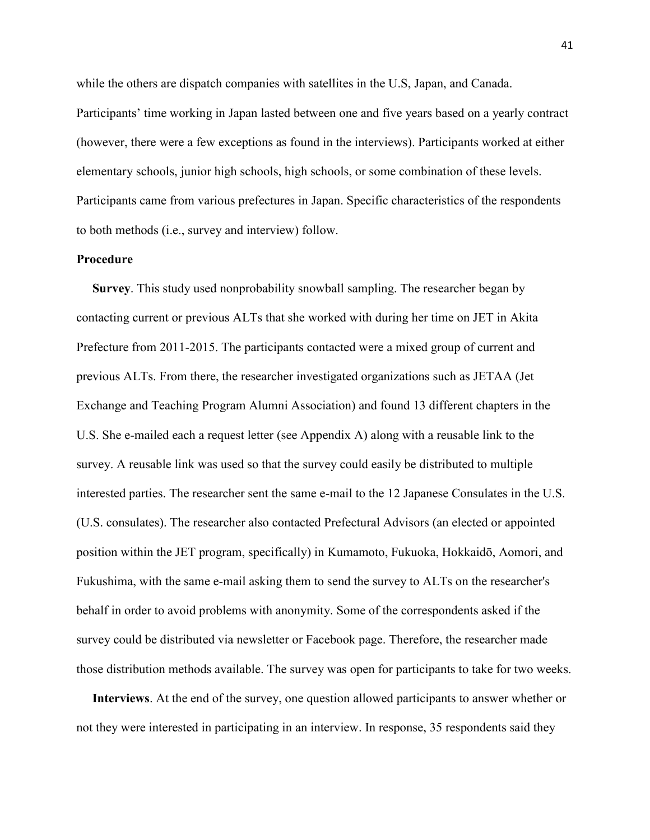while the others are dispatch companies with satellites in the U.S, Japan, and Canada. Participants' time working in Japan lasted between one and five years based on a yearly contract (however, there were a few exceptions as found in the interviews). Participants worked at either elementary schools, junior high schools, high schools, or some combination of these levels. Participants came from various prefectures in Japan. Specific characteristics of the respondents to both methods (i.e., survey and interview) follow.

# **Procedure**

 **Survey**. This study used nonprobability snowball sampling. The researcher began by contacting current or previous ALTs that she worked with during her time on JET in Akita Prefecture from 2011-2015. The participants contacted were a mixed group of current and previous ALTs. From there, the researcher investigated organizations such as JETAA (Jet Exchange and Teaching Program Alumni Association) and found 13 different chapters in the U.S. She e-mailed each a request letter (see Appendix A) along with a reusable link to the survey. A reusable link was used so that the survey could easily be distributed to multiple interested parties. The researcher sent the same e-mail to the 12 Japanese Consulates in the U.S. (U.S. consulates). The researcher also contacted Prefectural Advisors (an elected or appointed position within the JET program, specifically) in Kumamoto, Fukuoka, Hokkaidō, Aomori, and Fukushima, with the same e-mail asking them to send the survey to ALTs on the researcher's behalf in order to avoid problems with anonymity. Some of the correspondents asked if the survey could be distributed via newsletter or Facebook page. Therefore, the researcher made those distribution methods available. The survey was open for participants to take for two weeks.

 **Interviews**. At the end of the survey, one question allowed participants to answer whether or not they were interested in participating in an interview. In response, 35 respondents said they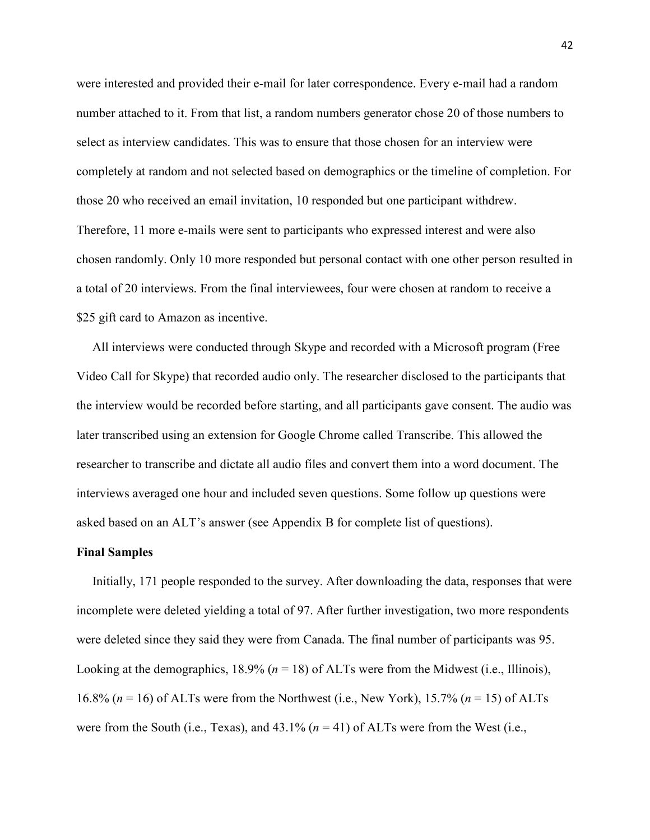were interested and provided their e-mail for later correspondence. Every e-mail had a random number attached to it. From that list, a random numbers generator chose 20 of those numbers to select as interview candidates. This was to ensure that those chosen for an interview were completely at random and not selected based on demographics or the timeline of completion. For those 20 who received an email invitation, 10 responded but one participant withdrew. Therefore, 11 more e-mails were sent to participants who expressed interest and were also chosen randomly. Only 10 more responded but personal contact with one other person resulted in a total of 20 interviews. From the final interviewees, four were chosen at random to receive a \$25 gift card to Amazon as incentive.

 All interviews were conducted through Skype and recorded with a Microsoft program (Free Video Call for Skype) that recorded audio only. The researcher disclosed to the participants that the interview would be recorded before starting, and all participants gave consent. The audio was later transcribed using an extension for Google Chrome called Transcribe. This allowed the researcher to transcribe and dictate all audio files and convert them into a word document. The interviews averaged one hour and included seven questions. Some follow up questions were asked based on an ALT's answer (see Appendix B for complete list of questions).

### **Final Samples**

Initially, 171 people responded to the survey. After downloading the data, responses that were incomplete were deleted yielding a total of 97. After further investigation, two more respondents were deleted since they said they were from Canada. The final number of participants was 95. Looking at the demographics,  $18.9\%$  ( $n = 18$ ) of ALTs were from the Midwest (i.e., Illinois), 16.8% (*n* = 16) of ALTs were from the Northwest (i.e., New York), 15.7% (*n* = 15) of ALTs were from the South (i.e., Texas), and  $43.1\%$  ( $n = 41$ ) of ALTs were from the West (i.e.,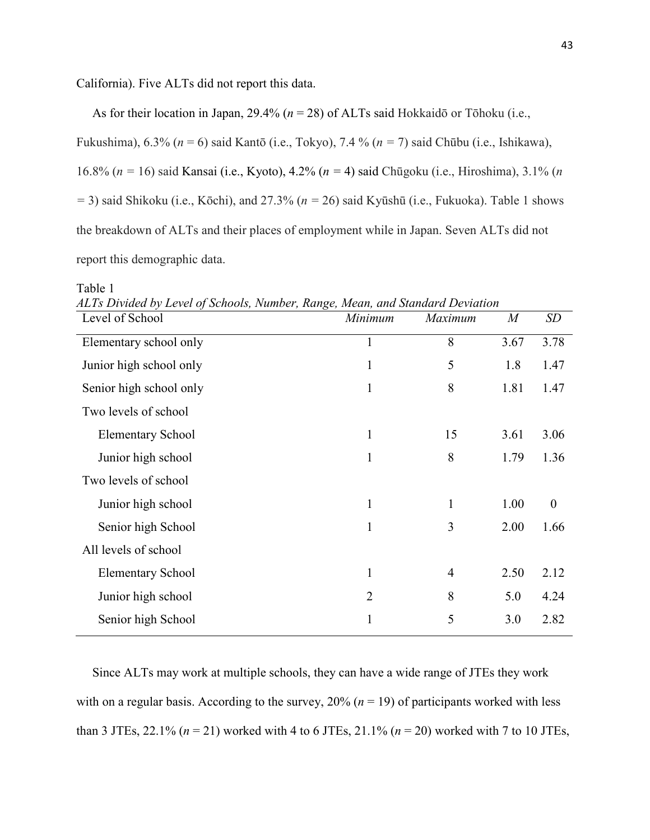California). Five ALTs did not report this data.

As for their location in Japan, 29.4% (*n* = 28) of ALTs said Hokkaidō or Tōhoku (i.e.,

Fukushima), 6.3% (*n* = 6) said Kantō (i.e., Tokyo), 7.4 % (*n =* 7) said Chūbu (i.e., Ishikawa),

16.8% (*n =* 16) said Kansai (i.e., Kyoto), 4.2% (*n =* 4) said Chūgoku (i.e., Hiroshima), 3.1% (*n* 

*=* 3) said Shikoku (i.e., Kōchi), and 27.3% (*n =* 26) said Kyūshū (i.e., Fukuoka). Table 1 shows

the breakdown of ALTs and their places of employment while in Japan. Seven ALTs did not

report this demographic data.

Table 1

| Level of School          | Minimum        | Maximum        | $\overline{M}$ | <b>SD</b>        |
|--------------------------|----------------|----------------|----------------|------------------|
| Elementary school only   | 1              | 8              | 3.67           | 3.78             |
| Junior high school only  | 1              | 5              | 1.8            | 1.47             |
| Senior high school only  | 1              | 8              | 1.81           | 1.47             |
| Two levels of school     |                |                |                |                  |
| <b>Elementary School</b> | 1              | 15             | 3.61           | 3.06             |
| Junior high school       | 1              | 8              | 1.79           | 1.36             |
| Two levels of school     |                |                |                |                  |
| Junior high school       | 1              | $\mathbf{1}$   | 1.00           | $\boldsymbol{0}$ |
| Senior high School       | 1              | 3              | 2.00           | 1.66             |
| All levels of school     |                |                |                |                  |
| <b>Elementary School</b> | 1              | $\overline{4}$ | 2.50           | 2.12             |
| Junior high school       | $\overline{2}$ | 8              | 5.0            | 4.24             |
| Senior high School       | 1              | 5              | 3.0            | 2.82             |

*ALTs Divided by Level of Schools, Number, Range, Mean, and Standard Deviation*

 Since ALTs may work at multiple schools, they can have a wide range of JTEs they work with on a regular basis. According to the survey,  $20\%$  ( $n = 19$ ) of participants worked with less than 3 JTEs, 22.1% (*n* = 21) worked with 4 to 6 JTEs, 21.1% (*n* = 20) worked with 7 to 10 JTEs,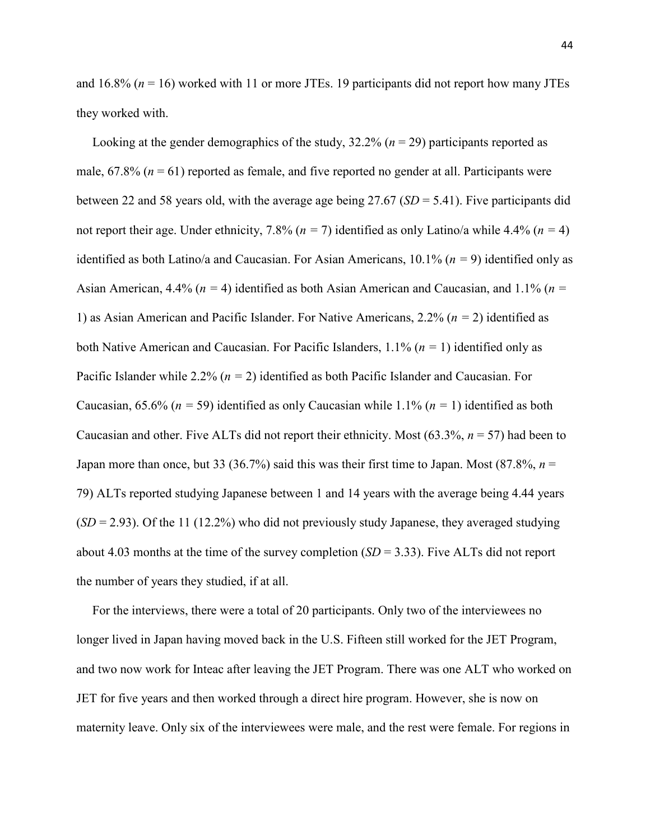and  $16.8\%$  ( $n = 16$ ) worked with 11 or more JTEs. 19 participants did not report how many JTEs they worked with.

Looking at the gender demographics of the study,  $32.2\%$  ( $n = 29$ ) participants reported as male,  $67.8\%$  ( $n = 61$ ) reported as female, and five reported no gender at all. Participants were between 22 and 58 years old, with the average age being 27.67 (*SD* = 5.41). Five participants did not report their age. Under ethnicity, 7.8% (*n =* 7) identified as only Latino/a while 4.4% (*n =* 4) identified as both Latino/a and Caucasian. For Asian Americans, 10.1% (*n =* 9) identified only as Asian American, 4.4% (*n =* 4) identified as both Asian American and Caucasian, and 1.1% (*n =*  1) as Asian American and Pacific Islander. For Native Americans, 2.2% (*n =* 2) identified as both Native American and Caucasian. For Pacific Islanders, 1.1% (*n =* 1) identified only as Pacific Islander while 2.2% (*n =* 2) identified as both Pacific Islander and Caucasian. For Caucasian, 65.6% (*n =* 59) identified as only Caucasian while 1.1% (*n =* 1) identified as both Caucasian and other. Five ALTs did not report their ethnicity. Most (63.3%, *n* = 57) had been to Japan more than once, but 33 (36.7%) said this was their first time to Japan. Most (87.8%,  $n =$ 79) ALTs reported studying Japanese between 1 and 14 years with the average being 4.44 years  $(SD = 2.93)$ . Of the 11 (12.2%) who did not previously study Japanese, they averaged studying about 4.03 months at the time of the survey completion (*SD* = 3.33). Five ALTs did not report the number of years they studied, if at all.

 For the interviews, there were a total of 20 participants. Only two of the interviewees no longer lived in Japan having moved back in the U.S. Fifteen still worked for the JET Program, and two now work for Inteac after leaving the JET Program. There was one ALT who worked on JET for five years and then worked through a direct hire program. However, she is now on maternity leave. Only six of the interviewees were male, and the rest were female. For regions in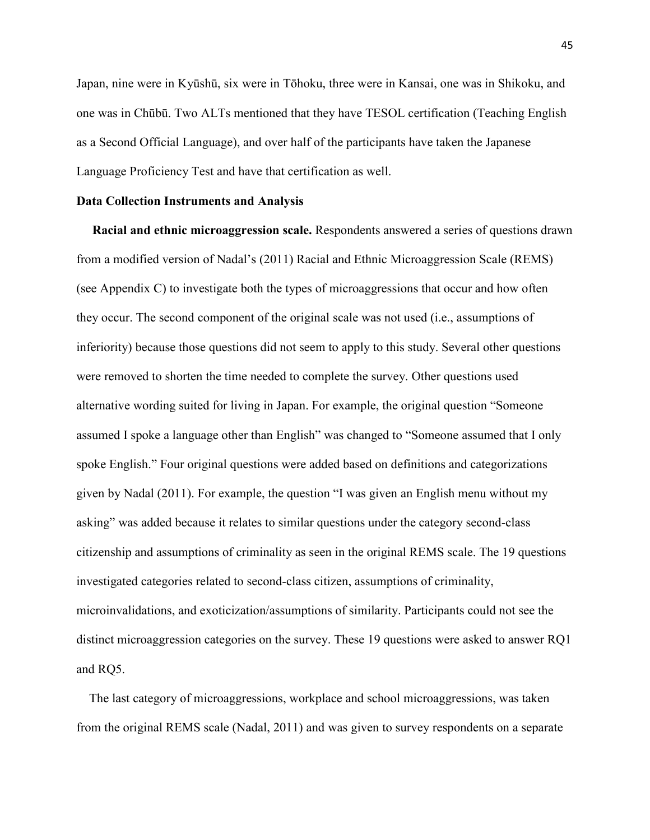Japan, nine were in Kyūshū, six were in Tōhoku, three were in Kansai, one was in Shikoku, and one was in Chūbū. Two ALTs mentioned that they have TESOL certification (Teaching English as a Second Official Language), and over half of the participants have taken the Japanese Language Proficiency Test and have that certification as well.

# **Data Collection Instruments and Analysis**

 **Racial and ethnic microaggression scale.** Respondents answered a series of questions drawn from a modified version of Nadal's (2011) Racial and Ethnic Microaggression Scale (REMS) (see Appendix C) to investigate both the types of microaggressions that occur and how often they occur. The second component of the original scale was not used (i.e., assumptions of inferiority) because those questions did not seem to apply to this study. Several other questions were removed to shorten the time needed to complete the survey. Other questions used alternative wording suited for living in Japan. For example, the original question "Someone assumed I spoke a language other than English" was changed to "Someone assumed that I only spoke English." Four original questions were added based on definitions and categorizations given by Nadal (2011). For example, the question "I was given an English menu without my asking" was added because it relates to similar questions under the category second-class citizenship and assumptions of criminality as seen in the original REMS scale. The 19 questions investigated categories related to second-class citizen, assumptions of criminality, microinvalidations, and exoticization/assumptions of similarity. Participants could not see the distinct microaggression categories on the survey. These 19 questions were asked to answer RQ1 and RQ5.

 The last category of microaggressions, workplace and school microaggressions, was taken from the original REMS scale (Nadal, 2011) and was given to survey respondents on a separate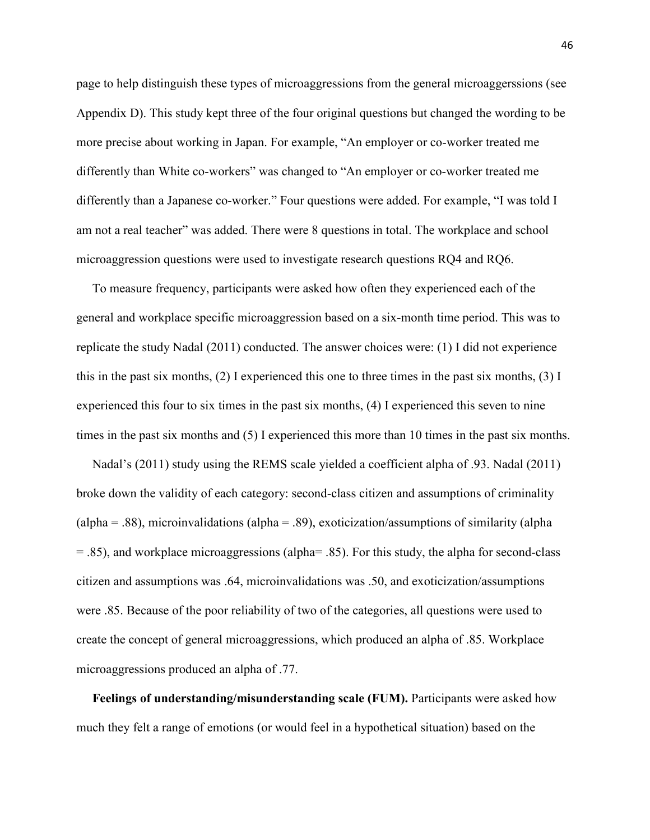page to help distinguish these types of microaggressions from the general microaggerssions (see Appendix D). This study kept three of the four original questions but changed the wording to be more precise about working in Japan. For example, "An employer or co-worker treated me differently than White co-workers" was changed to "An employer or co-worker treated me differently than a Japanese co-worker." Four questions were added. For example, "I was told I am not a real teacher" was added. There were 8 questions in total. The workplace and school microaggression questions were used to investigate research questions RQ4 and RQ6.

 To measure frequency, participants were asked how often they experienced each of the general and workplace specific microaggression based on a six-month time period. This was to replicate the study Nadal (2011) conducted. The answer choices were: (1) I did not experience this in the past six months, (2) I experienced this one to three times in the past six months, (3) I experienced this four to six times in the past six months, (4) I experienced this seven to nine times in the past six months and (5) I experienced this more than 10 times in the past six months.

 Nadal's (2011) study using the REMS scale yielded a coefficient alpha of .93. Nadal (2011) broke down the validity of each category: second-class citizen and assumptions of criminality  $\alpha$  (alpha = .88), microinvalidations (alpha = .89), exoticization/assumptions of similarity (alpha = .85), and workplace microaggressions (alpha= .85). For this study, the alpha for second-class citizen and assumptions was .64, microinvalidations was .50, and exoticization/assumptions were .85. Because of the poor reliability of two of the categories, all questions were used to create the concept of general microaggressions, which produced an alpha of .85. Workplace microaggressions produced an alpha of .77.

 **Feelings of understanding/misunderstanding scale (FUM).** Participants were asked how much they felt a range of emotions (or would feel in a hypothetical situation) based on the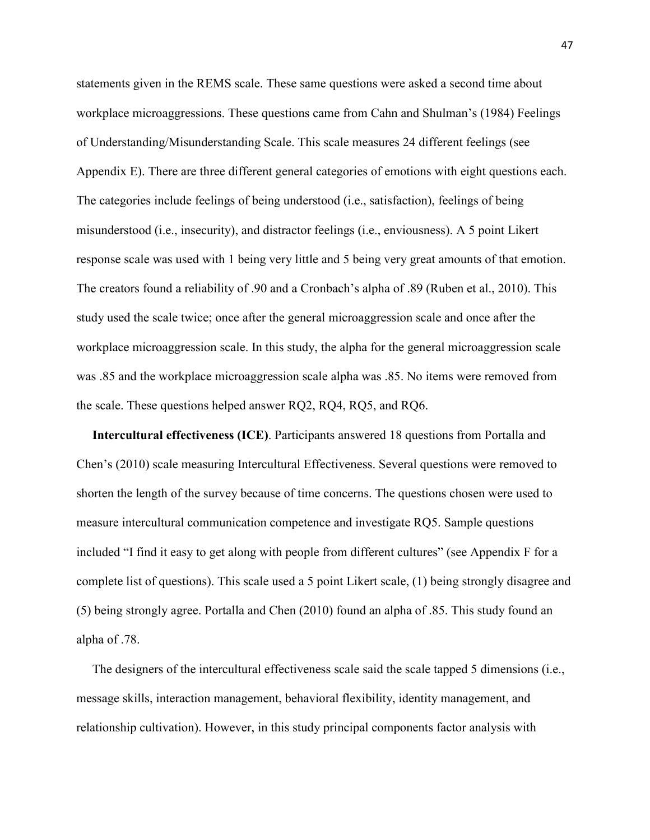statements given in the REMS scale. These same questions were asked a second time about workplace microaggressions. These questions came from Cahn and Shulman's (1984) Feelings of Understanding/Misunderstanding Scale. This scale measures 24 different feelings (see Appendix E). There are three different general categories of emotions with eight questions each. The categories include feelings of being understood (i.e., satisfaction), feelings of being misunderstood (i.e., insecurity), and distractor feelings (i.e., enviousness). A 5 point Likert response scale was used with 1 being very little and 5 being very great amounts of that emotion. The creators found a reliability of .90 and a Cronbach's alpha of .89 (Ruben et al., 2010). This study used the scale twice; once after the general microaggression scale and once after the workplace microaggression scale. In this study, the alpha for the general microaggression scale was .85 and the workplace microaggression scale alpha was .85. No items were removed from the scale. These questions helped answer RQ2, RQ4, RQ5, and RQ6.

 **Intercultural effectiveness (ICE)**. Participants answered 18 questions from Portalla and Chen's (2010) scale measuring Intercultural Effectiveness. Several questions were removed to shorten the length of the survey because of time concerns. The questions chosen were used to measure intercultural communication competence and investigate RQ5. Sample questions included "I find it easy to get along with people from different cultures" (see Appendix F for a complete list of questions). This scale used a 5 point Likert scale, (1) being strongly disagree and (5) being strongly agree. Portalla and Chen (2010) found an alpha of .85. This study found an alpha of .78.

 The designers of the intercultural effectiveness scale said the scale tapped 5 dimensions (i.e., message skills, interaction management, behavioral flexibility, identity management, and relationship cultivation). However, in this study principal components factor analysis with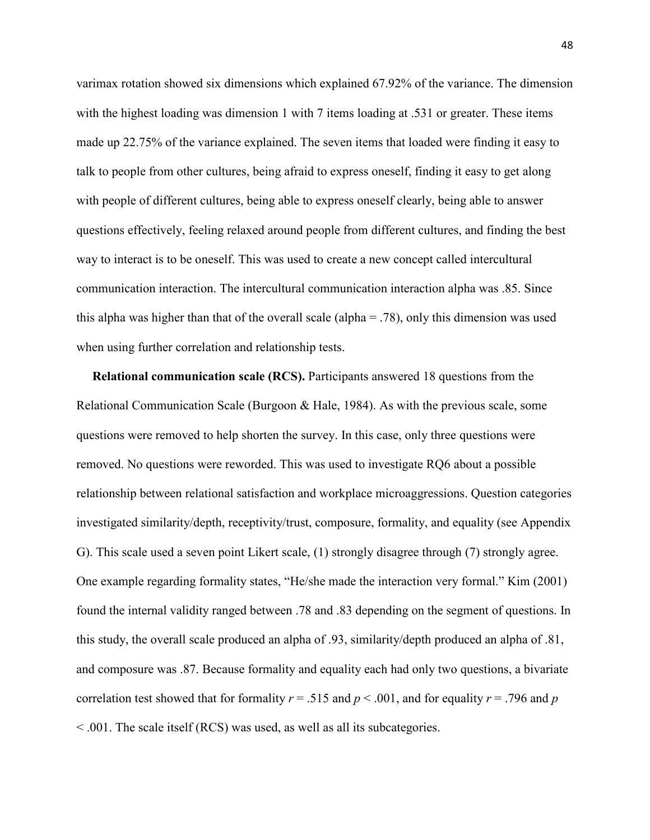varimax rotation showed six dimensions which explained 67.92% of the variance. The dimension with the highest loading was dimension 1 with 7 items loading at .531 or greater. These items made up 22.75% of the variance explained. The seven items that loaded were finding it easy to talk to people from other cultures, being afraid to express oneself, finding it easy to get along with people of different cultures, being able to express oneself clearly, being able to answer questions effectively, feeling relaxed around people from different cultures, and finding the best way to interact is to be oneself. This was used to create a new concept called intercultural communication interaction. The intercultural communication interaction alpha was .85. Since this alpha was higher than that of the overall scale (alpha  $=$  .78), only this dimension was used when using further correlation and relationship tests.

 **Relational communication scale (RCS).** Participants answered 18 questions from the Relational Communication Scale (Burgoon & Hale, 1984). As with the previous scale, some questions were removed to help shorten the survey. In this case, only three questions were removed. No questions were reworded. This was used to investigate RQ6 about a possible relationship between relational satisfaction and workplace microaggressions. Question categories investigated similarity/depth, receptivity/trust, composure, formality, and equality (see Appendix G). This scale used a seven point Likert scale, (1) strongly disagree through (7) strongly agree. One example regarding formality states, "He/she made the interaction very formal." Kim (2001) found the internal validity ranged between .78 and .83 depending on the segment of questions. In this study, the overall scale produced an alpha of .93, similarity/depth produced an alpha of .81, and composure was .87. Because formality and equality each had only two questions, a bivariate correlation test showed that for formality  $r = .515$  and  $p < .001$ , and for equality  $r = .796$  and  $p$ < .001. The scale itself (RCS) was used, as well as all its subcategories.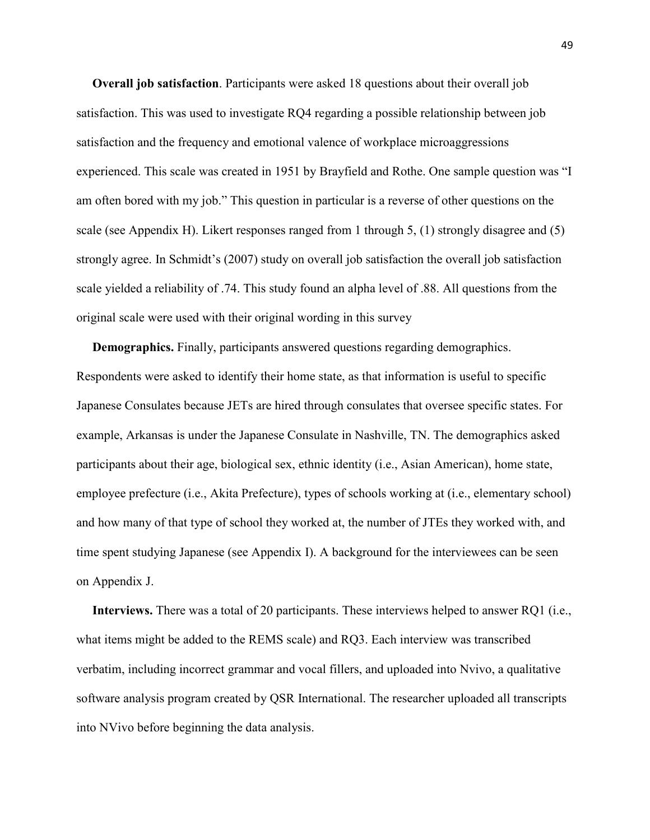**Overall job satisfaction**. Participants were asked 18 questions about their overall job satisfaction. This was used to investigate RQ4 regarding a possible relationship between job satisfaction and the frequency and emotional valence of workplace microaggressions experienced. This scale was created in 1951 by Brayfield and Rothe. One sample question was "I am often bored with my job." This question in particular is a reverse of other questions on the scale (see Appendix H). Likert responses ranged from 1 through 5, (1) strongly disagree and (5) strongly agree. In Schmidt's (2007) study on overall job satisfaction the overall job satisfaction scale yielded a reliability of .74. This study found an alpha level of .88. All questions from the original scale were used with their original wording in this survey

 **Demographics.** Finally, participants answered questions regarding demographics. Respondents were asked to identify their home state, as that information is useful to specific Japanese Consulates because JETs are hired through consulates that oversee specific states. For example, Arkansas is under the Japanese Consulate in Nashville, TN. The demographics asked participants about their age, biological sex, ethnic identity (i.e., Asian American), home state, employee prefecture (i.e., Akita Prefecture), types of schools working at (i.e., elementary school) and how many of that type of school they worked at, the number of JTEs they worked with, and time spent studying Japanese (see Appendix I). A background for the interviewees can be seen on Appendix J.

 **Interviews.** There was a total of 20 participants. These interviews helped to answer RQ1 (i.e., what items might be added to the REMS scale) and RQ3. Each interview was transcribed verbatim, including incorrect grammar and vocal fillers, and uploaded into Nvivo, a qualitative software analysis program created by QSR International. The researcher uploaded all transcripts into NVivo before beginning the data analysis.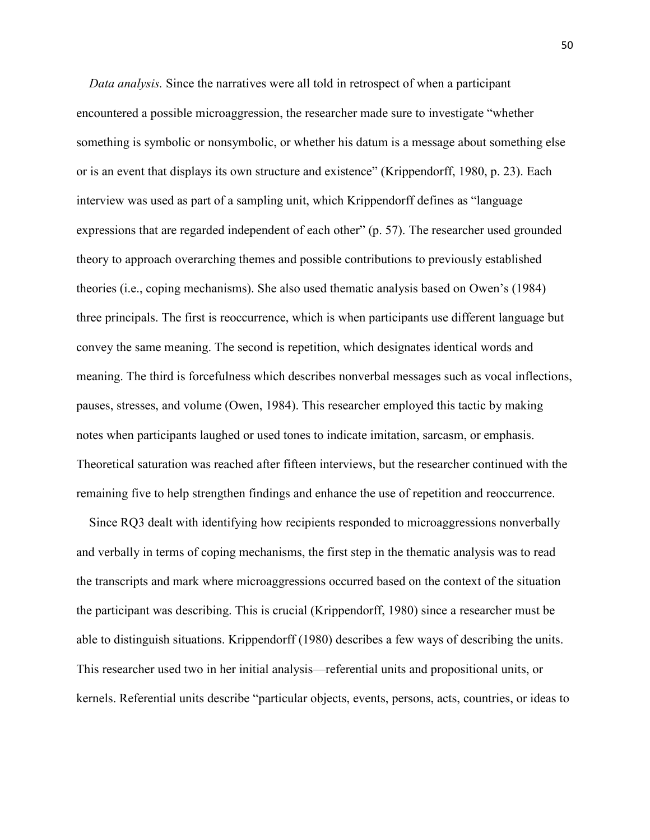*Data analysis.* Since the narratives were all told in retrospect of when a participant encountered a possible microaggression, the researcher made sure to investigate "whether something is symbolic or nonsymbolic, or whether his datum is a message about something else or is an event that displays its own structure and existence" (Krippendorff, 1980, p. 23). Each interview was used as part of a sampling unit, which Krippendorff defines as "language expressions that are regarded independent of each other" (p. 57). The researcher used grounded theory to approach overarching themes and possible contributions to previously established theories (i.e., coping mechanisms). She also used thematic analysis based on Owen's (1984) three principals. The first is reoccurrence, which is when participants use different language but convey the same meaning. The second is repetition, which designates identical words and meaning. The third is forcefulness which describes nonverbal messages such as vocal inflections, pauses, stresses, and volume (Owen, 1984). This researcher employed this tactic by making notes when participants laughed or used tones to indicate imitation, sarcasm, or emphasis. Theoretical saturation was reached after fifteen interviews, but the researcher continued with the remaining five to help strengthen findings and enhance the use of repetition and reoccurrence.

 Since RQ3 dealt with identifying how recipients responded to microaggressions nonverbally and verbally in terms of coping mechanisms, the first step in the thematic analysis was to read the transcripts and mark where microaggressions occurred based on the context of the situation the participant was describing. This is crucial (Krippendorff, 1980) since a researcher must be able to distinguish situations. Krippendorff (1980) describes a few ways of describing the units. This researcher used two in her initial analysis—referential units and propositional units, or kernels. Referential units describe "particular objects, events, persons, acts, countries, or ideas to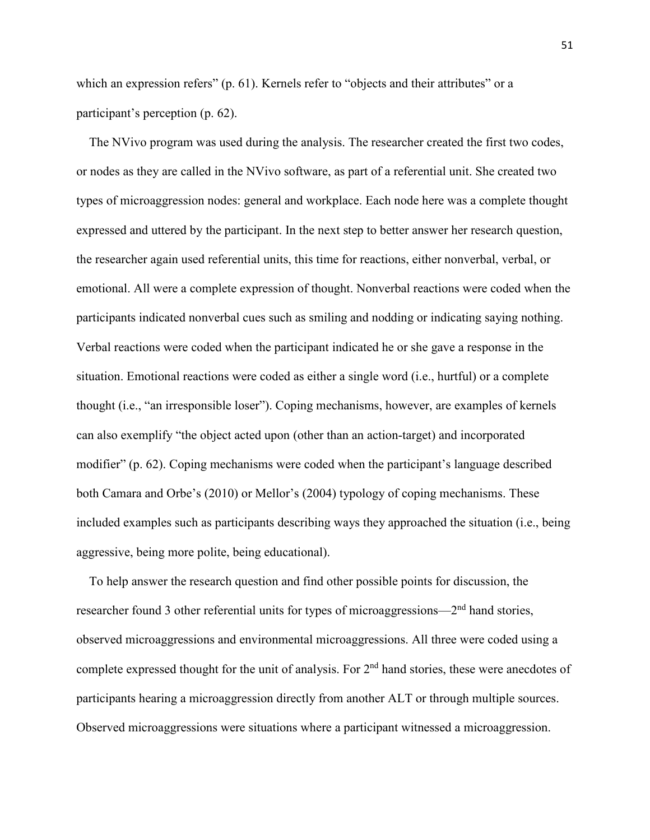which an expression refers" (p. 61). Kernels refer to "objects and their attributes" or a participant's perception (p. 62).

 The NVivo program was used during the analysis. The researcher created the first two codes, or nodes as they are called in the NVivo software, as part of a referential unit. She created two types of microaggression nodes: general and workplace. Each node here was a complete thought expressed and uttered by the participant. In the next step to better answer her research question, the researcher again used referential units, this time for reactions, either nonverbal, verbal, or emotional. All were a complete expression of thought. Nonverbal reactions were coded when the participants indicated nonverbal cues such as smiling and nodding or indicating saying nothing. Verbal reactions were coded when the participant indicated he or she gave a response in the situation. Emotional reactions were coded as either a single word (i.e., hurtful) or a complete thought (i.e., "an irresponsible loser"). Coping mechanisms, however, are examples of kernels can also exemplify "the object acted upon (other than an action-target) and incorporated modifier" (p. 62). Coping mechanisms were coded when the participant's language described both Camara and Orbe's (2010) or Mellor's (2004) typology of coping mechanisms. These included examples such as participants describing ways they approached the situation (i.e., being aggressive, being more polite, being educational).

 To help answer the research question and find other possible points for discussion, the researcher found 3 other referential units for types of microaggressions—2nd hand stories, observed microaggressions and environmental microaggressions. All three were coded using a complete expressed thought for the unit of analysis. For 2<sup>nd</sup> hand stories, these were anecdotes of participants hearing a microaggression directly from another ALT or through multiple sources. Observed microaggressions were situations where a participant witnessed a microaggression.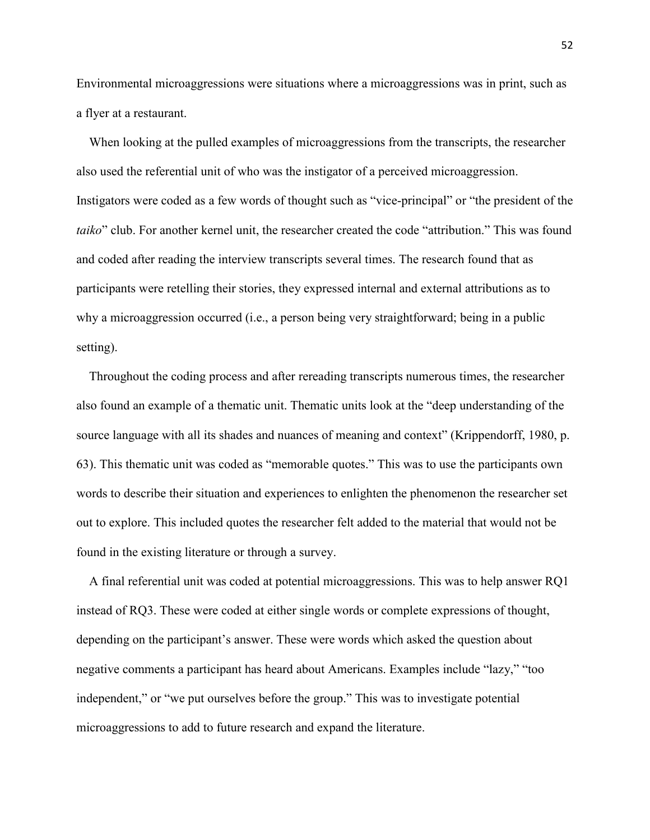Environmental microaggressions were situations where a microaggressions was in print, such as a flyer at a restaurant.

 When looking at the pulled examples of microaggressions from the transcripts, the researcher also used the referential unit of who was the instigator of a perceived microaggression. Instigators were coded as a few words of thought such as "vice-principal" or "the president of the *taiko*" club. For another kernel unit, the researcher created the code "attribution." This was found and coded after reading the interview transcripts several times. The research found that as participants were retelling their stories, they expressed internal and external attributions as to why a microaggression occurred (i.e., a person being very straightforward; being in a public setting).

 Throughout the coding process and after rereading transcripts numerous times, the researcher also found an example of a thematic unit. Thematic units look at the "deep understanding of the source language with all its shades and nuances of meaning and context" (Krippendorff, 1980, p. 63). This thematic unit was coded as "memorable quotes." This was to use the participants own words to describe their situation and experiences to enlighten the phenomenon the researcher set out to explore. This included quotes the researcher felt added to the material that would not be found in the existing literature or through a survey.

 A final referential unit was coded at potential microaggressions. This was to help answer RQ1 instead of RQ3. These were coded at either single words or complete expressions of thought, depending on the participant's answer. These were words which asked the question about negative comments a participant has heard about Americans. Examples include "lazy," "too independent," or "we put ourselves before the group." This was to investigate potential microaggressions to add to future research and expand the literature.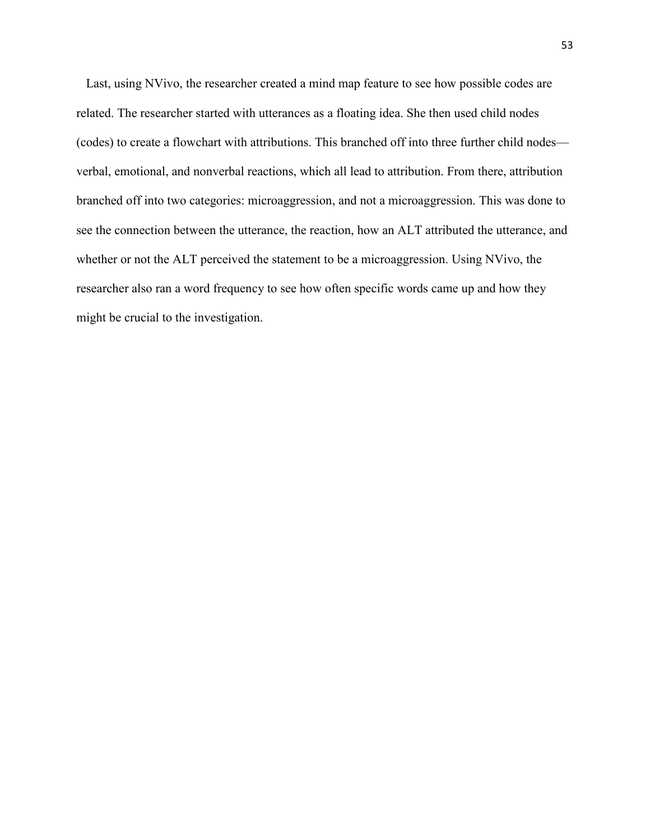Last, using NVivo, the researcher created a mind map feature to see how possible codes are related. The researcher started with utterances as a floating idea. She then used child nodes (codes) to create a flowchart with attributions. This branched off into three further child nodes verbal, emotional, and nonverbal reactions, which all lead to attribution. From there, attribution branched off into two categories: microaggression, and not a microaggression. This was done to see the connection between the utterance, the reaction, how an ALT attributed the utterance, and whether or not the ALT perceived the statement to be a microaggression. Using NVivo, the researcher also ran a word frequency to see how often specific words came up and how they might be crucial to the investigation.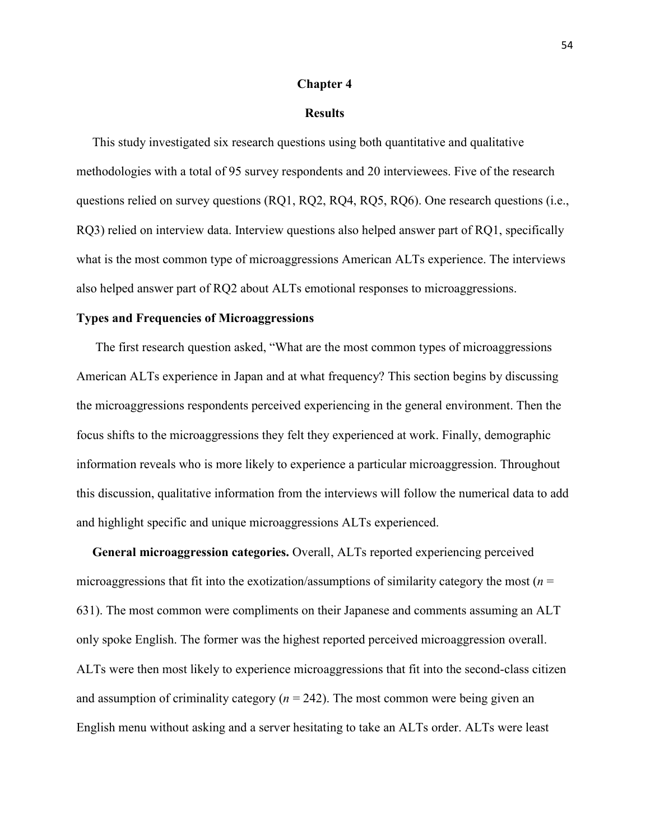### **Chapter 4**

# **Results**

 This study investigated six research questions using both quantitative and qualitative methodologies with a total of 95 survey respondents and 20 interviewees. Five of the research questions relied on survey questions (RQ1, RQ2, RQ4, RQ5, RQ6). One research questions (i.e., RQ3) relied on interview data. Interview questions also helped answer part of RQ1, specifically what is the most common type of microaggressions American ALTs experience. The interviews also helped answer part of RQ2 about ALTs emotional responses to microaggressions.

### **Types and Frequencies of Microaggressions**

The first research question asked, "What are the most common types of microaggressions American ALTs experience in Japan and at what frequency? This section begins by discussing the microaggressions respondents perceived experiencing in the general environment. Then the focus shifts to the microaggressions they felt they experienced at work. Finally, demographic information reveals who is more likely to experience a particular microaggression. Throughout this discussion, qualitative information from the interviews will follow the numerical data to add and highlight specific and unique microaggressions ALTs experienced.

 **General microaggression categories.** Overall, ALTs reported experiencing perceived microaggressions that fit into the exotization/assumptions of similarity category the most ( $n =$ 631). The most common were compliments on their Japanese and comments assuming an ALT only spoke English. The former was the highest reported perceived microaggression overall. ALTs were then most likely to experience microaggressions that fit into the second-class citizen and assumption of criminality category  $(n = 242)$ . The most common were being given an English menu without asking and a server hesitating to take an ALTs order. ALTs were least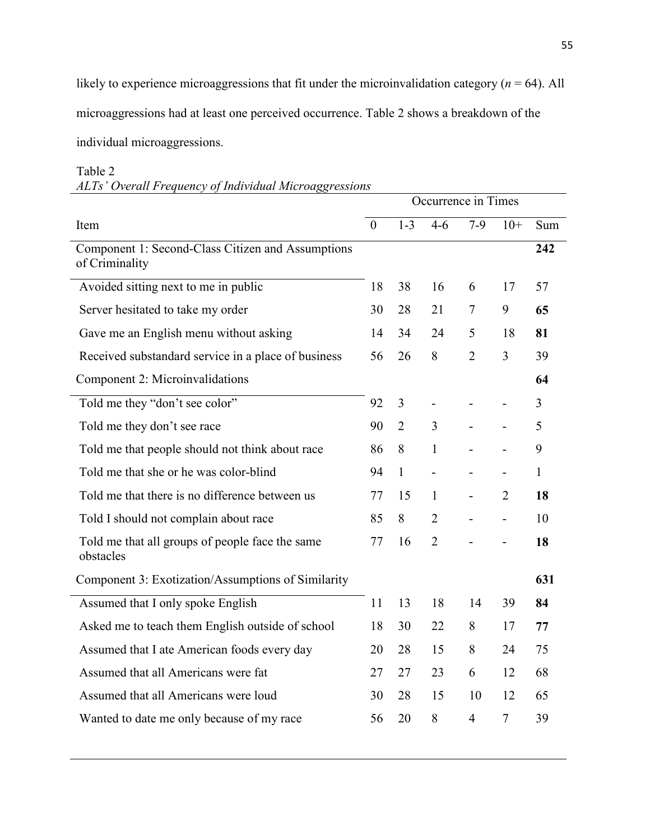likely to experience microaggressions that fit under the microinvalidation category ( $n = 64$ ). All

microaggressions had at least one perceived occurrence. Table 2 shows a breakdown of the

individual microaggressions.

# Table 2

*ALTs' Overall Frequency of Individual Microaggressions* 

|                                                                     | Occurrence in Times |                |                          |                          |                          |                |
|---------------------------------------------------------------------|---------------------|----------------|--------------------------|--------------------------|--------------------------|----------------|
| Item                                                                | $\overline{0}$      | $1 - 3$        | $4 - 6$                  | $7-9$                    | $10+$                    | Sum            |
| Component 1: Second-Class Citizen and Assumptions<br>of Criminality |                     |                |                          |                          |                          | 242            |
| Avoided sitting next to me in public                                | 18                  | 38             | 16                       | 6                        | 17                       | 57             |
| Server hesitated to take my order                                   | 30                  | 28             | 21                       | $\overline{\mathcal{L}}$ | 9                        | 65             |
| Gave me an English menu without asking                              | 14                  | 34             | 24                       | 5                        | 18                       | 81             |
| Received substandard service in a place of business                 | 56                  | 26             | 8                        | $\overline{2}$           | 3                        | 39             |
| Component 2: Microinvalidations                                     |                     |                |                          |                          |                          | 64             |
| Told me they "don't see color"                                      | 92                  | 3              |                          |                          |                          | $\overline{3}$ |
| Told me they don't see race                                         | 90                  | $\overline{2}$ | 3                        |                          | $\overline{\phantom{0}}$ | 5              |
| Told me that people should not think about race                     | 86                  | 8              | $\mathbf{1}$             |                          |                          | 9              |
| Told me that she or he was color-blind                              | 94                  | $\mathbf{1}$   | $\overline{\phantom{0}}$ | $\overline{\phantom{0}}$ | $\overline{\phantom{0}}$ | $\mathbf{1}$   |
| Told me that there is no difference between us                      | 77                  | 15             | 1                        |                          | $\overline{2}$           | 18             |
| Told I should not complain about race                               | 85                  | 8              | $\overline{2}$           |                          | $\overline{a}$           | 10             |
| Told me that all groups of people face the same<br>obstacles        | 77                  | 16             | $\overline{2}$           |                          |                          | 18             |
| Component 3: Exotization/Assumptions of Similarity                  |                     |                |                          |                          |                          | 631            |
| Assumed that I only spoke English                                   | 11                  | 13             | 18                       | 14                       | 39                       | 84             |
| Asked me to teach them English outside of school                    | 18                  | 30             | 22                       | 8                        | 17                       | 77             |
| Assumed that I ate American foods every day                         | 20                  | 28             | 15                       | 8                        | 24                       | 75             |
| Assumed that all Americans were fat                                 | 27                  | 27             | 23                       | 6                        | 12                       | 68             |
| Assumed that all Americans were loud                                | 30                  | 28             | 15                       | 10                       | 12                       | 65             |
| Wanted to date me only because of my race                           | 56                  | 20             | 8                        | $\overline{4}$           | $\tau$                   | 39             |
|                                                                     |                     |                |                          |                          |                          |                |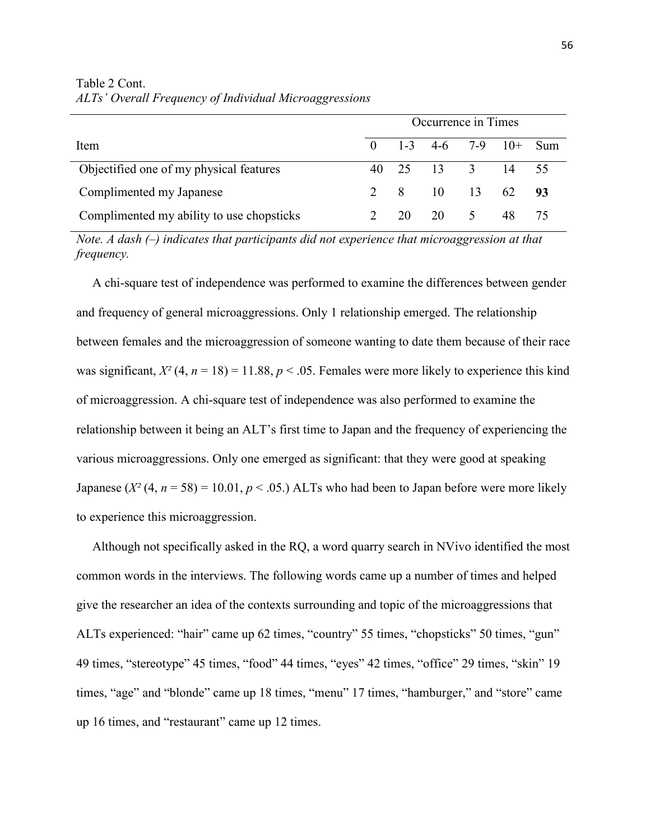|                                           | Occurrence in Times |    |                     |               |       |     |
|-------------------------------------------|---------------------|----|---------------------|---------------|-------|-----|
| Item                                      | $\mathbf{0}$        |    | 1-3 4-6 7-9 10+ Sum |               |       |     |
| Objectified one of my physical features   |                     |    | 40 25 13 3          |               | 14 55 |     |
| Complimented my Japanese                  |                     |    | 2 8 10 13           |               | 62    | -93 |
| Complimented my ability to use chopsticks |                     | 20 | 20                  | $\mathcal{L}$ | 48    |     |

Table 2 Cont. *ALTs' Overall Frequency of Individual Microaggressions*

*Note. A dash (–) indicates that participants did not experience that microaggression at that frequency.* 

 A chi-square test of independence was performed to examine the differences between gender and frequency of general microaggressions. Only 1 relationship emerged. The relationship between females and the microaggression of someone wanting to date them because of their race was significant,  $X^2$  (4,  $n = 18$ ) = 11.88,  $p < .05$ . Females were more likely to experience this kind of microaggression. A chi-square test of independence was also performed to examine the relationship between it being an ALT's first time to Japan and the frequency of experiencing the various microaggressions. Only one emerged as significant: that they were good at speaking Japanese  $(X^2(4, n = 58) = 10.01, p < .05)$  ALTs who had been to Japan before were more likely to experience this microaggression.

 Although not specifically asked in the RQ, a word quarry search in NVivo identified the most common words in the interviews. The following words came up a number of times and helped give the researcher an idea of the contexts surrounding and topic of the microaggressions that ALTs experienced: "hair" came up 62 times, "country" 55 times, "chopsticks" 50 times, "gun" 49 times, "stereotype" 45 times, "food" 44 times, "eyes" 42 times, "office" 29 times, "skin" 19 times, "age" and "blonde" came up 18 times, "menu" 17 times, "hamburger," and "store" came up 16 times, and "restaurant" came up 12 times.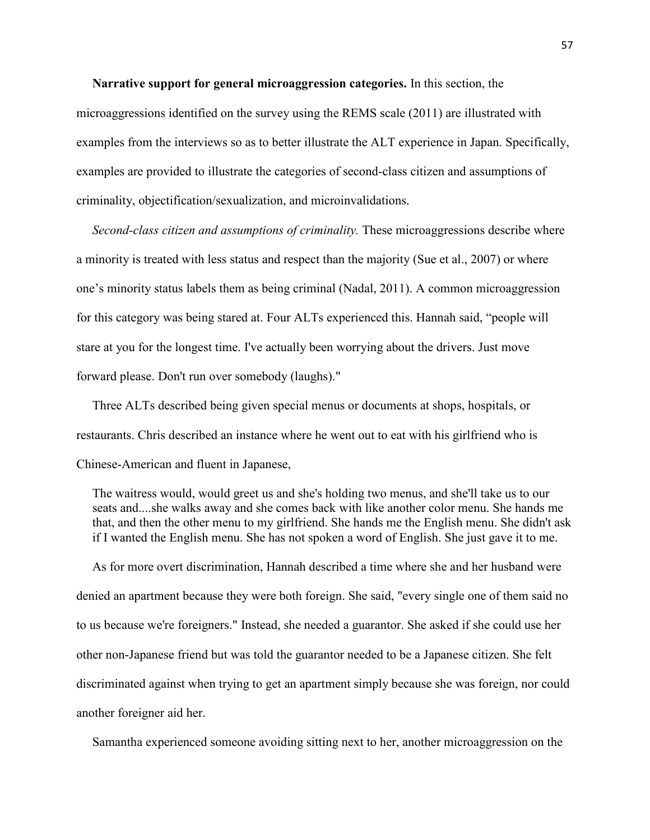**Narrative support for general microaggression categories.** In this section, the

microaggressions identified on the survey using the REMS scale (2011) are illustrated with examples from the interviews so as to better illustrate the ALT experience in Japan. Specifically, examples are provided to illustrate the categories of second-class citizen and assumptions of criminality, objectification/sexualization, and microinvalidations.

 *Second-class citizen and assumptions of criminality.* These microaggressions describe where a minority is treated with less status and respect than the majority (Sue et al., 2007) or where one's minority status labels them as being criminal (Nadal, 2011). A common microaggression for this category was being stared at. Four ALTs experienced this. Hannah said, "people will stare at you for the longest time. I've actually been worrying about the drivers. Just move forward please. Don't run over somebody (laughs)."

 Three ALTs described being given special menus or documents at shops, hospitals, or restaurants. Chris described an instance where he went out to eat with his girlfriend who is Chinese-American and fluent in Japanese,

The waitress would, would greet us and she's holding two menus, and she'll take us to our seats and....she walks away and she comes back with like another color menu. She hands me that, and then the other menu to my girlfriend. She hands me the English menu. She didn't ask if I wanted the English menu. She has not spoken a word of English. She just gave it to me.

 As for more overt discrimination, Hannah described a time where she and her husband were denied an apartment because they were both foreign. She said, "every single one of them said no to us because we're foreigners." Instead, she needed a guarantor. She asked if she could use her other non-Japanese friend but was told the guarantor needed to be a Japanese citizen. She felt discriminated against when trying to get an apartment simply because she was foreign, nor could another foreigner aid her.

Samantha experienced someone avoiding sitting next to her, another microaggression on the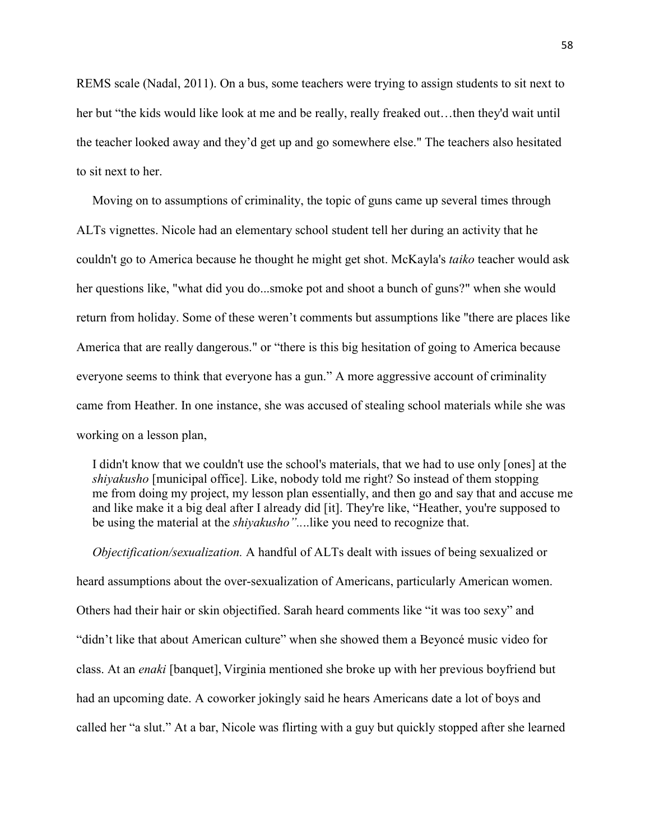REMS scale (Nadal, 2011). On a bus, some teachers were trying to assign students to sit next to her but "the kids would like look at me and be really, really freaked out...then they'd wait until the teacher looked away and they'd get up and go somewhere else." The teachers also hesitated to sit next to her.

 Moving on to assumptions of criminality, the topic of guns came up several times through ALTs vignettes. Nicole had an elementary school student tell her during an activity that he couldn't go to America because he thought he might get shot. McKayla's *taiko* teacher would ask her questions like, "what did you do...smoke pot and shoot a bunch of guns?" when she would return from holiday. Some of these weren't comments but assumptions like "there are places like America that are really dangerous." or "there is this big hesitation of going to America because everyone seems to think that everyone has a gun." A more aggressive account of criminality came from Heather. In one instance, she was accused of stealing school materials while she was working on a lesson plan,

 I didn't know that we couldn't use the school's materials, that we had to use only [ones] at the *shiyakusho* [municipal office]. Like, nobody told me right? So instead of them stopping me from doing my project, my lesson plan essentially, and then go and say that and accuse me and like make it a big deal after I already did [it]. They're like, "Heather, you're supposed to be using the material at the *shiyakusho"..*..like you need to recognize that.

 *Objectification/sexualization.* A handful of ALTs dealt with issues of being sexualized or heard assumptions about the over-sexualization of Americans, particularly American women. Others had their hair or skin objectified. Sarah heard comments like "it was too sexy" and "didn't like that about American culture" when she showed them a Beyoncé music video for class. At an *enaki* [banquet], Virginia mentioned she broke up with her previous boyfriend but had an upcoming date. A coworker jokingly said he hears Americans date a lot of boys and called her "a slut." At a bar, Nicole was flirting with a guy but quickly stopped after she learned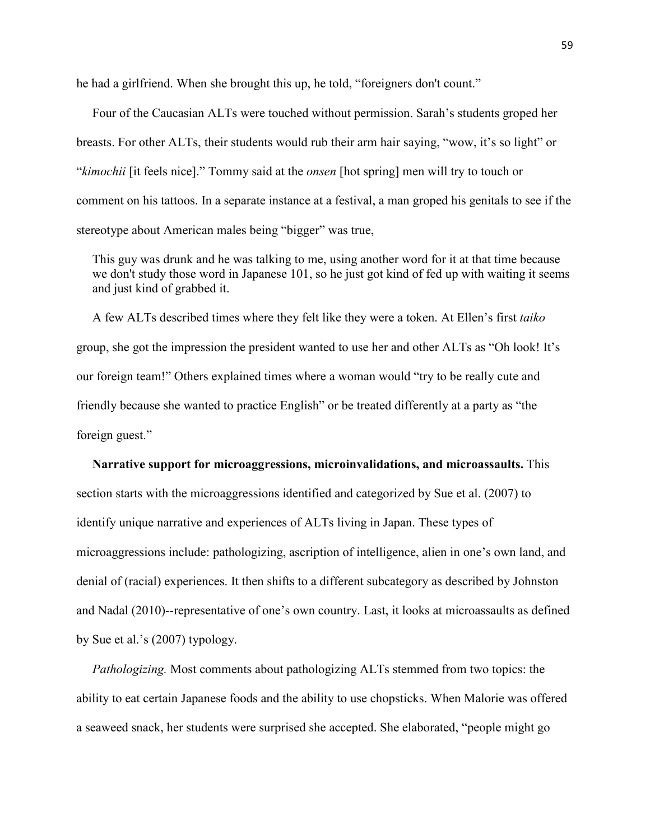he had a girlfriend. When she brought this up, he told, "foreigners don't count."

 Four of the Caucasian ALTs were touched without permission. Sarah's students groped her breasts. For other ALTs, their students would rub their arm hair saying, "wow, it's so light" or "*kimochii* [it feels nice]." Tommy said at the *onsen* [hot spring] men will try to touch or comment on his tattoos. In a separate instance at a festival, a man groped his genitals to see if the stereotype about American males being "bigger" was true,

 This guy was drunk and he was talking to me, using another word for it at that time because we don't study those word in Japanese 101, so he just got kind of fed up with waiting it seems and just kind of grabbed it.

 A few ALTs described times where they felt like they were a token. At Ellen's first *taiko* group, she got the impression the president wanted to use her and other ALTs as "Oh look! It's our foreign team!" Others explained times where a woman would "try to be really cute and friendly because she wanted to practice English" or be treated differently at a party as "the foreign guest."

 **Narrative support for microaggressions, microinvalidations, and microassaults.** This section starts with the microaggressions identified and categorized by Sue et al. (2007) to identify unique narrative and experiences of ALTs living in Japan. These types of microaggressions include: pathologizing, ascription of intelligence, alien in one's own land, and denial of (racial) experiences. It then shifts to a different subcategory as described by Johnston and Nadal (2010)--representative of one's own country. Last, it looks at microassaults as defined by Sue et al.'s (2007) typology.

 *Pathologizing.* Most comments about pathologizing ALTs stemmed from two topics: the ability to eat certain Japanese foods and the ability to use chopsticks. When Malorie was offered a seaweed snack, her students were surprised she accepted. She elaborated, "people might go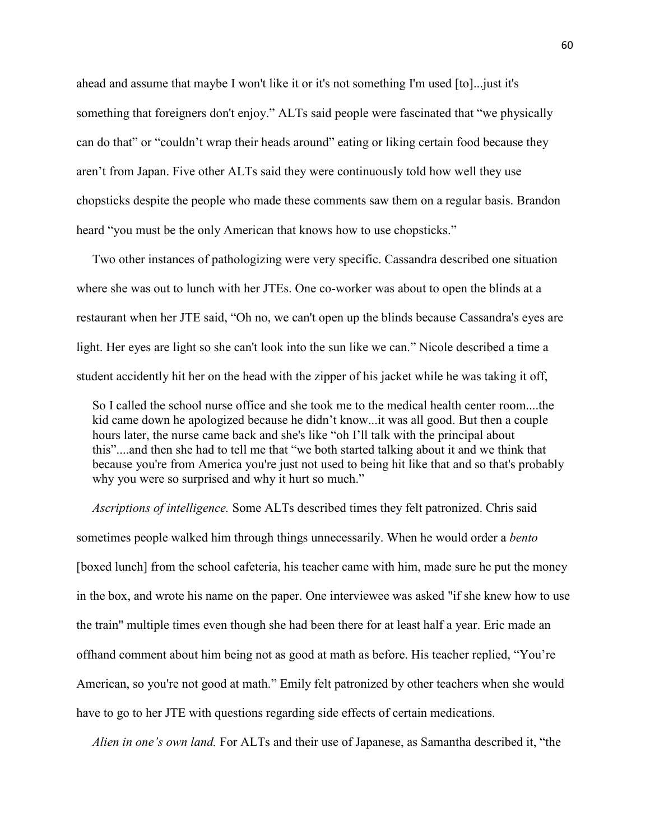ahead and assume that maybe I won't like it or it's not something I'm used [to]...just it's something that foreigners don't enjoy." ALTs said people were fascinated that "we physically can do that" or "couldn't wrap their heads around" eating or liking certain food because they aren't from Japan. Five other ALTs said they were continuously told how well they use chopsticks despite the people who made these comments saw them on a regular basis. Brandon heard "you must be the only American that knows how to use chopsticks."

 Two other instances of pathologizing were very specific. Cassandra described one situation where she was out to lunch with her JTEs. One co-worker was about to open the blinds at a restaurant when her JTE said, "Oh no, we can't open up the blinds because Cassandra's eyes are light. Her eyes are light so she can't look into the sun like we can." Nicole described a time a student accidently hit her on the head with the zipper of his jacket while he was taking it off,

 So I called the school nurse office and she took me to the medical health center room....the kid came down he apologized because he didn't know...it was all good. But then a couple hours later, the nurse came back and she's like "oh I'll talk with the principal about this"....and then she had to tell me that "we both started talking about it and we think that because you're from America you're just not used to being hit like that and so that's probably why you were so surprised and why it hurt so much."

 *Ascriptions of intelligence.* Some ALTs described times they felt patronized. Chris said sometimes people walked him through things unnecessarily. When he would order a *bento*  [boxed lunch] from the school cafeteria, his teacher came with him, made sure he put the money in the box, and wrote his name on the paper. One interviewee was asked "if she knew how to use the train" multiple times even though she had been there for at least half a year. Eric made an offhand comment about him being not as good at math as before. His teacher replied, "You're American, so you're not good at math." Emily felt patronized by other teachers when she would have to go to her JTE with questions regarding side effects of certain medications.

*Alien in one's own land.* For ALTs and their use of Japanese, as Samantha described it, "the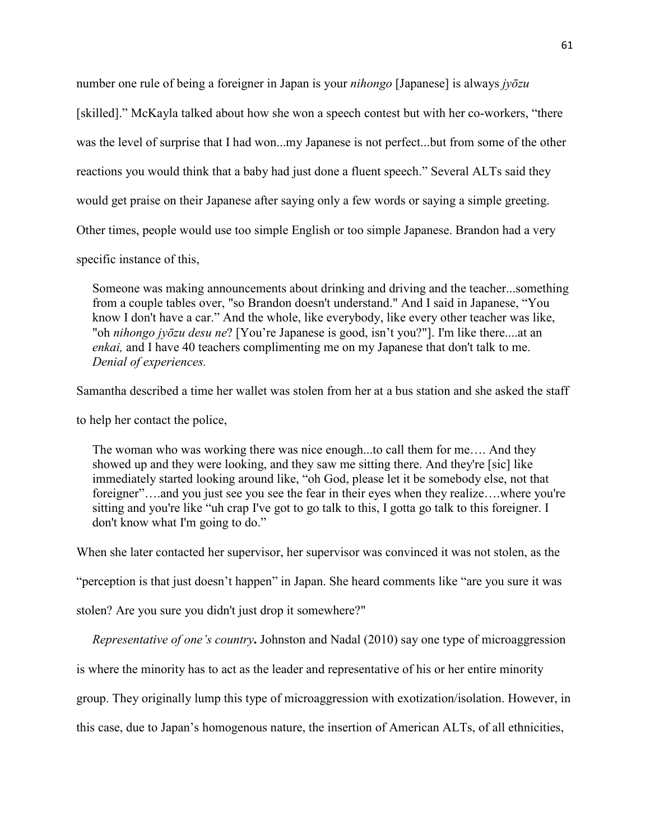number one rule of being a foreigner in Japan is your *nihongo* [Japanese] is always *jyōzu*

[skilled]." McKayla talked about how she won a speech contest but with her co-workers, "there

was the level of surprise that I had won...my Japanese is not perfect...but from some of the other

reactions you would think that a baby had just done a fluent speech." Several ALTs said they

would get praise on their Japanese after saying only a few words or saying a simple greeting.

Other times, people would use too simple English or too simple Japanese. Brandon had a very

specific instance of this,

 Someone was making announcements about drinking and driving and the teacher...something from a couple tables over, "so Brandon doesn't understand." And I said in Japanese, "You know I don't have a car." And the whole, like everybody, like every other teacher was like, "oh *nihongo jyōzu desu ne*? [You're Japanese is good, isn't you?"]. I'm like there....at an *enkai,* and I have 40 teachers complimenting me on my Japanese that don't talk to me. *Denial of experiences.* 

Samantha described a time her wallet was stolen from her at a bus station and she asked the staff

to help her contact the police,

 The woman who was working there was nice enough...to call them for me…. And they showed up and they were looking, and they saw me sitting there. And they're [sic] like immediately started looking around like, "oh God, please let it be somebody else, not that foreigner"....and you just see you see the fear in their eyes when they realize....where you're sitting and you're like "uh crap I've got to go talk to this, I gotta go talk to this foreigner. I don't know what I'm going to do."

When she later contacted her supervisor, her supervisor was convinced it was not stolen, as the

"perception is that just doesn't happen" in Japan. She heard comments like "are you sure it was

stolen? Are you sure you didn't just drop it somewhere?"

 *Representative of one's country***.** Johnston and Nadal (2010) say one type of microaggression

is where the minority has to act as the leader and representative of his or her entire minority

group. They originally lump this type of microaggression with exotization/isolation. However, in

this case, due to Japan's homogenous nature, the insertion of American ALTs, of all ethnicities,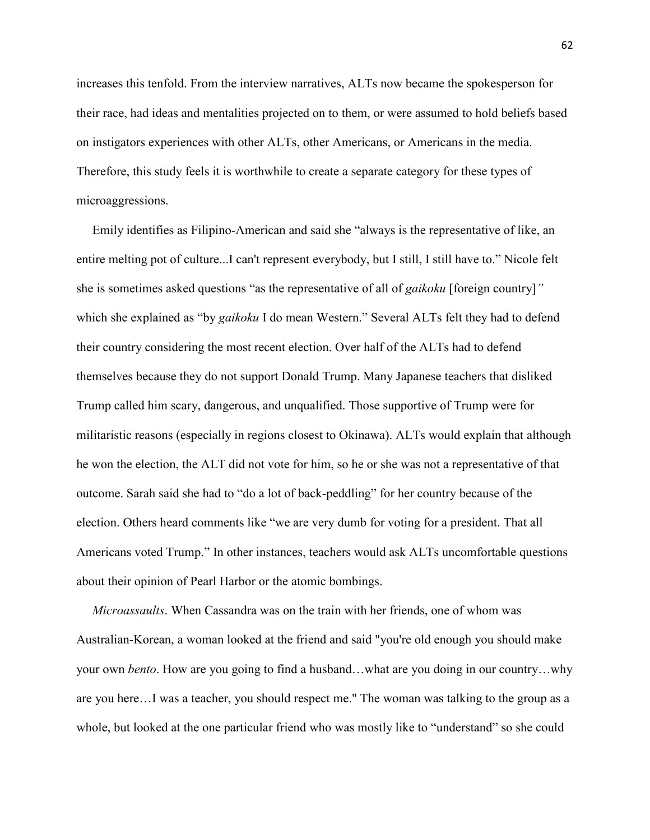increases this tenfold. From the interview narratives, ALTs now became the spokesperson for their race, had ideas and mentalities projected on to them, or were assumed to hold beliefs based on instigators experiences with other ALTs, other Americans, or Americans in the media. Therefore, this study feels it is worthwhile to create a separate category for these types of microaggressions.

 Emily identifies as Filipino-American and said she "always is the representative of like, an entire melting pot of culture...I can't represent everybody, but I still, I still have to." Nicole felt she is sometimes asked questions "as the representative of all of *gaikoku* [foreign country]*"*  which she explained as "by *gaikoku* I do mean Western." Several ALTs felt they had to defend their country considering the most recent election. Over half of the ALTs had to defend themselves because they do not support Donald Trump. Many Japanese teachers that disliked Trump called him scary, dangerous, and unqualified. Those supportive of Trump were for militaristic reasons (especially in regions closest to Okinawa). ALTs would explain that although he won the election, the ALT did not vote for him, so he or she was not a representative of that outcome. Sarah said she had to "do a lot of back-peddling" for her country because of the election. Others heard comments like "we are very dumb for voting for a president. That all Americans voted Trump." In other instances, teachers would ask ALTs uncomfortable questions about their opinion of Pearl Harbor or the atomic bombings.

 *Microassaults*. When Cassandra was on the train with her friends, one of whom was Australian-Korean, a woman looked at the friend and said "you're old enough you should make your own *bento*. How are you going to find a husband…what are you doing in our country…why are you here…I was a teacher, you should respect me." The woman was talking to the group as a whole, but looked at the one particular friend who was mostly like to "understand" so she could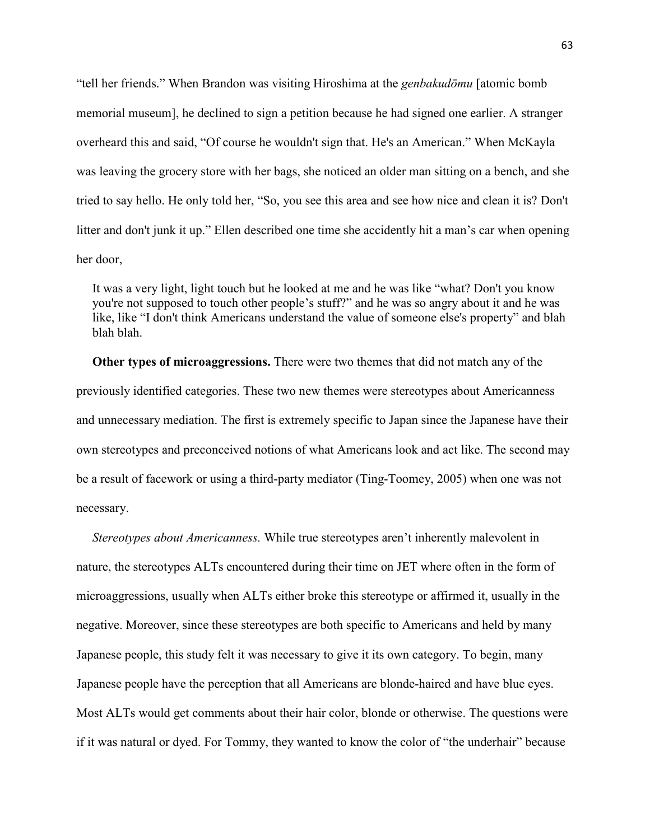"tell her friends." When Brandon was visiting Hiroshima at the *genbakudōmu* [atomic bomb memorial museum], he declined to sign a petition because he had signed one earlier. A stranger overheard this and said, "Of course he wouldn't sign that. He's an American." When McKayla was leaving the grocery store with her bags, she noticed an older man sitting on a bench, and she tried to say hello. He only told her, "So, you see this area and see how nice and clean it is? Don't litter and don't junk it up." Ellen described one time she accidently hit a man's car when opening her door,

 It was a very light, light touch but he looked at me and he was like "what? Don't you know you're not supposed to touch other people's stuff?" and he was so angry about it and he was like, like "I don't think Americans understand the value of someone else's property" and blah blah blah.

 **Other types of microaggressions.** There were two themes that did not match any of the previously identified categories. These two new themes were stereotypes about Americanness and unnecessary mediation. The first is extremely specific to Japan since the Japanese have their own stereotypes and preconceived notions of what Americans look and act like. The second may be a result of facework or using a third-party mediator (Ting-Toomey, 2005) when one was not necessary.

 *Stereotypes about Americanness.* While true stereotypes aren't inherently malevolent in nature, the stereotypes ALTs encountered during their time on JET where often in the form of microaggressions, usually when ALTs either broke this stereotype or affirmed it, usually in the negative. Moreover, since these stereotypes are both specific to Americans and held by many Japanese people, this study felt it was necessary to give it its own category. To begin, many Japanese people have the perception that all Americans are blonde-haired and have blue eyes. Most ALTs would get comments about their hair color, blonde or otherwise. The questions were if it was natural or dyed. For Tommy, they wanted to know the color of "the underhair" because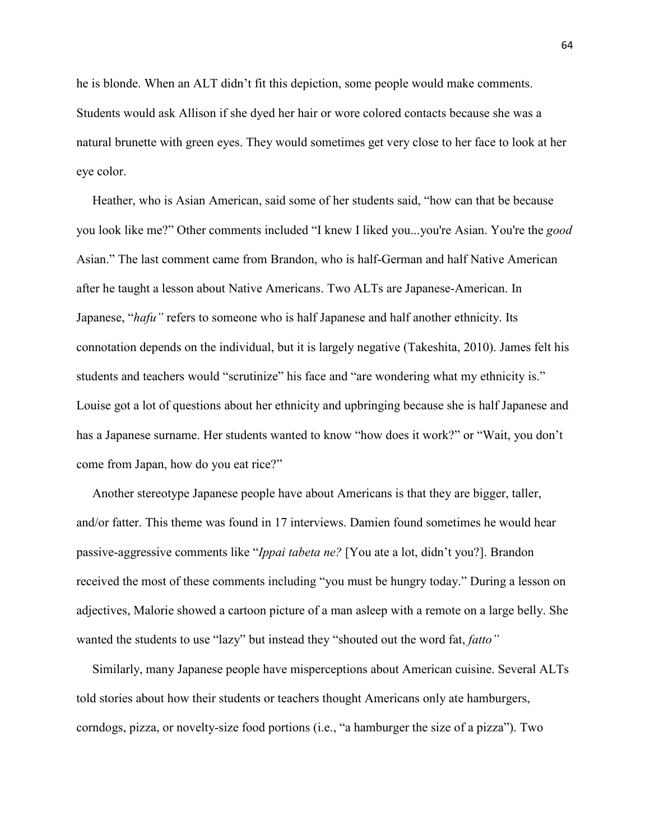he is blonde. When an ALT didn't fit this depiction, some people would make comments. Students would ask Allison if she dyed her hair or wore colored contacts because she was a natural brunette with green eyes. They would sometimes get very close to her face to look at her eye color.

 Heather, who is Asian American, said some of her students said, "how can that be because you look like me?" Other comments included "I knew I liked you...you're Asian. You're the *good* Asian." The last comment came from Brandon, who is half-German and half Native American after he taught a lesson about Native Americans. Two ALTs are Japanese-American. In Japanese, "*hafu"* refers to someone who is half Japanese and half another ethnicity. Its connotation depends on the individual, but it is largely negative (Takeshita, 2010). James felt his students and teachers would "scrutinize" his face and "are wondering what my ethnicity is." Louise got a lot of questions about her ethnicity and upbringing because she is half Japanese and has a Japanese surname. Her students wanted to know "how does it work?" or "Wait, you don't come from Japan, how do you eat rice?"

 Another stereotype Japanese people have about Americans is that they are bigger, taller, and/or fatter. This theme was found in 17 interviews. Damien found sometimes he would hear passive-aggressive comments like "*Ippai tabeta ne?* [You ate a lot, didn't you?]. Brandon received the most of these comments including "you must be hungry today." During a lesson on adjectives, Malorie showed a cartoon picture of a man asleep with a remote on a large belly. She wanted the students to use "lazy" but instead they "shouted out the word fat, *fatto"* 

Similarly, many Japanese people have misperceptions about American cuisine. Several ALTs told stories about how their students or teachers thought Americans only ate hamburgers, corndogs, pizza, or novelty-size food portions (i.e., "a hamburger the size of a pizza"). Two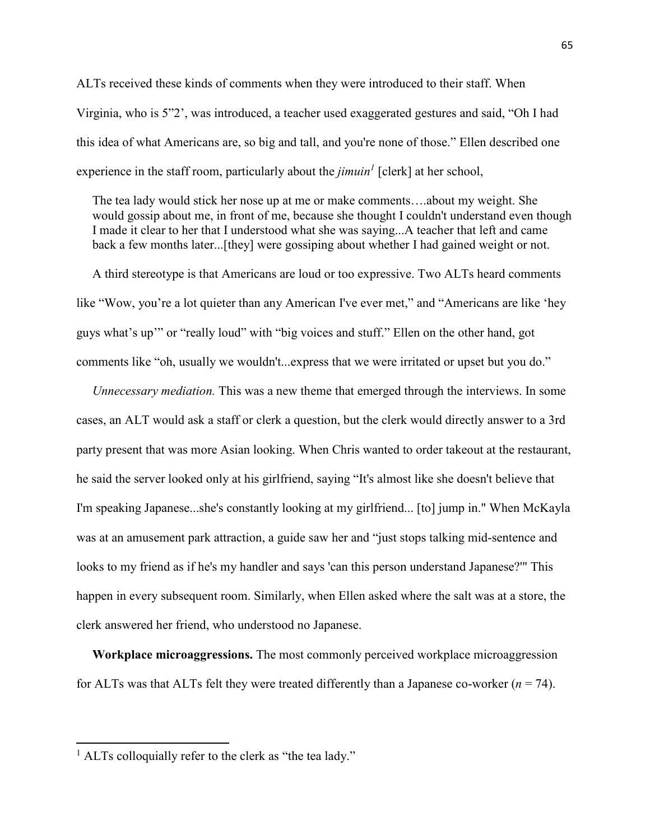ALTs received these kinds of comments when they were introduced to their staff. When Virginia, who is 5"2', was introduced, a teacher used exaggerated gestures and said, "Oh I had this idea of what Americans are, so big and tall, and you're none of those." Ellen described one experience in the staff room, particularly about the *jimuin<sup>1</sup>* [clerk] at her school,

 The tea lady would stick her nose up at me or make comments….about my weight. She would gossip about me, in front of me, because she thought I couldn't understand even though I made it clear to her that I understood what she was saying...A teacher that left and came back a few months later...[they] were gossiping about whether I had gained weight or not.

 A third stereotype is that Americans are loud or too expressive. Two ALTs heard comments like "Wow, you're a lot quieter than any American I've ever met," and "Americans are like 'hey guys what's up'" or "really loud" with "big voices and stuff." Ellen on the other hand, got comments like "oh, usually we wouldn't...express that we were irritated or upset but you do."

 *Unnecessary mediation.* This was a new theme that emerged through the interviews. In some cases, an ALT would ask a staff or clerk a question, but the clerk would directly answer to a 3rd party present that was more Asian looking. When Chris wanted to order takeout at the restaurant, he said the server looked only at his girlfriend, saying "It's almost like she doesn't believe that I'm speaking Japanese...she's constantly looking at my girlfriend... [to] jump in." When McKayla was at an amusement park attraction, a guide saw her and "just stops talking mid-sentence and looks to my friend as if he's my handler and says 'can this person understand Japanese?'" This happen in every subsequent room. Similarly, when Ellen asked where the salt was at a store, the clerk answered her friend, who understood no Japanese.

 **Workplace microaggressions.** The most commonly perceived workplace microaggression for ALTs was that ALTs felt they were treated differently than a Japanese co-worker  $(n = 74)$ .

 $\overline{a}$ 

<sup>&</sup>lt;sup>1</sup> ALTs colloquially refer to the clerk as "the tea lady."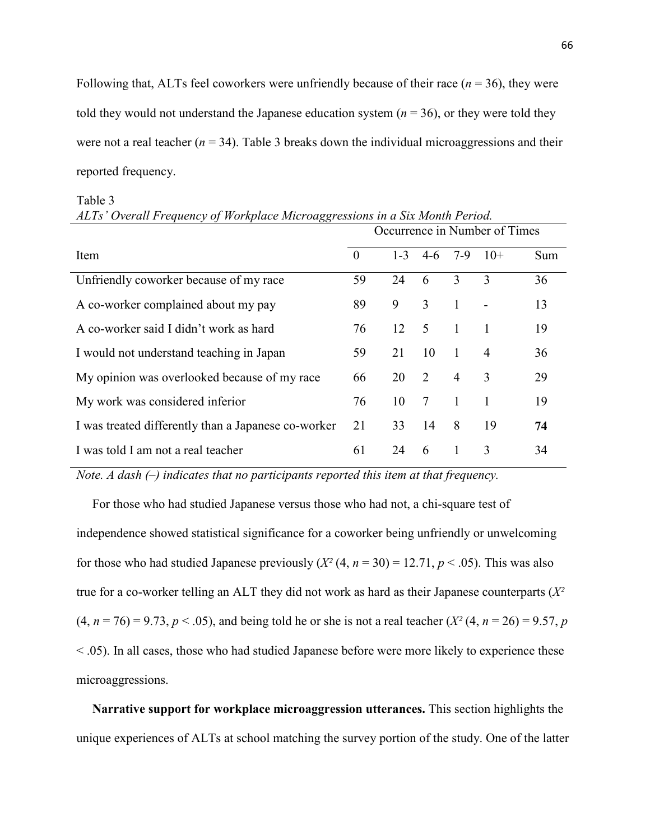Following that, ALTs feel coworkers were unfriendly because of their race  $(n = 36)$ , they were told they would not understand the Japanese education system  $(n = 36)$ , or they were told they were not a real teacher  $(n = 34)$ . Table 3 breaks down the individual microaggressions and their reported frequency.

| ပပ                                                  | Occurrence in Number of Times |         |                             |                |                |     |
|-----------------------------------------------------|-------------------------------|---------|-----------------------------|----------------|----------------|-----|
| Item                                                | $\theta$                      | $1 - 3$ | $4-6$                       | $7-9$          | $10+$          | Sum |
| Unfriendly coworker because of my race              | 59                            | 24      | 6                           | 3              | 3              | 36  |
| A co-worker complained about my pay                 | 89                            | 9       | 3                           | 1              |                | 13  |
| A co-worker said I didn't work as hard              | 76                            | 12      | - 5                         | $\mathbf{1}$   |                | 19  |
| I would not understand teaching in Japan            | 59                            | 21      | 10                          | 1              | $\overline{4}$ | 36  |
| My opinion was overlooked because of my race        | 66                            | 20      | $\mathcal{D}_{\mathcal{L}}$ | $\overline{4}$ | 3              | 29  |
| My work was considered inferior                     | 76                            | 10      | 7                           | 1              |                | 19  |
| I was treated differently than a Japanese co-worker | 21                            | 33      | 14                          | 8              | 19             | 74  |
| I was told I am not a real teacher                  | 61                            | 24      | 6                           |                | 3              | 34  |

#### Table 3

| ALTs' Overall Frequency of Workplace Microaggressions in a Six Month Period. |  |
|------------------------------------------------------------------------------|--|
|------------------------------------------------------------------------------|--|

*Note. A dash (–) indicates that no participants reported this item at that frequency.* 

 For those who had studied Japanese versus those who had not, a chi-square test of independence showed statistical significance for a coworker being unfriendly or unwelcoming for those who had studied Japanese previously  $(X^2(4, n = 30) = 12.71, p < .05)$ . This was also true for a co-worker telling an ALT they did not work as hard as their Japanese counterparts (*X²*   $(4, n = 76) = 9.73, p < .05$ , and being told he or she is not a real teacher  $(X^2(4, n = 26) = 9.57, p$ < .05). In all cases, those who had studied Japanese before were more likely to experience these microaggressions.

 **Narrative support for workplace microaggression utterances.** This section highlights the unique experiences of ALTs at school matching the survey portion of the study. One of the latter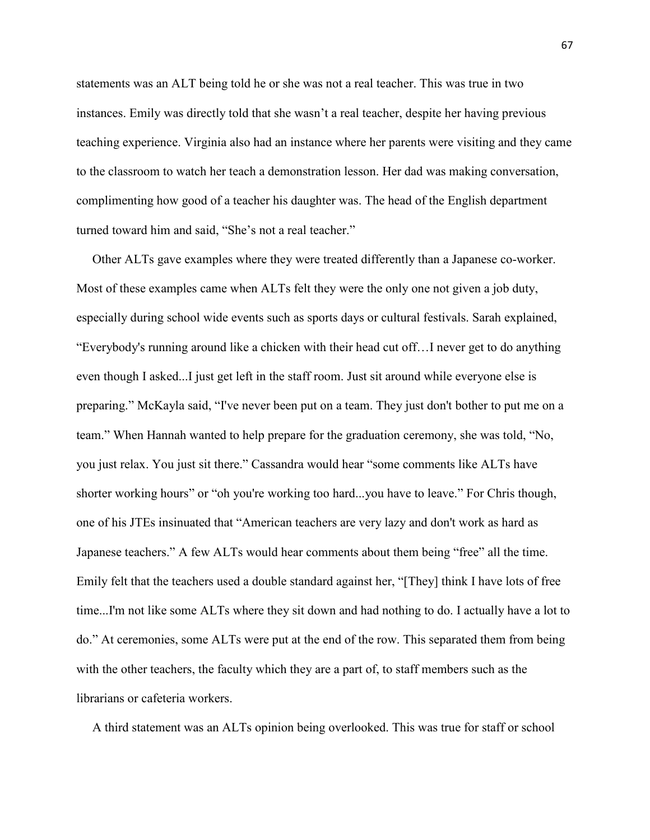statements was an ALT being told he or she was not a real teacher. This was true in two instances. Emily was directly told that she wasn't a real teacher, despite her having previous teaching experience. Virginia also had an instance where her parents were visiting and they came to the classroom to watch her teach a demonstration lesson. Her dad was making conversation, complimenting how good of a teacher his daughter was. The head of the English department turned toward him and said, "She's not a real teacher."

 Other ALTs gave examples where they were treated differently than a Japanese co-worker. Most of these examples came when ALTs felt they were the only one not given a job duty, especially during school wide events such as sports days or cultural festivals. Sarah explained, "Everybody's running around like a chicken with their head cut off…I never get to do anything even though I asked...I just get left in the staff room. Just sit around while everyone else is preparing." McKayla said, "I've never been put on a team. They just don't bother to put me on a team." When Hannah wanted to help prepare for the graduation ceremony, she was told, "No, you just relax. You just sit there." Cassandra would hear "some comments like ALTs have shorter working hours" or "oh you're working too hard...you have to leave." For Chris though, one of his JTEs insinuated that "American teachers are very lazy and don't work as hard as Japanese teachers." A few ALTs would hear comments about them being "free" all the time. Emily felt that the teachers used a double standard against her, "[They] think I have lots of free time...I'm not like some ALTs where they sit down and had nothing to do. I actually have a lot to do." At ceremonies, some ALTs were put at the end of the row. This separated them from being with the other teachers, the faculty which they are a part of, to staff members such as the librarians or cafeteria workers.

A third statement was an ALTs opinion being overlooked. This was true for staff or school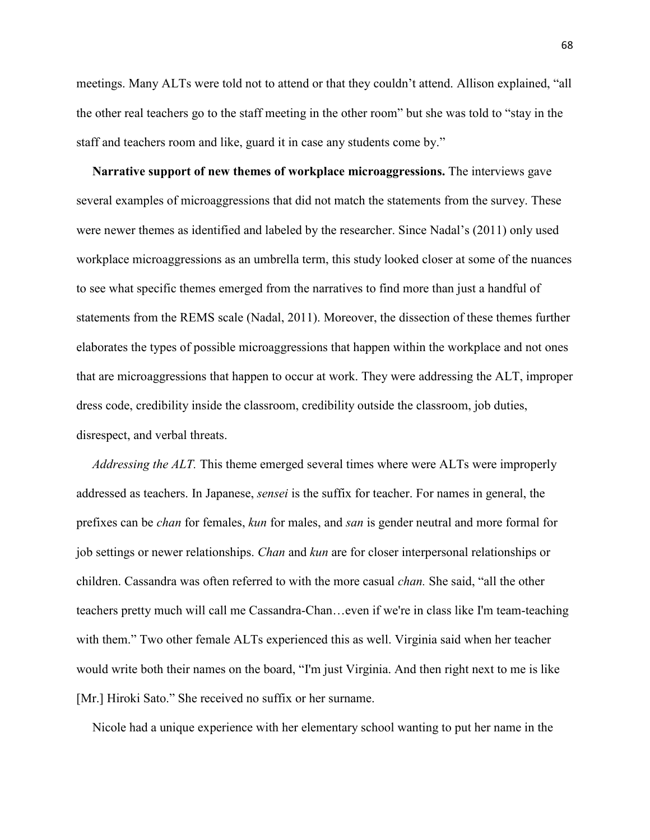meetings. Many ALTs were told not to attend or that they couldn't attend. Allison explained, "all the other real teachers go to the staff meeting in the other room" but she was told to "stay in the staff and teachers room and like, guard it in case any students come by."

 **Narrative support of new themes of workplace microaggressions.** The interviews gave several examples of microaggressions that did not match the statements from the survey. These were newer themes as identified and labeled by the researcher. Since Nadal's (2011) only used workplace microaggressions as an umbrella term, this study looked closer at some of the nuances to see what specific themes emerged from the narratives to find more than just a handful of statements from the REMS scale (Nadal, 2011). Moreover, the dissection of these themes further elaborates the types of possible microaggressions that happen within the workplace and not ones that are microaggressions that happen to occur at work. They were addressing the ALT, improper dress code, credibility inside the classroom, credibility outside the classroom, job duties, disrespect, and verbal threats.

 *Addressing the ALT.* This theme emerged several times where were ALTs were improperly addressed as teachers. In Japanese, *sensei* is the suffix for teacher. For names in general, the prefixes can be *chan* for females, *kun* for males, and *san* is gender neutral and more formal for job settings or newer relationships. *Chan* and *kun* are for closer interpersonal relationships or children. Cassandra was often referred to with the more casual *chan.* She said, "all the other teachers pretty much will call me Cassandra-Chan…even if we're in class like I'm team-teaching with them." Two other female ALTs experienced this as well. Virginia said when her teacher would write both their names on the board, "I'm just Virginia. And then right next to me is like [Mr.] Hiroki Sato." She received no suffix or her surname.

Nicole had a unique experience with her elementary school wanting to put her name in the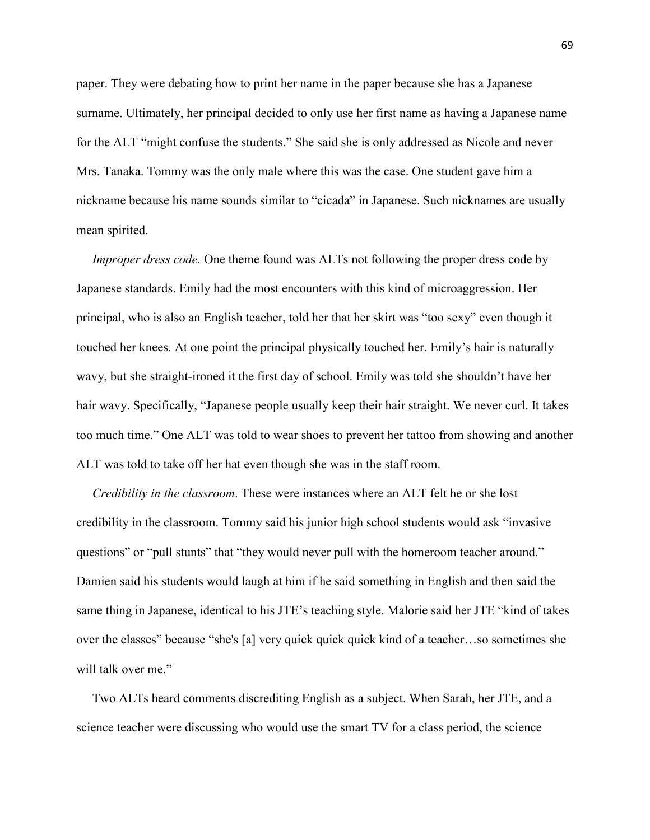paper. They were debating how to print her name in the paper because she has a Japanese surname. Ultimately, her principal decided to only use her first name as having a Japanese name for the ALT "might confuse the students." She said she is only addressed as Nicole and never Mrs. Tanaka. Tommy was the only male where this was the case. One student gave him a nickname because his name sounds similar to "cicada" in Japanese. Such nicknames are usually mean spirited.

*Improper dress code.* One theme found was ALTs not following the proper dress code by Japanese standards. Emily had the most encounters with this kind of microaggression. Her principal, who is also an English teacher, told her that her skirt was "too sexy" even though it touched her knees. At one point the principal physically touched her. Emily's hair is naturally wavy, but she straight-ironed it the first day of school. Emily was told she shouldn't have her hair wavy. Specifically, "Japanese people usually keep their hair straight. We never curl. It takes too much time." One ALT was told to wear shoes to prevent her tattoo from showing and another ALT was told to take off her hat even though she was in the staff room.

 *Credibility in the classroom*. These were instances where an ALT felt he or she lost credibility in the classroom. Tommy said his junior high school students would ask "invasive questions" or "pull stunts" that "they would never pull with the homeroom teacher around." Damien said his students would laugh at him if he said something in English and then said the same thing in Japanese, identical to his JTE's teaching style. Malorie said her JTE "kind of takes over the classes" because "she's [a] very quick quick quick kind of a teacher…so sometimes she will talk over me."

 Two ALTs heard comments discrediting English as a subject. When Sarah, her JTE, and a science teacher were discussing who would use the smart TV for a class period, the science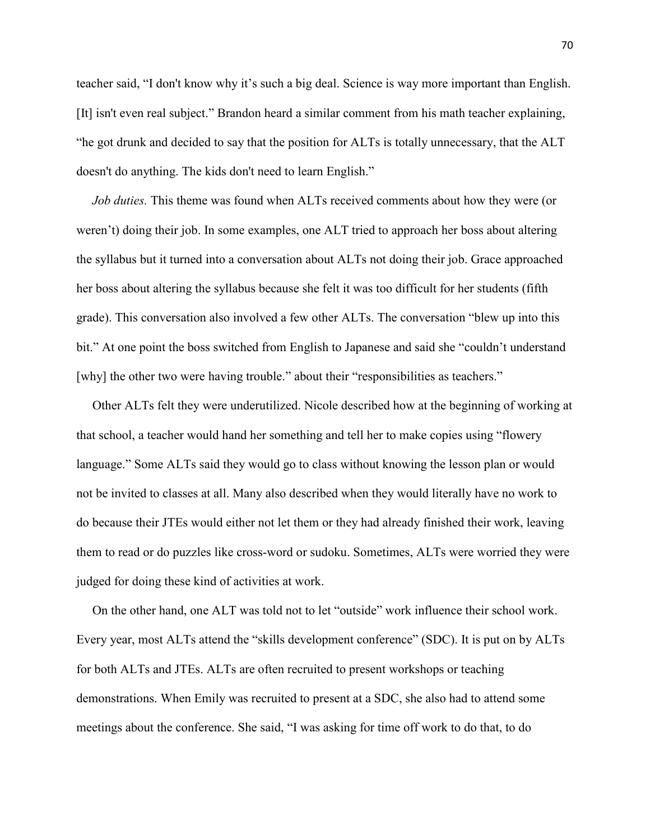teacher said, "I don't know why it's such a big deal. Science is way more important than English. [It] isn't even real subject." Brandon heard a similar comment from his math teacher explaining, "he got drunk and decided to say that the position for ALTs is totally unnecessary, that the ALT doesn't do anything. The kids don't need to learn English."

 *Job duties.* This theme was found when ALTs received comments about how they were (or weren't) doing their job. In some examples, one ALT tried to approach her boss about altering the syllabus but it turned into a conversation about ALTs not doing their job. Grace approached her boss about altering the syllabus because she felt it was too difficult for her students (fifth grade). This conversation also involved a few other ALTs. The conversation "blew up into this bit." At one point the boss switched from English to Japanese and said she "couldn't understand [why] the other two were having trouble." about their "responsibilities as teachers."

 Other ALTs felt they were underutilized. Nicole described how at the beginning of working at that school, a teacher would hand her something and tell her to make copies using "flowery language." Some ALTs said they would go to class without knowing the lesson plan or would not be invited to classes at all. Many also described when they would literally have no work to do because their JTEs would either not let them or they had already finished their work, leaving them to read or do puzzles like cross-word or sudoku. Sometimes, ALTs were worried they were judged for doing these kind of activities at work.

 On the other hand, one ALT was told not to let "outside" work influence their school work. Every year, most ALTs attend the "skills development conference" (SDC). It is put on by ALTs for both ALTs and JTEs. ALTs are often recruited to present workshops or teaching demonstrations. When Emily was recruited to present at a SDC, she also had to attend some meetings about the conference. She said, "I was asking for time off work to do that, to do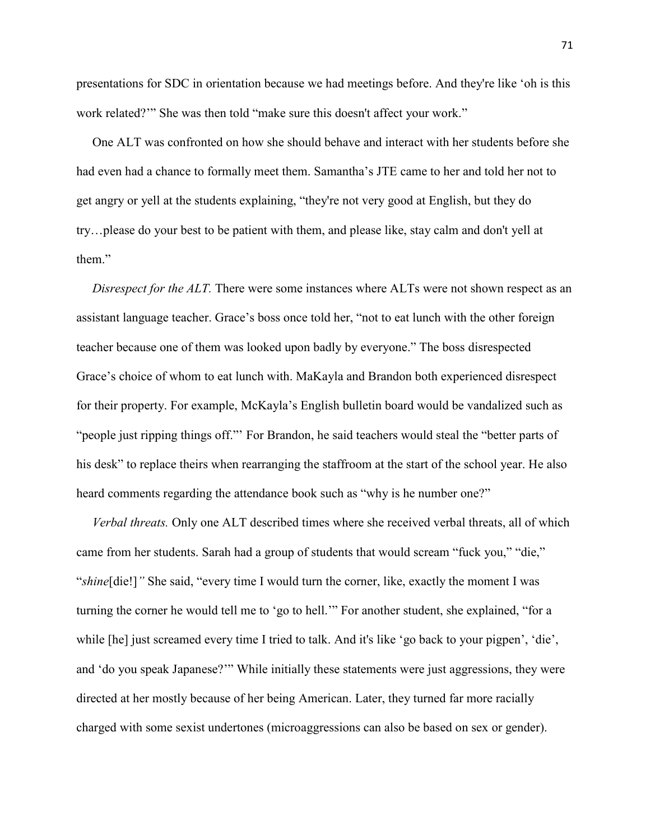presentations for SDC in orientation because we had meetings before. And they're like 'oh is this work related?'" She was then told "make sure this doesn't affect your work."

 One ALT was confronted on how she should behave and interact with her students before she had even had a chance to formally meet them. Samantha's JTE came to her and told her not to get angry or yell at the students explaining, "they're not very good at English, but they do try…please do your best to be patient with them, and please like, stay calm and don't yell at them."

*Disrespect for the ALT.* There were some instances where ALTs were not shown respect as an assistant language teacher. Grace's boss once told her, "not to eat lunch with the other foreign teacher because one of them was looked upon badly by everyone." The boss disrespected Grace's choice of whom to eat lunch with. MaKayla and Brandon both experienced disrespect for their property. For example, McKayla's English bulletin board would be vandalized such as "people just ripping things off."' For Brandon, he said teachers would steal the "better parts of his desk" to replace theirs when rearranging the staffroom at the start of the school year. He also heard comments regarding the attendance book such as "why is he number one?"

 *Verbal threats.* Only one ALT described times where she received verbal threats, all of which came from her students. Sarah had a group of students that would scream "fuck you," "die," "*shine*[die!]*"* She said, "every time I would turn the corner, like, exactly the moment I was turning the corner he would tell me to 'go to hell.'" For another student, she explained, "for a while [he] just screamed every time I tried to talk. And it's like 'go back to your pigpen', 'die', and 'do you speak Japanese?'" While initially these statements were just aggressions, they were directed at her mostly because of her being American. Later, they turned far more racially charged with some sexist undertones (microaggressions can also be based on sex or gender).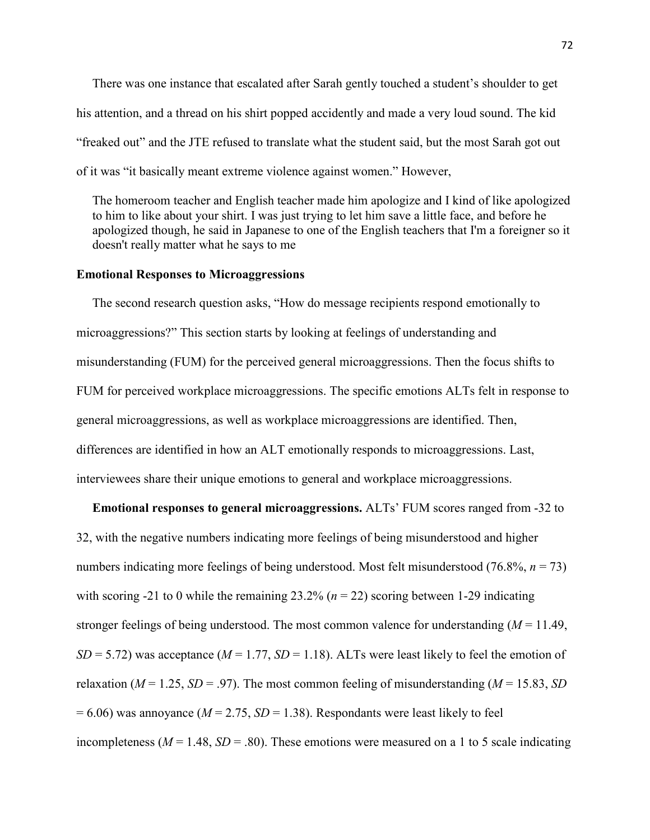There was one instance that escalated after Sarah gently touched a student's shoulder to get his attention, and a thread on his shirt popped accidently and made a very loud sound. The kid "freaked out" and the JTE refused to translate what the student said, but the most Sarah got out of it was "it basically meant extreme violence against women." However,

 The homeroom teacher and English teacher made him apologize and I kind of like apologized to him to like about your shirt. I was just trying to let him save a little face, and before he apologized though, he said in Japanese to one of the English teachers that I'm a foreigner so it doesn't really matter what he says to me

# **Emotional Responses to Microaggressions**

 The second research question asks, "How do message recipients respond emotionally to microaggressions?" This section starts by looking at feelings of understanding and misunderstanding (FUM) for the perceived general microaggressions. Then the focus shifts to FUM for perceived workplace microaggressions. The specific emotions ALTs felt in response to general microaggressions, as well as workplace microaggressions are identified. Then, differences are identified in how an ALT emotionally responds to microaggressions. Last, interviewees share their unique emotions to general and workplace microaggressions.

 **Emotional responses to general microaggressions.** ALTs' FUM scores ranged from -32 to 32, with the negative numbers indicating more feelings of being misunderstood and higher numbers indicating more feelings of being understood. Most felt misunderstood (76.8%, *n* = 73) with scoring -21 to 0 while the remaining  $23.2\%$  ( $n = 22$ ) scoring between 1-29 indicating stronger feelings of being understood. The most common valence for understanding (*M* = 11.49,  $SD = 5.72$ ) was acceptance ( $M = 1.77$ ,  $SD = 1.18$ ). ALTs were least likely to feel the emotion of relaxation ( $M = 1.25$ ,  $SD = .97$ ). The most common feeling of misunderstanding ( $M = 15.83$ ,  $SD$  $= 6.06$ ) was annoyance ( $M = 2.75$ ,  $SD = 1.38$ ). Respondants were least likely to feel incompleteness ( $M = 1.48$ ,  $SD = .80$ ). These emotions were measured on a 1 to 5 scale indicating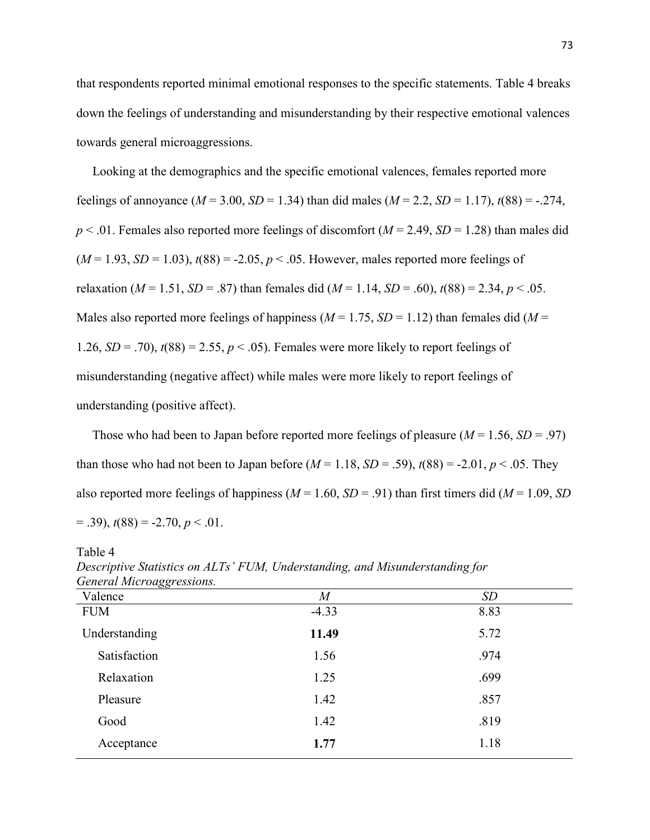that respondents reported minimal emotional responses to the specific statements. Table 4 breaks down the feelings of understanding and misunderstanding by their respective emotional valences towards general microaggressions.

 Looking at the demographics and the specific emotional valences, females reported more feelings of annoyance ( $M = 3.00$ ,  $SD = 1.34$ ) than did males ( $M = 2.2$ ,  $SD = 1.17$ ),  $t(88) = -0.274$ ,  $p < .01$ . Females also reported more feelings of discomfort ( $M = 2.49$ ,  $SD = 1.28$ ) than males did  $(M = 1.93, SD = 1.03)$ ,  $t(88) = -2.05, p < .05$ . However, males reported more feelings of relaxation (*M* = 1.51, *SD* = .87) than females did (*M* = 1.14, *SD* = .60),  $t(88) = 2.34$ ,  $p < .05$ . Males also reported more feelings of happiness ( $M = 1.75$ ,  $SD = 1.12$ ) than females did ( $M =$ 1.26,  $SD = .70$ ,  $t(88) = 2.55$ ,  $p < .05$ ). Females were more likely to report feelings of misunderstanding (negative affect) while males were more likely to report feelings of understanding (positive affect).

Those who had been to Japan before reported more feelings of pleasure  $(M = 1.56, SD = .97)$ than those who had not been to Japan before  $(M = 1.18, SD = .59)$ ,  $t(88) = -2.01, p < .05$ . They also reported more feelings of happiness ( $M = 1.60$ ,  $SD = .91$ ) than first timers did ( $M = 1.09$ , *SD*)  $(39)$ ,  $t(88) = -2.70$ ,  $p < .01$ .

| General Microaggressions. |                  |      |
|---------------------------|------------------|------|
| Valence                   | $\boldsymbol{M}$ | SD   |
| <b>FUM</b>                | $-4.33$          | 8.83 |
| Understanding             | 11.49            | 5.72 |
| Satisfaction              | 1.56             | .974 |
| Relaxation                | 1.25             | .699 |
| Pleasure                  | 1.42             | .857 |
| Good                      | 1.42             | .819 |
| Acceptance                | 1.77             | 1.18 |
|                           |                  |      |

*Descriptive Statistics on ALTs' FUM, Understanding, and Misunderstanding for General Microaggressions.* 

Table 4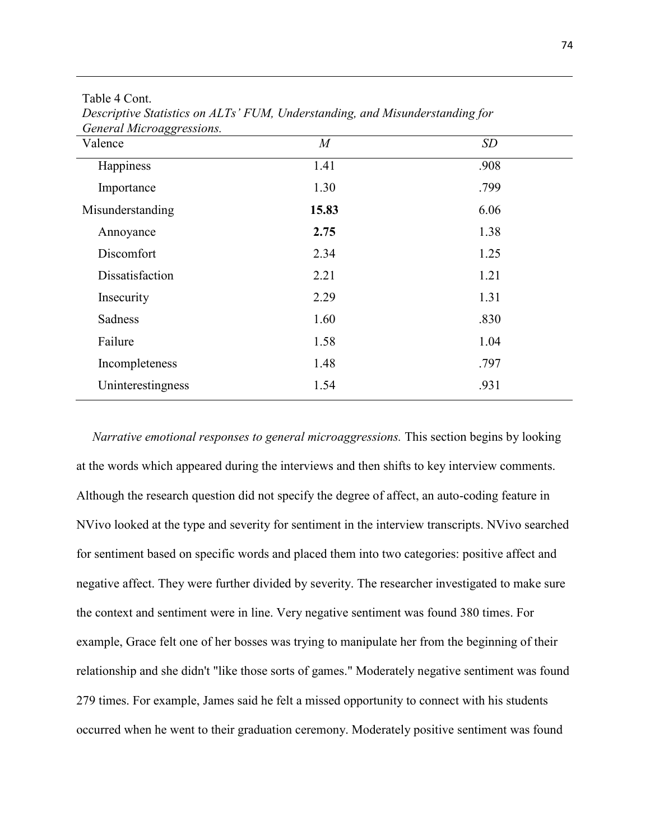| Valence           | M     | SD   |
|-------------------|-------|------|
| Happiness         | 1.41  | .908 |
| Importance        | 1.30  | .799 |
| Misunderstanding  | 15.83 | 6.06 |
| Annoyance         | 2.75  | 1.38 |
| Discomfort        | 2.34  | 1.25 |
| Dissatisfaction   | 2.21  | 1.21 |
| Insecurity        | 2.29  | 1.31 |
| Sadness           | 1.60  | .830 |
| Failure           | 1.58  | 1.04 |
| Incompleteness    | 1.48  | .797 |
| Uninterestingness | 1.54  | .931 |

Table 4 Cont. *Descriptive Statistics on ALTs' FUM, Understanding, and Misunderstanding for General Microaggressions.*

 *Narrative emotional responses to general microaggressions.* This section begins by looking at the words which appeared during the interviews and then shifts to key interview comments. Although the research question did not specify the degree of affect, an auto-coding feature in NVivo looked at the type and severity for sentiment in the interview transcripts. NVivo searched for sentiment based on specific words and placed them into two categories: positive affect and negative affect. They were further divided by severity. The researcher investigated to make sure the context and sentiment were in line. Very negative sentiment was found 380 times. For example, Grace felt one of her bosses was trying to manipulate her from the beginning of their relationship and she didn't "like those sorts of games." Moderately negative sentiment was found 279 times. For example, James said he felt a missed opportunity to connect with his students occurred when he went to their graduation ceremony. Moderately positive sentiment was found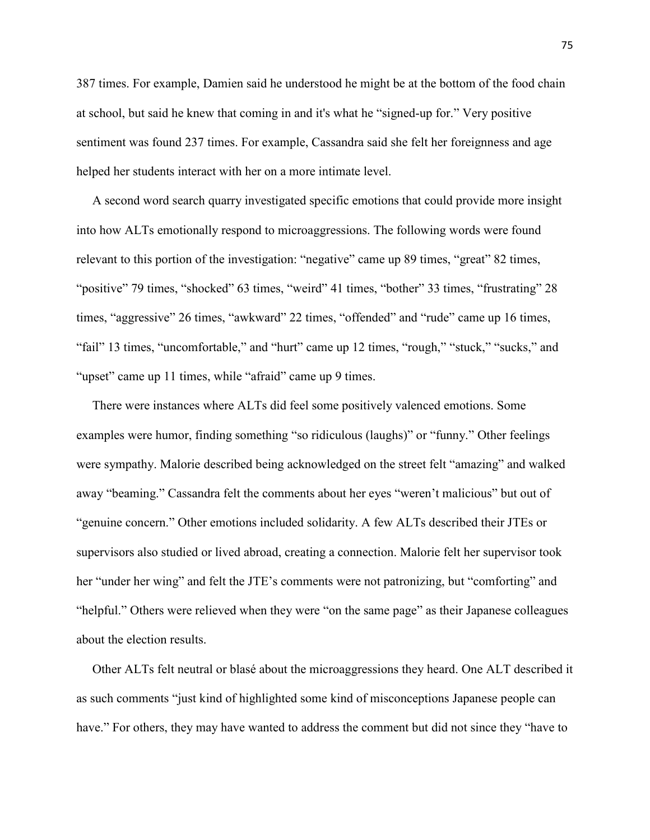387 times. For example, Damien said he understood he might be at the bottom of the food chain at school, but said he knew that coming in and it's what he "signed-up for." Very positive sentiment was found 237 times. For example, Cassandra said she felt her foreignness and age helped her students interact with her on a more intimate level.

 A second word search quarry investigated specific emotions that could provide more insight into how ALTs emotionally respond to microaggressions. The following words were found relevant to this portion of the investigation: "negative" came up 89 times, "great" 82 times, "positive" 79 times, "shocked" 63 times, "weird" 41 times, "bother" 33 times, "frustrating" 28 times, "aggressive" 26 times, "awkward" 22 times, "offended" and "rude" came up 16 times, "fail" 13 times, "uncomfortable," and "hurt" came up 12 times, "rough," "stuck," "sucks," and "upset" came up 11 times, while "afraid" came up 9 times.

 There were instances where ALTs did feel some positively valenced emotions. Some examples were humor, finding something "so ridiculous (laughs)" or "funny." Other feelings were sympathy. Malorie described being acknowledged on the street felt "amazing" and walked away "beaming." Cassandra felt the comments about her eyes "weren't malicious" but out of "genuine concern." Other emotions included solidarity. A few ALTs described their JTEs or supervisors also studied or lived abroad, creating a connection. Malorie felt her supervisor took her "under her wing" and felt the JTE's comments were not patronizing, but "comforting" and "helpful." Others were relieved when they were "on the same page" as their Japanese colleagues about the election results.

 Other ALTs felt neutral or blasé about the microaggressions they heard. One ALT described it as such comments "just kind of highlighted some kind of misconceptions Japanese people can have." For others, they may have wanted to address the comment but did not since they "have to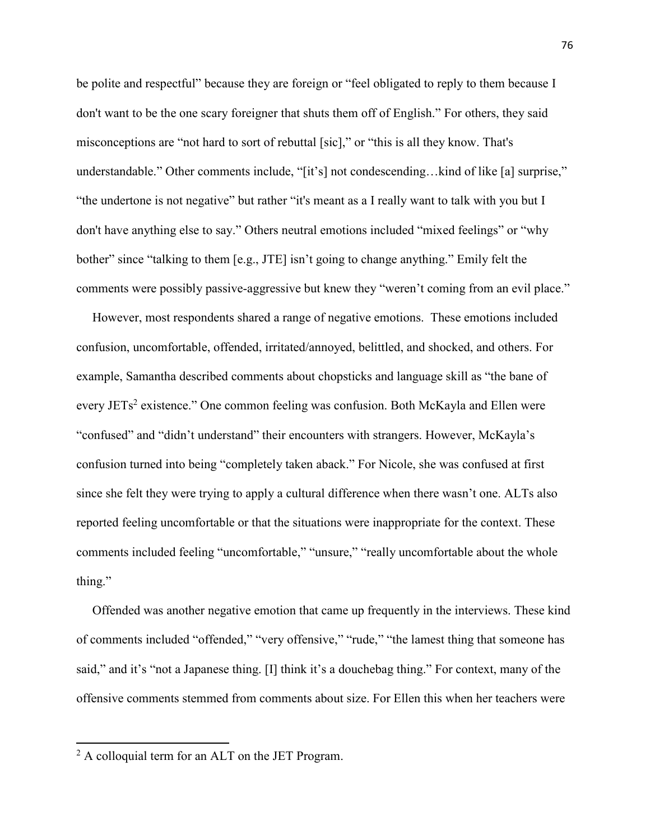be polite and respectful" because they are foreign or "feel obligated to reply to them because I don't want to be the one scary foreigner that shuts them off of English." For others, they said misconceptions are "not hard to sort of rebuttal [sic]," or "this is all they know. That's understandable." Other comments include, "[it's] not condescending...kind of like [a] surprise," "the undertone is not negative" but rather "it's meant as a I really want to talk with you but I don't have anything else to say." Others neutral emotions included "mixed feelings" or "why bother" since "talking to them [e.g., JTE] isn't going to change anything." Emily felt the comments were possibly passive-aggressive but knew they "weren't coming from an evil place."

 However, most respondents shared a range of negative emotions. These emotions included confusion, uncomfortable, offended, irritated/annoyed, belittled, and shocked, and others. For example, Samantha described comments about chopsticks and language skill as "the bane of every JETs<sup>2</sup> existence." One common feeling was confusion. Both McKayla and Ellen were "confused" and "didn't understand" their encounters with strangers. However, McKayla's confusion turned into being "completely taken aback." For Nicole, she was confused at first since she felt they were trying to apply a cultural difference when there wasn't one. ALTs also reported feeling uncomfortable or that the situations were inappropriate for the context. These comments included feeling "uncomfortable," "unsure," "really uncomfortable about the whole thing."

 Offended was another negative emotion that came up frequently in the interviews. These kind of comments included "offended," "very offensive," "rude," "the lamest thing that someone has said," and it's "not a Japanese thing. [I] think it's a douchebag thing." For context, many of the offensive comments stemmed from comments about size. For Ellen this when her teachers were

 $\overline{a}$ 

 $2$  A colloquial term for an ALT on the JET Program.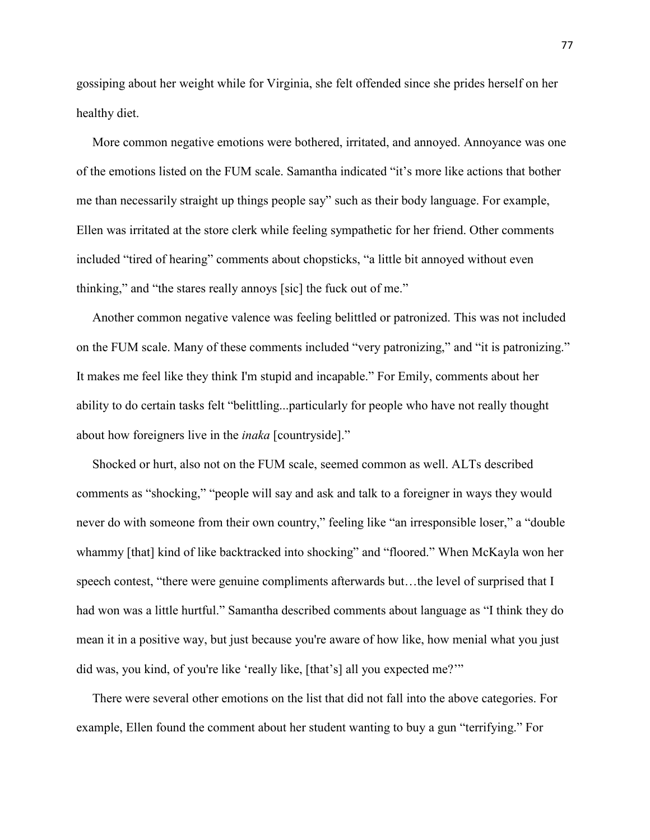gossiping about her weight while for Virginia, she felt offended since she prides herself on her healthy diet.

 More common negative emotions were bothered, irritated, and annoyed. Annoyance was one of the emotions listed on the FUM scale. Samantha indicated "it's more like actions that bother me than necessarily straight up things people say" such as their body language. For example, Ellen was irritated at the store clerk while feeling sympathetic for her friend. Other comments included "tired of hearing" comments about chopsticks, "a little bit annoyed without even thinking," and "the stares really annoys [sic] the fuck out of me."

 Another common negative valence was feeling belittled or patronized. This was not included on the FUM scale. Many of these comments included "very patronizing," and "it is patronizing." It makes me feel like they think I'm stupid and incapable." For Emily, comments about her ability to do certain tasks felt "belittling...particularly for people who have not really thought about how foreigners live in the *inaka* [countryside]."

 Shocked or hurt, also not on the FUM scale, seemed common as well. ALTs described comments as "shocking," "people will say and ask and talk to a foreigner in ways they would never do with someone from their own country," feeling like "an irresponsible loser," a "double whammy [that] kind of like backtracked into shocking" and "floored." When McKayla won her speech contest, "there were genuine compliments afterwards but…the level of surprised that I had won was a little hurtful." Samantha described comments about language as "I think they do mean it in a positive way, but just because you're aware of how like, how menial what you just did was, you kind, of you're like 'really like, [that's] all you expected me?'"

 There were several other emotions on the list that did not fall into the above categories. For example, Ellen found the comment about her student wanting to buy a gun "terrifying." For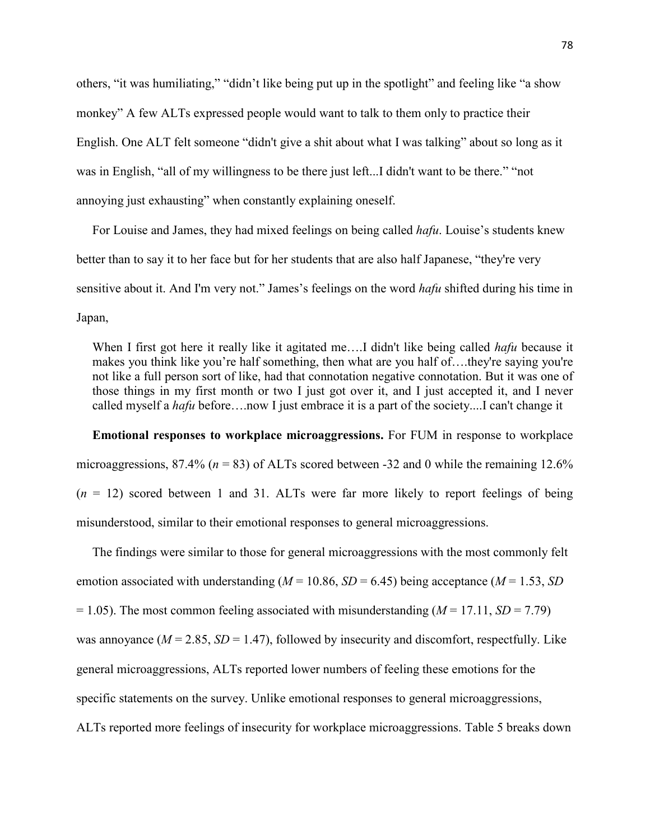others, "it was humiliating," "didn't like being put up in the spotlight" and feeling like "a show monkey" A few ALTs expressed people would want to talk to them only to practice their English. One ALT felt someone "didn't give a shit about what I was talking" about so long as it was in English, "all of my willingness to be there just left...I didn't want to be there." "not annoying just exhausting" when constantly explaining oneself.

 For Louise and James, they had mixed feelings on being called *hafu*. Louise's students knew better than to say it to her face but for her students that are also half Japanese, "they're very sensitive about it. And I'm very not." James's feelings on the word *hafu* shifted during his time in Japan,

 When I first got here it really like it agitated me….I didn't like being called *hafu* because it makes you think like you're half something, then what are you half of….they're saying you're not like a full person sort of like, had that connotation negative connotation. But it was one of those things in my first month or two I just got over it, and I just accepted it, and I never called myself a *hafu* before….now I just embrace it is a part of the society....I can't change it

 **Emotional responses to workplace microaggressions.** For FUM in response to workplace microaggressions, 87.4% ( $n = 83$ ) of ALTs scored between -32 and 0 while the remaining 12.6%  $(n = 12)$  scored between 1 and 31. ALTs were far more likely to report feelings of being misunderstood, similar to their emotional responses to general microaggressions.

 The findings were similar to those for general microaggressions with the most commonly felt emotion associated with understanding ( $M = 10.86$ ,  $SD = 6.45$ ) being acceptance ( $M = 1.53$ , *SD*  $= 1.05$ ). The most common feeling associated with misunderstanding ( $M = 17.11$ ,  $SD = 7.79$ ) was annoyance  $(M = 2.85, SD = 1.47)$ , followed by insecurity and discomfort, respectfully. Like general microaggressions, ALTs reported lower numbers of feeling these emotions for the specific statements on the survey. Unlike emotional responses to general microaggressions, ALTs reported more feelings of insecurity for workplace microaggressions. Table 5 breaks down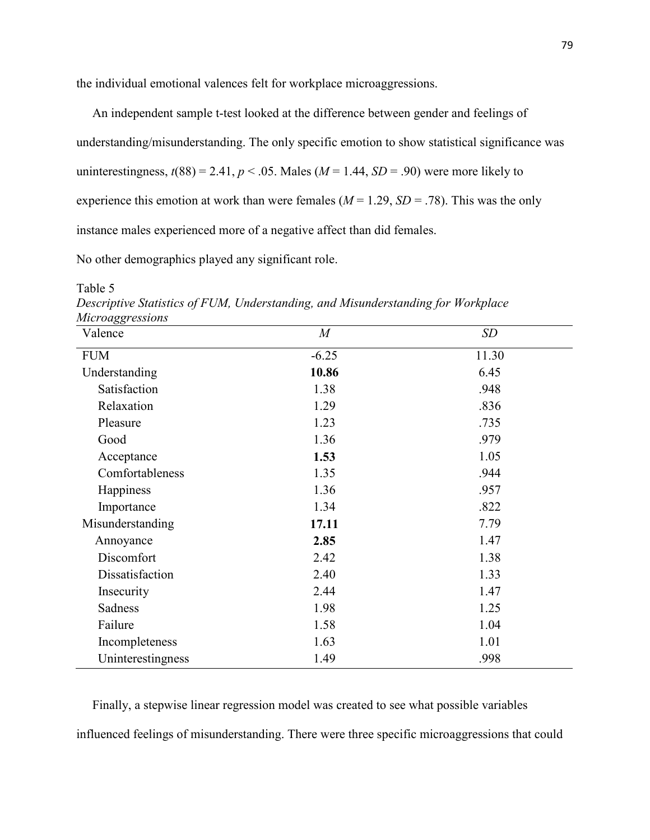the individual emotional valences felt for workplace microaggressions.

 An independent sample t-test looked at the difference between gender and feelings of understanding/misunderstanding. The only specific emotion to show statistical significance was uninterestingness,  $t(88) = 2.41$ ,  $p < .05$ . Males ( $M = 1.44$ ,  $SD = .90$ ) were more likely to experience this emotion at work than were females ( $M = 1.29$ ,  $SD = .78$ ). This was the only instance males experienced more of a negative affect than did females.

No other demographics played any significant role.

Table 5

*Descriptive Statistics of FUM, Understanding, and Misunderstanding for Workplace Microaggressions* 

| michaego costono<br>Valence | $\boldsymbol{M}$ | <b>SD</b> |
|-----------------------------|------------------|-----------|
| <b>FUM</b>                  | $-6.25$          | 11.30     |
| Understanding               | 10.86            | 6.45      |
| Satisfaction                | 1.38             | .948      |
| Relaxation                  | 1.29             | .836      |
| Pleasure                    | 1.23             | .735      |
| Good                        | 1.36             | .979      |
| Acceptance                  | 1.53             | 1.05      |
| Comfortableness             | 1.35             | .944      |
| Happiness                   | 1.36             | .957      |
| Importance                  | 1.34             | .822      |
| Misunderstanding            | 17.11            | 7.79      |
| Annoyance                   | 2.85             | 1.47      |
| Discomfort                  | 2.42             | 1.38      |
| Dissatisfaction             | 2.40             | 1.33      |
| Insecurity                  | 2.44             | 1.47      |
| Sadness                     | 1.98             | 1.25      |
| Failure                     | 1.58             | 1.04      |
| Incompleteness              | 1.63             | 1.01      |
| Uninterestingness           | 1.49             | .998      |

 Finally, a stepwise linear regression model was created to see what possible variables influenced feelings of misunderstanding. There were three specific microaggressions that could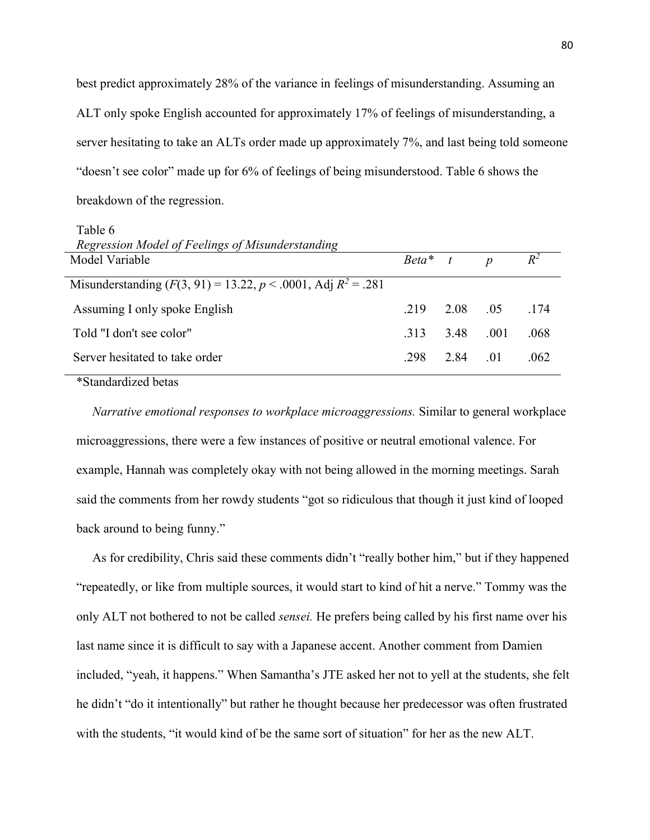best predict approximately 28% of the variance in feelings of misunderstanding. Assuming an ALT only spoke English accounted for approximately 17% of feelings of misunderstanding, a server hesitating to take an ALTs order made up approximately 7%, and last being told someone "doesn't see color" made up for 6% of feelings of being misunderstood. Table 6 shows the breakdown of the regression.

Table 6

| Regression Model of Feelings of Misunderstanding                  |            |          |                  |       |
|-------------------------------------------------------------------|------------|----------|------------------|-------|
| Model Variable                                                    | $Beta^*$ t |          | $\boldsymbol{D}$ | $R^2$ |
| Misunderstanding $(F(3, 91) = 13.22, p < .0001,$ Adj $R^2 = .281$ |            |          |                  |       |
| Assuming I only spoke English                                     | 219        | 2.08 .05 |                  | 174   |
| Told "I don't see color"                                          | 313        | 3.48     | .001             | .068  |
| Server hesitated to take order                                    | .298       | 2.84     | $\pm 01$         | .062  |
|                                                                   |            |          |                  |       |

\*Standardized betas

 *Narrative emotional responses to workplace microaggressions.* Similar to general workplace microaggressions, there were a few instances of positive or neutral emotional valence. For example, Hannah was completely okay with not being allowed in the morning meetings. Sarah said the comments from her rowdy students "got so ridiculous that though it just kind of looped back around to being funny."

 As for credibility, Chris said these comments didn't "really bother him," but if they happened "repeatedly, or like from multiple sources, it would start to kind of hit a nerve." Tommy was the only ALT not bothered to not be called *sensei.* He prefers being called by his first name over his last name since it is difficult to say with a Japanese accent. Another comment from Damien included, "yeah, it happens." When Samantha's JTE asked her not to yell at the students, she felt he didn't "do it intentionally" but rather he thought because her predecessor was often frustrated with the students, "it would kind of be the same sort of situation" for her as the new ALT.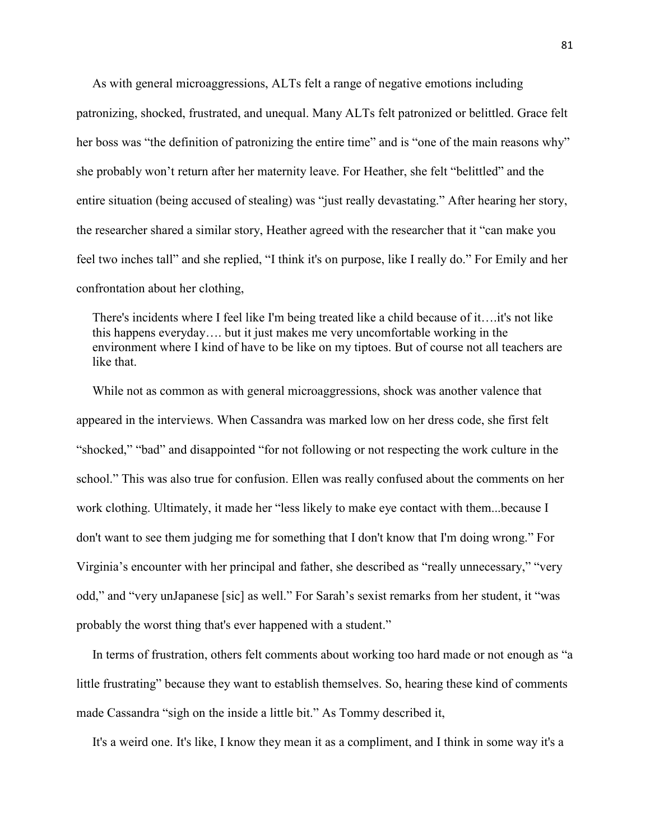As with general microaggressions, ALTs felt a range of negative emotions including patronizing, shocked, frustrated, and unequal. Many ALTs felt patronized or belittled. Grace felt her boss was "the definition of patronizing the entire time" and is "one of the main reasons why" she probably won't return after her maternity leave. For Heather, she felt "belittled" and the entire situation (being accused of stealing) was "just really devastating." After hearing her story, the researcher shared a similar story, Heather agreed with the researcher that it "can make you feel two inches tall" and she replied, "I think it's on purpose, like I really do." For Emily and her confrontation about her clothing,

 There's incidents where I feel like I'm being treated like a child because of it….it's not like this happens everyday…. but it just makes me very uncomfortable working in the environment where I kind of have to be like on my tiptoes. But of course not all teachers are like that.

 While not as common as with general microaggressions, shock was another valence that appeared in the interviews. When Cassandra was marked low on her dress code, she first felt "shocked," "bad" and disappointed "for not following or not respecting the work culture in the school." This was also true for confusion. Ellen was really confused about the comments on her work clothing. Ultimately, it made her "less likely to make eye contact with them...because I don't want to see them judging me for something that I don't know that I'm doing wrong." For Virginia's encounter with her principal and father, she described as "really unnecessary," "very odd," and "very unJapanese [sic] as well." For Sarah's sexist remarks from her student, it "was probably the worst thing that's ever happened with a student."

 In terms of frustration, others felt comments about working too hard made or not enough as "a little frustrating" because they want to establish themselves. So, hearing these kind of comments made Cassandra "sigh on the inside a little bit." As Tommy described it,

It's a weird one. It's like, I know they mean it as a compliment, and I think in some way it's a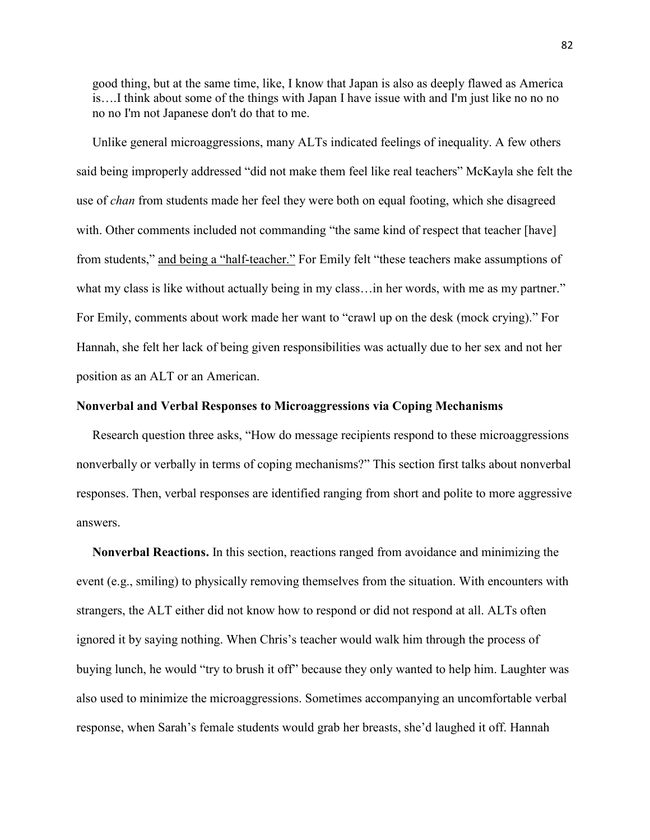good thing, but at the same time, like, I know that Japan is also as deeply flawed as America is….I think about some of the things with Japan I have issue with and I'm just like no no no no no I'm not Japanese don't do that to me.

 Unlike general microaggressions, many ALTs indicated feelings of inequality. A few others said being improperly addressed "did not make them feel like real teachers" McKayla she felt the use of *chan* from students made her feel they were both on equal footing, which she disagreed with. Other comments included not commanding "the same kind of respect that teacher [have] from students," and being a "half-teacher." For Emily felt "these teachers make assumptions of what my class is like without actually being in my class... in her words, with me as my partner." For Emily, comments about work made her want to "crawl up on the desk (mock crying)." For Hannah, she felt her lack of being given responsibilities was actually due to her sex and not her position as an ALT or an American.

# **Nonverbal and Verbal Responses to Microaggressions via Coping Mechanisms**

 Research question three asks, "How do message recipients respond to these microaggressions nonverbally or verbally in terms of coping mechanisms?" This section first talks about nonverbal responses. Then, verbal responses are identified ranging from short and polite to more aggressive answers.

 **Nonverbal Reactions.** In this section, reactions ranged from avoidance and minimizing the event (e.g., smiling) to physically removing themselves from the situation. With encounters with strangers, the ALT either did not know how to respond or did not respond at all. ALTs often ignored it by saying nothing. When Chris's teacher would walk him through the process of buying lunch, he would "try to brush it off" because they only wanted to help him. Laughter was also used to minimize the microaggressions. Sometimes accompanying an uncomfortable verbal response, when Sarah's female students would grab her breasts, she'd laughed it off. Hannah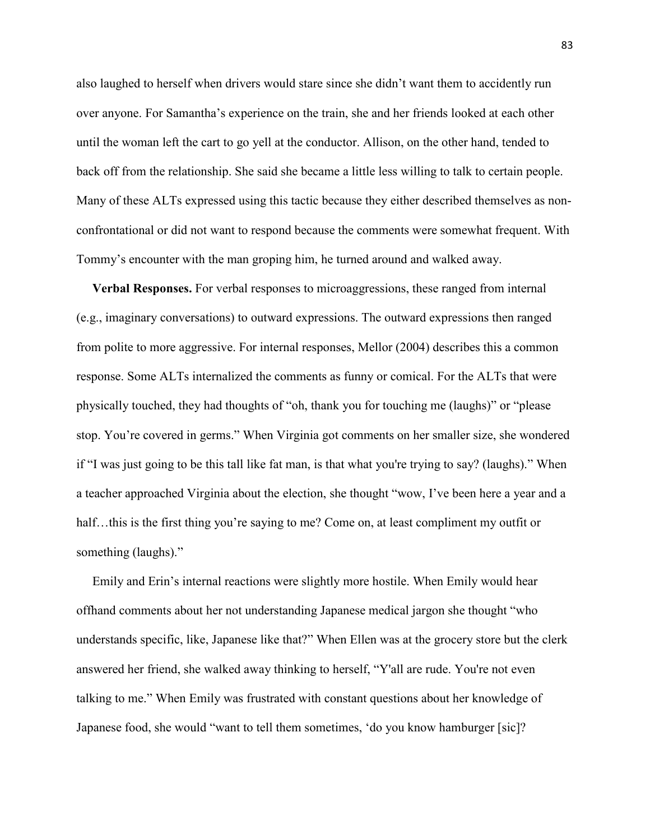also laughed to herself when drivers would stare since she didn't want them to accidently run over anyone. For Samantha's experience on the train, she and her friends looked at each other until the woman left the cart to go yell at the conductor. Allison, on the other hand, tended to back off from the relationship. She said she became a little less willing to talk to certain people. Many of these ALTs expressed using this tactic because they either described themselves as nonconfrontational or did not want to respond because the comments were somewhat frequent. With Tommy's encounter with the man groping him, he turned around and walked away.

 **Verbal Responses.** For verbal responses to microaggressions, these ranged from internal (e.g., imaginary conversations) to outward expressions. The outward expressions then ranged from polite to more aggressive. For internal responses, Mellor (2004) describes this a common response. Some ALTs internalized the comments as funny or comical. For the ALTs that were physically touched, they had thoughts of "oh, thank you for touching me (laughs)" or "please stop. You're covered in germs." When Virginia got comments on her smaller size, she wondered if "I was just going to be this tall like fat man, is that what you're trying to say? (laughs)." When a teacher approached Virginia about the election, she thought "wow, I've been here a year and a half…this is the first thing you're saying to me? Come on, at least compliment my outfit or something (laughs)."

 Emily and Erin's internal reactions were slightly more hostile. When Emily would hear offhand comments about her not understanding Japanese medical jargon she thought "who understands specific, like, Japanese like that?" When Ellen was at the grocery store but the clerk answered her friend, she walked away thinking to herself, "Y'all are rude. You're not even talking to me." When Emily was frustrated with constant questions about her knowledge of Japanese food, she would "want to tell them sometimes, 'do you know hamburger [sic]?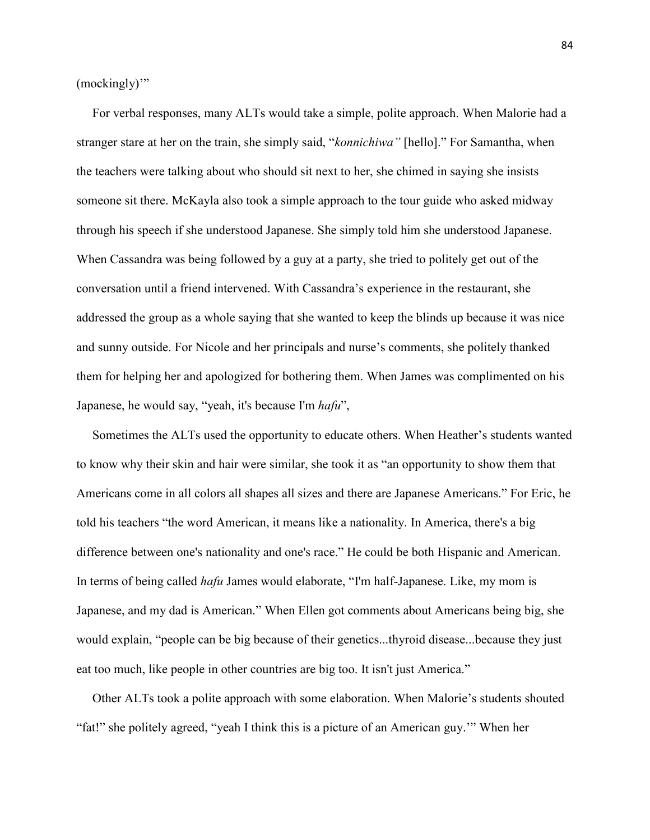(mockingly)"

 For verbal responses, many ALTs would take a simple, polite approach. When Malorie had a stranger stare at her on the train, she simply said, "*konnichiwa"* [hello]." For Samantha, when the teachers were talking about who should sit next to her, she chimed in saying she insists someone sit there. McKayla also took a simple approach to the tour guide who asked midway through his speech if she understood Japanese. She simply told him she understood Japanese. When Cassandra was being followed by a guy at a party, she tried to politely get out of the conversation until a friend intervened. With Cassandra's experience in the restaurant, she addressed the group as a whole saying that she wanted to keep the blinds up because it was nice and sunny outside. For Nicole and her principals and nurse's comments, she politely thanked them for helping her and apologized for bothering them. When James was complimented on his Japanese, he would say, "yeah, it's because I'm *hafu*",

 Sometimes the ALTs used the opportunity to educate others. When Heather's students wanted to know why their skin and hair were similar, she took it as "an opportunity to show them that Americans come in all colors all shapes all sizes and there are Japanese Americans." For Eric, he told his teachers "the word American, it means like a nationality. In America, there's a big difference between one's nationality and one's race." He could be both Hispanic and American. In terms of being called *hafu* James would elaborate, "I'm half-Japanese. Like, my mom is Japanese, and my dad is American." When Ellen got comments about Americans being big, she would explain, "people can be big because of their genetics...thyroid disease...because they just eat too much, like people in other countries are big too. It isn't just America."

 Other ALTs took a polite approach with some elaboration. When Malorie's students shouted "fat!" she politely agreed, "yeah I think this is a picture of an American guy.'" When her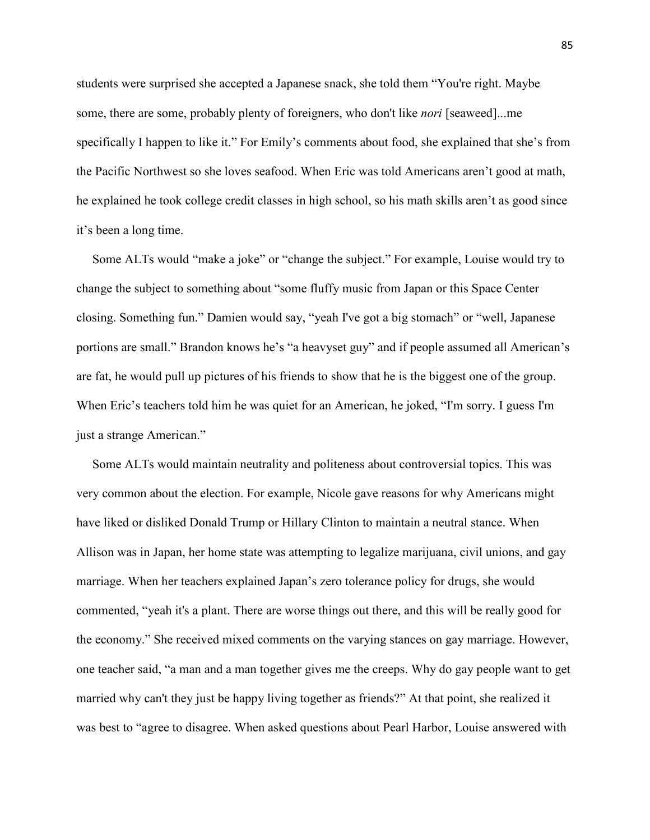students were surprised she accepted a Japanese snack, she told them "You're right. Maybe some, there are some, probably plenty of foreigners, who don't like *nori* [seaweed]...me specifically I happen to like it." For Emily's comments about food, she explained that she's from the Pacific Northwest so she loves seafood. When Eric was told Americans aren't good at math, he explained he took college credit classes in high school, so his math skills aren't as good since it's been a long time.

 Some ALTs would "make a joke" or "change the subject." For example, Louise would try to change the subject to something about "some fluffy music from Japan or this Space Center closing. Something fun." Damien would say, "yeah I've got a big stomach" or "well, Japanese portions are small." Brandon knows he's "a heavyset guy" and if people assumed all American's are fat, he would pull up pictures of his friends to show that he is the biggest one of the group. When Eric's teachers told him he was quiet for an American, he joked, "I'm sorry. I guess I'm just a strange American."

 Some ALTs would maintain neutrality and politeness about controversial topics. This was very common about the election. For example, Nicole gave reasons for why Americans might have liked or disliked Donald Trump or Hillary Clinton to maintain a neutral stance. When Allison was in Japan, her home state was attempting to legalize marijuana, civil unions, and gay marriage. When her teachers explained Japan's zero tolerance policy for drugs, she would commented, "yeah it's a plant. There are worse things out there, and this will be really good for the economy." She received mixed comments on the varying stances on gay marriage. However, one teacher said, "a man and a man together gives me the creeps. Why do gay people want to get married why can't they just be happy living together as friends?" At that point, she realized it was best to "agree to disagree. When asked questions about Pearl Harbor, Louise answered with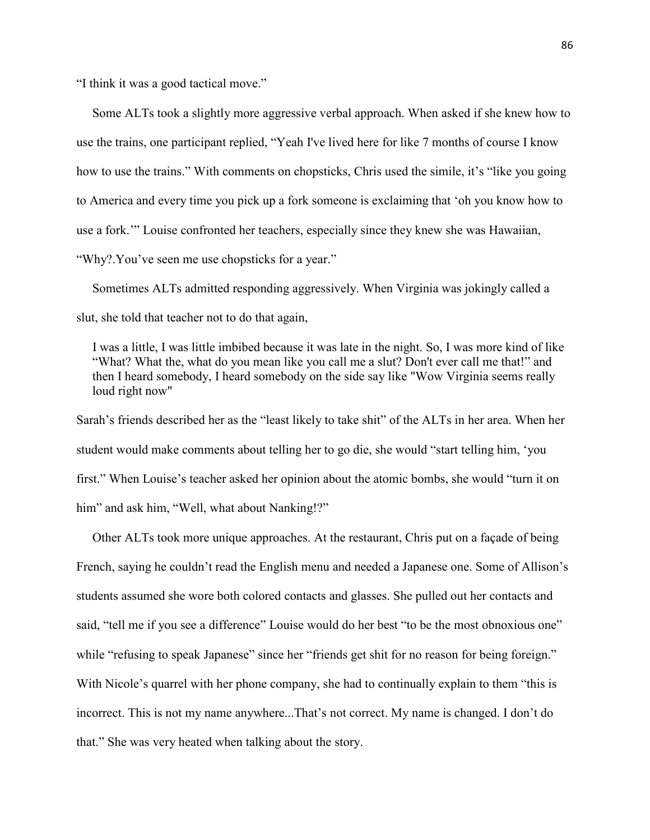"I think it was a good tactical move."

 Some ALTs took a slightly more aggressive verbal approach. When asked if she knew how to use the trains, one participant replied, "Yeah I've lived here for like 7 months of course I know how to use the trains." With comments on chopsticks, Chris used the simile, it's "like you going to America and every time you pick up a fork someone is exclaiming that 'oh you know how to use a fork.'" Louise confronted her teachers, especially since they knew she was Hawaiian, "Why?.You've seen me use chopsticks for a year."

 Sometimes ALTs admitted responding aggressively. When Virginia was jokingly called a slut, she told that teacher not to do that again,

 I was a little, I was little imbibed because it was late in the night. So, I was more kind of like "What? What the, what do you mean like you call me a slut? Don't ever call me that!" and then I heard somebody, I heard somebody on the side say like "Wow Virginia seems really loud right now"

Sarah's friends described her as the "least likely to take shit" of the ALTs in her area. When her student would make comments about telling her to go die, she would "start telling him, 'you first." When Louise's teacher asked her opinion about the atomic bombs, she would "turn it on him" and ask him, "Well, what about Nanking!?"

 Other ALTs took more unique approaches. At the restaurant, Chris put on a façade of being French, saying he couldn't read the English menu and needed a Japanese one. Some of Allison's students assumed she wore both colored contacts and glasses. She pulled out her contacts and said, "tell me if you see a difference" Louise would do her best "to be the most obnoxious one" while "refusing to speak Japanese" since her "friends get shit for no reason for being foreign." With Nicole's quarrel with her phone company, she had to continually explain to them "this is incorrect. This is not my name anywhere...That's not correct. My name is changed. I don't do that." She was very heated when talking about the story.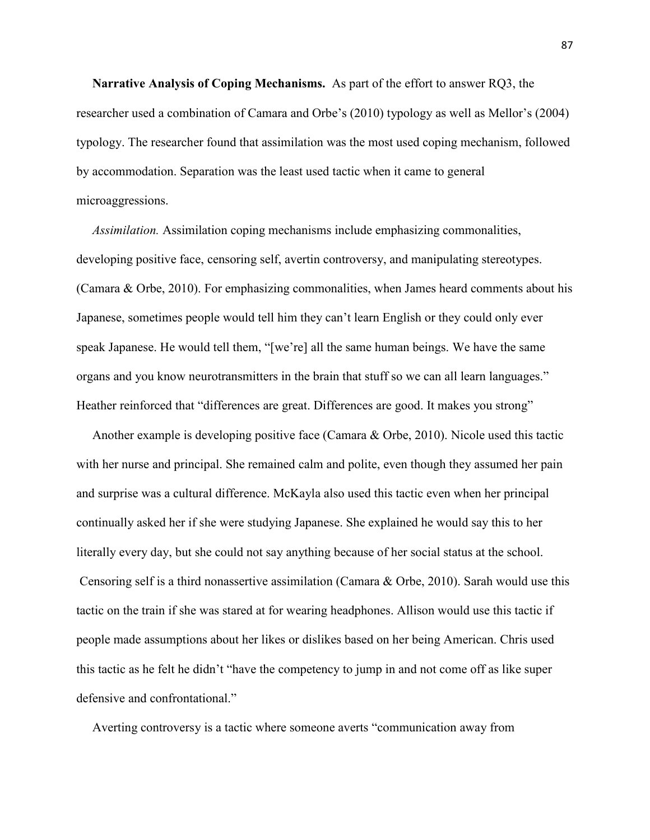**Narrative Analysis of Coping Mechanisms.** As part of the effort to answer RQ3, the researcher used a combination of Camara and Orbe's (2010) typology as well as Mellor's (2004) typology. The researcher found that assimilation was the most used coping mechanism, followed by accommodation. Separation was the least used tactic when it came to general microaggressions.

*Assimilation.* Assimilation coping mechanisms include emphasizing commonalities, developing positive face, censoring self, avertin controversy, and manipulating stereotypes. (Camara & Orbe, 2010). For emphasizing commonalities, when James heard comments about his Japanese, sometimes people would tell him they can't learn English or they could only ever speak Japanese. He would tell them, "[we're] all the same human beings. We have the same organs and you know neurotransmitters in the brain that stuff so we can all learn languages." Heather reinforced that "differences are great. Differences are good. It makes you strong"

 Another example is developing positive face (Camara & Orbe, 2010). Nicole used this tactic with her nurse and principal. She remained calm and polite, even though they assumed her pain and surprise was a cultural difference. McKayla also used this tactic even when her principal continually asked her if she were studying Japanese. She explained he would say this to her literally every day, but she could not say anything because of her social status at the school. Censoring self is a third nonassertive assimilation (Camara & Orbe, 2010). Sarah would use this tactic on the train if she was stared at for wearing headphones. Allison would use this tactic if people made assumptions about her likes or dislikes based on her being American. Chris used this tactic as he felt he didn't "have the competency to jump in and not come off as like super defensive and confrontational."

Averting controversy is a tactic where someone averts "communication away from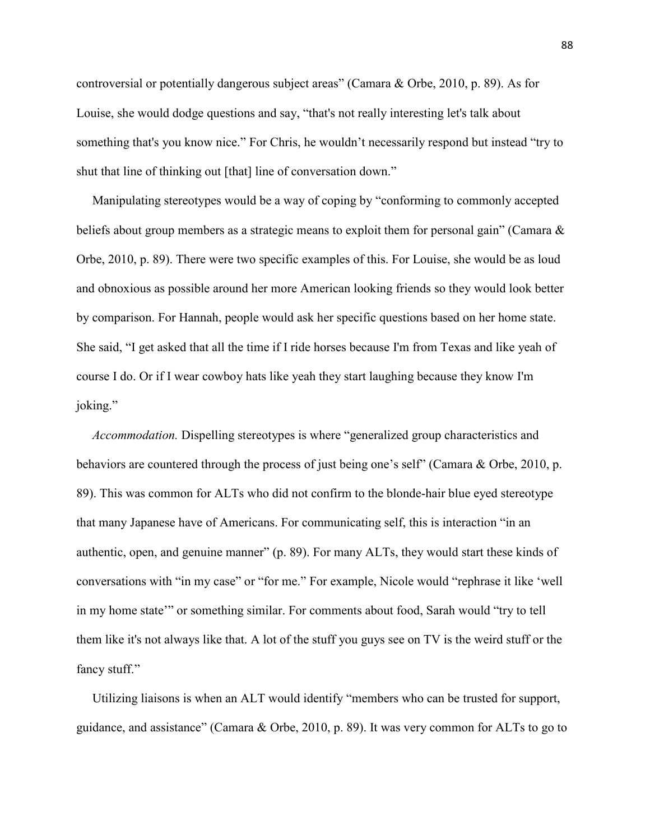controversial or potentially dangerous subject areas" (Camara & Orbe, 2010, p. 89). As for Louise, she would dodge questions and say, "that's not really interesting let's talk about something that's you know nice." For Chris, he wouldn't necessarily respond but instead "try to shut that line of thinking out [that] line of conversation down."

 Manipulating stereotypes would be a way of coping by "conforming to commonly accepted beliefs about group members as a strategic means to exploit them for personal gain" (Camara & Orbe, 2010, p. 89). There were two specific examples of this. For Louise, she would be as loud and obnoxious as possible around her more American looking friends so they would look better by comparison. For Hannah, people would ask her specific questions based on her home state. She said, "I get asked that all the time if I ride horses because I'm from Texas and like yeah of course I do. Or if I wear cowboy hats like yeah they start laughing because they know I'm joking."

 *Accommodation.* Dispelling stereotypes is where "generalized group characteristics and behaviors are countered through the process of just being one's self" (Camara & Orbe, 2010, p. 89). This was common for ALTs who did not confirm to the blonde-hair blue eyed stereotype that many Japanese have of Americans. For communicating self, this is interaction "in an authentic, open, and genuine manner" (p. 89). For many ALTs, they would start these kinds of conversations with "in my case" or "for me." For example, Nicole would "rephrase it like 'well in my home state'" or something similar. For comments about food, Sarah would "try to tell them like it's not always like that. A lot of the stuff you guys see on TV is the weird stuff or the fancy stuff."

 Utilizing liaisons is when an ALT would identify "members who can be trusted for support, guidance, and assistance" (Camara & Orbe, 2010, p. 89). It was very common for ALTs to go to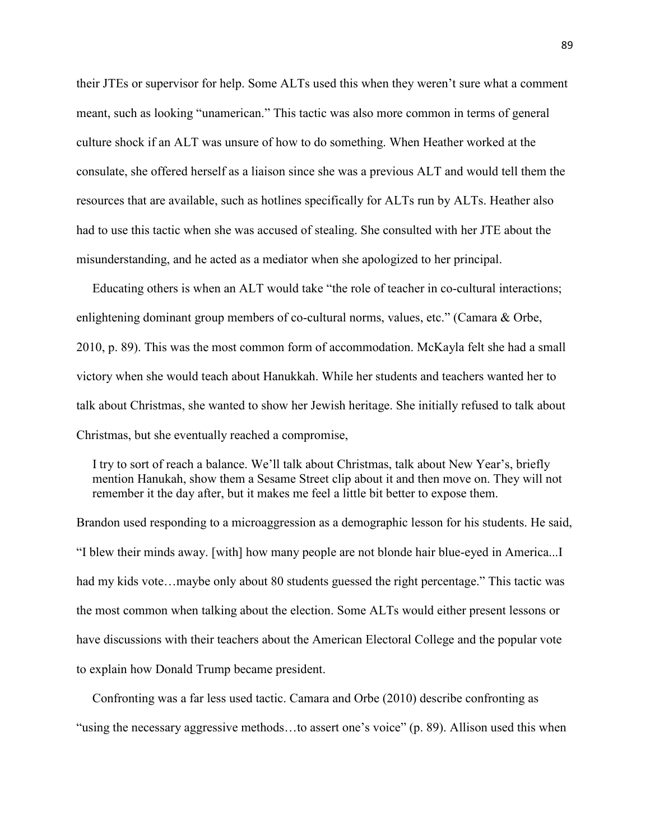their JTEs or supervisor for help. Some ALTs used this when they weren't sure what a comment meant, such as looking "unamerican." This tactic was also more common in terms of general culture shock if an ALT was unsure of how to do something. When Heather worked at the consulate, she offered herself as a liaison since she was a previous ALT and would tell them the resources that are available, such as hotlines specifically for ALTs run by ALTs. Heather also had to use this tactic when she was accused of stealing. She consulted with her JTE about the misunderstanding, and he acted as a mediator when she apologized to her principal.

 Educating others is when an ALT would take "the role of teacher in co-cultural interactions; enlightening dominant group members of co-cultural norms, values, etc." (Camara & Orbe, 2010, p. 89). This was the most common form of accommodation. McKayla felt she had a small victory when she would teach about Hanukkah. While her students and teachers wanted her to talk about Christmas, she wanted to show her Jewish heritage. She initially refused to talk about Christmas, but she eventually reached a compromise,

 I try to sort of reach a balance. We'll talk about Christmas, talk about New Year's, briefly mention Hanukah, show them a Sesame Street clip about it and then move on. They will not remember it the day after, but it makes me feel a little bit better to expose them.

Brandon used responding to a microaggression as a demographic lesson for his students. He said, "I blew their minds away. [with] how many people are not blonde hair blue-eyed in America...I had my kids vote...maybe only about 80 students guessed the right percentage." This tactic was the most common when talking about the election. Some ALTs would either present lessons or have discussions with their teachers about the American Electoral College and the popular vote to explain how Donald Trump became president.

 Confronting was a far less used tactic. Camara and Orbe (2010) describe confronting as "using the necessary aggressive methods…to assert one's voice" (p. 89). Allison used this when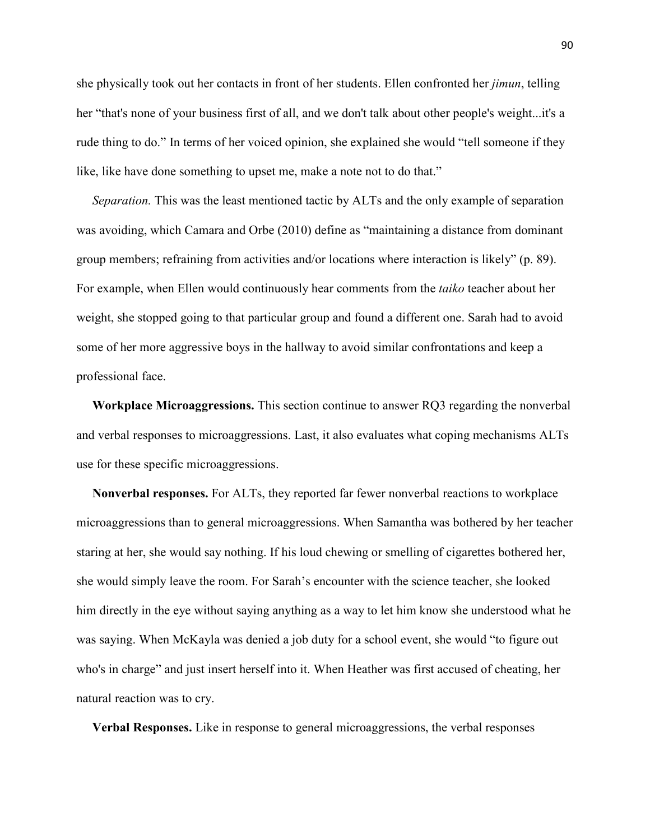she physically took out her contacts in front of her students. Ellen confronted her *jimun*, telling her "that's none of your business first of all, and we don't talk about other people's weight...it's a rude thing to do." In terms of her voiced opinion, she explained she would "tell someone if they like, like have done something to upset me, make a note not to do that."

 *Separation.* This was the least mentioned tactic by ALTs and the only example of separation was avoiding, which Camara and Orbe (2010) define as "maintaining a distance from dominant group members; refraining from activities and/or locations where interaction is likely" (p. 89). For example, when Ellen would continuously hear comments from the *taiko* teacher about her weight, she stopped going to that particular group and found a different one. Sarah had to avoid some of her more aggressive boys in the hallway to avoid similar confrontations and keep a professional face.

 **Workplace Microaggressions.** This section continue to answer RQ3 regarding the nonverbal and verbal responses to microaggressions. Last, it also evaluates what coping mechanisms ALTs use for these specific microaggressions.

 **Nonverbal responses.** For ALTs, they reported far fewer nonverbal reactions to workplace microaggressions than to general microaggressions. When Samantha was bothered by her teacher staring at her, she would say nothing. If his loud chewing or smelling of cigarettes bothered her, she would simply leave the room. For Sarah's encounter with the science teacher, she looked him directly in the eye without saying anything as a way to let him know she understood what he was saying. When McKayla was denied a job duty for a school event, she would "to figure out who's in charge" and just insert herself into it. When Heather was first accused of cheating, her natural reaction was to cry.

**Verbal Responses.** Like in response to general microaggressions, the verbal responses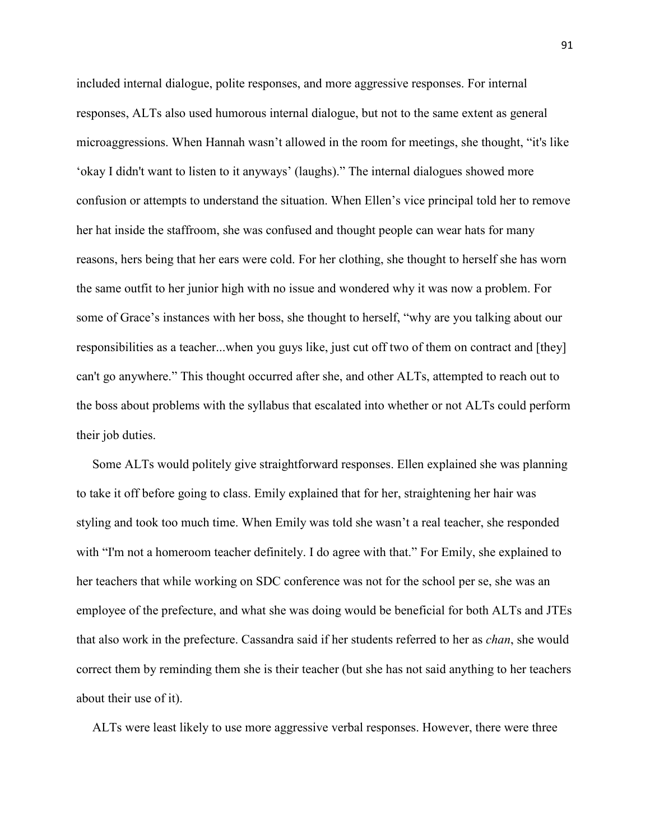included internal dialogue, polite responses, and more aggressive responses. For internal responses, ALTs also used humorous internal dialogue, but not to the same extent as general microaggressions. When Hannah wasn't allowed in the room for meetings, she thought, "it's like 'okay I didn't want to listen to it anyways' (laughs)." The internal dialogues showed more confusion or attempts to understand the situation. When Ellen's vice principal told her to remove her hat inside the staffroom, she was confused and thought people can wear hats for many reasons, hers being that her ears were cold. For her clothing, she thought to herself she has worn the same outfit to her junior high with no issue and wondered why it was now a problem. For some of Grace's instances with her boss, she thought to herself, "why are you talking about our responsibilities as a teacher...when you guys like, just cut off two of them on contract and [they] can't go anywhere." This thought occurred after she, and other ALTs, attempted to reach out to the boss about problems with the syllabus that escalated into whether or not ALTs could perform their job duties.

Some ALTs would politely give straightforward responses. Ellen explained she was planning to take it off before going to class. Emily explained that for her, straightening her hair was styling and took too much time. When Emily was told she wasn't a real teacher, she responded with "I'm not a homeroom teacher definitely. I do agree with that." For Emily, she explained to her teachers that while working on SDC conference was not for the school per se, she was an employee of the prefecture, and what she was doing would be beneficial for both ALTs and JTEs that also work in the prefecture. Cassandra said if her students referred to her as *chan*, she would correct them by reminding them she is their teacher (but she has not said anything to her teachers about their use of it).

ALTs were least likely to use more aggressive verbal responses. However, there were three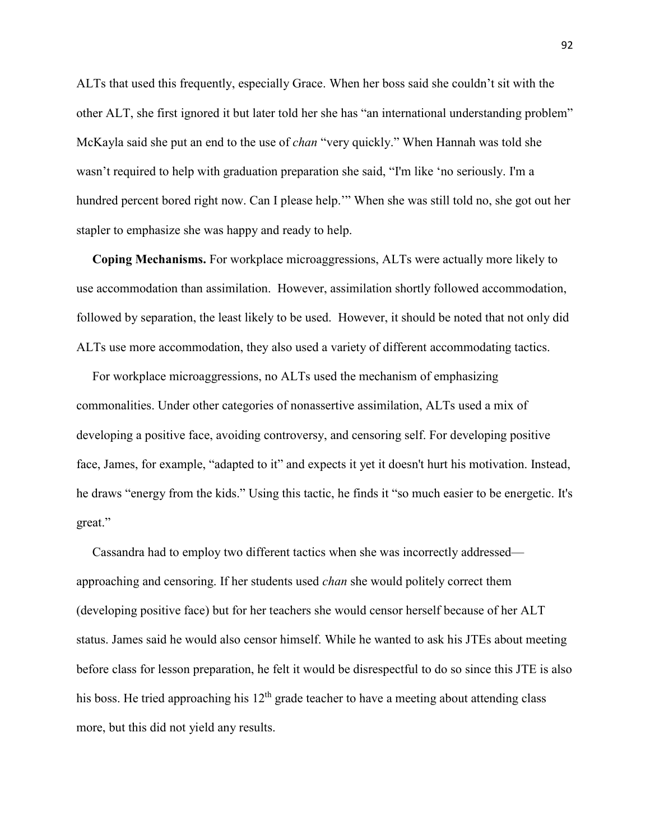ALTs that used this frequently, especially Grace. When her boss said she couldn't sit with the other ALT, she first ignored it but later told her she has "an international understanding problem" McKayla said she put an end to the use of *chan* "very quickly." When Hannah was told she wasn't required to help with graduation preparation she said, "I'm like 'no seriously. I'm a hundred percent bored right now. Can I please help.'" When she was still told no, she got out her stapler to emphasize she was happy and ready to help.

 **Coping Mechanisms.** For workplace microaggressions, ALTs were actually more likely to use accommodation than assimilation. However, assimilation shortly followed accommodation, followed by separation, the least likely to be used. However, it should be noted that not only did ALTs use more accommodation, they also used a variety of different accommodating tactics.

For workplace microaggressions, no ALTs used the mechanism of emphasizing commonalities. Under other categories of nonassertive assimilation, ALTs used a mix of developing a positive face, avoiding controversy, and censoring self. For developing positive face, James, for example, "adapted to it" and expects it yet it doesn't hurt his motivation. Instead, he draws "energy from the kids." Using this tactic, he finds it "so much easier to be energetic. It's great."

 Cassandra had to employ two different tactics when she was incorrectly addressed approaching and censoring. If her students used *chan* she would politely correct them (developing positive face) but for her teachers she would censor herself because of her ALT status. James said he would also censor himself. While he wanted to ask his JTEs about meeting before class for lesson preparation, he felt it would be disrespectful to do so since this JTE is also his boss. He tried approaching his  $12<sup>th</sup>$  grade teacher to have a meeting about attending class more, but this did not yield any results.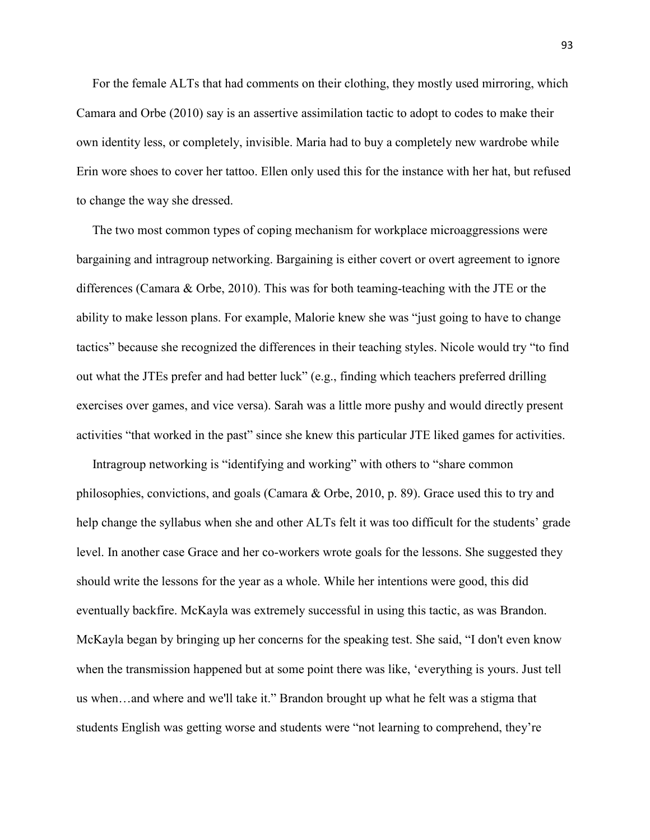For the female ALTs that had comments on their clothing, they mostly used mirroring, which Camara and Orbe (2010) say is an assertive assimilation tactic to adopt to codes to make their own identity less, or completely, invisible. Maria had to buy a completely new wardrobe while Erin wore shoes to cover her tattoo. Ellen only used this for the instance with her hat, but refused to change the way she dressed.

 The two most common types of coping mechanism for workplace microaggressions were bargaining and intragroup networking. Bargaining is either covert or overt agreement to ignore differences (Camara & Orbe, 2010). This was for both teaming-teaching with the JTE or the ability to make lesson plans. For example, Malorie knew she was "just going to have to change tactics" because she recognized the differences in their teaching styles. Nicole would try "to find out what the JTEs prefer and had better luck" (e.g., finding which teachers preferred drilling exercises over games, and vice versa). Sarah was a little more pushy and would directly present activities "that worked in the past" since she knew this particular JTE liked games for activities.

 Intragroup networking is "identifying and working" with others to "share common philosophies, convictions, and goals (Camara & Orbe, 2010, p. 89). Grace used this to try and help change the syllabus when she and other ALTs felt it was too difficult for the students' grade level. In another case Grace and her co-workers wrote goals for the lessons. She suggested they should write the lessons for the year as a whole. While her intentions were good, this did eventually backfire. McKayla was extremely successful in using this tactic, as was Brandon. McKayla began by bringing up her concerns for the speaking test. She said, "I don't even know when the transmission happened but at some point there was like, 'everything is yours. Just tell us when…and where and we'll take it." Brandon brought up what he felt was a stigma that students English was getting worse and students were "not learning to comprehend, they're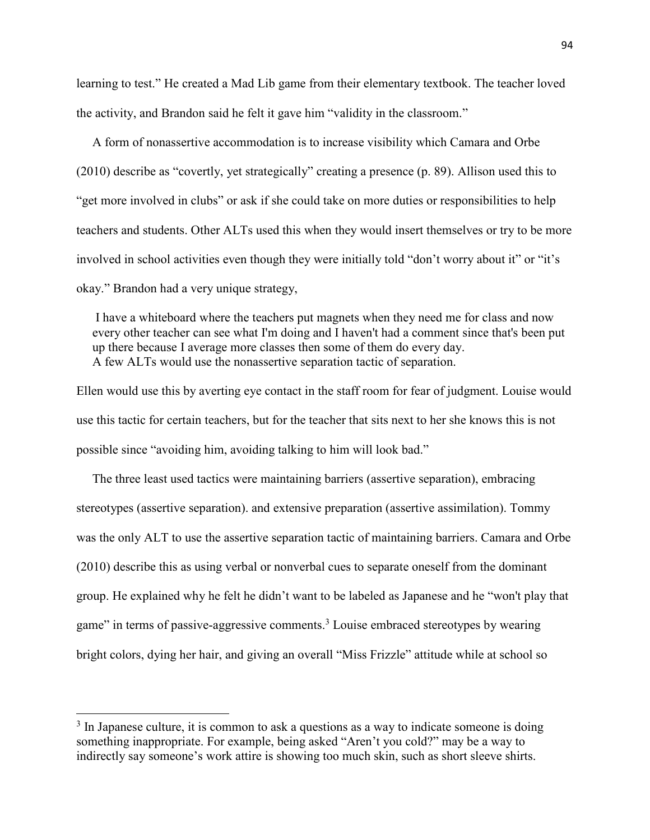learning to test." He created a Mad Lib game from their elementary textbook. The teacher loved the activity, and Brandon said he felt it gave him "validity in the classroom."

 A form of nonassertive accommodation is to increase visibility which Camara and Orbe (2010) describe as "covertly, yet strategically" creating a presence (p. 89). Allison used this to "get more involved in clubs" or ask if she could take on more duties or responsibilities to help teachers and students. Other ALTs used this when they would insert themselves or try to be more involved in school activities even though they were initially told "don't worry about it" or "it's okay." Brandon had a very unique strategy,

 I have a whiteboard where the teachers put magnets when they need me for class and now every other teacher can see what I'm doing and I haven't had a comment since that's been put up there because I average more classes then some of them do every day. A few ALTs would use the nonassertive separation tactic of separation.

Ellen would use this by averting eye contact in the staff room for fear of judgment. Louise would use this tactic for certain teachers, but for the teacher that sits next to her she knows this is not possible since "avoiding him, avoiding talking to him will look bad."

 The three least used tactics were maintaining barriers (assertive separation), embracing stereotypes (assertive separation). and extensive preparation (assertive assimilation). Tommy was the only ALT to use the assertive separation tactic of maintaining barriers. Camara and Orbe (2010) describe this as using verbal or nonverbal cues to separate oneself from the dominant group. He explained why he felt he didn't want to be labeled as Japanese and he "won't play that game" in terms of passive-aggressive comments.<sup>3</sup> Louise embraced stereotypes by wearing bright colors, dying her hair, and giving an overall "Miss Frizzle" attitude while at school so

l

<sup>&</sup>lt;sup>3</sup> In Japanese culture, it is common to ask a questions as a way to indicate someone is doing something inappropriate. For example, being asked "Aren't you cold?" may be a way to indirectly say someone's work attire is showing too much skin, such as short sleeve shirts.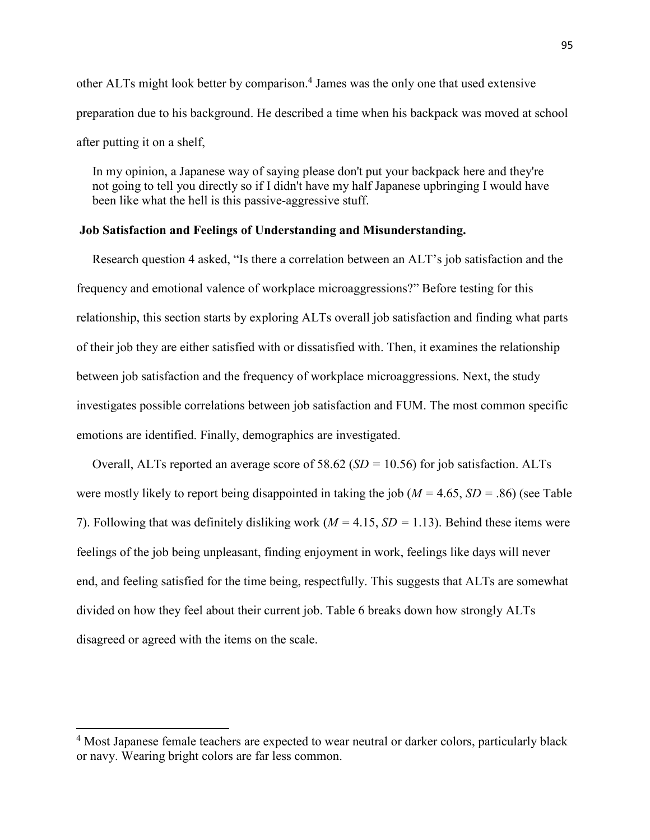other ALTs might look better by comparison.<sup>4</sup> James was the only one that used extensive preparation due to his background. He described a time when his backpack was moved at school after putting it on a shelf,

 In my opinion, a Japanese way of saying please don't put your backpack here and they're not going to tell you directly so if I didn't have my half Japanese upbringing I would have been like what the hell is this passive-aggressive stuff.

# **Job Satisfaction and Feelings of Understanding and Misunderstanding.**

 Research question 4 asked, "Is there a correlation between an ALT's job satisfaction and the frequency and emotional valence of workplace microaggressions?" Before testing for this relationship, this section starts by exploring ALTs overall job satisfaction and finding what parts of their job they are either satisfied with or dissatisfied with. Then, it examines the relationship between job satisfaction and the frequency of workplace microaggressions. Next, the study investigates possible correlations between job satisfaction and FUM. The most common specific emotions are identified. Finally, demographics are investigated.

 Overall, ALTs reported an average score of 58.62 (*SD =* 10.56) for job satisfaction. ALTs were mostly likely to report being disappointed in taking the job (*M =* 4.65, *SD =* .86) (see Table 7). Following that was definitely disliking work (*M =* 4.15, *SD =* 1.13). Behind these items were feelings of the job being unpleasant, finding enjoyment in work, feelings like days will never end, and feeling satisfied for the time being, respectfully. This suggests that ALTs are somewhat divided on how they feel about their current job. Table 6 breaks down how strongly ALTs disagreed or agreed with the items on the scale.

l

<sup>&</sup>lt;sup>4</sup> Most Japanese female teachers are expected to wear neutral or darker colors, particularly black or navy. Wearing bright colors are far less common.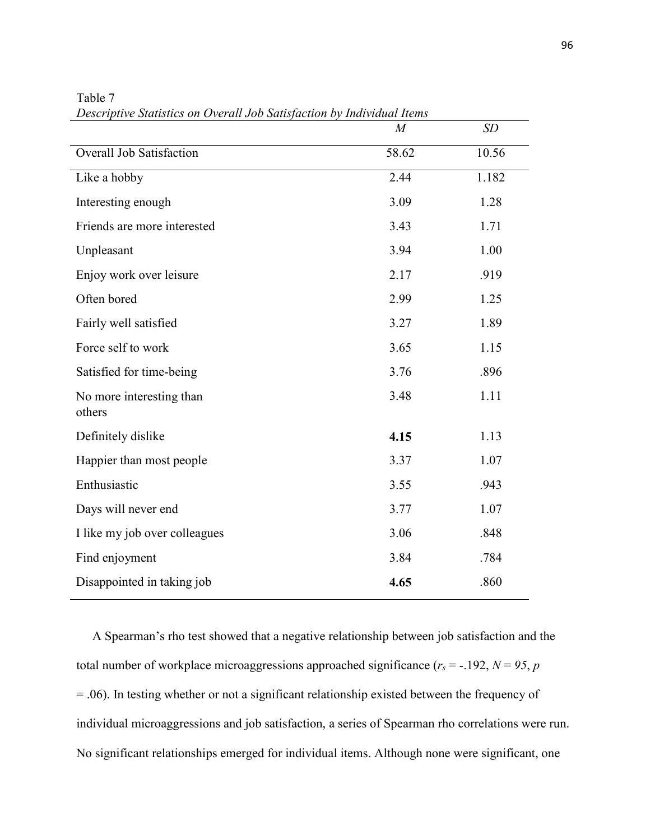|                                    | $\overline{M}$ | SD    |
|------------------------------------|----------------|-------|
| <b>Overall Job Satisfaction</b>    | 58.62          | 10.56 |
| Like a hobby                       | 2.44           | 1.182 |
| Interesting enough                 | 3.09           | 1.28  |
| Friends are more interested        | 3.43           | 1.71  |
| Unpleasant                         | 3.94           | 1.00  |
| Enjoy work over leisure            | 2.17           | .919  |
| Often bored                        | 2.99           | 1.25  |
| Fairly well satisfied              | 3.27           | 1.89  |
| Force self to work                 | 3.65           | 1.15  |
| Satisfied for time-being           | 3.76           | .896  |
| No more interesting than<br>others | 3.48           | 1.11  |
| Definitely dislike                 | 4.15           | 1.13  |
| Happier than most people           | 3.37           | 1.07  |
| Enthusiastic                       | 3.55           | .943  |
| Days will never end                | 3.77           | 1.07  |
| I like my job over colleagues      | 3.06           | .848  |
| Find enjoyment                     | 3.84           | .784  |
| Disappointed in taking job         | 4.65           | .860  |

Table 7 *Descriptive Statistics on Overall Job Satisfaction by Individual Items*

 A Spearman's rho test showed that a negative relationship between job satisfaction and the total number of workplace microaggressions approached significance ( $r_s$  = -.192,  $N = 95$ ,  $p$ ) = .06). In testing whether or not a significant relationship existed between the frequency of individual microaggressions and job satisfaction, a series of Spearman rho correlations were run. No significant relationships emerged for individual items. Although none were significant, one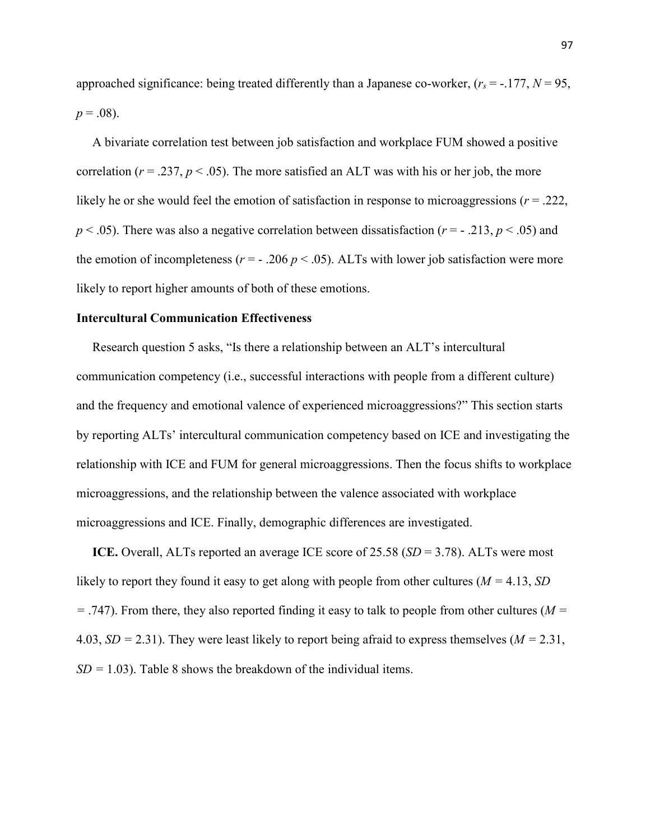approached significance: being treated differently than a Japanese co-worker,  $(r_s = -177, N = 95,$  $p = .08$ ).

 A bivariate correlation test between job satisfaction and workplace FUM showed a positive correlation ( $r = 0.237$ ,  $p < 0.05$ ). The more satisfied an ALT was with his or her job, the more likely he or she would feel the emotion of satisfaction in response to microaggressions ( $r = .222$ ,  $p < .05$ ). There was also a negative correlation between dissatisfaction ( $r = -0.213$ ,  $p < .05$ ) and the emotion of incompleteness ( $r = -0.206 \, p < 0.05$ ). ALTs with lower job satisfaction were more likely to report higher amounts of both of these emotions.

## **Intercultural Communication Effectiveness**

 Research question 5 asks, "Is there a relationship between an ALT's intercultural communication competency (i.e., successful interactions with people from a different culture) and the frequency and emotional valence of experienced microaggressions?" This section starts by reporting ALTs' intercultural communication competency based on ICE and investigating the relationship with ICE and FUM for general microaggressions. Then the focus shifts to workplace microaggressions, and the relationship between the valence associated with workplace microaggressions and ICE. Finally, demographic differences are investigated.

 **ICE.** Overall, ALTs reported an average ICE score of 25.58 (*SD* = 3.78). ALTs were most likely to report they found it easy to get along with people from other cultures (*M =* 4.13, *SD =* .747). From there, they also reported finding it easy to talk to people from other cultures (*M =*  4.03, *SD =* 2.31). They were least likely to report being afraid to express themselves (*M =* 2.31,  $SD = 1.03$ ). Table 8 shows the breakdown of the individual items.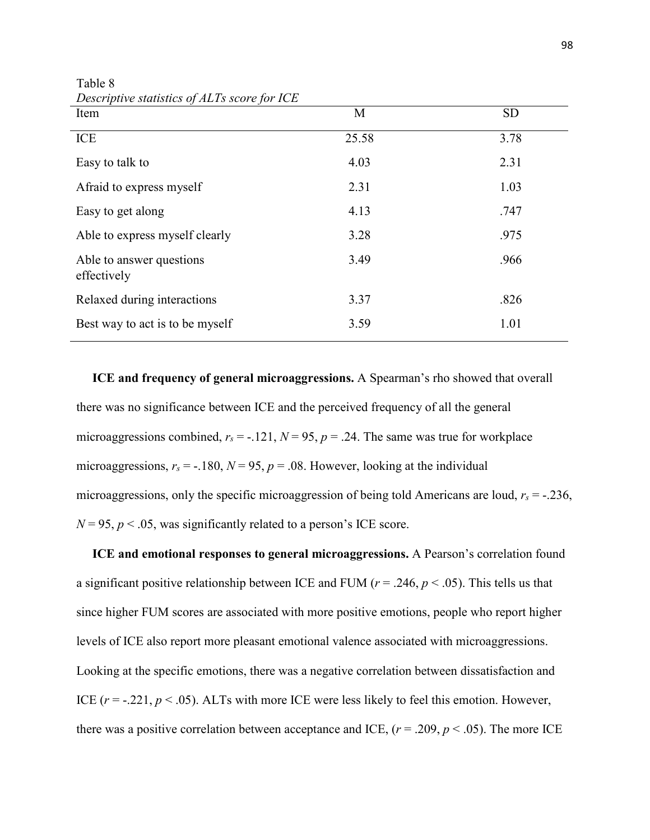| Item                                    | M     | <b>SD</b> |
|-----------------------------------------|-------|-----------|
| ICE                                     | 25.58 | 3.78      |
| Easy to talk to                         | 4.03  | 2.31      |
| Afraid to express myself                | 2.31  | 1.03      |
| Easy to get along                       | 4.13  | .747      |
| Able to express myself clearly          | 3.28  | .975      |
| Able to answer questions<br>effectively | 3.49  | .966      |
| Relaxed during interactions             | 3.37  | .826      |
| Best way to act is to be myself         | 3.59  | 1.01      |

Table 8 *Descriptive statistics of ALTs score for ICE*

 **ICE and frequency of general microaggressions.** A Spearman's rho showed that overall there was no significance between ICE and the perceived frequency of all the general microaggressions combined,  $r_s = -121$ ,  $N = 95$ ,  $p = 0.24$ . The same was true for workplace microaggressions,  $r_s = -180$ ,  $N = 95$ ,  $p = .08$ . However, looking at the individual microaggressions, only the specific microaggression of being told Americans are loud, *rs* = -.236,  $N = 95$ ,  $p < .05$ , was significantly related to a person's ICE score.

 **ICE and emotional responses to general microaggressions.** A Pearson's correlation found a significant positive relationship between ICE and FUM ( $r = .246$ ,  $p < .05$ ). This tells us that since higher FUM scores are associated with more positive emotions, people who report higher levels of ICE also report more pleasant emotional valence associated with microaggressions. Looking at the specific emotions, there was a negative correlation between dissatisfaction and ICE  $(r = -0.221, p < 0.05)$ . ALTs with more ICE were less likely to feel this emotion. However, there was a positive correlation between acceptance and ICE,  $(r = .209, p < .05)$ . The more ICE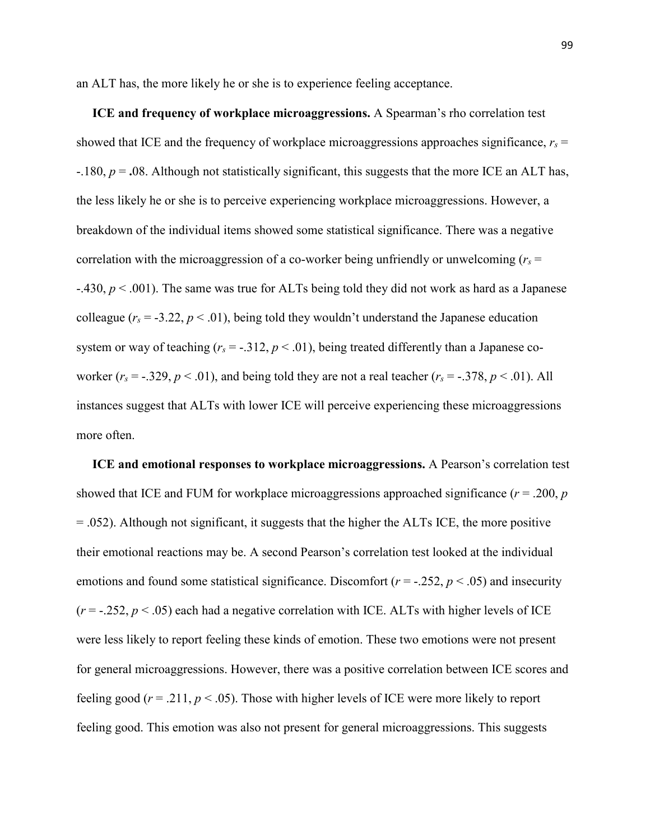an ALT has, the more likely he or she is to experience feeling acceptance.

 **ICE and frequency of workplace microaggressions.** A Spearman's rho correlation test showed that ICE and the frequency of workplace microaggressions approaches significance,  $r_s$  = -.180, *p* = **.**08. Although not statistically significant, this suggests that the more ICE an ALT has, the less likely he or she is to perceive experiencing workplace microaggressions. However, a breakdown of the individual items showed some statistical significance. There was a negative correlation with the microaggression of a co-worker being unfriendly or unwelcoming ( $r<sub>s</sub>$  = -.430, *p* < .001). The same was true for ALTs being told they did not work as hard as a Japanese colleague  $(r_s = -3.22, p < .01)$ , being told they wouldn't understand the Japanese education system or way of teaching  $(r_s = -.312, p < .01)$ , being treated differently than a Japanese coworker  $(r_s = -.329, p < .01)$ , and being told they are not a real teacher  $(r_s = -.378, p < .01)$ . All instances suggest that ALTs with lower ICE will perceive experiencing these microaggressions more often.

 **ICE and emotional responses to workplace microaggressions.** A Pearson's correlation test showed that ICE and FUM for workplace microaggressions approached significance  $(r = .200, p)$ = .052). Although not significant, it suggests that the higher the ALTs ICE, the more positive their emotional reactions may be. A second Pearson's correlation test looked at the individual emotions and found some statistical significance. Discomfort  $(r = -0.252, p < 0.05)$  and insecurity  $(r = -.252, p < .05)$  each had a negative correlation with ICE. ALTs with higher levels of ICE were less likely to report feeling these kinds of emotion. These two emotions were not present for general microaggressions. However, there was a positive correlation between ICE scores and feeling good ( $r = 0.211$ ,  $p < 0.05$ ). Those with higher levels of ICE were more likely to report feeling good. This emotion was also not present for general microaggressions. This suggests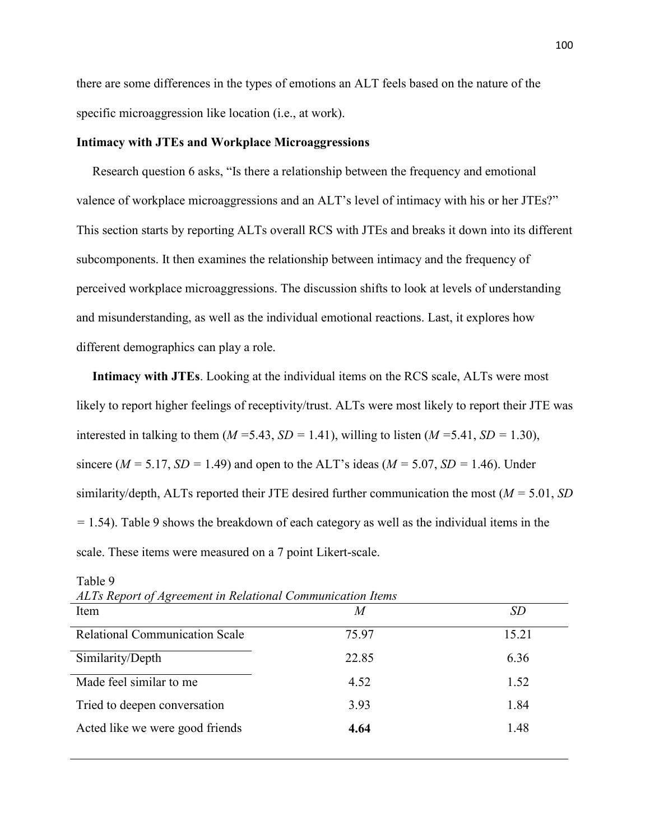there are some differences in the types of emotions an ALT feels based on the nature of the specific microaggression like location (i.e., at work).

## **Intimacy with JTEs and Workplace Microaggressions**

Research question 6 asks, "Is there a relationship between the frequency and emotional valence of workplace microaggressions and an ALT's level of intimacy with his or her JTEs?" This section starts by reporting ALTs overall RCS with JTEs and breaks it down into its different subcomponents. It then examines the relationship between intimacy and the frequency of perceived workplace microaggressions. The discussion shifts to look at levels of understanding and misunderstanding, as well as the individual emotional reactions. Last, it explores how different demographics can play a role.

 **Intimacy with JTEs**. Looking at the individual items on the RCS scale, ALTs were most likely to report higher feelings of receptivity/trust. ALTs were most likely to report their JTE was interested in talking to them ( $M = 5.43$ ,  $SD = 1.41$ ), willing to listen ( $M = 5.41$ ,  $SD = 1.30$ ), sincere ( $M = 5.17$ ,  $SD = 1.49$ ) and open to the ALT's ideas ( $M = 5.07$ ,  $SD = 1.46$ ). Under similarity/depth, ALTs reported their JTE desired further communication the most (*M =* 5.01, *SD =* 1.54). Table 9 shows the breakdown of each category as well as the individual items in the scale. These items were measured on a 7 point Likert-scale.

| ALIS Report of Agreement in Retailonal Communication Hems |       |           |  |  |  |
|-----------------------------------------------------------|-------|-----------|--|--|--|
| Item                                                      | M     | <i>SD</i> |  |  |  |
| <b>Relational Communication Scale</b>                     | 75.97 | 15.21     |  |  |  |
| Similarity/Depth                                          | 22.85 | 6.36      |  |  |  |
| Made feel similar to me                                   | 4.52  | 1.52      |  |  |  |
| Tried to deepen conversation                              | 3.93  | 1.84      |  |  |  |
| Acted like we were good friends                           | 4.64  | 1.48      |  |  |  |

Table 9

*ALTs Report of Agreement in Relational Communication Items*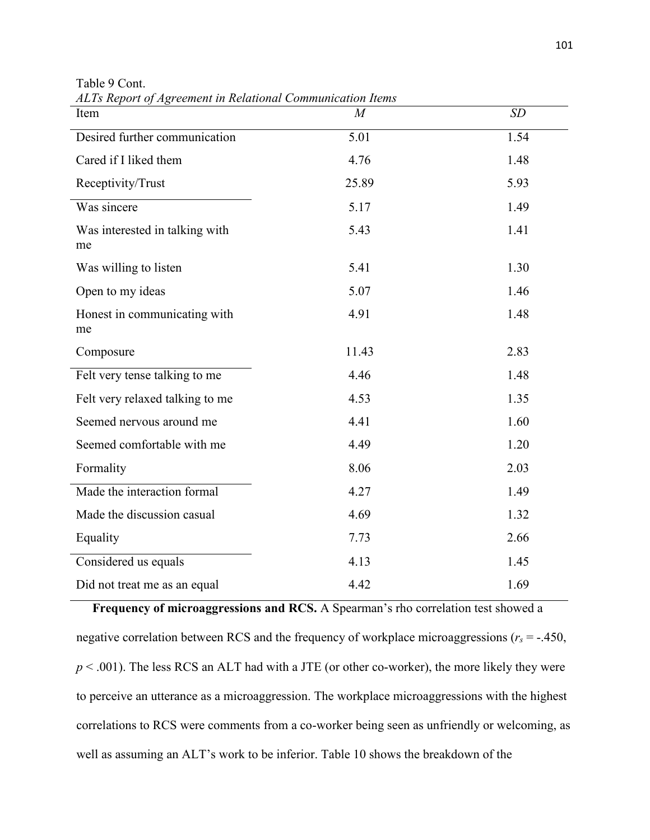| Item                                 | $\overline{M}$    | SD   |
|--------------------------------------|-------------------|------|
| Desired further communication        | $\overline{5.01}$ | 1.54 |
| Cared if I liked them                | 4.76              | 1.48 |
| Receptivity/Trust                    | 25.89             | 5.93 |
| Was sincere                          | 5.17              | 1.49 |
| Was interested in talking with<br>me | 5.43              | 1.41 |
| Was willing to listen                | 5.41              | 1.30 |
| Open to my ideas                     | 5.07              | 1.46 |
| Honest in communicating with<br>me   | 4.91              | 1.48 |
| Composure                            | 11.43             | 2.83 |
| Felt very tense talking to me        | 4.46              | 1.48 |
| Felt very relaxed talking to me      | 4.53              | 1.35 |
| Seemed nervous around me             | 4.41              | 1.60 |
| Seemed comfortable with me           | 4.49              | 1.20 |
| Formality                            | 8.06              | 2.03 |
| Made the interaction formal          | 4.27              | 1.49 |
| Made the discussion casual           | 4.69              | 1.32 |
| Equality                             | 7.73              | 2.66 |
| Considered us equals                 | 4.13              | 1.45 |
| Did not treat me as an equal         | 4.42              | 1.69 |

Table 9 Cont. *ALTs Report of Agreement in Relational Communication Items*

 **Frequency of microaggressions and RCS.** A Spearman's rho correlation test showed a negative correlation between RCS and the frequency of workplace microaggressions (*rs* = -.450,  $p < .001$ ). The less RCS an ALT had with a JTE (or other co-worker), the more likely they were to perceive an utterance as a microaggression. The workplace microaggressions with the highest correlations to RCS were comments from a co-worker being seen as unfriendly or welcoming, as well as assuming an ALT's work to be inferior. Table 10 shows the breakdown of the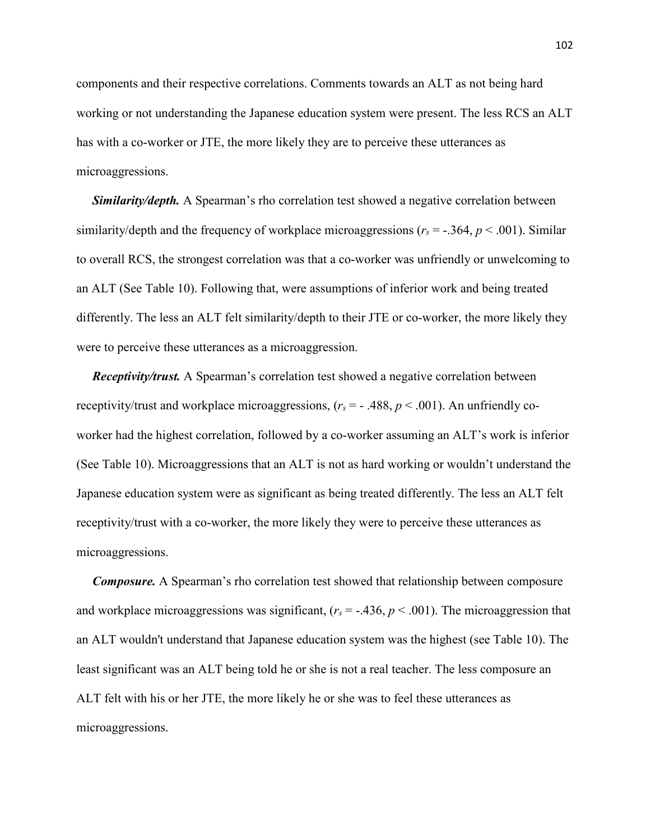components and their respective correlations. Comments towards an ALT as not being hard working or not understanding the Japanese education system were present. The less RCS an ALT has with a co-worker or JTE, the more likely they are to perceive these utterances as microaggressions.

 *Similarity/depth.* A Spearman's rho correlation test showed a negative correlation between similarity/depth and the frequency of workplace microaggressions ( $r_s = -0.364$ ,  $p \le 0.001$ ). Similar to overall RCS, the strongest correlation was that a co-worker was unfriendly or unwelcoming to an ALT (See Table 10). Following that, were assumptions of inferior work and being treated differently. The less an ALT felt similarity/depth to their JTE or co-worker, the more likely they were to perceive these utterances as a microaggression.

*Receptivity/trust.* A Spearman's correlation test showed a negative correlation between receptivity/trust and workplace microaggressions,  $(r_s = -0.488, p \lt 0.001)$ . An unfriendly coworker had the highest correlation, followed by a co-worker assuming an ALT's work is inferior (See Table 10). Microaggressions that an ALT is not as hard working or wouldn't understand the Japanese education system were as significant as being treated differently. The less an ALT felt receptivity/trust with a co-worker, the more likely they were to perceive these utterances as microaggressions.

 *Composure.* A Spearman's rho correlation test showed that relationship between composure and workplace microaggressions was significant,  $(r_s = -.436, p < .001)$ . The microaggression that an ALT wouldn't understand that Japanese education system was the highest (see Table 10). The least significant was an ALT being told he or she is not a real teacher. The less composure an ALT felt with his or her JTE, the more likely he or she was to feel these utterances as microaggressions.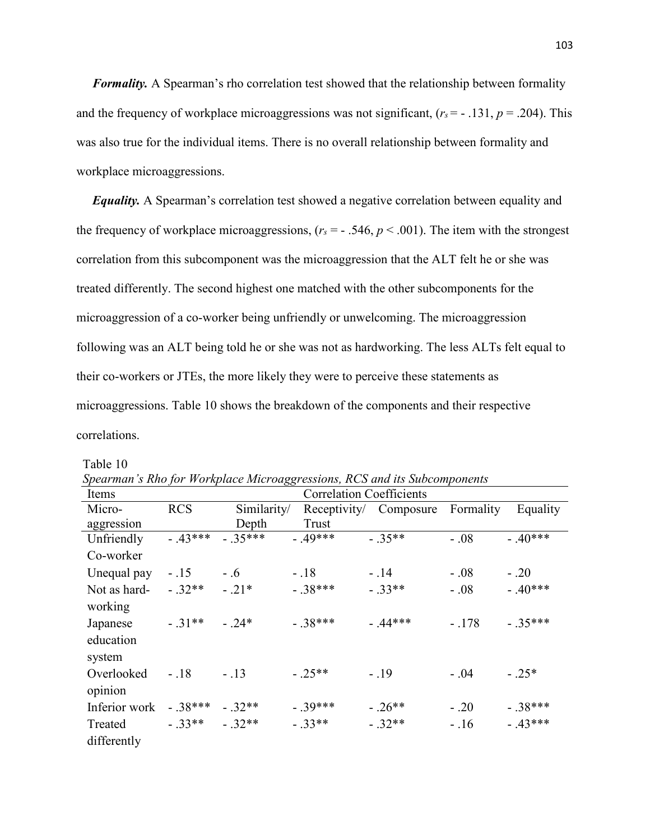*Formality.* A Spearman's rho correlation test showed that the relationship between formality and the frequency of workplace microaggressions was not significant,  $(r_s = -131, p = .204)$ . This was also true for the individual items. There is no overall relationship between formality and workplace microaggressions.

 *Equality.* A Spearman's correlation test showed a negative correlation between equality and the frequency of workplace microaggressions,  $(r_s = -0.546, p < 0.001)$ . The item with the strongest correlation from this subcomponent was the microaggression that the ALT felt he or she was treated differently. The second highest one matched with the other subcomponents for the microaggression of a co-worker being unfriendly or unwelcoming. The microaggression following was an ALT being told he or she was not as hardworking. The less ALTs felt equal to their co-workers or JTEs, the more likely they were to perceive these statements as microaggressions. Table 10 shows the breakdown of the components and their respective correlations.

| Items         |            |             | <b>Correlation Coefficients</b> | Spearman s ring for 'n originiee mieroaggressions, ries and ns subcomponents |           |           |
|---------------|------------|-------------|---------------------------------|------------------------------------------------------------------------------|-----------|-----------|
| Micro-        | <b>RCS</b> | Similarity/ | Receptivity/                    | Composure                                                                    | Formality | Equality  |
| aggression    |            | Depth       | Trust                           |                                                                              |           |           |
| Unfriendly    | $-.43***$  | $-35***$    | $-49***$                        | $-.35**$                                                                     | $-.08$    | $-.40***$ |
| Co-worker     |            |             |                                 |                                                                              |           |           |
| Unequal pay   | $-.15$     | $-.6$       | $-18$                           | $-.14$                                                                       | $-.08$    | $-.20$    |
| Not as hard-  | $-.32**$   | $-.21*$     | $-38***$                        | $-.33**$                                                                     | $-.08$    | $-.40***$ |
| working       |            |             |                                 |                                                                              |           |           |
| Japanese      | $-31**$    | $-24*$      | $-.38***$                       | $-.44***$                                                                    | $-.178$   | $-.35***$ |
| education     |            |             |                                 |                                                                              |           |           |
| system        |            |             |                                 |                                                                              |           |           |
| Overlooked    | $-.18$     | $-.13$      | $-.25**$                        | $-.19$                                                                       | $-.04$    | $-.25*$   |
| opinion       |            |             |                                 |                                                                              |           |           |
| Inferior work | $-.38***$  | $-.32**$    | $-.39***$                       | $-.26**$                                                                     | $-.20$    | $-.38***$ |
| Treated       | $-33**$    | $-.32**$    | $-.33**$                        | $-.32**$                                                                     | $-.16$    | $-.43***$ |
| differently   |            |             |                                 |                                                                              |           |           |

 *Spearman's Rho for Workplace Microaggressions, RCS and its Subcomponents* 

Table 10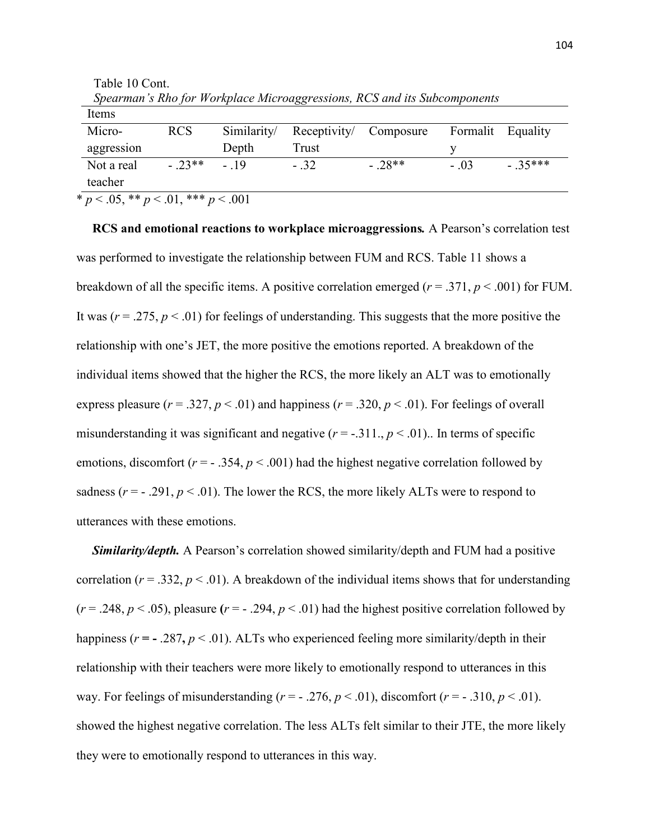| Items                                       |            |             |              |           |        |                   |  |
|---------------------------------------------|------------|-------------|--------------|-----------|--------|-------------------|--|
| Micro-                                      | <b>RCS</b> | Similarity/ | Receptivity/ | Composure |        | Formalit Equality |  |
| aggression                                  |            | Depth       | Trust        |           |        |                   |  |
| Not a real<br>teacher                       | $-23**$    | $-19$       | $-32$        | $-28**$   | $-.03$ | $-35***$          |  |
| * $p < .05$ , ** $p < .01$ , *** $p < .001$ |            |             |              |           |        |                   |  |

 Table 10 Cont.  *Spearman's Rho for Workplace Microaggressions, RCS and its Subcomponents* 

 **RCS and emotional reactions to workplace microaggressions***.* A Pearson's correlation test was performed to investigate the relationship between FUM and RCS. Table 11 shows a breakdown of all the specific items. A positive correlation emerged (*r* = .371, *p* < .001) for FUM. It was  $(r = .275, p < .01)$  for feelings of understanding. This suggests that the more positive the relationship with one's JET, the more positive the emotions reported. A breakdown of the individual items showed that the higher the RCS, the more likely an ALT was to emotionally express pleasure ( $r = .327$ ,  $p < .01$ ) and happiness ( $r = .320$ ,  $p < .01$ ). For feelings of overall misunderstanding it was significant and negative  $(r = -0.311]$ ,  $p < 0.01$ ).. In terms of specific emotions, discomfort  $(r = -0.354, p < 0.001)$  had the highest negative correlation followed by sadness  $(r = -0.291, p < 0.01)$ . The lower the RCS, the more likely ALTs were to respond to utterances with these emotions.

 *Similarity/depth.* A Pearson's correlation showed similarity/depth and FUM had a positive correlation ( $r = .332$ ,  $p < .01$ ). A breakdown of the individual items shows that for understanding  $(r = .248, p < .05)$ , pleasure  $(r = .294, p < .01)$  had the highest positive correlation followed by happiness ( $r = -0.287$ ,  $p < 0.01$ ). ALTs who experienced feeling more similarity/depth in their relationship with their teachers were more likely to emotionally respond to utterances in this way. For feelings of misunderstanding  $(r = -0.276, p < 0.01)$ , discomfort  $(r = -0.310, p < 0.01)$ . showed the highest negative correlation. The less ALTs felt similar to their JTE, the more likely they were to emotionally respond to utterances in this way.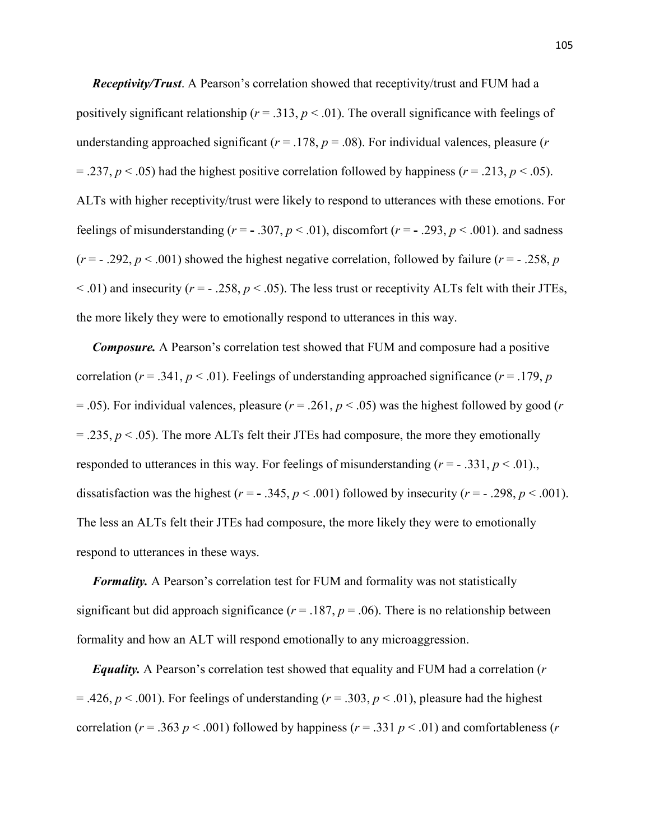*Receptivity/Trust*. A Pearson's correlation showed that receptivity/trust and FUM had a positively significant relationship ( $r = .313$ ,  $p < .01$ ). The overall significance with feelings of understanding approached significant ( $r = .178$ ,  $p = .08$ ). For individual valences, pleasure ( $r = .08$ )  $=$  .237,  $p$  < .05) had the highest positive correlation followed by happiness ( $r = .213$ ,  $p$  < .05). ALTs with higher receptivity/trust were likely to respond to utterances with these emotions. For feelings of misunderstanding ( $r = -0.307$ ,  $p < 0.01$ ), discomfort ( $r = -0.293$ ,  $p < 0.001$ ). and sadness  $(r = -0.292, p < 0.001)$  showed the highest negative correlation, followed by failure  $(r = -0.258, p$  $(0.01)$  and insecurity ( $r = -0.258$ ,  $p < 0.05$ ). The less trust or receptivity ALTs felt with their JTEs, the more likely they were to emotionally respond to utterances in this way.

 *Composure.* A Pearson's correlation test showed that FUM and composure had a positive correlation ( $r = .341$ ,  $p < .01$ ). Feelings of understanding approached significance ( $r = .179$ ,  $p$ )  $= .05$ ). For individual valences, pleasure ( $r = .261$ ,  $p < .05$ ) was the highest followed by good (*r*)  $=$  .235,  $p$  < .05). The more ALTs felt their JTEs had composure, the more they emotionally responded to utterances in this way. For feelings of misunderstanding  $(r = -0.331, p \le 0.01)$ . dissatisfaction was the highest ( $r = -0.345$ ,  $p < 0.001$ ) followed by insecurity ( $r = -0.298$ ,  $p < 0.001$ ). The less an ALTs felt their JTEs had composure, the more likely they were to emotionally respond to utterances in these ways.

*Formality.* A Pearson's correlation test for FUM and formality was not statistically significant but did approach significance ( $r = .187$ ,  $p = .06$ ). There is no relationship between formality and how an ALT will respond emotionally to any microaggression.

 *Equality.* A Pearson's correlation test showed that equality and FUM had a correlation (*r* = .426,  $p < .001$ ). For feelings of understanding ( $r = .303$ ,  $p < .01$ ), pleasure had the highest correlation ( $r = .363$   $p < .001$ ) followed by happiness ( $r = .331$   $p < .01$ ) and comfortableness ( $r = .331$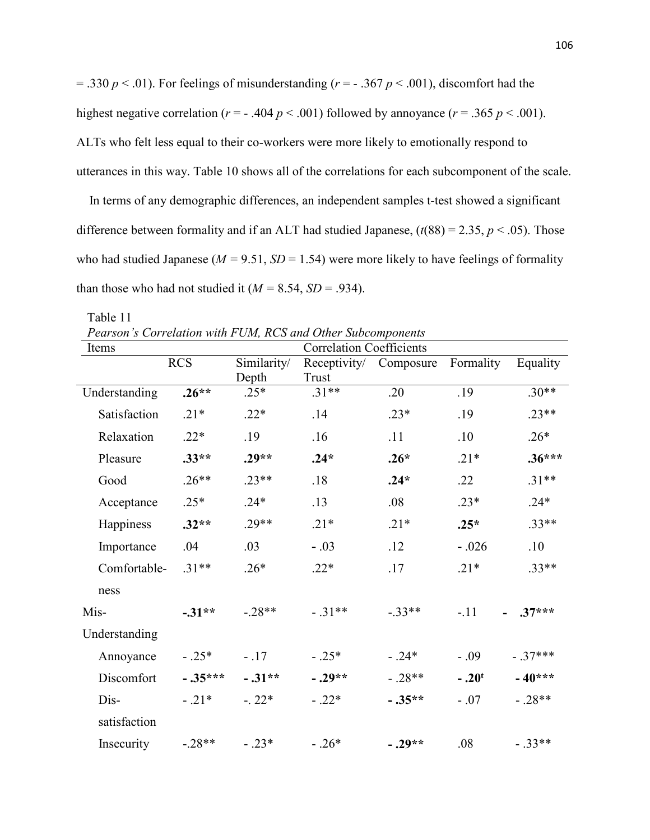$= .330 \ p \lt .01$ ). For feelings of misunderstanding ( $r = -0.367 \ p \lt .001$ ), discomfort had the highest negative correlation ( $r = -0.404 \, p \le 0.001$ ) followed by annoyance ( $r = 0.365 \, p \le 0.001$ ). ALTs who felt less equal to their co-workers were more likely to emotionally respond to utterances in this way. Table 10 shows all of the correlations for each subcomponent of the scale.

 In terms of any demographic differences, an independent samples t-test showed a significant difference between formality and if an ALT had studied Japanese,  $(t(88) = 2.35, p < .05)$ . Those who had studied Japanese ( $M = 9.51$ ,  $SD = 1.54$ ) were more likely to have feelings of formality than those who had not studied it  $(M = 8.54, SD = .934)$ .

| Pearson's Correlation with FUM, RCS and Other Subcomponents |            |                      |                                 |           |           |           |
|-------------------------------------------------------------|------------|----------------------|---------------------------------|-----------|-----------|-----------|
| Items                                                       |            |                      | <b>Correlation Coefficients</b> |           |           |           |
|                                                             | <b>RCS</b> | Similarity/<br>Depth | Receptivity/<br>Trust           | Composure | Formality | Equality  |
| Understanding                                               | $.26**$    | $.25*$               | $.31**$                         | .20       | .19       | $.30**$   |
| Satisfaction                                                | $.21*$     | $.22*$               | .14                             | $.23*$    | .19       | $.23**$   |
| Relaxation                                                  | $.22*$     | .19                  | .16                             | .11       | .10       | $.26*$    |
| Pleasure                                                    | $.33**$    | $.29**$              | $.24*$                          | $.26*$    | $.21*$    | $.36***$  |
| Good                                                        | $.26**$    | $.23**$              | .18                             | $.24*$    | .22       | $.31**$   |
| Acceptance                                                  | $.25*$     | $.24*$               | .13                             | .08       | $.23*$    | $.24*$    |
| Happiness                                                   | $.32**$    | $.29**$              | $.21*$                          | $.21*$    | $.25*$    | $.33**$   |
| Importance                                                  | .04        | .03                  | $-.03$                          | .12       | $-.026$   | .10       |
| Comfortable-                                                | $.31**$    | $.26*$               | $.22*$                          | .17       | $.21*$    | $.33**$   |
| ness                                                        |            |                      |                                 |           |           |           |
| Mis-                                                        | $-31**$    | $-.28**$             | $-31**$                         | $-33**$   | $-.11$    | $.37***$  |
| Understanding                                               |            |                      |                                 |           |           |           |
| Annoyance                                                   | $-.25*$    | $-.17$               | $-.25*$                         | $-.24*$   | $-.09$    | $-.37***$ |
| Discomfort                                                  | $-.35***$  | $-.31**$             | $-.29**$                        | $-.28**$  | $-.20t$   | $-40***$  |
| Dis-                                                        | $-.21*$    | $-.22*$              | $-.22*$                         | $-.35**$  | $-.07$    | $-.28**$  |
| satisfaction                                                |            |                      |                                 |           |           |           |
| Insecurity                                                  | $-.28**$   | $-.23*$              | $-.26*$                         | $-.29**$  | .08       | $-.33**$  |

Table 11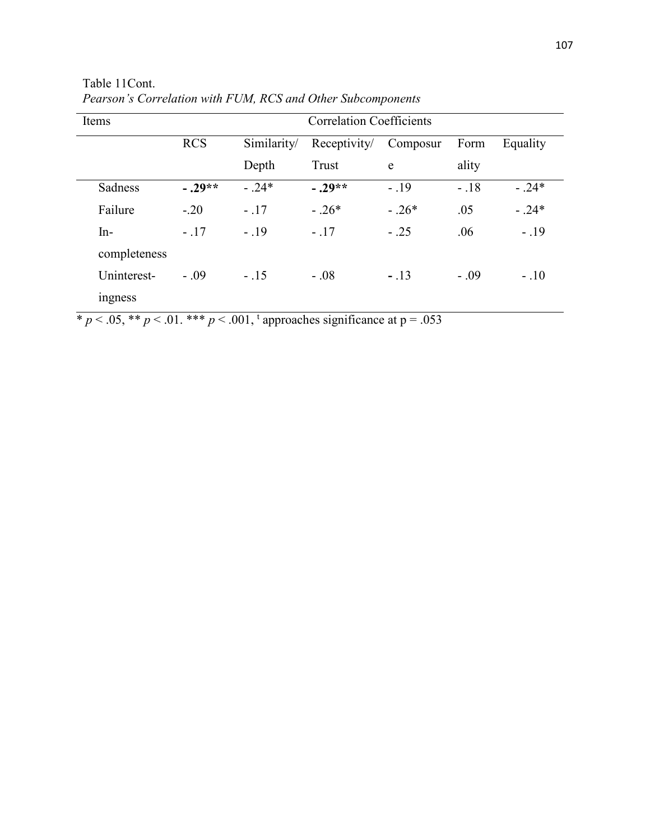| Items        | <b>Correlation Coefficients</b> |             |              |          |        |          |
|--------------|---------------------------------|-------------|--------------|----------|--------|----------|
|              | <b>RCS</b>                      | Similarity/ | Receptivity/ | Composur | Form   | Equality |
|              |                                 | Depth       | Trust        | e        | ality  |          |
| Sadness      | $-.29**$                        | $-24*$      | $-.29**$     | $-19$    | $-.18$ | $-0.24*$ |
| Failure      | $-.20$                          | $-.17$      | $-.26*$      | $-.26*$  | .05    | $-0.24*$ |
| $In-$        | $-.17$                          | $-.19$      | $-.17$       | $-.25$   | .06    | $-.19$   |
| completeness |                                 |             |              |          |        |          |
| Uninterest-  | $-.09$                          | $-.15$      | $-.08$       | $-.13$   | $-.09$ | $-.10$   |
| ingness      |                                 |             |              |          |        |          |

Table 11Cont. *Pearson's Correlation with FUM, RCS and Other Subcomponents* 

\*  $p < .05$ , \*\*  $p < .01$ . \*\*\*  $p < .001$ , <sup>t</sup> approaches significance at  $p = .053$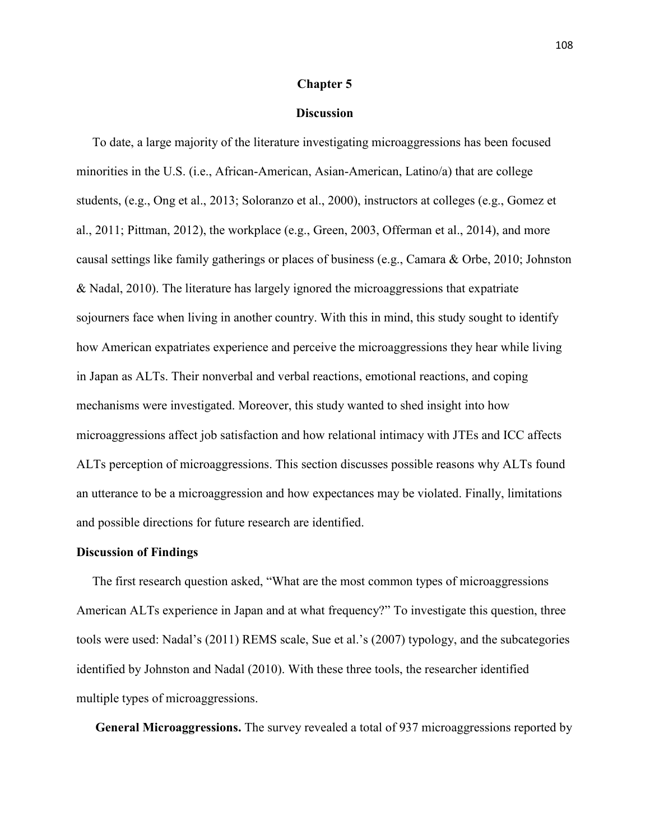#### **Chapter 5**

# **Discussion**

To date, a large majority of the literature investigating microaggressions has been focused minorities in the U.S. (i.e., African-American, Asian-American, Latino/a) that are college students, (e.g., Ong et al., 2013; Soloranzo et al., 2000), instructors at colleges (e.g., Gomez et al., 2011; Pittman, 2012), the workplace (e.g., Green, 2003, Offerman et al., 2014), and more causal settings like family gatherings or places of business (e.g., Camara & Orbe, 2010; Johnston & Nadal, 2010). The literature has largely ignored the microaggressions that expatriate sojourners face when living in another country. With this in mind, this study sought to identify how American expatriates experience and perceive the microaggressions they hear while living in Japan as ALTs. Their nonverbal and verbal reactions, emotional reactions, and coping mechanisms were investigated. Moreover, this study wanted to shed insight into how microaggressions affect job satisfaction and how relational intimacy with JTEs and ICC affects ALTs perception of microaggressions. This section discusses possible reasons why ALTs found an utterance to be a microaggression and how expectances may be violated. Finally, limitations and possible directions for future research are identified.

### **Discussion of Findings**

The first research question asked, "What are the most common types of microaggressions American ALTs experience in Japan and at what frequency?" To investigate this question, three tools were used: Nadal's (2011) REMS scale, Sue et al.'s (2007) typology, and the subcategories identified by Johnston and Nadal (2010). With these three tools, the researcher identified multiple types of microaggressions.

**General Microaggressions.** The survey revealed a total of 937 microaggressions reported by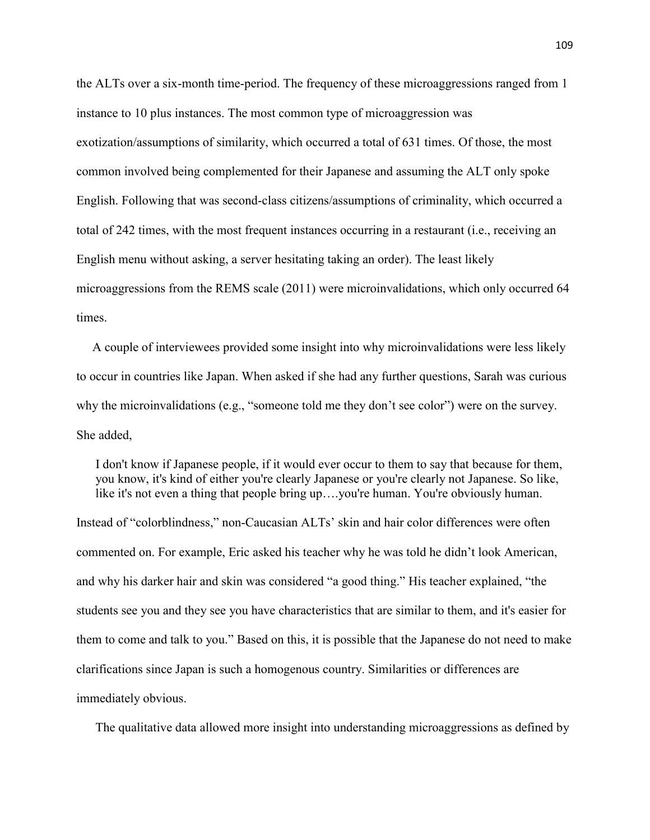the ALTs over a six-month time-period. The frequency of these microaggressions ranged from 1 instance to 10 plus instances. The most common type of microaggression was exotization/assumptions of similarity, which occurred a total of 631 times. Of those, the most common involved being complemented for their Japanese and assuming the ALT only spoke English. Following that was second-class citizens/assumptions of criminality, which occurred a total of 242 times, with the most frequent instances occurring in a restaurant (i.e., receiving an English menu without asking, a server hesitating taking an order). The least likely microaggressions from the REMS scale (2011) were microinvalidations, which only occurred 64 times.

 A couple of interviewees provided some insight into why microinvalidations were less likely to occur in countries like Japan. When asked if she had any further questions, Sarah was curious why the microinvalidations (e.g., "someone told me they don't see color") were on the survey. She added,

 I don't know if Japanese people, if it would ever occur to them to say that because for them, you know, it's kind of either you're clearly Japanese or you're clearly not Japanese. So like, like it's not even a thing that people bring up….you're human. You're obviously human.

Instead of "colorblindness," non-Caucasian ALTs' skin and hair color differences were often commented on. For example, Eric asked his teacher why he was told he didn't look American, and why his darker hair and skin was considered "a good thing." His teacher explained, "the students see you and they see you have characteristics that are similar to them, and it's easier for them to come and talk to you." Based on this, it is possible that the Japanese do not need to make clarifications since Japan is such a homogenous country. Similarities or differences are immediately obvious.

The qualitative data allowed more insight into understanding microaggressions as defined by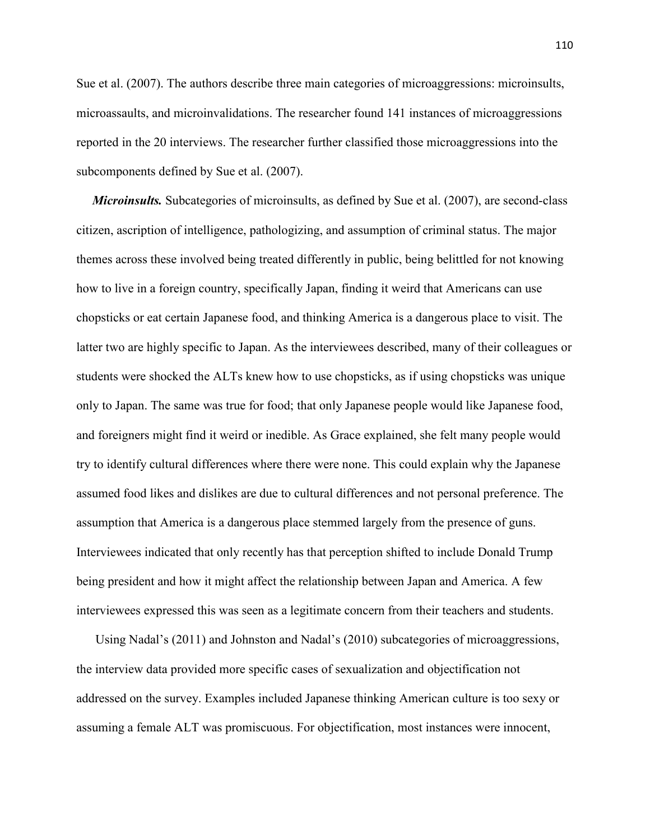Sue et al. (2007). The authors describe three main categories of microaggressions: microinsults, microassaults, and microinvalidations. The researcher found 141 instances of microaggressions reported in the 20 interviews. The researcher further classified those microaggressions into the subcomponents defined by Sue et al. (2007).

*Microinsults.* Subcategories of microinsults, as defined by Sue et al. (2007), are second-class citizen, ascription of intelligence, pathologizing, and assumption of criminal status. The major themes across these involved being treated differently in public, being belittled for not knowing how to live in a foreign country, specifically Japan, finding it weird that Americans can use chopsticks or eat certain Japanese food, and thinking America is a dangerous place to visit. The latter two are highly specific to Japan. As the interviewees described, many of their colleagues or students were shocked the ALTs knew how to use chopsticks, as if using chopsticks was unique only to Japan. The same was true for food; that only Japanese people would like Japanese food, and foreigners might find it weird or inedible. As Grace explained, she felt many people would try to identify cultural differences where there were none. This could explain why the Japanese assumed food likes and dislikes are due to cultural differences and not personal preference. The assumption that America is a dangerous place stemmed largely from the presence of guns. Interviewees indicated that only recently has that perception shifted to include Donald Trump being president and how it might affect the relationship between Japan and America. A few interviewees expressed this was seen as a legitimate concern from their teachers and students.

 Using Nadal's (2011) and Johnston and Nadal's (2010) subcategories of microaggressions, the interview data provided more specific cases of sexualization and objectification not addressed on the survey. Examples included Japanese thinking American culture is too sexy or assuming a female ALT was promiscuous. For objectification, most instances were innocent,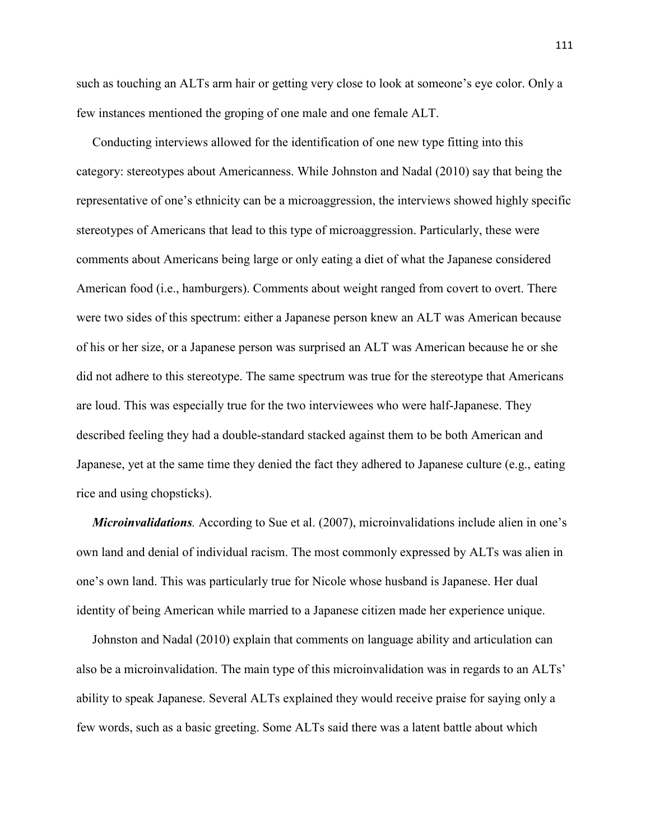such as touching an ALTs arm hair or getting very close to look at someone's eye color. Only a few instances mentioned the groping of one male and one female ALT.

 Conducting interviews allowed for the identification of one new type fitting into this category: stereotypes about Americanness. While Johnston and Nadal (2010) say that being the representative of one's ethnicity can be a microaggression, the interviews showed highly specific stereotypes of Americans that lead to this type of microaggression. Particularly, these were comments about Americans being large or only eating a diet of what the Japanese considered American food (i.e., hamburgers). Comments about weight ranged from covert to overt. There were two sides of this spectrum: either a Japanese person knew an ALT was American because of his or her size, or a Japanese person was surprised an ALT was American because he or she did not adhere to this stereotype. The same spectrum was true for the stereotype that Americans are loud. This was especially true for the two interviewees who were half-Japanese. They described feeling they had a double-standard stacked against them to be both American and Japanese, yet at the same time they denied the fact they adhered to Japanese culture (e.g., eating rice and using chopsticks).

 *Microinvalidations.* According to Sue et al. (2007), microinvalidations include alien in one's own land and denial of individual racism. The most commonly expressed by ALTs was alien in one's own land. This was particularly true for Nicole whose husband is Japanese. Her dual identity of being American while married to a Japanese citizen made her experience unique.

 Johnston and Nadal (2010) explain that comments on language ability and articulation can also be a microinvalidation. The main type of this microinvalidation was in regards to an ALTs' ability to speak Japanese. Several ALTs explained they would receive praise for saying only a few words, such as a basic greeting. Some ALTs said there was a latent battle about which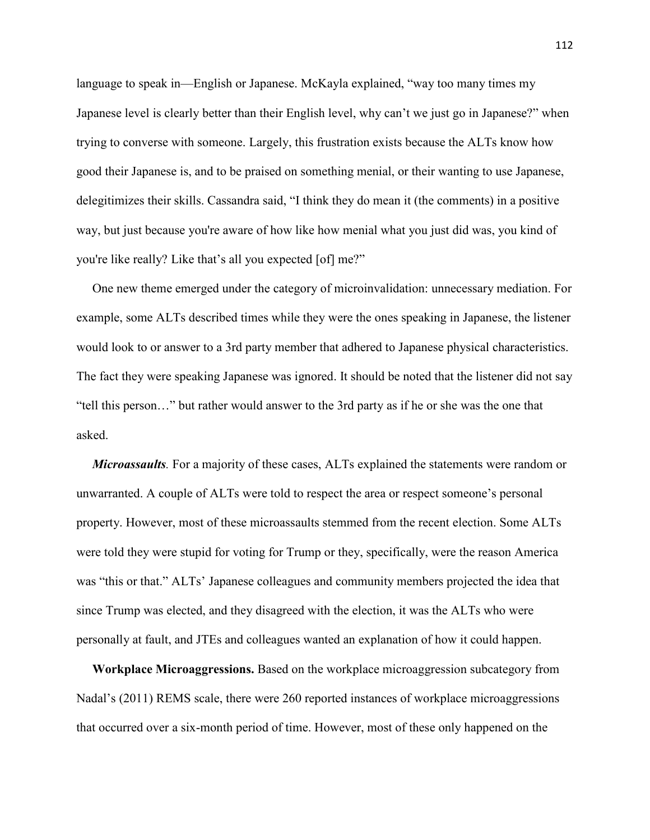language to speak in—English or Japanese. McKayla explained, "way too many times my Japanese level is clearly better than their English level, why can't we just go in Japanese?" when trying to converse with someone. Largely, this frustration exists because the ALTs know how good their Japanese is, and to be praised on something menial, or their wanting to use Japanese, delegitimizes their skills. Cassandra said, "I think they do mean it (the comments) in a positive way, but just because you're aware of how like how menial what you just did was, you kind of you're like really? Like that's all you expected [of] me?"

 One new theme emerged under the category of microinvalidation: unnecessary mediation. For example, some ALTs described times while they were the ones speaking in Japanese, the listener would look to or answer to a 3rd party member that adhered to Japanese physical characteristics. The fact they were speaking Japanese was ignored. It should be noted that the listener did not say "tell this person…" but rather would answer to the 3rd party as if he or she was the one that asked.

 *Microassaults.* For a majority of these cases, ALTs explained the statements were random or unwarranted. A couple of ALTs were told to respect the area or respect someone's personal property. However, most of these microassaults stemmed from the recent election. Some ALTs were told they were stupid for voting for Trump or they, specifically, were the reason America was "this or that." ALTs' Japanese colleagues and community members projected the idea that since Trump was elected, and they disagreed with the election, it was the ALTs who were personally at fault, and JTEs and colleagues wanted an explanation of how it could happen.

**Workplace Microaggressions.** Based on the workplace microaggression subcategory from Nadal's (2011) REMS scale, there were 260 reported instances of workplace microaggressions that occurred over a six-month period of time. However, most of these only happened on the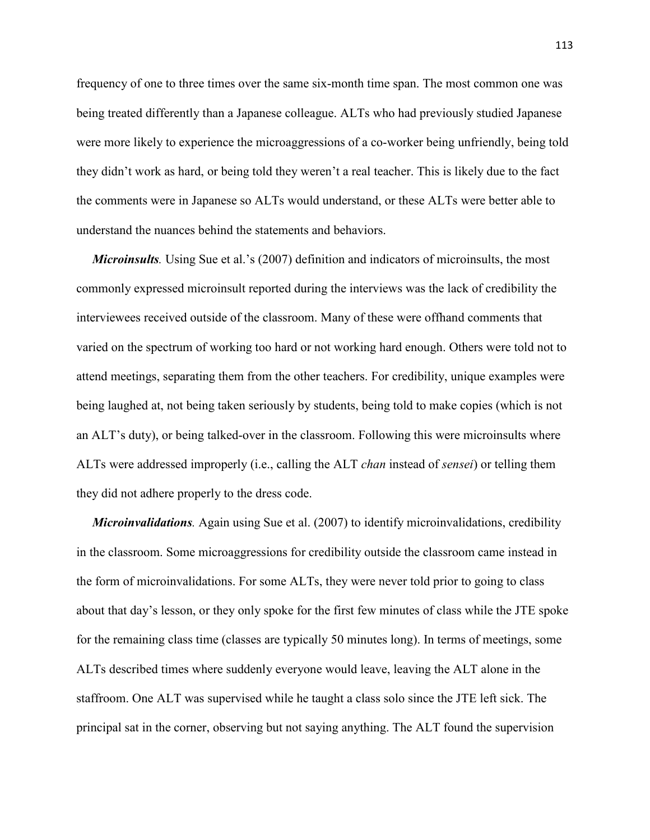frequency of one to three times over the same six-month time span. The most common one was being treated differently than a Japanese colleague. ALTs who had previously studied Japanese were more likely to experience the microaggressions of a co-worker being unfriendly, being told they didn't work as hard, or being told they weren't a real teacher. This is likely due to the fact the comments were in Japanese so ALTs would understand, or these ALTs were better able to understand the nuances behind the statements and behaviors.

*Microinsults*. Using Sue et al.'s (2007) definition and indicators of microinsults, the most commonly expressed microinsult reported during the interviews was the lack of credibility the interviewees received outside of the classroom. Many of these were offhand comments that varied on the spectrum of working too hard or not working hard enough. Others were told not to attend meetings, separating them from the other teachers. For credibility, unique examples were being laughed at, not being taken seriously by students, being told to make copies (which is not an ALT's duty), or being talked-over in the classroom. Following this were microinsults where ALTs were addressed improperly (i.e., calling the ALT *chan* instead of *sensei*) or telling them they did not adhere properly to the dress code.

 *Microinvalidations.* Again using Sue et al. (2007) to identify microinvalidations, credibility in the classroom. Some microaggressions for credibility outside the classroom came instead in the form of microinvalidations. For some ALTs, they were never told prior to going to class about that day's lesson, or they only spoke for the first few minutes of class while the JTE spoke for the remaining class time (classes are typically 50 minutes long). In terms of meetings, some ALTs described times where suddenly everyone would leave, leaving the ALT alone in the staffroom. One ALT was supervised while he taught a class solo since the JTE left sick. The principal sat in the corner, observing but not saying anything. The ALT found the supervision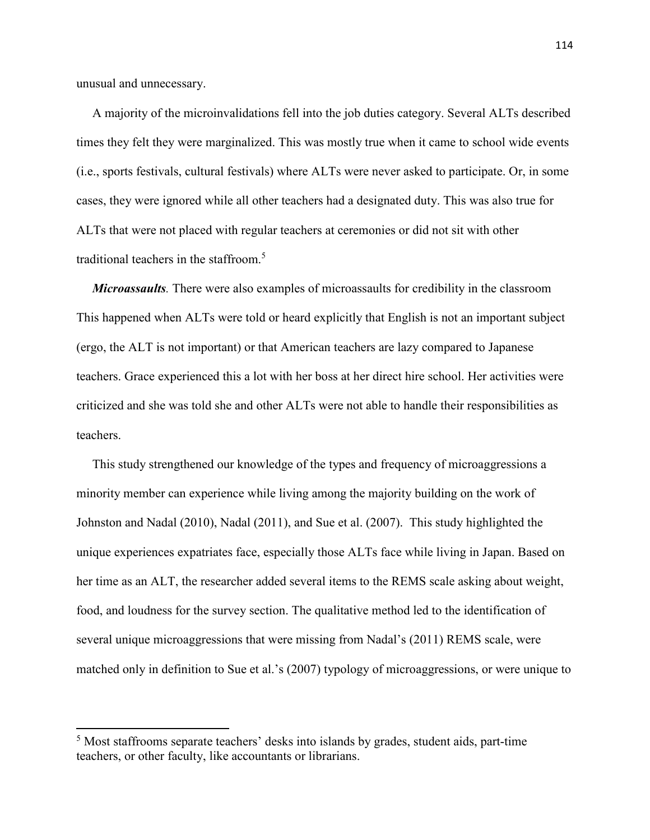unusual and unnecessary.

l

 A majority of the microinvalidations fell into the job duties category. Several ALTs described times they felt they were marginalized. This was mostly true when it came to school wide events (i.e., sports festivals, cultural festivals) where ALTs were never asked to participate. Or, in some cases, they were ignored while all other teachers had a designated duty. This was also true for ALTs that were not placed with regular teachers at ceremonies or did not sit with other traditional teachers in the staffroom.<sup>5</sup>

 *Microassaults.* There were also examples of microassaults for credibility in the classroom This happened when ALTs were told or heard explicitly that English is not an important subject (ergo, the ALT is not important) or that American teachers are lazy compared to Japanese teachers. Grace experienced this a lot with her boss at her direct hire school. Her activities were criticized and she was told she and other ALTs were not able to handle their responsibilities as teachers.

 This study strengthened our knowledge of the types and frequency of microaggressions a minority member can experience while living among the majority building on the work of Johnston and Nadal (2010), Nadal (2011), and Sue et al. (2007). This study highlighted the unique experiences expatriates face, especially those ALTs face while living in Japan. Based on her time as an ALT, the researcher added several items to the REMS scale asking about weight, food, and loudness for the survey section. The qualitative method led to the identification of several unique microaggressions that were missing from Nadal's (2011) REMS scale, were matched only in definition to Sue et al.'s (2007) typology of microaggressions, or were unique to

<sup>&</sup>lt;sup>5</sup> Most staffrooms separate teachers' desks into islands by grades, student aids, part-time teachers, or other faculty, like accountants or librarians.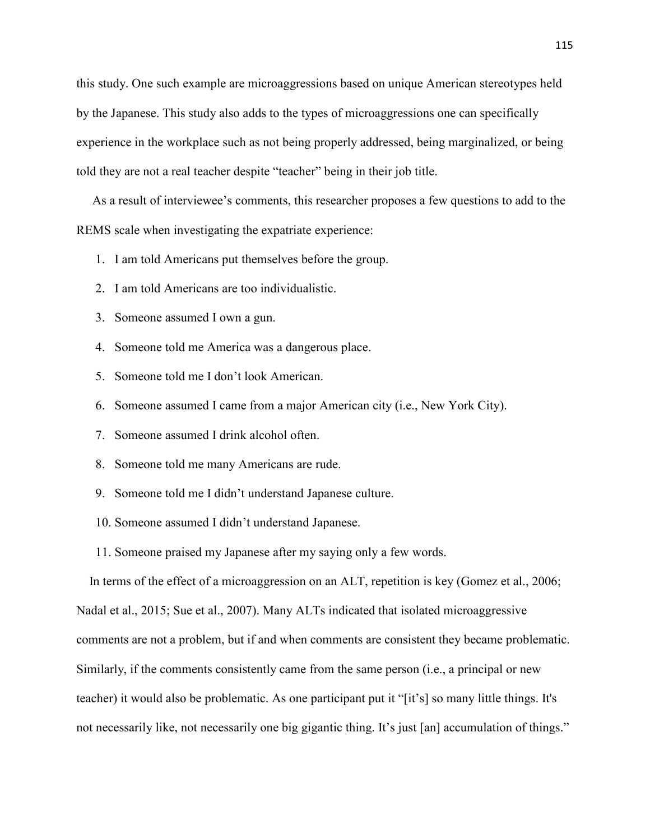this study. One such example are microaggressions based on unique American stereotypes held by the Japanese. This study also adds to the types of microaggressions one can specifically experience in the workplace such as not being properly addressed, being marginalized, or being told they are not a real teacher despite "teacher" being in their job title.

 As a result of interviewee's comments, this researcher proposes a few questions to add to the REMS scale when investigating the expatriate experience:

- 1. I am told Americans put themselves before the group.
- 2. I am told Americans are too individualistic.
- 3. Someone assumed I own a gun.
- 4. Someone told me America was a dangerous place.
- 5. Someone told me I don't look American.
- 6. Someone assumed I came from a major American city (i.e., New York City).
- 7. Someone assumed I drink alcohol often.
- 8. Someone told me many Americans are rude.
- 9. Someone told me I didn't understand Japanese culture.
- 10. Someone assumed I didn't understand Japanese.
- 11. Someone praised my Japanese after my saying only a few words.

 In terms of the effect of a microaggression on an ALT, repetition is key (Gomez et al., 2006; Nadal et al., 2015; Sue et al., 2007). Many ALTs indicated that isolated microaggressive comments are not a problem, but if and when comments are consistent they became problematic. Similarly, if the comments consistently came from the same person (i.e., a principal or new teacher) it would also be problematic. As one participant put it "[it's] so many little things. It's not necessarily like, not necessarily one big gigantic thing. It's just [an] accumulation of things."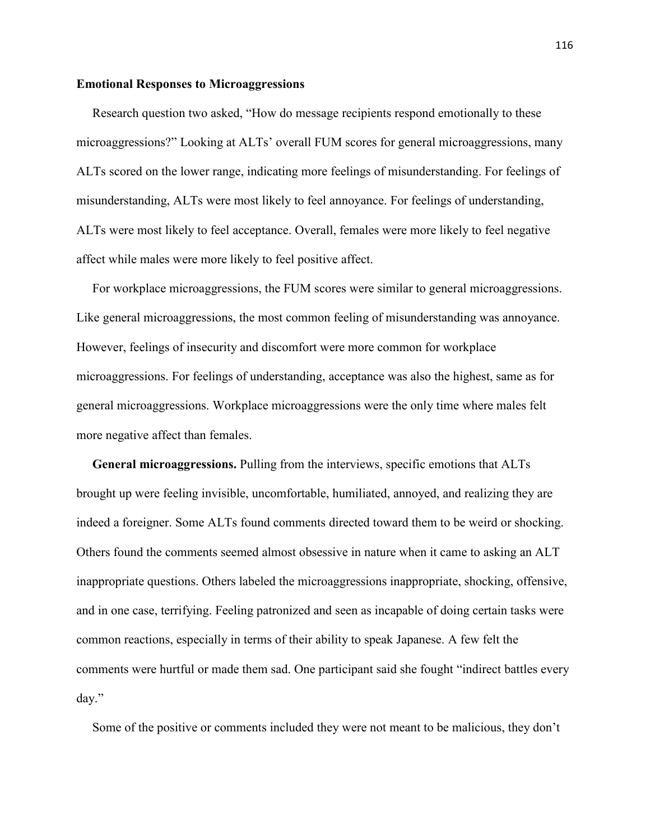### **Emotional Responses to Microaggressions**

Research question two asked, "How do message recipients respond emotionally to these microaggressions?" Looking at ALTs' overall FUM scores for general microaggressions, many ALTs scored on the lower range, indicating more feelings of misunderstanding. For feelings of misunderstanding, ALTs were most likely to feel annoyance. For feelings of understanding, ALTs were most likely to feel acceptance. Overall, females were more likely to feel negative affect while males were more likely to feel positive affect.

 For workplace microaggressions, the FUM scores were similar to general microaggressions. Like general microaggressions, the most common feeling of misunderstanding was annoyance. However, feelings of insecurity and discomfort were more common for workplace microaggressions. For feelings of understanding, acceptance was also the highest, same as for general microaggressions. Workplace microaggressions were the only time where males felt more negative affect than females.

 **General microaggressions.** Pulling from the interviews, specific emotions that ALTs brought up were feeling invisible, uncomfortable, humiliated, annoyed, and realizing they are indeed a foreigner. Some ALTs found comments directed toward them to be weird or shocking. Others found the comments seemed almost obsessive in nature when it came to asking an ALT inappropriate questions. Others labeled the microaggressions inappropriate, shocking, offensive, and in one case, terrifying. Feeling patronized and seen as incapable of doing certain tasks were common reactions, especially in terms of their ability to speak Japanese. A few felt the comments were hurtful or made them sad. One participant said she fought "indirect battles every day."

Some of the positive or comments included they were not meant to be malicious, they don't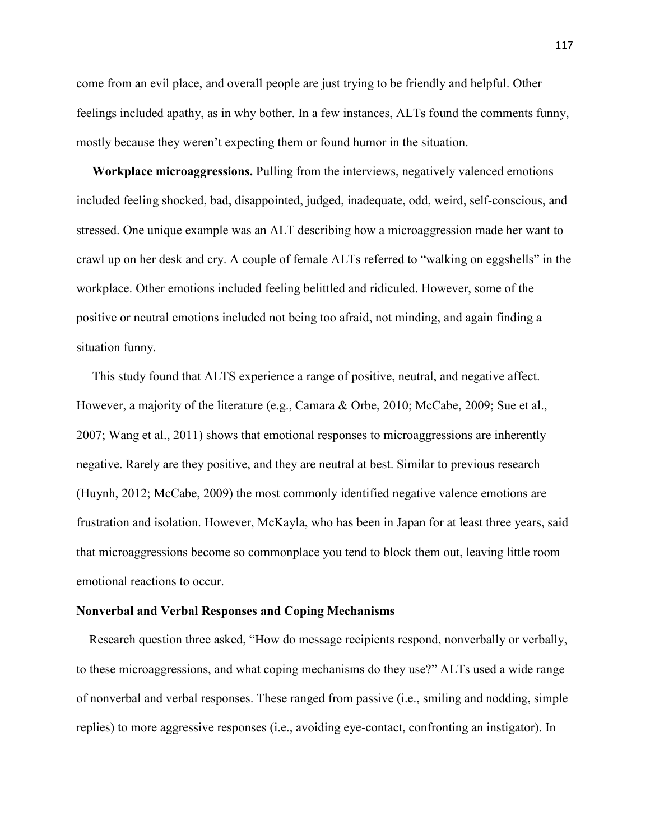come from an evil place, and overall people are just trying to be friendly and helpful. Other feelings included apathy, as in why bother. In a few instances, ALTs found the comments funny, mostly because they weren't expecting them or found humor in the situation.

 **Workplace microaggressions.** Pulling from the interviews, negatively valenced emotions included feeling shocked, bad, disappointed, judged, inadequate, odd, weird, self-conscious, and stressed. One unique example was an ALT describing how a microaggression made her want to crawl up on her desk and cry. A couple of female ALTs referred to "walking on eggshells" in the workplace. Other emotions included feeling belittled and ridiculed. However, some of the positive or neutral emotions included not being too afraid, not minding, and again finding a situation funny.

 This study found that ALTS experience a range of positive, neutral, and negative affect. However, a majority of the literature (e.g., Camara & Orbe, 2010; McCabe, 2009; Sue et al., 2007; Wang et al., 2011) shows that emotional responses to microaggressions are inherently negative. Rarely are they positive, and they are neutral at best. Similar to previous research (Huynh, 2012; McCabe, 2009) the most commonly identified negative valence emotions are frustration and isolation. However, McKayla, who has been in Japan for at least three years, said that microaggressions become so commonplace you tend to block them out, leaving little room emotional reactions to occur.

## **Nonverbal and Verbal Responses and Coping Mechanisms**

 Research question three asked, "How do message recipients respond, nonverbally or verbally, to these microaggressions, and what coping mechanisms do they use?" ALTs used a wide range of nonverbal and verbal responses. These ranged from passive (i.e., smiling and nodding, simple replies) to more aggressive responses (i.e., avoiding eye-contact, confronting an instigator). In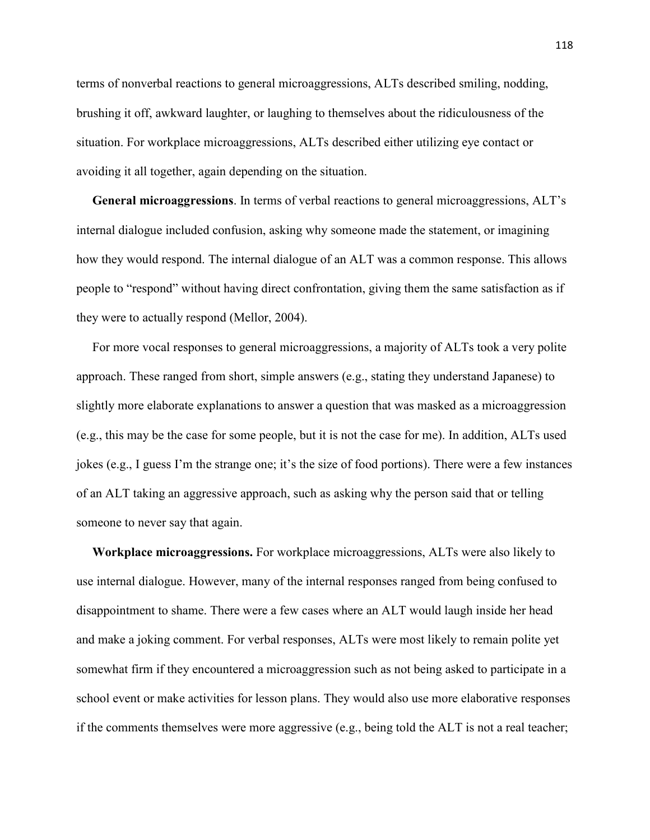terms of nonverbal reactions to general microaggressions, ALTs described smiling, nodding, brushing it off, awkward laughter, or laughing to themselves about the ridiculousness of the situation. For workplace microaggressions, ALTs described either utilizing eye contact or avoiding it all together, again depending on the situation.

 **General microaggressions**. In terms of verbal reactions to general microaggressions, ALT's internal dialogue included confusion, asking why someone made the statement, or imagining how they would respond. The internal dialogue of an ALT was a common response. This allows people to "respond" without having direct confrontation, giving them the same satisfaction as if they were to actually respond (Mellor, 2004).

 For more vocal responses to general microaggressions, a majority of ALTs took a very polite approach. These ranged from short, simple answers (e.g., stating they understand Japanese) to slightly more elaborate explanations to answer a question that was masked as a microaggression (e.g., this may be the case for some people, but it is not the case for me). In addition, ALTs used jokes (e.g., I guess I'm the strange one; it's the size of food portions). There were a few instances of an ALT taking an aggressive approach, such as asking why the person said that or telling someone to never say that again.

 **Workplace microaggressions.** For workplace microaggressions, ALTs were also likely to use internal dialogue. However, many of the internal responses ranged from being confused to disappointment to shame. There were a few cases where an ALT would laugh inside her head and make a joking comment. For verbal responses, ALTs were most likely to remain polite yet somewhat firm if they encountered a microaggression such as not being asked to participate in a school event or make activities for lesson plans. They would also use more elaborative responses if the comments themselves were more aggressive (e.g., being told the ALT is not a real teacher;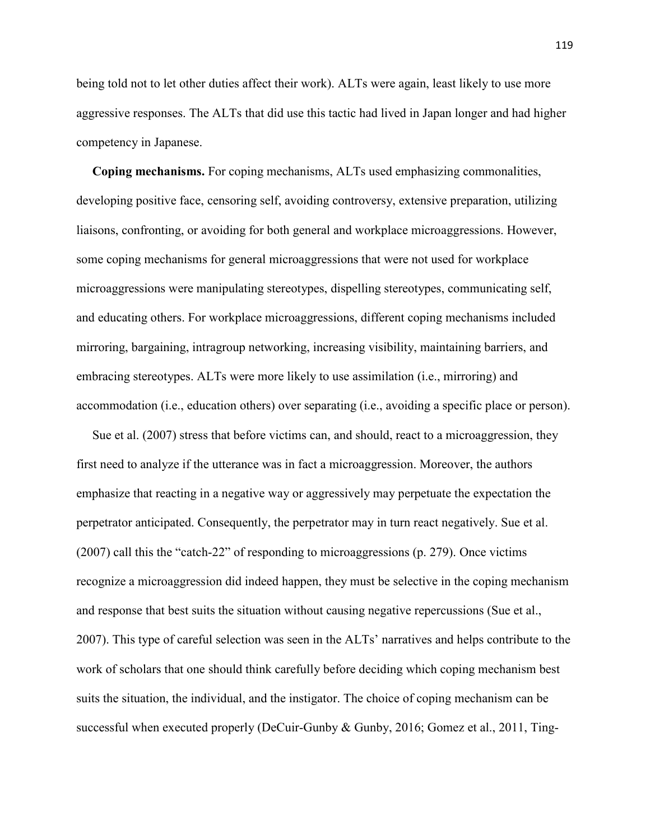being told not to let other duties affect their work). ALTs were again, least likely to use more aggressive responses. The ALTs that did use this tactic had lived in Japan longer and had higher competency in Japanese.

 **Coping mechanisms.** For coping mechanisms, ALTs used emphasizing commonalities, developing positive face, censoring self, avoiding controversy, extensive preparation, utilizing liaisons, confronting, or avoiding for both general and workplace microaggressions. However, some coping mechanisms for general microaggressions that were not used for workplace microaggressions were manipulating stereotypes, dispelling stereotypes, communicating self, and educating others. For workplace microaggressions, different coping mechanisms included mirroring, bargaining, intragroup networking, increasing visibility, maintaining barriers, and embracing stereotypes. ALTs were more likely to use assimilation (i.e., mirroring) and accommodation (i.e., education others) over separating (i.e., avoiding a specific place or person).

 Sue et al. (2007) stress that before victims can, and should, react to a microaggression, they first need to analyze if the utterance was in fact a microaggression. Moreover, the authors emphasize that reacting in a negative way or aggressively may perpetuate the expectation the perpetrator anticipated. Consequently, the perpetrator may in turn react negatively. Sue et al. (2007) call this the "catch-22" of responding to microaggressions (p. 279). Once victims recognize a microaggression did indeed happen, they must be selective in the coping mechanism and response that best suits the situation without causing negative repercussions (Sue et al., 2007). This type of careful selection was seen in the ALTs' narratives and helps contribute to the work of scholars that one should think carefully before deciding which coping mechanism best suits the situation, the individual, and the instigator. The choice of coping mechanism can be successful when executed properly (DeCuir-Gunby & Gunby, 2016; Gomez et al., 2011, Ting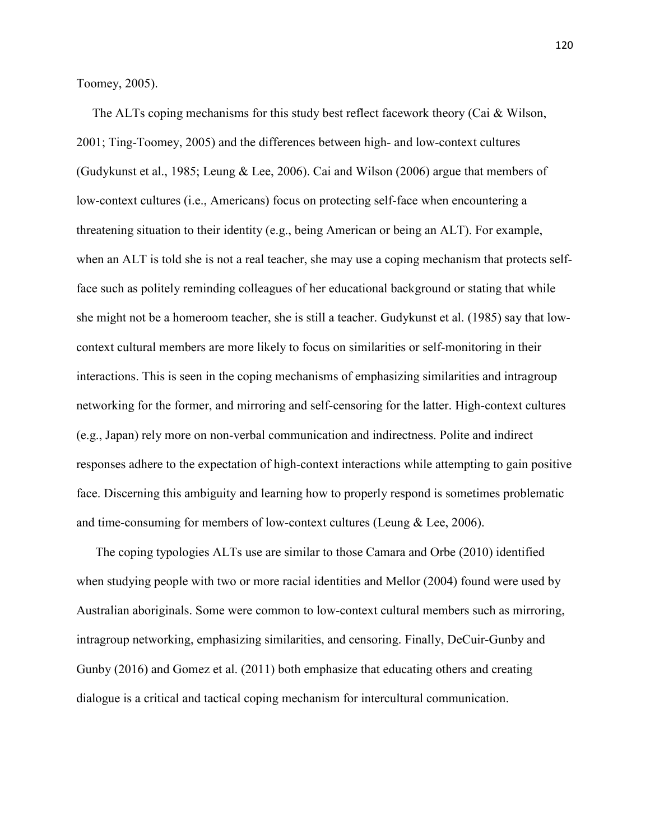Toomey, 2005).

 The ALTs coping mechanisms for this study best reflect facework theory (Cai & Wilson, 2001; Ting-Toomey, 2005) and the differences between high- and low-context cultures (Gudykunst et al., 1985; Leung & Lee, 2006). Cai and Wilson (2006) argue that members of low-context cultures (i.e., Americans) focus on protecting self-face when encountering a threatening situation to their identity (e.g., being American or being an ALT). For example, when an ALT is told she is not a real teacher, she may use a coping mechanism that protects selfface such as politely reminding colleagues of her educational background or stating that while she might not be a homeroom teacher, she is still a teacher. Gudykunst et al. (1985) say that lowcontext cultural members are more likely to focus on similarities or self-monitoring in their interactions. This is seen in the coping mechanisms of emphasizing similarities and intragroup networking for the former, and mirroring and self-censoring for the latter. High-context cultures (e.g., Japan) rely more on non-verbal communication and indirectness. Polite and indirect responses adhere to the expectation of high-context interactions while attempting to gain positive face. Discerning this ambiguity and learning how to properly respond is sometimes problematic and time-consuming for members of low-context cultures (Leung & Lee, 2006).

 The coping typologies ALTs use are similar to those Camara and Orbe (2010) identified when studying people with two or more racial identities and Mellor (2004) found were used by Australian aboriginals. Some were common to low-context cultural members such as mirroring, intragroup networking, emphasizing similarities, and censoring. Finally, DeCuir-Gunby and Gunby (2016) and Gomez et al. (2011) both emphasize that educating others and creating dialogue is a critical and tactical coping mechanism for intercultural communication.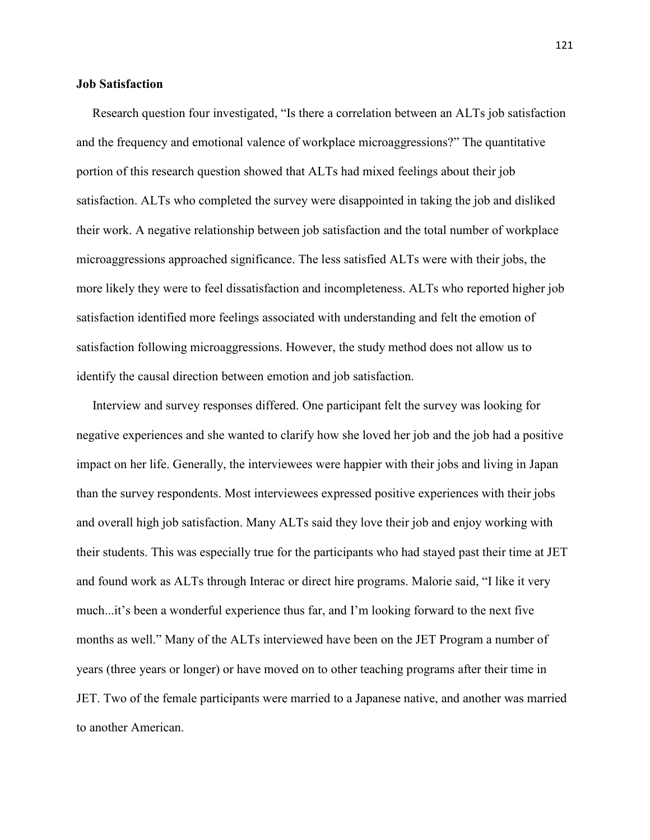# **Job Satisfaction**

 Research question four investigated, "Is there a correlation between an ALTs job satisfaction and the frequency and emotional valence of workplace microaggressions?" The quantitative portion of this research question showed that ALTs had mixed feelings about their job satisfaction. ALTs who completed the survey were disappointed in taking the job and disliked their work. A negative relationship between job satisfaction and the total number of workplace microaggressions approached significance. The less satisfied ALTs were with their jobs, the more likely they were to feel dissatisfaction and incompleteness. ALTs who reported higher job satisfaction identified more feelings associated with understanding and felt the emotion of satisfaction following microaggressions. However, the study method does not allow us to identify the causal direction between emotion and job satisfaction.

 Interview and survey responses differed. One participant felt the survey was looking for negative experiences and she wanted to clarify how she loved her job and the job had a positive impact on her life. Generally, the interviewees were happier with their jobs and living in Japan than the survey respondents. Most interviewees expressed positive experiences with their jobs and overall high job satisfaction. Many ALTs said they love their job and enjoy working with their students. This was especially true for the participants who had stayed past their time at JET and found work as ALTs through Interac or direct hire programs. Malorie said, "I like it very much...it's been a wonderful experience thus far, and I'm looking forward to the next five months as well." Many of the ALTs interviewed have been on the JET Program a number of years (three years or longer) or have moved on to other teaching programs after their time in JET. Two of the female participants were married to a Japanese native, and another was married to another American.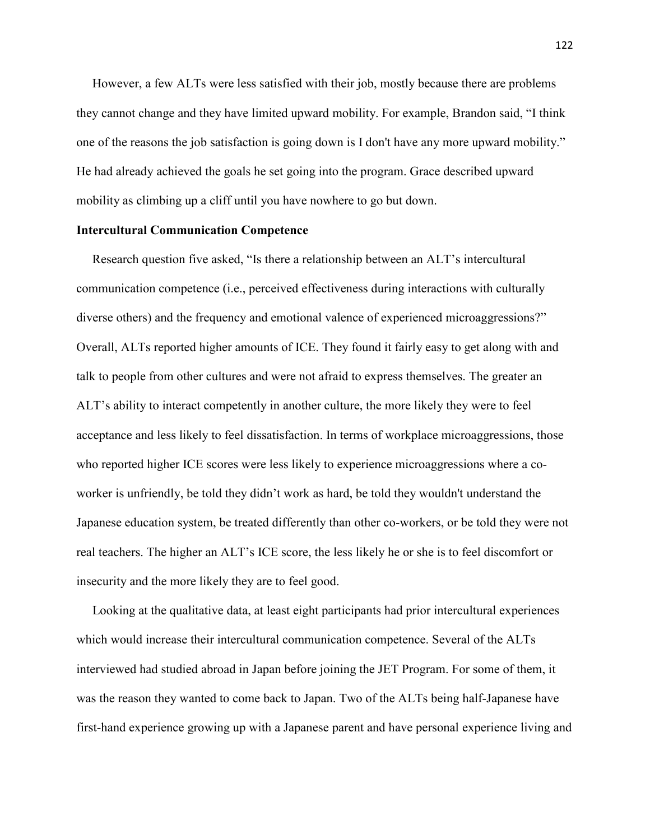However, a few ALTs were less satisfied with their job, mostly because there are problems they cannot change and they have limited upward mobility. For example, Brandon said, "I think one of the reasons the job satisfaction is going down is I don't have any more upward mobility." He had already achieved the goals he set going into the program. Grace described upward mobility as climbing up a cliff until you have nowhere to go but down.

### **Intercultural Communication Competence**

 Research question five asked, "Is there a relationship between an ALT's intercultural communication competence (i.e., perceived effectiveness during interactions with culturally diverse others) and the frequency and emotional valence of experienced microaggressions?" Overall, ALTs reported higher amounts of ICE. They found it fairly easy to get along with and talk to people from other cultures and were not afraid to express themselves. The greater an ALT's ability to interact competently in another culture, the more likely they were to feel acceptance and less likely to feel dissatisfaction. In terms of workplace microaggressions, those who reported higher ICE scores were less likely to experience microaggressions where a coworker is unfriendly, be told they didn't work as hard, be told they wouldn't understand the Japanese education system, be treated differently than other co-workers, or be told they were not real teachers. The higher an ALT's ICE score, the less likely he or she is to feel discomfort or insecurity and the more likely they are to feel good.

 Looking at the qualitative data, at least eight participants had prior intercultural experiences which would increase their intercultural communication competence. Several of the ALTs interviewed had studied abroad in Japan before joining the JET Program. For some of them, it was the reason they wanted to come back to Japan. Two of the ALTs being half-Japanese have first-hand experience growing up with a Japanese parent and have personal experience living and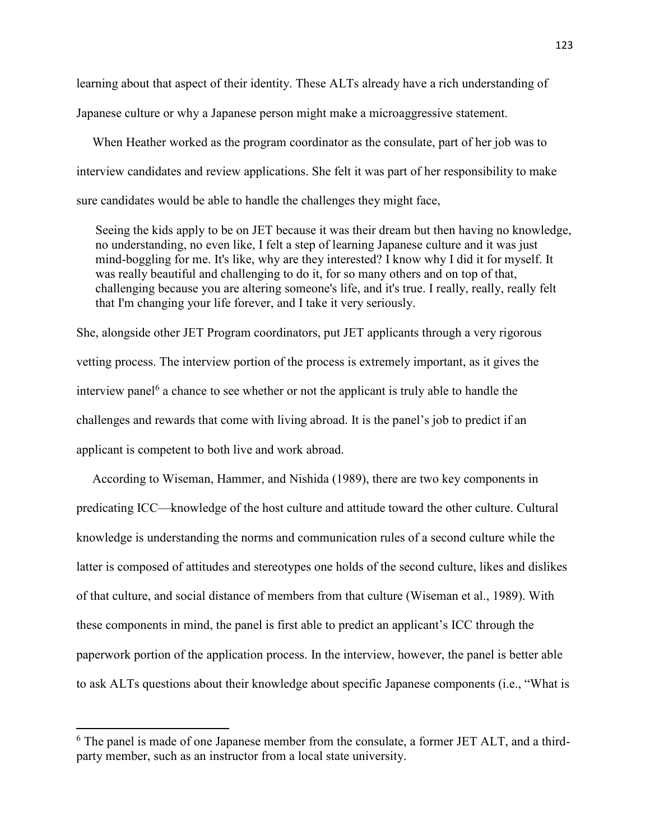learning about that aspect of their identity. These ALTs already have a rich understanding of Japanese culture or why a Japanese person might make a microaggressive statement.

 When Heather worked as the program coordinator as the consulate, part of her job was to interview candidates and review applications. She felt it was part of her responsibility to make sure candidates would be able to handle the challenges they might face,

 Seeing the kids apply to be on JET because it was their dream but then having no knowledge, no understanding, no even like, I felt a step of learning Japanese culture and it was just mind-boggling for me. It's like, why are they interested? I know why I did it for myself. It was really beautiful and challenging to do it, for so many others and on top of that, challenging because you are altering someone's life, and it's true. I really, really, really felt that I'm changing your life forever, and I take it very seriously.

She, alongside other JET Program coordinators, put JET applicants through a very rigorous vetting process. The interview portion of the process is extremely important, as it gives the interview panel<sup>6</sup> a chance to see whether or not the applicant is truly able to handle the challenges and rewards that come with living abroad. It is the panel's job to predict if an applicant is competent to both live and work abroad.

 According to Wiseman, Hammer, and Nishida (1989), there are two key components in predicating ICC—knowledge of the host culture and attitude toward the other culture. Cultural knowledge is understanding the norms and communication rules of a second culture while the latter is composed of attitudes and stereotypes one holds of the second culture, likes and dislikes of that culture, and social distance of members from that culture (Wiseman et al., 1989). With these components in mind, the panel is first able to predict an applicant's ICC through the paperwork portion of the application process. In the interview, however, the panel is better able to ask ALTs questions about their knowledge about specific Japanese components (i.e., "What is

l

<sup>&</sup>lt;sup>6</sup> The panel is made of one Japanese member from the consulate, a former JET ALT, and a thirdparty member, such as an instructor from a local state university.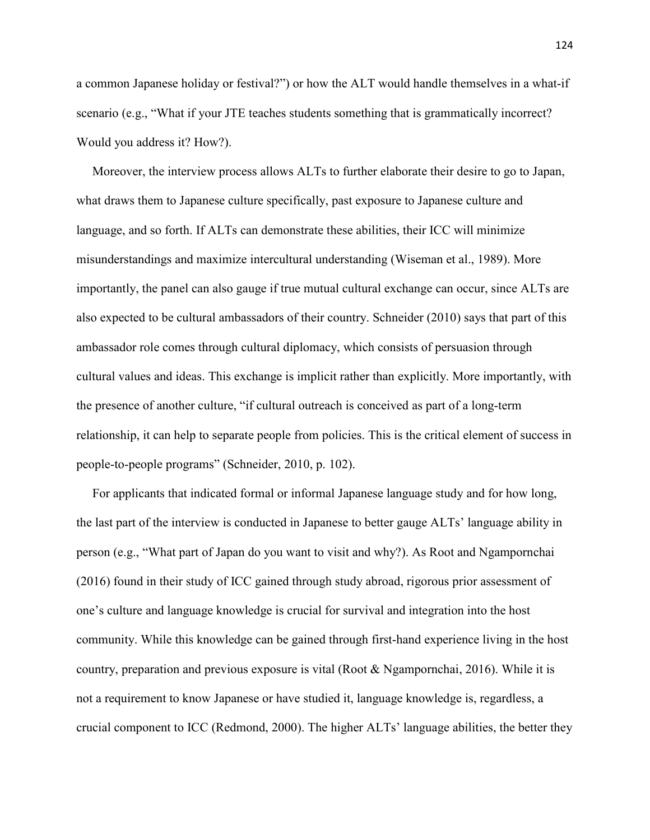a common Japanese holiday or festival?") or how the ALT would handle themselves in a what-if scenario (e.g., "What if your JTE teaches students something that is grammatically incorrect? Would you address it? How?).

 Moreover, the interview process allows ALTs to further elaborate their desire to go to Japan, what draws them to Japanese culture specifically, past exposure to Japanese culture and language, and so forth. If ALTs can demonstrate these abilities, their ICC will minimize misunderstandings and maximize intercultural understanding (Wiseman et al., 1989). More importantly, the panel can also gauge if true mutual cultural exchange can occur, since ALTs are also expected to be cultural ambassadors of their country. Schneider (2010) says that part of this ambassador role comes through cultural diplomacy, which consists of persuasion through cultural values and ideas. This exchange is implicit rather than explicitly. More importantly, with the presence of another culture, "if cultural outreach is conceived as part of a long-term relationship, it can help to separate people from policies. This is the critical element of success in people-to-people programs" (Schneider, 2010, p. 102).

 For applicants that indicated formal or informal Japanese language study and for how long, the last part of the interview is conducted in Japanese to better gauge ALTs' language ability in person (e.g., "What part of Japan do you want to visit and why?). As Root and Ngampornchai (2016) found in their study of ICC gained through study abroad, rigorous prior assessment of one's culture and language knowledge is crucial for survival and integration into the host community. While this knowledge can be gained through first-hand experience living in the host country, preparation and previous exposure is vital (Root & Ngampornchai, 2016). While it is not a requirement to know Japanese or have studied it, language knowledge is, regardless, a crucial component to ICC (Redmond, 2000). The higher ALTs' language abilities, the better they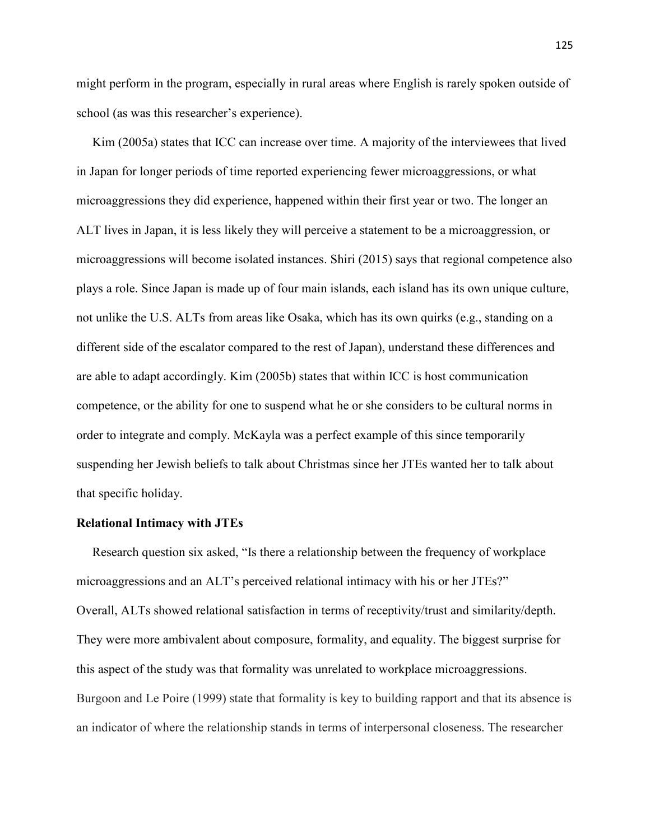might perform in the program, especially in rural areas where English is rarely spoken outside of school (as was this researcher's experience).

 Kim (2005a) states that ICC can increase over time. A majority of the interviewees that lived in Japan for longer periods of time reported experiencing fewer microaggressions, or what microaggressions they did experience, happened within their first year or two. The longer an ALT lives in Japan, it is less likely they will perceive a statement to be a microaggression, or microaggressions will become isolated instances. Shiri (2015) says that regional competence also plays a role. Since Japan is made up of four main islands, each island has its own unique culture, not unlike the U.S. ALTs from areas like Osaka, which has its own quirks (e.g., standing on a different side of the escalator compared to the rest of Japan), understand these differences and are able to adapt accordingly. Kim (2005b) states that within ICC is host communication competence, or the ability for one to suspend what he or she considers to be cultural norms in order to integrate and comply. McKayla was a perfect example of this since temporarily suspending her Jewish beliefs to talk about Christmas since her JTEs wanted her to talk about that specific holiday.

#### **Relational Intimacy with JTEs**

 Research question six asked, "Is there a relationship between the frequency of workplace microaggressions and an ALT's perceived relational intimacy with his or her JTEs?" Overall, ALTs showed relational satisfaction in terms of receptivity/trust and similarity/depth. They were more ambivalent about composure, formality, and equality. The biggest surprise for this aspect of the study was that formality was unrelated to workplace microaggressions. Burgoon and Le Poire (1999) state that formality is key to building rapport and that its absence is an indicator of where the relationship stands in terms of interpersonal closeness. The researcher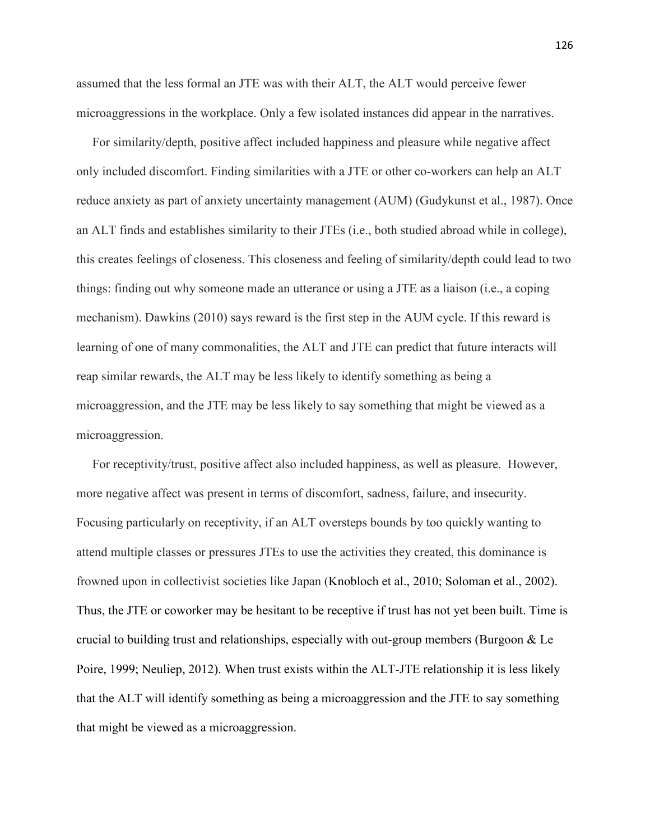assumed that the less formal an JTE was with their ALT, the ALT would perceive fewer microaggressions in the workplace. Only a few isolated instances did appear in the narratives.

 For similarity/depth, positive affect included happiness and pleasure while negative affect only included discomfort. Finding similarities with a JTE or other co-workers can help an ALT reduce anxiety as part of anxiety uncertainty management (AUM) (Gudykunst et al., 1987). Once an ALT finds and establishes similarity to their JTEs (i.e., both studied abroad while in college), this creates feelings of closeness. This closeness and feeling of similarity/depth could lead to two things: finding out why someone made an utterance or using a JTE as a liaison (i.e., a coping mechanism). Dawkins (2010) says reward is the first step in the AUM cycle. If this reward is learning of one of many commonalities, the ALT and JTE can predict that future interacts will reap similar rewards, the ALT may be less likely to identify something as being a microaggression, and the JTE may be less likely to say something that might be viewed as a microaggression.

 For receptivity/trust, positive affect also included happiness, as well as pleasure. However, more negative affect was present in terms of discomfort, sadness, failure, and insecurity. Focusing particularly on receptivity, if an ALT oversteps bounds by too quickly wanting to attend multiple classes or pressures JTEs to use the activities they created, this dominance is frowned upon in collectivist societies like Japan (Knobloch et al., 2010; Soloman et al., 2002). Thus, the JTE or coworker may be hesitant to be receptive if trust has not yet been built. Time is crucial to building trust and relationships, especially with out-group members (Burgoon  $\&$  Le Poire, 1999; Neuliep, 2012). When trust exists within the ALT-JTE relationship it is less likely that the ALT will identify something as being a microaggression and the JTE to say something that might be viewed as a microaggression.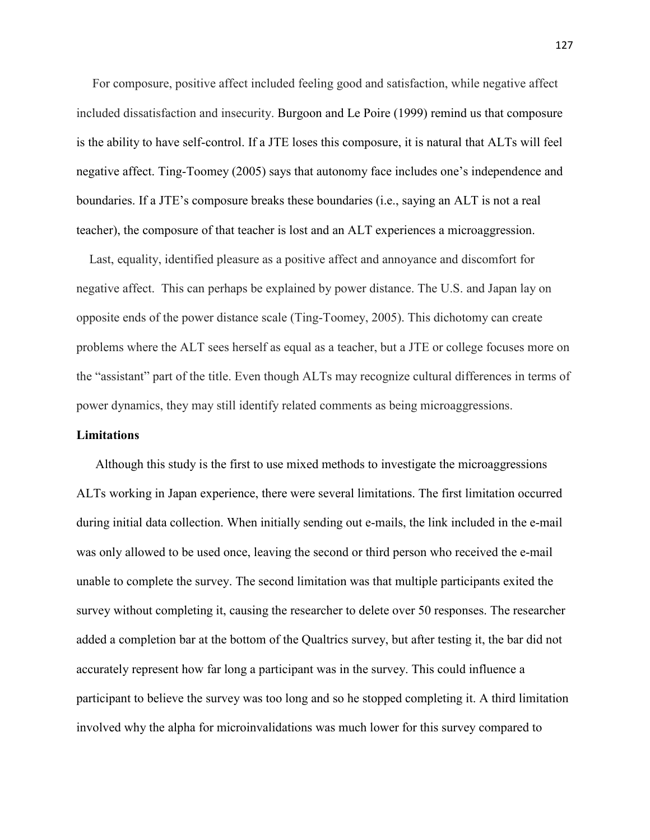For composure, positive affect included feeling good and satisfaction, while negative affect included dissatisfaction and insecurity. Burgoon and Le Poire (1999) remind us that composure is the ability to have self-control. If a JTE loses this composure, it is natural that ALTs will feel negative affect. Ting-Toomey (2005) says that autonomy face includes one's independence and boundaries. If a JTE's composure breaks these boundaries (i.e., saying an ALT is not a real teacher), the composure of that teacher is lost and an ALT experiences a microaggression.

 Last, equality, identified pleasure as a positive affect and annoyance and discomfort for negative affect. This can perhaps be explained by power distance. The U.S. and Japan lay on opposite ends of the power distance scale (Ting-Toomey, 2005). This dichotomy can create problems where the ALT sees herself as equal as a teacher, but a JTE or college focuses more on the "assistant" part of the title. Even though ALTs may recognize cultural differences in terms of power dynamics, they may still identify related comments as being microaggressions.

# **Limitations**

Although this study is the first to use mixed methods to investigate the microaggressions ALTs working in Japan experience, there were several limitations. The first limitation occurred during initial data collection. When initially sending out e-mails, the link included in the e-mail was only allowed to be used once, leaving the second or third person who received the e-mail unable to complete the survey. The second limitation was that multiple participants exited the survey without completing it, causing the researcher to delete over 50 responses. The researcher added a completion bar at the bottom of the Qualtrics survey, but after testing it, the bar did not accurately represent how far long a participant was in the survey. This could influence a participant to believe the survey was too long and so he stopped completing it. A third limitation involved why the alpha for microinvalidations was much lower for this survey compared to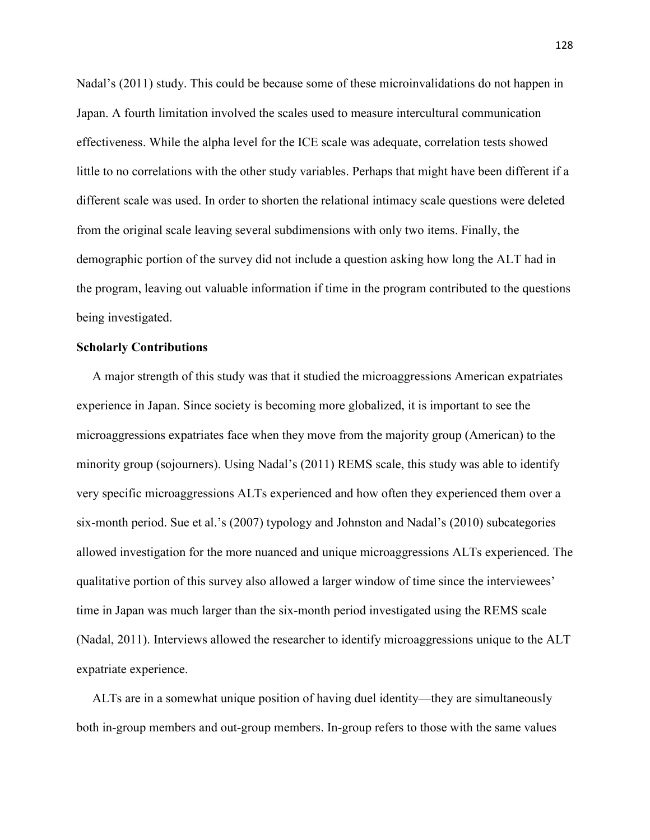Nadal's (2011) study. This could be because some of these microinvalidations do not happen in Japan. A fourth limitation involved the scales used to measure intercultural communication effectiveness. While the alpha level for the ICE scale was adequate, correlation tests showed little to no correlations with the other study variables. Perhaps that might have been different if a different scale was used. In order to shorten the relational intimacy scale questions were deleted from the original scale leaving several subdimensions with only two items. Finally, the demographic portion of the survey did not include a question asking how long the ALT had in the program, leaving out valuable information if time in the program contributed to the questions being investigated.

# **Scholarly Contributions**

 A major strength of this study was that it studied the microaggressions American expatriates experience in Japan. Since society is becoming more globalized, it is important to see the microaggressions expatriates face when they move from the majority group (American) to the minority group (sojourners). Using Nadal's (2011) REMS scale, this study was able to identify very specific microaggressions ALTs experienced and how often they experienced them over a six-month period. Sue et al.'s (2007) typology and Johnston and Nadal's (2010) subcategories allowed investigation for the more nuanced and unique microaggressions ALTs experienced. The qualitative portion of this survey also allowed a larger window of time since the interviewees' time in Japan was much larger than the six-month period investigated using the REMS scale (Nadal, 2011). Interviews allowed the researcher to identify microaggressions unique to the ALT expatriate experience.

 ALTs are in a somewhat unique position of having duel identity—they are simultaneously both in-group members and out-group members. In-group refers to those with the same values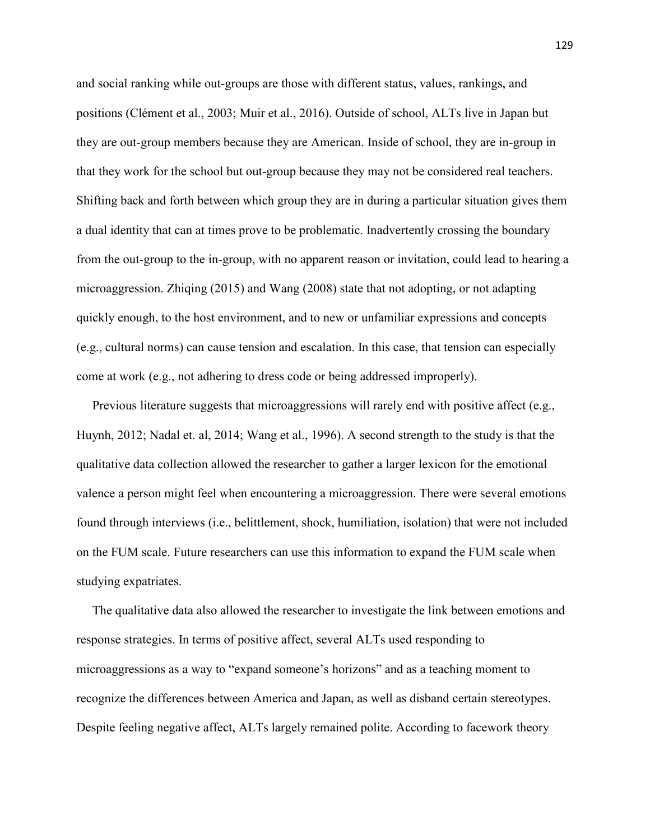and social ranking while out-groups are those with different status, values, rankings, and positions (Clément et al., 2003; Muir et al., 2016). Outside of school, ALTs live in Japan but they are out-group members because they are American. Inside of school, they are in-group in that they work for the school but out-group because they may not be considered real teachers. Shifting back and forth between which group they are in during a particular situation gives them a dual identity that can at times prove to be problematic. Inadvertently crossing the boundary from the out-group to the in-group, with no apparent reason or invitation, could lead to hearing a microaggression. Zhiqing (2015) and Wang (2008) state that not adopting, or not adapting quickly enough, to the host environment, and to new or unfamiliar expressions and concepts (e.g., cultural norms) can cause tension and escalation. In this case, that tension can especially come at work (e.g., not adhering to dress code or being addressed improperly).

Previous literature suggests that microaggressions will rarely end with positive affect (e.g., Huynh, 2012; Nadal et. al, 2014; Wang et al., 1996). A second strength to the study is that the qualitative data collection allowed the researcher to gather a larger lexicon for the emotional valence a person might feel when encountering a microaggression. There were several emotions found through interviews (i.e., belittlement, shock, humiliation, isolation) that were not included on the FUM scale. Future researchers can use this information to expand the FUM scale when studying expatriates.

 The qualitative data also allowed the researcher to investigate the link between emotions and response strategies. In terms of positive affect, several ALTs used responding to microaggressions as a way to "expand someone's horizons" and as a teaching moment to recognize the differences between America and Japan, as well as disband certain stereotypes. Despite feeling negative affect, ALTs largely remained polite. According to facework theory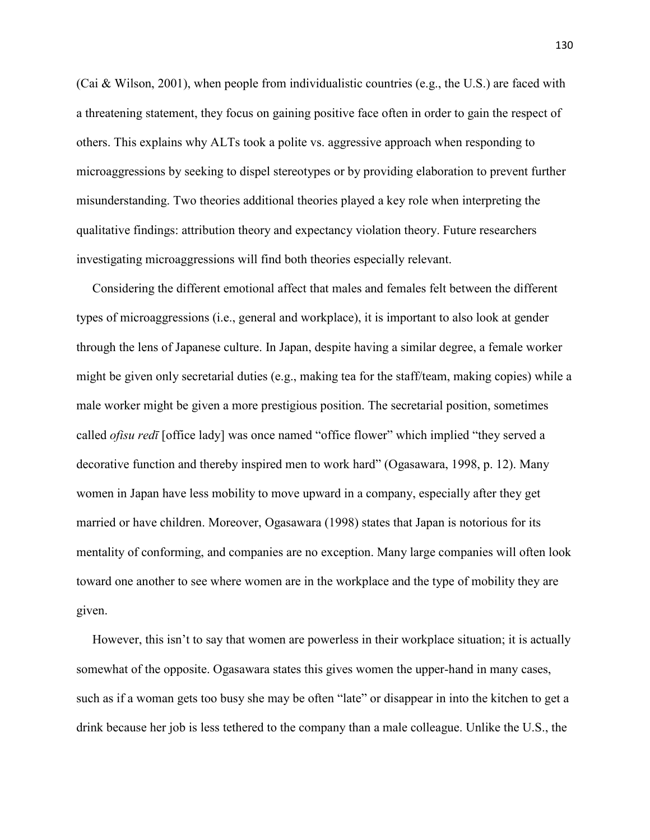(Cai & Wilson, 2001), when people from individualistic countries (e.g., the U.S.) are faced with a threatening statement, they focus on gaining positive face often in order to gain the respect of others. This explains why ALTs took a polite vs. aggressive approach when responding to microaggressions by seeking to dispel stereotypes or by providing elaboration to prevent further misunderstanding. Two theories additional theories played a key role when interpreting the qualitative findings: attribution theory and expectancy violation theory. Future researchers investigating microaggressions will find both theories especially relevant.

 Considering the different emotional affect that males and females felt between the different types of microaggressions (i.e., general and workplace), it is important to also look at gender through the lens of Japanese culture. In Japan, despite having a similar degree, a female worker might be given only secretarial duties (e.g., making tea for the staff/team, making copies) while a male worker might be given a more prestigious position. The secretarial position, sometimes called *ofisu redī* [office lady] was once named "office flower" which implied "they served a decorative function and thereby inspired men to work hard" (Ogasawara, 1998, p. 12). Many women in Japan have less mobility to move upward in a company, especially after they get married or have children. Moreover, Ogasawara (1998) states that Japan is notorious for its mentality of conforming, and companies are no exception. Many large companies will often look toward one another to see where women are in the workplace and the type of mobility they are given.

 However, this isn't to say that women are powerless in their workplace situation; it is actually somewhat of the opposite. Ogasawara states this gives women the upper-hand in many cases, such as if a woman gets too busy she may be often "late" or disappear in into the kitchen to get a drink because her job is less tethered to the company than a male colleague. Unlike the U.S., the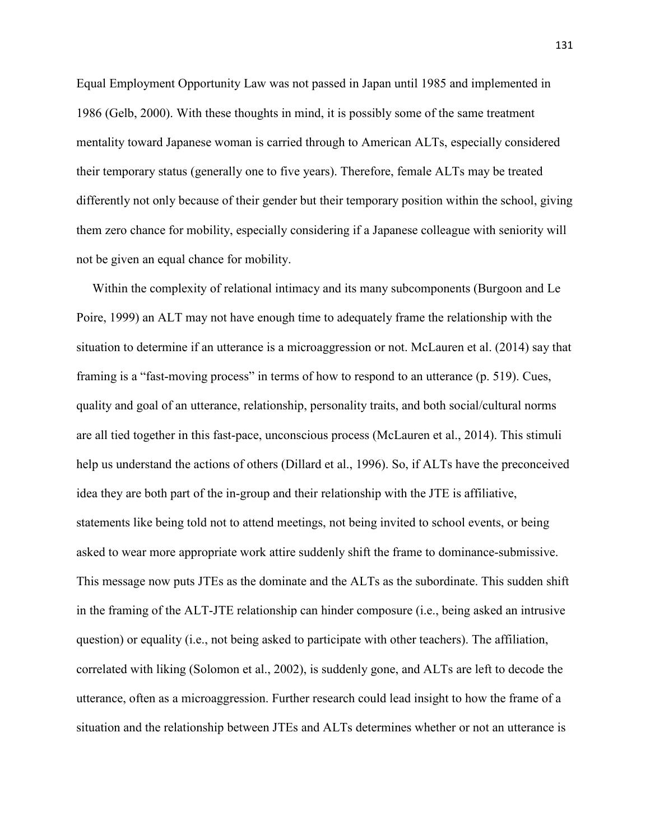Equal Employment Opportunity Law was not passed in Japan until 1985 and implemented in 1986 (Gelb, 2000). With these thoughts in mind, it is possibly some of the same treatment mentality toward Japanese woman is carried through to American ALTs, especially considered their temporary status (generally one to five years). Therefore, female ALTs may be treated differently not only because of their gender but their temporary position within the school, giving them zero chance for mobility, especially considering if a Japanese colleague with seniority will not be given an equal chance for mobility.

 Within the complexity of relational intimacy and its many subcomponents (Burgoon and Le Poire, 1999) an ALT may not have enough time to adequately frame the relationship with the situation to determine if an utterance is a microaggression or not. McLauren et al. (2014) say that framing is a "fast-moving process" in terms of how to respond to an utterance (p. 519). Cues, quality and goal of an utterance, relationship, personality traits, and both social/cultural norms are all tied together in this fast-pace, unconscious process (McLauren et al., 2014). This stimuli help us understand the actions of others (Dillard et al., 1996). So, if ALTs have the preconceived idea they are both part of the in-group and their relationship with the JTE is affiliative, statements like being told not to attend meetings, not being invited to school events, or being asked to wear more appropriate work attire suddenly shift the frame to dominance-submissive. This message now puts JTEs as the dominate and the ALTs as the subordinate. This sudden shift in the framing of the ALT-JTE relationship can hinder composure (i.e., being asked an intrusive question) or equality (i.e., not being asked to participate with other teachers). The affiliation, correlated with liking (Solomon et al., 2002), is suddenly gone, and ALTs are left to decode the utterance, often as a microaggression. Further research could lead insight to how the frame of a situation and the relationship between JTEs and ALTs determines whether or not an utterance is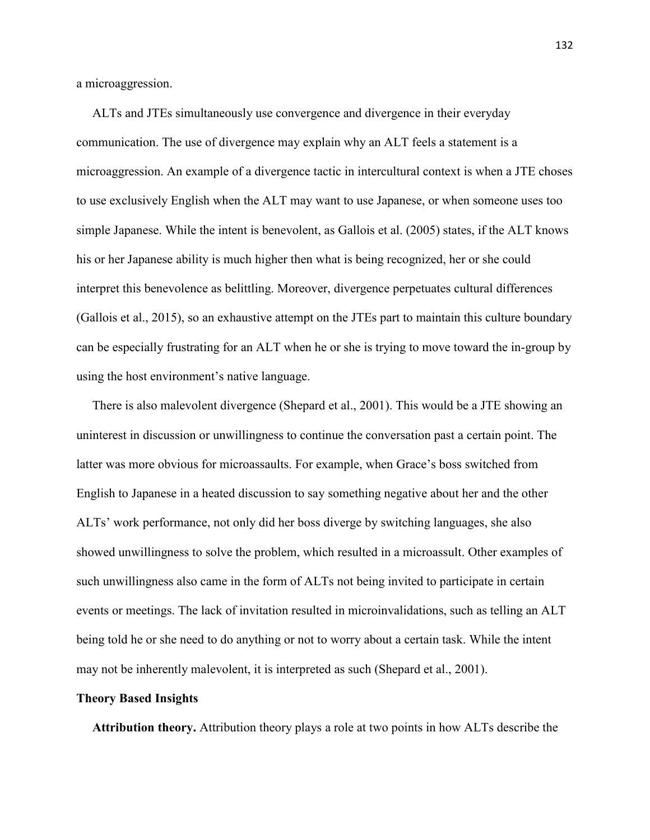a microaggression.

ALTs and JTEs simultaneously use convergence and divergence in their everyday communication. The use of divergence may explain why an ALT feels a statement is a microaggression. An example of a divergence tactic in intercultural context is when a JTE choses to use exclusively English when the ALT may want to use Japanese, or when someone uses too simple Japanese. While the intent is benevolent, as Gallois et al. (2005) states, if the ALT knows his or her Japanese ability is much higher then what is being recognized, her or she could interpret this benevolence as belittling. Moreover, divergence perpetuates cultural differences (Gallois et al., 2015), so an exhaustive attempt on the JTEs part to maintain this culture boundary can be especially frustrating for an ALT when he or she is trying to move toward the in-group by using the host environment's native language.

 There is also malevolent divergence (Shepard et al., 2001). This would be a JTE showing an uninterest in discussion or unwillingness to continue the conversation past a certain point. The latter was more obvious for microassaults. For example, when Grace's boss switched from English to Japanese in a heated discussion to say something negative about her and the other ALTs' work performance, not only did her boss diverge by switching languages, she also showed unwillingness to solve the problem, which resulted in a microassult. Other examples of such unwillingness also came in the form of ALTs not being invited to participate in certain events or meetings. The lack of invitation resulted in microinvalidations, such as telling an ALT being told he or she need to do anything or not to worry about a certain task. While the intent may not be inherently malevolent, it is interpreted as such (Shepard et al., 2001).

## **Theory Based Insights**

 **Attribution theory.** Attribution theory plays a role at two points in how ALTs describe the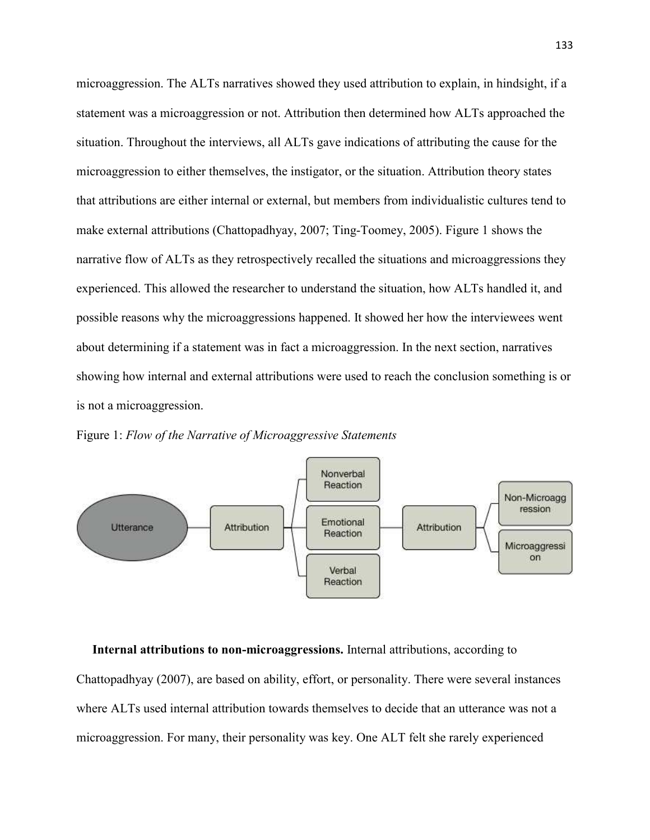microaggression. The ALTs narratives showed they used attribution to explain, in hindsight, if a statement was a microaggression or not. Attribution then determined how ALTs approached the situation. Throughout the interviews, all ALTs gave indications of attributing the cause for the microaggression to either themselves, the instigator, or the situation. Attribution theory states that attributions are either internal or external, but members from individualistic cultures tend to make external attributions (Chattopadhyay, 2007; Ting-Toomey, 2005). Figure 1 shows the narrative flow of ALTs as they retrospectively recalled the situations and microaggressions they experienced. This allowed the researcher to understand the situation, how ALTs handled it, and possible reasons why the microaggressions happened. It showed her how the interviewees went about determining if a statement was in fact a microaggression. In the next section, narratives showing how internal and external attributions were used to reach the conclusion something is or is not a microaggression.





**Internal attributions to non-microaggressions.** Internal attributions, according to Chattopadhyay (2007), are based on ability, effort, or personality. There were several instances where ALTs used internal attribution towards themselves to decide that an utterance was not a microaggression. For many, their personality was key. One ALT felt she rarely experienced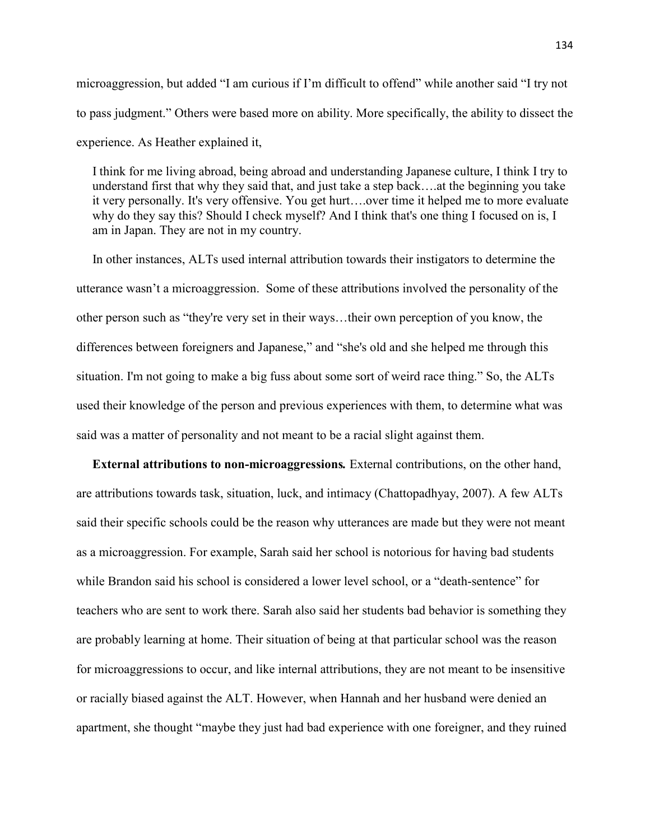microaggression, but added "I am curious if I'm difficult to offend" while another said "I try not to pass judgment." Others were based more on ability. More specifically, the ability to dissect the experience. As Heather explained it,

 I think for me living abroad, being abroad and understanding Japanese culture, I think I try to understand first that why they said that, and just take a step back….at the beginning you take it very personally. It's very offensive. You get hurt….over time it helped me to more evaluate why do they say this? Should I check myself? And I think that's one thing I focused on is, I am in Japan. They are not in my country.

 In other instances, ALTs used internal attribution towards their instigators to determine the utterance wasn't a microaggression. Some of these attributions involved the personality of the other person such as "they're very set in their ways…their own perception of you know, the differences between foreigners and Japanese," and "she's old and she helped me through this situation. I'm not going to make a big fuss about some sort of weird race thing." So, the ALTs used their knowledge of the person and previous experiences with them, to determine what was said was a matter of personality and not meant to be a racial slight against them.

 **External attributions to non-microaggressions***.* External contributions, on the other hand, are attributions towards task, situation, luck, and intimacy (Chattopadhyay, 2007). A few ALTs said their specific schools could be the reason why utterances are made but they were not meant as a microaggression. For example, Sarah said her school is notorious for having bad students while Brandon said his school is considered a lower level school, or a "death-sentence" for teachers who are sent to work there. Sarah also said her students bad behavior is something they are probably learning at home. Their situation of being at that particular school was the reason for microaggressions to occur, and like internal attributions, they are not meant to be insensitive or racially biased against the ALT. However, when Hannah and her husband were denied an apartment, she thought "maybe they just had bad experience with one foreigner, and they ruined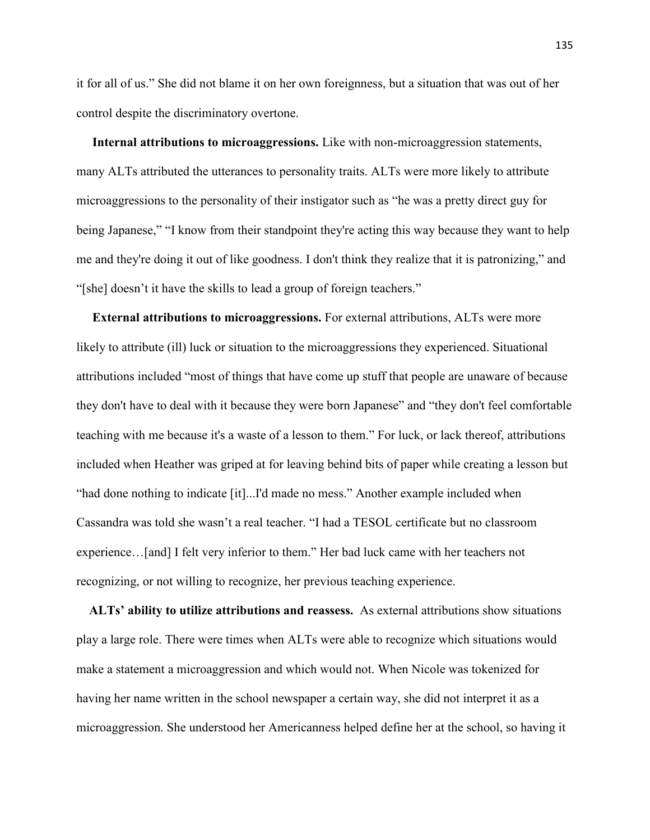it for all of us." She did not blame it on her own foreignness, but a situation that was out of her control despite the discriminatory overtone.

**Internal attributions to microaggressions.** Like with non-microaggression statements, many ALTs attributed the utterances to personality traits. ALTs were more likely to attribute microaggressions to the personality of their instigator such as "he was a pretty direct guy for being Japanese," "I know from their standpoint they're acting this way because they want to help me and they're doing it out of like goodness. I don't think they realize that it is patronizing," and "[she] doesn't it have the skills to lead a group of foreign teachers."

 **External attributions to microaggressions.** For external attributions, ALTs were more likely to attribute (ill) luck or situation to the microaggressions they experienced. Situational attributions included "most of things that have come up stuff that people are unaware of because they don't have to deal with it because they were born Japanese" and "they don't feel comfortable teaching with me because it's a waste of a lesson to them." For luck, or lack thereof, attributions included when Heather was griped at for leaving behind bits of paper while creating a lesson but "had done nothing to indicate [it]...I'd made no mess." Another example included when Cassandra was told she wasn't a real teacher. "I had a TESOL certificate but no classroom experience…[and] I felt very inferior to them." Her bad luck came with her teachers not recognizing, or not willing to recognize, her previous teaching experience.

 **ALTs' ability to utilize attributions and reassess.** As external attributions show situations play a large role. There were times when ALTs were able to recognize which situations would make a statement a microaggression and which would not. When Nicole was tokenized for having her name written in the school newspaper a certain way, she did not interpret it as a microaggression. She understood her Americanness helped define her at the school, so having it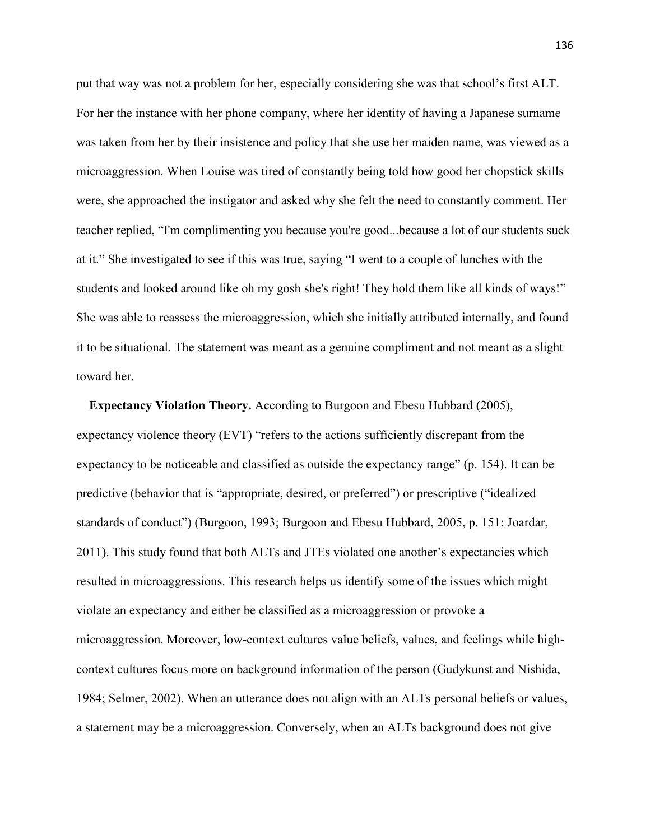put that way was not a problem for her, especially considering she was that school's first ALT. For her the instance with her phone company, where her identity of having a Japanese surname was taken from her by their insistence and policy that she use her maiden name, was viewed as a microaggression. When Louise was tired of constantly being told how good her chopstick skills were, she approached the instigator and asked why she felt the need to constantly comment. Her teacher replied, "I'm complimenting you because you're good...because a lot of our students suck at it." She investigated to see if this was true, saying "I went to a couple of lunches with the students and looked around like oh my gosh she's right! They hold them like all kinds of ways!" She was able to reassess the microaggression, which she initially attributed internally, and found it to be situational. The statement was meant as a genuine compliment and not meant as a slight toward her.

 **Expectancy Violation Theory.** According to Burgoon and Ebesu Hubbard (2005), expectancy violence theory (EVT) "refers to the actions sufficiently discrepant from the expectancy to be noticeable and classified as outside the expectancy range" (p. 154). It can be predictive (behavior that is "appropriate, desired, or preferred") or prescriptive ("idealized standards of conduct") (Burgoon, 1993; Burgoon and Ebesu Hubbard, 2005, p. 151; Joardar, 2011). This study found that both ALTs and JTEs violated one another's expectancies which resulted in microaggressions. This research helps us identify some of the issues which might violate an expectancy and either be classified as a microaggression or provoke a microaggression. Moreover, low-context cultures value beliefs, values, and feelings while highcontext cultures focus more on background information of the person (Gudykunst and Nishida, 1984; Selmer, 2002). When an utterance does not align with an ALTs personal beliefs or values, a statement may be a microaggression. Conversely, when an ALTs background does not give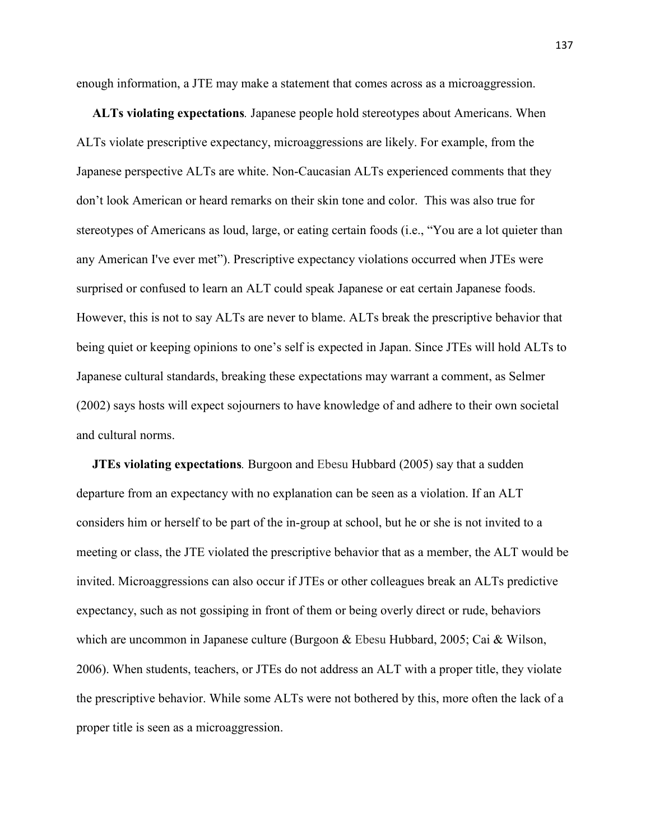enough information, a JTE may make a statement that comes across as a microaggression.

 **ALTs violating expectations***.* Japanese people hold stereotypes about Americans. When ALTs violate prescriptive expectancy, microaggressions are likely. For example, from the Japanese perspective ALTs are white. Non-Caucasian ALTs experienced comments that they don't look American or heard remarks on their skin tone and color. This was also true for stereotypes of Americans as loud, large, or eating certain foods (i.e., "You are a lot quieter than any American I've ever met"). Prescriptive expectancy violations occurred when JTEs were surprised or confused to learn an ALT could speak Japanese or eat certain Japanese foods. However, this is not to say ALTs are never to blame. ALTs break the prescriptive behavior that being quiet or keeping opinions to one's self is expected in Japan. Since JTEs will hold ALTs to Japanese cultural standards, breaking these expectations may warrant a comment, as Selmer (2002) says hosts will expect sojourners to have knowledge of and adhere to their own societal and cultural norms.

 **JTEs violating expectations***.* Burgoon and Ebesu Hubbard (2005) say that a sudden departure from an expectancy with no explanation can be seen as a violation. If an ALT considers him or herself to be part of the in-group at school, but he or she is not invited to a meeting or class, the JTE violated the prescriptive behavior that as a member, the ALT would be invited. Microaggressions can also occur if JTEs or other colleagues break an ALTs predictive expectancy, such as not gossiping in front of them or being overly direct or rude, behaviors which are uncommon in Japanese culture (Burgoon & Ebesu Hubbard, 2005; Cai & Wilson, 2006). When students, teachers, or JTEs do not address an ALT with a proper title, they violate the prescriptive behavior. While some ALTs were not bothered by this, more often the lack of a proper title is seen as a microaggression.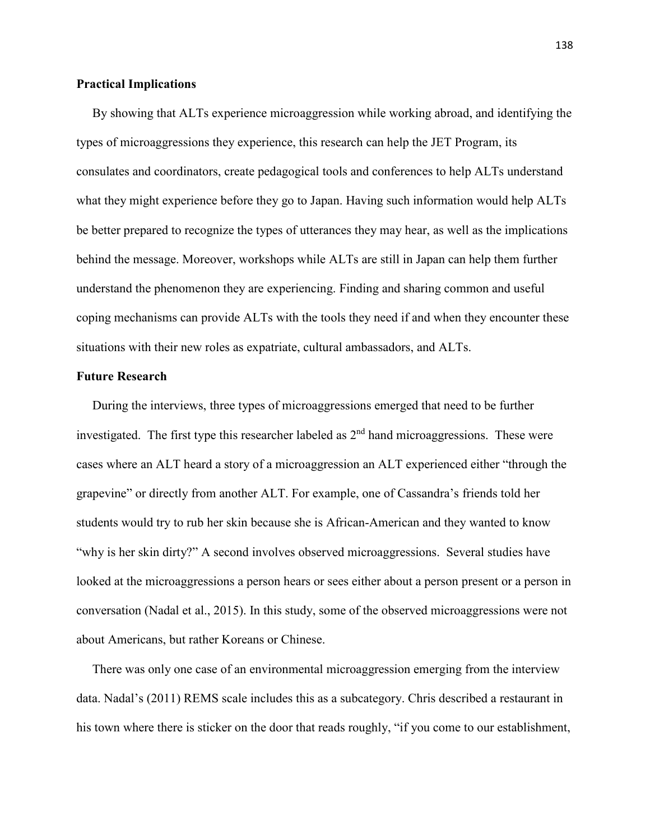#### **Practical Implications**

By showing that ALTs experience microaggression while working abroad, and identifying the types of microaggressions they experience, this research can help the JET Program, its consulates and coordinators, create pedagogical tools and conferences to help ALTs understand what they might experience before they go to Japan. Having such information would help ALTs be better prepared to recognize the types of utterances they may hear, as well as the implications behind the message. Moreover, workshops while ALTs are still in Japan can help them further understand the phenomenon they are experiencing. Finding and sharing common and useful coping mechanisms can provide ALTs with the tools they need if and when they encounter these situations with their new roles as expatriate, cultural ambassadors, and ALTs.

#### **Future Research**

During the interviews, three types of microaggressions emerged that need to be further investigated. The first type this researcher labeled as  $2<sup>nd</sup>$  hand microaggressions. These were cases where an ALT heard a story of a microaggression an ALT experienced either "through the grapevine" or directly from another ALT. For example, one of Cassandra's friends told her students would try to rub her skin because she is African-American and they wanted to know "why is her skin dirty?" A second involves observed microaggressions. Several studies have looked at the microaggressions a person hears or sees either about a person present or a person in conversation (Nadal et al., 2015). In this study, some of the observed microaggressions were not about Americans, but rather Koreans or Chinese.

 There was only one case of an environmental microaggression emerging from the interview data. Nadal's (2011) REMS scale includes this as a subcategory. Chris described a restaurant in his town where there is sticker on the door that reads roughly, "if you come to our establishment,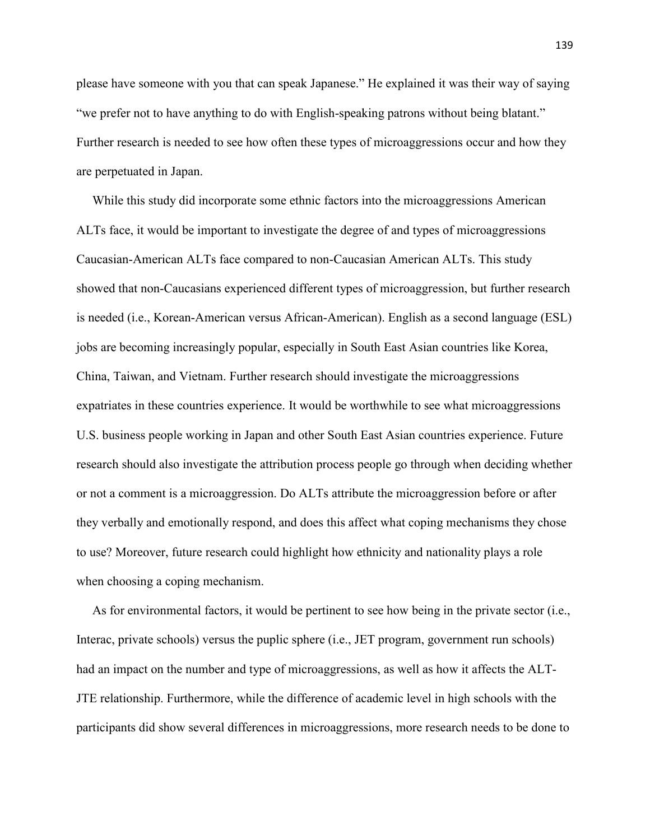please have someone with you that can speak Japanese." He explained it was their way of saying "we prefer not to have anything to do with English-speaking patrons without being blatant." Further research is needed to see how often these types of microaggressions occur and how they are perpetuated in Japan.

While this study did incorporate some ethnic factors into the microaggressions American ALTs face, it would be important to investigate the degree of and types of microaggressions Caucasian-American ALTs face compared to non-Caucasian American ALTs. This study showed that non-Caucasians experienced different types of microaggression, but further research is needed (i.e., Korean-American versus African-American). English as a second language (ESL) jobs are becoming increasingly popular, especially in South East Asian countries like Korea, China, Taiwan, and Vietnam. Further research should investigate the microaggressions expatriates in these countries experience. It would be worthwhile to see what microaggressions U.S. business people working in Japan and other South East Asian countries experience. Future research should also investigate the attribution process people go through when deciding whether or not a comment is a microaggression. Do ALTs attribute the microaggression before or after they verbally and emotionally respond, and does this affect what coping mechanisms they chose to use? Moreover, future research could highlight how ethnicity and nationality plays a role when choosing a coping mechanism.

 As for environmental factors, it would be pertinent to see how being in the private sector (i.e., Interac, private schools) versus the puplic sphere (i.e., JET program, government run schools) had an impact on the number and type of microaggressions, as well as how it affects the ALT-JTE relationship. Furthermore, while the difference of academic level in high schools with the participants did show several differences in microaggressions, more research needs to be done to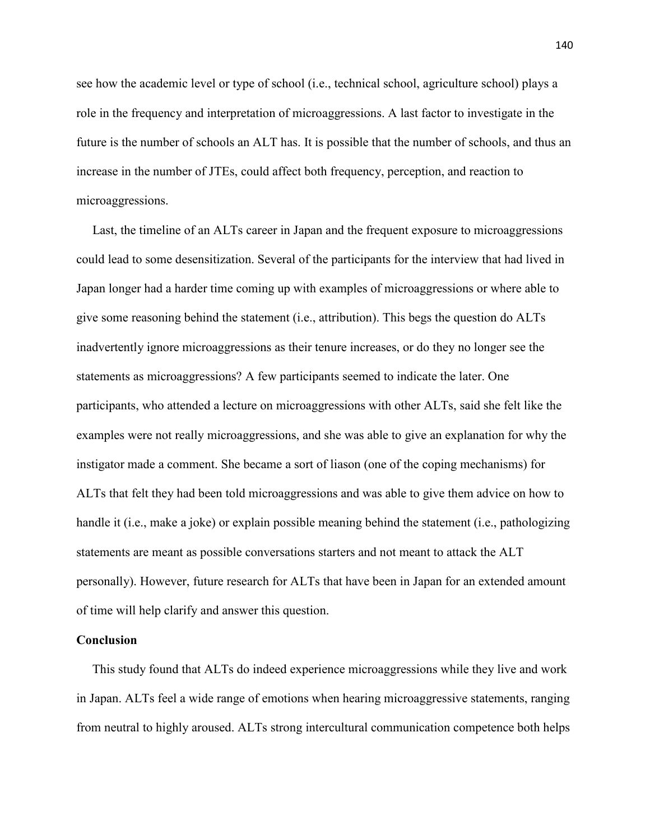see how the academic level or type of school (i.e., technical school, agriculture school) plays a role in the frequency and interpretation of microaggressions. A last factor to investigate in the future is the number of schools an ALT has. It is possible that the number of schools, and thus an increase in the number of JTEs, could affect both frequency, perception, and reaction to microaggressions.

 Last, the timeline of an ALTs career in Japan and the frequent exposure to microaggressions could lead to some desensitization. Several of the participants for the interview that had lived in Japan longer had a harder time coming up with examples of microaggressions or where able to give some reasoning behind the statement (i.e., attribution). This begs the question do ALTs inadvertently ignore microaggressions as their tenure increases, or do they no longer see the statements as microaggressions? A few participants seemed to indicate the later. One participants, who attended a lecture on microaggressions with other ALTs, said she felt like the examples were not really microaggressions, and she was able to give an explanation for why the instigator made a comment. She became a sort of liason (one of the coping mechanisms) for ALTs that felt they had been told microaggressions and was able to give them advice on how to handle it (i.e., make a joke) or explain possible meaning behind the statement (i.e., pathologizing statements are meant as possible conversations starters and not meant to attack the ALT personally). However, future research for ALTs that have been in Japan for an extended amount of time will help clarify and answer this question.

#### **Conclusion**

This study found that ALTs do indeed experience microaggressions while they live and work in Japan. ALTs feel a wide range of emotions when hearing microaggressive statements, ranging from neutral to highly aroused. ALTs strong intercultural communication competence both helps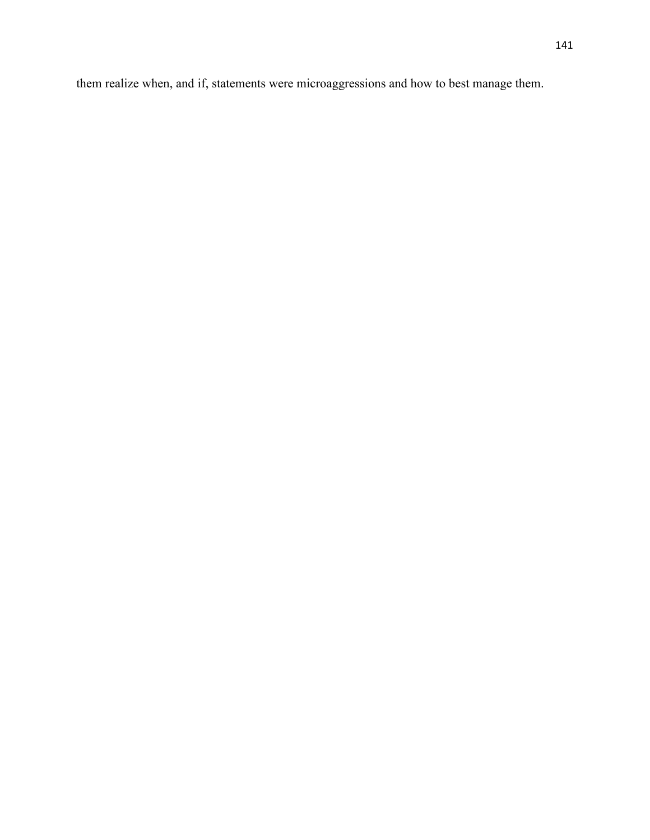them realize when, and if, statements were microaggressions and how to best manage them.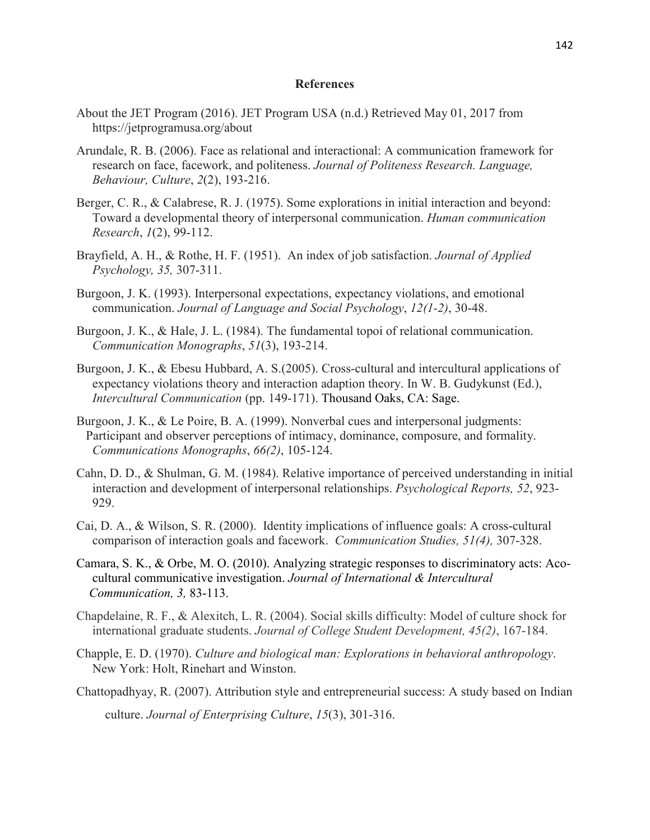#### **References**

- About the JET Program (2016). JET Program USA (n.d.) Retrieved May 01, 2017 from https://jetprogramusa.org/about
- Arundale, R. B. (2006). Face as relational and interactional: A communication framework for research on face, facework, and politeness. *Journal of Politeness Research. Language, Behaviour, Culture*, *2*(2), 193-216.
- Berger, C. R., & Calabrese, R. J. (1975). Some explorations in initial interaction and beyond: Toward a developmental theory of interpersonal communication. *Human communication Research*, *1*(2), 99-112.
- Brayfield, A. H., & Rothe, H. F. (1951). An index of job satisfaction. *Journal of Applied Psychology, 35,* 307-311.
- Burgoon, J. K. (1993). Interpersonal expectations, expectancy violations, and emotional communication. *Journal of Language and Social Psychology*, *12(1-2)*, 30-48.
- Burgoon, J. K., & Hale, J. L. (1984). The fundamental topoi of relational communication. *Communication Monographs*, *51*(3), 193-214.
- Burgoon, J. K., & Ebesu Hubbard, A. S.(2005). Cross-cultural and intercultural applications of expectancy violations theory and interaction adaption theory. In W. B. Gudykunst (Ed.), *Intercultural Communication* (pp. 149-171). Thousand Oaks, CA: Sage.
- Burgoon, J. K., & Le Poire, B. A. (1999). Nonverbal cues and interpersonal judgments: Participant and observer perceptions of intimacy, dominance, composure, and formality. *Communications Monographs*, *66(2)*, 105-124.
- Cahn, D. D., & Shulman, G. M. (1984). Relative importance of perceived understanding in initial interaction and development of interpersonal relationships. *Psychological Reports, 52*, 923- 929.
- Cai, D. A., & Wilson, S. R. (2000). Identity implications of influence goals: A cross-cultural comparison of interaction goals and facework. *Communication Studies, 51(4),* 307-328.
- Camara, S. K., & Orbe, M. O. (2010). Analyzing strategic responses to discriminatory acts: Aco cultural communicative investigation. *Journal of International & Intercultural Communication, 3,* 83-113.
- Chapdelaine, R. F., & Alexitch, L. R. (2004). Social skills difficulty: Model of culture shock for international graduate students. *Journal of College Student Development, 45(2)*, 167-184.
- Chapple, E. D. (1970). *Culture and biological man: Explorations in behavioral anthropology*. New York: Holt, Rinehart and Winston.
- Chattopadhyay, R. (2007). Attribution style and entrepreneurial success: A study based on Indian culture. *Journal of Enterprising Culture*, *15*(3), 301-316.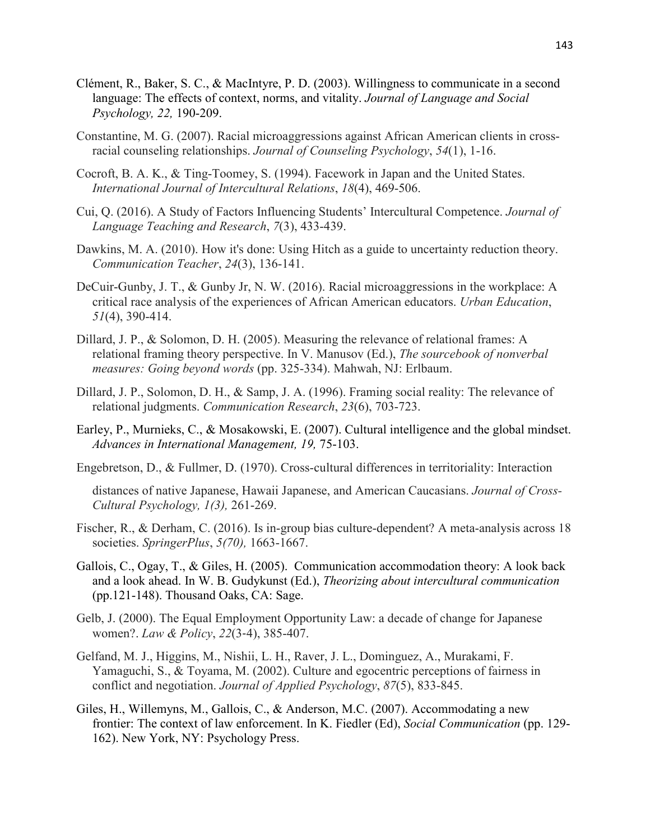- Clément, R., Baker, S. C., & MacIntyre, P. D. (2003). Willingness to communicate in a second language: The effects of context, norms, and vitality. *Journal of Language and Social Psychology, 22,* 190-209.
- Constantine, M. G. (2007). Racial microaggressions against African American clients in cross racial counseling relationships. *Journal of Counseling Psychology*, *54*(1), 1-16.
- Cocroft, B. A. K., & Ting-Toomey, S. (1994). Facework in Japan and the United States. *International Journal of Intercultural Relations*, *18*(4), 469-506.
- Cui, Q. (2016). A Study of Factors Influencing Students' Intercultural Competence. *Journal of Language Teaching and Research*, *7*(3), 433-439.
- Dawkins, M. A. (2010). How it's done: Using Hitch as a guide to uncertainty reduction theory. *Communication Teacher*, *24*(3), 136-141.
- DeCuir-Gunby, J. T., & Gunby Jr, N. W. (2016). Racial microaggressions in the workplace: A critical race analysis of the experiences of African American educators. *Urban Education*, *51*(4), 390-414.
- Dillard, J. P., & Solomon, D. H. (2005). Measuring the relevance of relational frames: A relational framing theory perspective. In V. Manusov (Ed.), *The sourcebook of nonverbal measures: Going beyond words* (pp. 325-334). Mahwah, NJ: Erlbaum.
- Dillard, J. P., Solomon, D. H., & Samp, J. A. (1996). Framing social reality: The relevance of relational judgments. *Communication Research*, *23*(6), 703-723.
- Earley, P., Murnieks, C., & Mosakowski, E. (2007). Cultural intelligence and the global mindset. *Advances in International Management, 19,* 75-103.
- Engebretson, D., & Fullmer, D. (1970). Cross-cultural differences in territoriality: Interaction

 distances of native Japanese, Hawaii Japanese, and American Caucasians. *Journal of Cross- Cultural Psychology, 1(3),* 261-269.

- Fischer, R., & Derham, C. (2016). Is in-group bias culture-dependent? A meta-analysis across 18 societies. *SpringerPlus*, *5(70),* 1663-1667.
- Gallois, C., Ogay, T., & Giles, H. (2005). Communication accommodation theory: A look back and a look ahead. In W. B. Gudykunst (Ed.), *Theorizing about intercultural communication* (pp.121-148). Thousand Oaks, CA: Sage.
- Gelb, J. (2000). The Equal Employment Opportunity Law: a decade of change for Japanese women?. *Law & Policy*, *22*(3‐4), 385-407.
- Gelfand, M. J., Higgins, M., Nishii, L. H., Raver, J. L., Dominguez, A., Murakami, F. Yamaguchi, S., & Toyama, M. (2002). Culture and egocentric perceptions of fairness in conflict and negotiation. *Journal of Applied Psychology*, *87*(5), 833-845.
- Giles, H., Willemyns, M., Gallois, C., & Anderson, M.C. (2007). Accommodating a new frontier: The context of law enforcement. In K. Fiedler (Ed), *Social Communication* (pp. 129- 162). New York, NY: Psychology Press.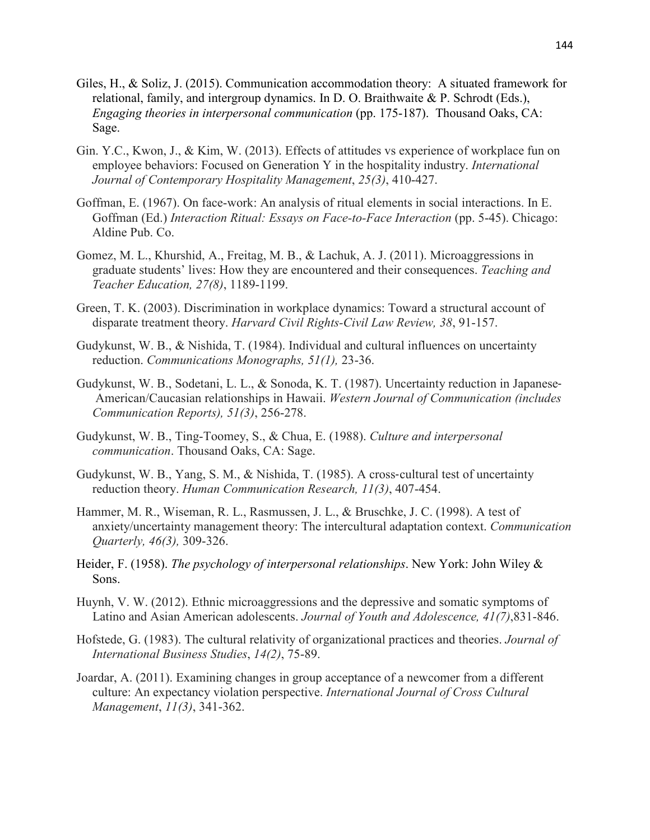- Giles, H., & Soliz, J. (2015). Communication accommodation theory: A situated framework for relational, family, and intergroup dynamics. In D. O. Braithwaite & P. Schrodt (Eds.), *Engaging theories in interpersonal communication* (pp. 175-187). Thousand Oaks, CA: Sage.
- Gin. Y.C., Kwon, J., & Kim, W. (2013). Effects of attitudes vs experience of workplace fun on employee behaviors: Focused on Generation Y in the hospitality industry. *International Journal of Contemporary Hospitality Management*, *25(3)*, 410-427.
- Goffman, E. (1967). On face-work: An analysis of ritual elements in social interactions. In E. Goffman (Ed.) *Interaction Ritual: Essays on Face-to-Face Interaction* (pp. 5-45). Chicago: Aldine Pub. Co.
- Gomez, M. L., Khurshid, A., Freitag, M. B., & Lachuk, A. J. (2011). Microaggressions in graduate students' lives: How they are encountered and their consequences. *Teaching and Teacher Education, 27(8)*, 1189-1199.
- Green, T. K. (2003). Discrimination in workplace dynamics: Toward a structural account of disparate treatment theory. *Harvard Civil Rights-Civil Law Review, 38*, 91-157.
- Gudykunst, W. B., & Nishida, T. (1984). Individual and cultural influences on uncertainty reduction. *Communications Monographs, 51(1),* 23-36.
- Gudykunst, W. B., Sodetani, L. L., & Sonoda, K. T. (1987). Uncertainty reduction in Japanese- American/Caucasian relationships in Hawaii. *Western Journal of Communication (includes Communication Reports), 51(3)*, 256-278.
- Gudykunst, W. B., Ting-Toomey, S., & Chua, E. (1988). *Culture and interpersonal communication*. Thousand Oaks, CA: Sage.
- Gudykunst, W. B., Yang, S. M., & Nishida, T. (1985). A cross-cultural test of uncertainty reduction theory. *Human Communication Research, 11(3)*, 407-454.
- Hammer, M. R., Wiseman, R. L., Rasmussen, J. L., & Bruschke, J. C. (1998). A test of anxiety/uncertainty management theory: The intercultural adaptation context. *Communication Quarterly, 46(3),* 309-326.
- Heider, F. (1958). *The psychology of interpersonal relationships*. New York: John Wiley & Sons.
- Huynh, V. W. (2012). Ethnic microaggressions and the depressive and somatic symptoms of Latino and Asian American adolescents. *Journal of Youth and Adolescence, 41(7)*,831-846.
- Hofstede, G. (1983). The cultural relativity of organizational practices and theories. *Journal of International Business Studies*, *14(2)*, 75-89.
- Joardar, A. (2011). Examining changes in group acceptance of a newcomer from a different culture: An expectancy violation perspective. *International Journal of Cross Cultural Management*, *11(3)*, 341-362.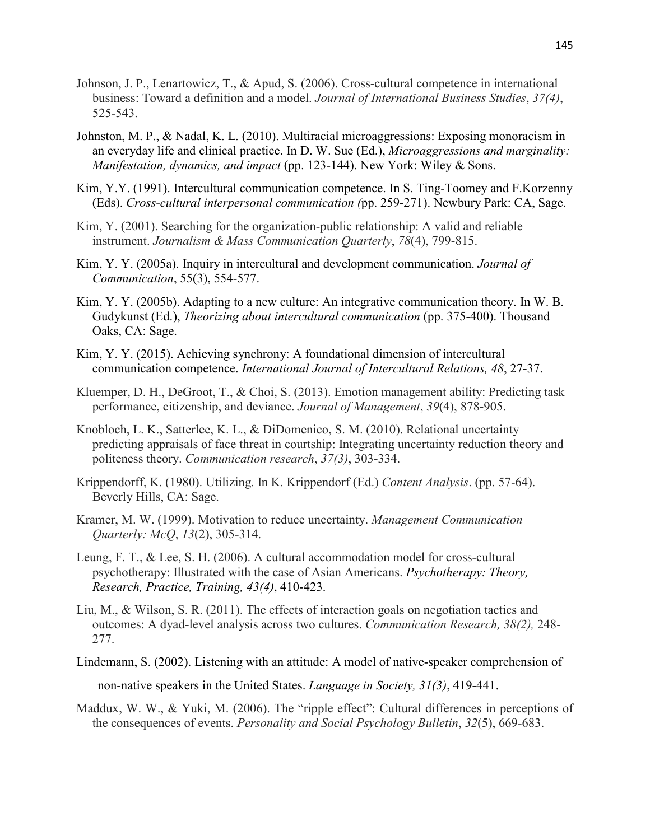- Johnson, J. P., Lenartowicz, T., & Apud, S. (2006). Cross-cultural competence in international business: Toward a definition and a model. *Journal of International Business Studies*, *37(4)*, 525-543.
- Johnston, M. P., & Nadal, K. L. (2010). Multiracial microaggressions: Exposing monoracism in an everyday life and clinical practice. In D. W. Sue (Ed.), *Microaggressions and marginality: Manifestation, dynamics, and impact* (pp. 123-144). New York: Wiley & Sons.
- Kim, Y.Y. (1991). Intercultural communication competence. In S. Ting-Toomey and F.Korzenny (Eds). *Cross-cultural interpersonal communication (*pp. 259-271). Newbury Park: CA, Sage.
- Kim, Y. (2001). Searching for the organization-public relationship: A valid and reliable instrument. *Journalism & Mass Communication Quarterly*, *78*(4), 799-815.
- Kim, Y. Y. (2005a). Inquiry in intercultural and development communication. *Journal of Communication*, 55(3), 554-577.
- Kim, Y. Y. (2005b). Adapting to a new culture: An integrative communication theory. In W. B. Gudykunst (Ed.), *Theorizing about intercultural communication* (pp. 375-400). Thousand Oaks, CA: Sage.
- Kim, Y. Y. (2015). Achieving synchrony: A foundational dimension of intercultural communication competence. *International Journal of Intercultural Relations, 48*, 27-37.
- Kluemper, D. H., DeGroot, T., & Choi, S. (2013). Emotion management ability: Predicting task performance, citizenship, and deviance. *Journal of Management*, *39*(4), 878-905.
- Knobloch, L. K., Satterlee, K. L., & DiDomenico, S. M. (2010). Relational uncertainty predicting appraisals of face threat in courtship: Integrating uncertainty reduction theory and politeness theory. *Communication research*, *37(3)*, 303-334.
- Krippendorff, K. (1980). Utilizing. In K. Krippendorf (Ed.) *Content Analysis*. (pp. 57-64). Beverly Hills, CA: Sage.
- Kramer, M. W. (1999). Motivation to reduce uncertainty. *Management Communication Quarterly: McQ*, *13*(2), 305-314.
- Leung, F. T., & Lee, S. H. (2006). A cultural accommodation model for cross-cultural psychotherapy: Illustrated with the case of Asian Americans. *Psychotherapy: Theory, Research, Practice, Training, 43(4)*, 410-423.
- Liu, M., & Wilson, S. R. (2011). The effects of interaction goals on negotiation tactics and outcomes: A dyad-level analysis across two cultures. *Communication Research, 38(2),* 248- 277.
- Lindemann, S. (2002). Listening with an attitude: A model of native-speaker comprehension of non-native speakers in the United States. *Language in Society, 31(3)*, 419-441.
- Maddux, W. W., & Yuki, M. (2006). The "ripple effect": Cultural differences in perceptions of the consequences of events. *Personality and Social Psychology Bulletin*, *32*(5), 669-683.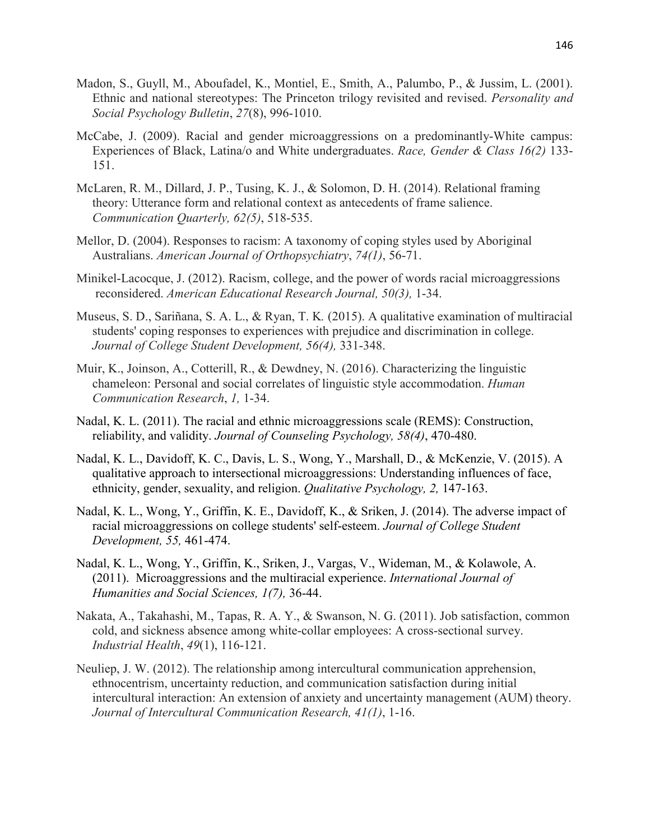- Madon, S., Guyll, M., Aboufadel, K., Montiel, E., Smith, A., Palumbo, P., & Jussim, L. (2001). Ethnic and national stereotypes: The Princeton trilogy revisited and revised. *Personality and Social Psychology Bulletin*, *27*(8), 996-1010.
- McCabe, J. (2009). Racial and gender microaggressions on a predominantly-White campus: Experiences of Black, Latina/o and White undergraduates. *Race, Gender & Class 16(2)* 133- 151.
- McLaren, R. M., Dillard, J. P., Tusing, K. J., & Solomon, D. H. (2014). Relational framing theory: Utterance form and relational context as antecedents of frame salience. *Communication Quarterly, 62(5)*, 518-535.
- Mellor, D. (2004). Responses to racism: A taxonomy of coping styles used by Aboriginal Australians. *American Journal of Orthopsychiatry*, *74(1)*, 56-71.
- Minikel-Lacocque, J. (2012). Racism, college, and the power of words racial microaggressions reconsidered. *American Educational Research Journal, 50(3),* 1-34.
- Museus, S. D., Sariñana, S. A. L., & Ryan, T. K*.* (2015). A qualitative examination of multiracial students' coping responses to experiences with prejudice and discrimination in college. *Journal of College Student Development, 56(4),* 331-348.
- Muir, K., Joinson, A., Cotterill, R., & Dewdney, N. (2016). Characterizing the linguistic chameleon: Personal and social correlates of linguistic style accommodation. *Human Communication Research*, *1,* 1-34.
- Nadal, K. L. (2011). The racial and ethnic microaggressions scale (REMS): Construction, reliability, and validity. *Journal of Counseling Psychology, 58(4)*, 470-480.
- Nadal, K. L., Davidoff, K. C., Davis, L. S., Wong, Y., Marshall, D., & McKenzie, V. (2015). A qualitative approach to intersectional microaggressions: Understanding influences of face, ethnicity, gender, sexuality, and religion. *Qualitative Psychology, 2,* 147-163.
- Nadal, K. L., Wong, Y., Griffin, K. E., Davidoff, K., & Sriken, J. (2014). The adverse impact of racial microaggressions on college students' self-esteem. *Journal of College Student Development, 55,* 461-474.
- Nadal, K. L., Wong, Y., Griffin, K., Sriken, J., Vargas, V., Wideman, M., & Kolawole, A. (2011). Microaggressions and the multiracial experience. *International Journal of Humanities and Social Sciences, 1(7),* 36-44.
- Nakata, A., Takahashi, M., Tapas, R. A. Y., & Swanson, N. G. (2011). Job satisfaction, common cold, and sickness absence among white-collar employees: A cross-sectional survey. *Industrial Health*, *49*(1), 116-121.
- Neuliep, J. W. (2012). The relationship among intercultural communication apprehension, ethnocentrism, uncertainty reduction, and communication satisfaction during initial intercultural interaction: An extension of anxiety and uncertainty management (AUM) theory. *Journal of Intercultural Communication Research, 41(1)*, 1-16.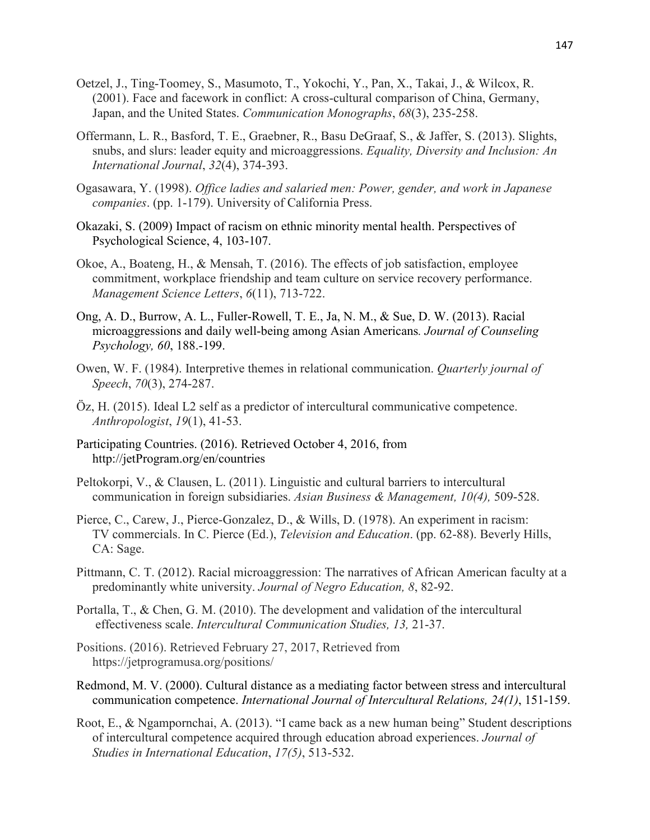- Oetzel, J., Ting-Toomey, S., Masumoto, T., Yokochi, Y., Pan, X., Takai, J., & Wilcox, R. (2001). Face and facework in conflict: A cross-cultural comparison of China, Germany, Japan, and the United States. *Communication Monographs*, *68*(3), 235-258.
- Offermann, L. R., Basford, T. E., Graebner, R., Basu DeGraaf, S., & Jaffer, S. (2013). Slights, snubs, and slurs: leader equity and microaggressions. *Equality, Diversity and Inclusion: An International Journal*, *32*(4), 374-393.
- Ogasawara, Y. (1998). *Office ladies and salaried men: Power, gender, and work in Japanese companies*. (pp. 1-179). University of California Press.
- Okazaki, S. (2009) Impact of racism on ethnic minority mental health. Perspectives of Psychological Science, 4, 103-107.
- Okoe, A., Boateng, H., & Mensah, T. (2016). The effects of job satisfaction, employee commitment, workplace friendship and team culture on service recovery performance. *Management Science Letters*, *6*(11), 713-722.
- Ong, A. D., Burrow, A. L., Fuller-Rowell, T. E., Ja, N. M., & Sue, D. W. (2013). Racial microaggressions and daily well-being among Asian Americans*. Journal of Counseling Psychology, 60*, 188.-199.
- Owen, W. F. (1984). Interpretive themes in relational communication. *Quarterly journal of Speech*, *70*(3), 274-287.
- Öz, H. (2015). Ideal L2 self as a predictor of intercultural communicative competence. *Anthropologist*, *19*(1), 41-53.
- Participating Countries. (2016). Retrieved October 4, 2016, from http://jetProgram.org/en/countries
- Peltokorpi, V., & Clausen, L. (2011). Linguistic and cultural barriers to intercultural communication in foreign subsidiaries. *Asian Business & Management, 10(4),* 509-528.
- Pierce, C., Carew, J., Pierce-Gonzalez, D., & Wills, D. (1978). An experiment in racism: TV commercials. In C. Pierce (Ed.), *Television and Education*. (pp. 62-88). Beverly Hills, CA: Sage.
- Pittmann, C. T. (2012). Racial microaggression: The narratives of African American faculty at a predominantly white university. *Journal of Negro Education, 8*, 82-92.
- Portalla, T., & Chen, G. M. (2010). The development and validation of the intercultural effectiveness scale. *Intercultural Communication Studies, 13,* 21-37.
- Positions. (2016). Retrieved February 27, 2017, Retrieved from https://jetprogramusa.org/positions/
- Redmond, M. V. (2000). Cultural distance as a mediating factor between stress and intercultural communication competence. *International Journal of Intercultural Relations, 24(1)*, 151-159.
- Root, E., & Ngampornchai, A. (2013). "I came back as a new human being" Student descriptions of intercultural competence acquired through education abroad experiences. *Journal of Studies in International Education*, *17(5)*, 513-532.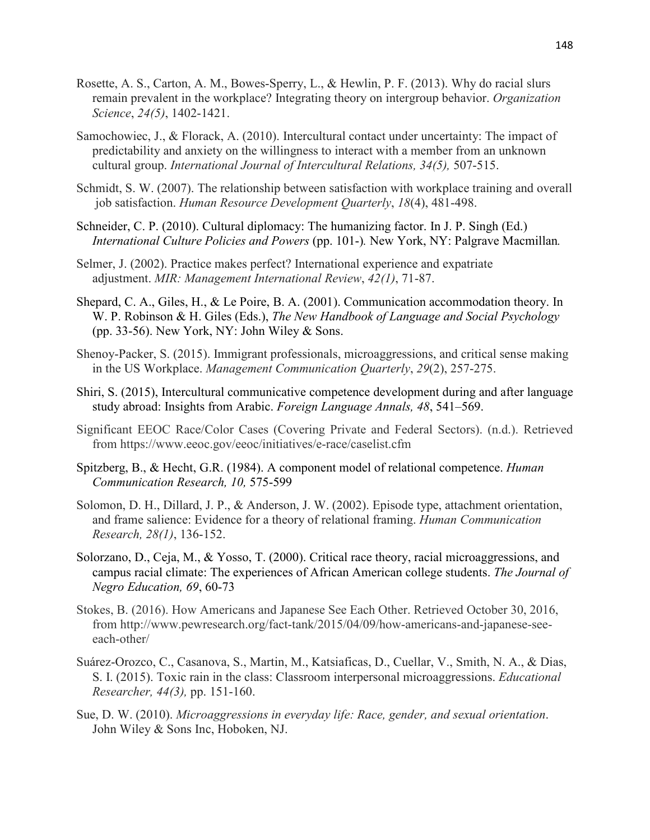- Rosette, A. S., Carton, A. M., Bowes-Sperry, L., & Hewlin, P. F. (2013). Why do racial slurs remain prevalent in the workplace? Integrating theory on intergroup behavior. *Organization Science*, *24(5)*, 1402-1421.
- Samochowiec, J., & Florack, A. (2010). Intercultural contact under uncertainty: The impact of predictability and anxiety on the willingness to interact with a member from an unknown cultural group. *International Journal of Intercultural Relations, 34(5),* 507-515.
- Schmidt, S. W. (2007). The relationship between satisfaction with workplace training and overall job satisfaction. *Human Resource Development Quarterly*, *18*(4), 481-498.
- Schneider, C. P. (2010). Cultural diplomacy: The humanizing factor. In J. P. Singh (Ed.) *International Culture Policies and Powers* (pp. 101-)*.* New York, NY: Palgrave Macmillan*.*
- Selmer, J. (2002). Practice makes perfect? International experience and expatriate adjustment. *MIR: Management International Review*, *42(1)*, 71-87.
- Shepard, C. A., Giles, H., & Le Poire, B. A. (2001). Communication accommodation theory. In W. P. Robinson & H. Giles (Eds.), *The New Handbook of Language and Social Psychology* (pp. 33-56). New York, NY: John Wiley  $&$  Sons.
- Shenoy-Packer, S. (2015). Immigrant professionals, microaggressions, and critical sense making in the US Workplace. *Management Communication Quarterly*, *29*(2), 257-275.
- Shiri, S. (2015), Intercultural communicative competence development during and after language study abroad: Insights from Arabic. *Foreign Language Annals, 48*, 541–569.
- Significant EEOC Race/Color Cases (Covering Private and Federal Sectors). (n.d.). Retrieved from https://www.eeoc.gov/eeoc/initiatives/e-race/caselist.cfm
- Spitzberg, B., & Hecht, G.R. (1984). A component model of relational competence. *Human Communication Research, 10,* 575-599
- Solomon, D. H., Dillard, J. P., & Anderson, J. W. (2002). Episode type, attachment orientation, and frame salience: Evidence for a theory of relational framing. *Human Communication Research, 28(1)*, 136-152.
- Solorzano, D., Ceja, M., & Yosso, T. (2000). Critical race theory, racial microaggressions, and campus racial climate: The experiences of African American college students. *The Journal of Negro Education, 69*, 60-73
- Stokes, B. (2016). How Americans and Japanese See Each Other. Retrieved October 30, 2016, from http://www.pewresearch.org/fact-tank/2015/04/09/how-americans-and-japanese-see each-other/
- Suárez-Orozco, C., Casanova, S., Martin, M., Katsiaficas, D., Cuellar, V., Smith, N. A., & Dias, S. I. (2015). Toxic rain in the class: Classroom interpersonal microaggressions. *Educational Researcher, 44(3),* pp. 151-160.
- Sue, D. W. (2010). *Microaggressions in everyday life: Race, gender, and sexual orientation*. John Wiley & Sons Inc, Hoboken, NJ.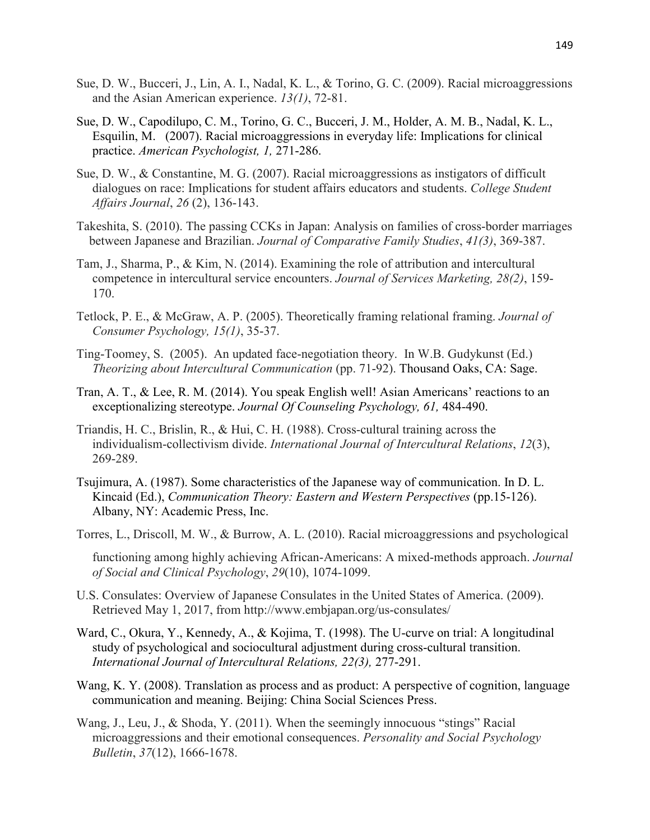- Sue, D. W., Bucceri, J., Lin, A. I., Nadal, K. L., & Torino, G. C. (2009). Racial microaggressions and the Asian American experience. *13(1)*, 72-81.
- Sue, D. W., Capodilupo, C. M., Torino, G. C., Bucceri, J. M., Holder, A. M. B., Nadal, K. L., Esquilin, M. (2007). Racial microaggressions in everyday life: Implications for clinical practice. *American Psychologist, 1,* 271-286.
- Sue, D. W., & Constantine, M. G. (2007). Racial microaggressions as instigators of difficult dialogues on race: Implications for student affairs educators and students. *College Student Affairs Journal*, *26* (2), 136-143.
- Takeshita, S. (2010). The passing CCKs in Japan: Analysis on families of cross-border marriages between Japanese and Brazilian. *Journal of Comparative Family Studies*, *41(3)*, 369-387.
- Tam, J., Sharma, P., & Kim, N. (2014). Examining the role of attribution and intercultural competence in intercultural service encounters. *Journal of Services Marketing, 28(2)*, 159- 170.
- Tetlock, P. E., & McGraw, A. P. (2005). Theoretically framing relational framing. *Journal of Consumer Psychology, 15(1)*, 35-37.
- Ting-Toomey, S. (2005). An updated face-negotiation theory. In W.B. Gudykunst (Ed.) *Theorizing about Intercultural Communication* (pp. 71-92). Thousand Oaks, CA: Sage.
- Tran, A. T., & Lee, R. M. (2014). You speak English well! Asian Americans' reactions to an exceptionalizing stereotype. *Journal Of Counseling Psychology, 61,* 484-490.
- Triandis, H. C., Brislin, R., & Hui, C. H. (1988). Cross-cultural training across the individualism-collectivism divide. *International Journal of Intercultural Relations*, *12*(3), 269-289.
- Tsujimura, A. (1987). Some characteristics of the Japanese way of communication. In D. L. Kincaid (Ed.), *Communication Theory: Eastern and Western Perspectives* (pp.15-126). Albany, NY: Academic Press, Inc.
- Torres, L., Driscoll, M. W., & Burrow, A. L. (2010). Racial microaggressions and psychological

 functioning among highly achieving African-Americans: A mixed-methods approach. *Journal of Social and Clinical Psychology*, *29*(10), 1074-1099.

- U.S. Consulates: Overview of Japanese Consulates in the United States of America. (2009). Retrieved May 1, 2017, from http://www.embjapan.org/us-consulates/
- Ward, C., Okura, Y., Kennedy, A., & Kojima, T. (1998). The U-curve on trial: A longitudinal study of psychological and sociocultural adjustment during cross-cultural transition. *International Journal of Intercultural Relations, 22(3),* 277-291.
- Wang, K. Y. (2008). Translation as process and as product: A perspective of cognition, language communication and meaning. Beijing: China Social Sciences Press.
- Wang, J., Leu, J., & Shoda, Y. (2011). When the seemingly innocuous "stings" Racial microaggressions and their emotional consequences. *Personality and Social Psychology Bulletin*, *37*(12), 1666-1678.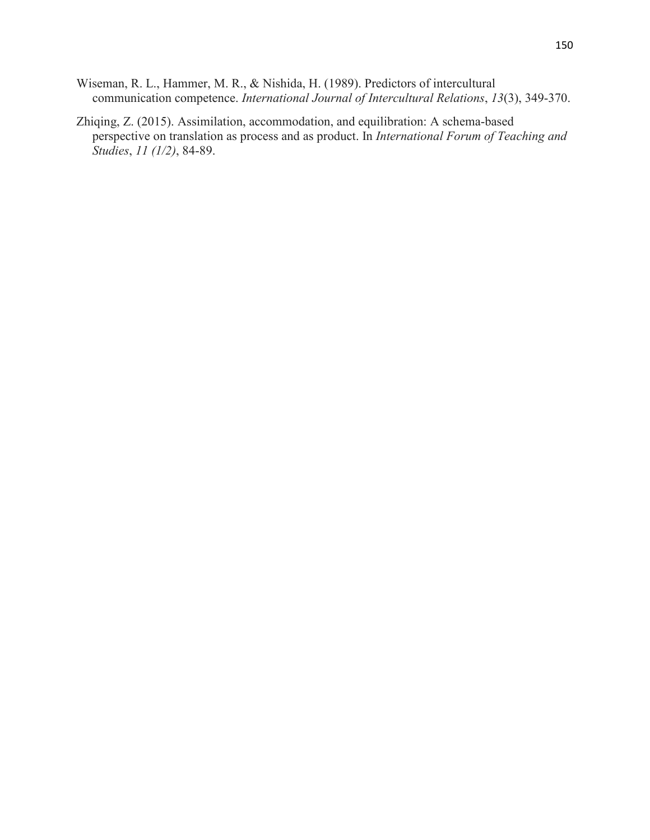- Wiseman, R. L., Hammer, M. R., & Nishida, H. (1989). Predictors of intercultural communication competence. *International Journal of Intercultural Relations*, *13*(3), 349-370.
- Zhiqing, Z. (2015). Assimilation, accommodation, and equilibration: A schema-based perspective on translation as process and as product. In *International Forum of Teaching and Studies*, *11 (1/2)*, 84-89.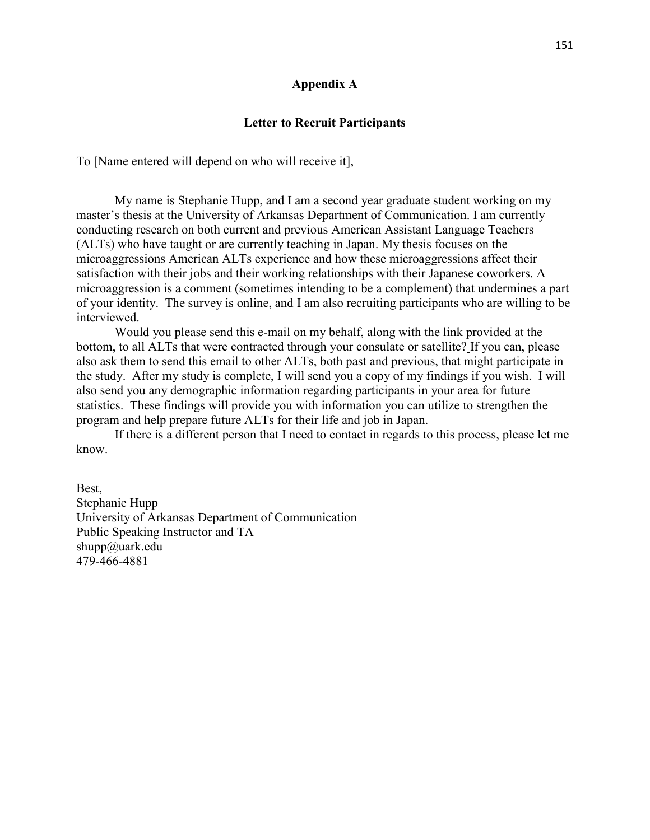#### **Appendix A**

#### **Letter to Recruit Participants**

To [Name entered will depend on who will receive it],

 My name is Stephanie Hupp, and I am a second year graduate student working on my master's thesis at the University of Arkansas Department of Communication. I am currently conducting research on both current and previous American Assistant Language Teachers (ALTs) who have taught or are currently teaching in Japan. My thesis focuses on the microaggressions American ALTs experience and how these microaggressions affect their satisfaction with their jobs and their working relationships with their Japanese coworkers. A microaggression is a comment (sometimes intending to be a complement) that undermines a part of your identity. The survey is online, and I am also recruiting participants who are willing to be interviewed.

 Would you please send this e-mail on my behalf, along with the link provided at the bottom, to all ALTs that were contracted through your consulate or satellite? If you can, please also ask them to send this email to other ALTs, both past and previous, that might participate in the study. After my study is complete, I will send you a copy of my findings if you wish. I will also send you any demographic information regarding participants in your area for future statistics. These findings will provide you with information you can utilize to strengthen the program and help prepare future ALTs for their life and job in Japan.

 If there is a different person that I need to contact in regards to this process, please let me know.

Best, Stephanie Hupp University of Arkansas Department of Communication Public Speaking Instructor and TA shupp@uark.edu 479-466-4881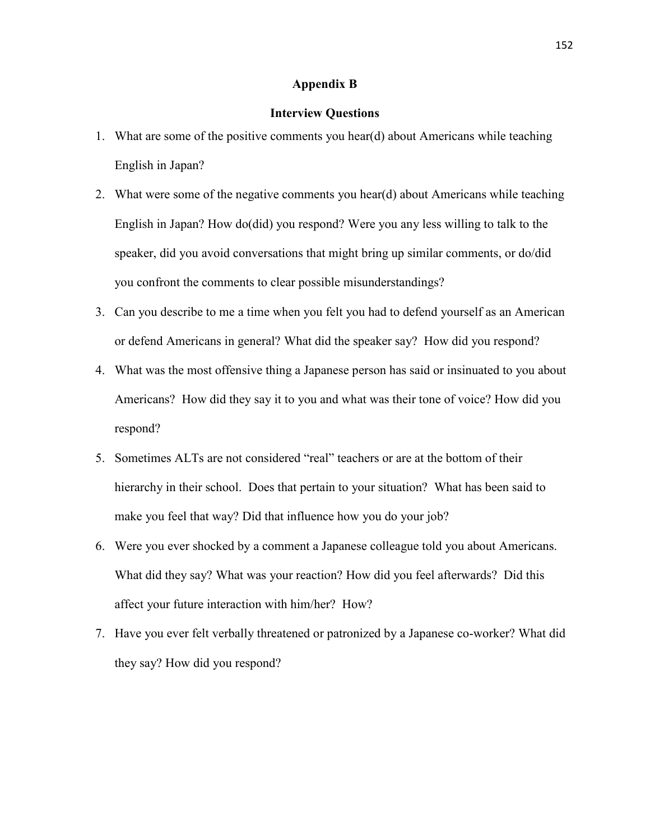#### **Appendix B**

#### **Interview Questions**

- 1. What are some of the positive comments you hear(d) about Americans while teaching English in Japan?
- 2. What were some of the negative comments you hear(d) about Americans while teaching English in Japan? How do(did) you respond? Were you any less willing to talk to the speaker, did you avoid conversations that might bring up similar comments, or do/did you confront the comments to clear possible misunderstandings?
- 3. Can you describe to me a time when you felt you had to defend yourself as an American or defend Americans in general? What did the speaker say? How did you respond?
- 4. What was the most offensive thing a Japanese person has said or insinuated to you about Americans? How did they say it to you and what was their tone of voice? How did you respond?
- 5. Sometimes ALTs are not considered "real" teachers or are at the bottom of their hierarchy in their school. Does that pertain to your situation? What has been said to make you feel that way? Did that influence how you do your job?
- 6. Were you ever shocked by a comment a Japanese colleague told you about Americans. What did they say? What was your reaction? How did you feel afterwards? Did this affect your future interaction with him/her? How?
- 7. Have you ever felt verbally threatened or patronized by a Japanese co-worker? What did they say? How did you respond?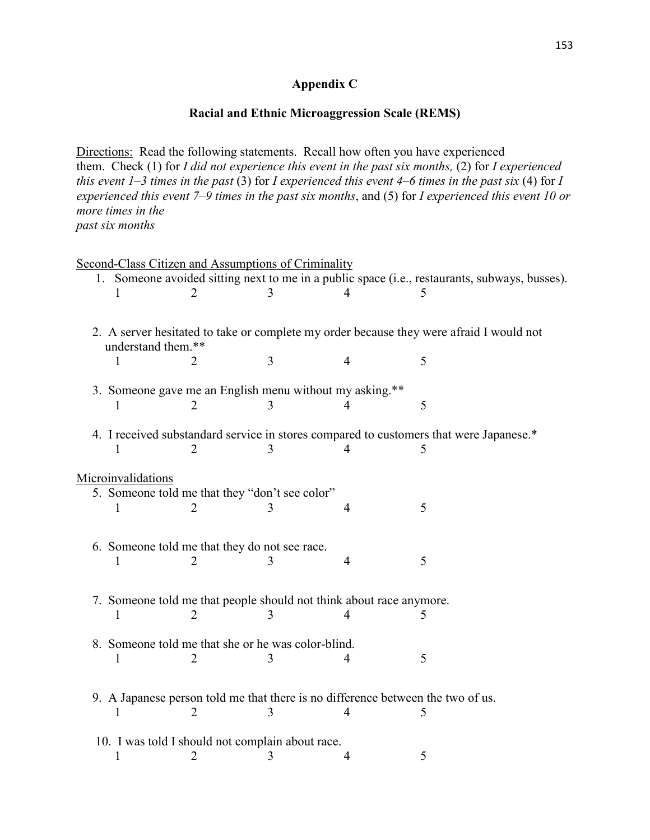## **Appendix C**

## **Racial and Ethnic Microaggression Scale (REMS)**

Directions: Read the following statements. Recall how often you have experienced them. Check (1) for *I did not experience this event in the past six months,* (2) for *I experienced this event 1–3 times in the past* (3) for *I experienced this event 4–6 times in the past six* (4) for *I experienced this event 7–9 times in the past six months*, and (5) for *I experienced this event 10 or more times in the past six months*

|                    | Second-Class Citizen and Assumptions of Criminality                 |   |   |                                                                                               |
|--------------------|---------------------------------------------------------------------|---|---|-----------------------------------------------------------------------------------------------|
|                    |                                                                     |   |   | 1. Someone avoided sitting next to me in a public space (i.e., restaurants, subways, busses). |
|                    |                                                                     | 3 |   |                                                                                               |
|                    |                                                                     |   |   |                                                                                               |
|                    |                                                                     |   |   | 2. A server hesitated to take or complete my order because they were afraid I would not       |
| understand them.** |                                                                     |   |   |                                                                                               |
|                    |                                                                     | 3 | 4 | 5                                                                                             |
|                    |                                                                     |   |   |                                                                                               |
|                    | 3. Someone gave me an English menu without my asking.**             |   |   |                                                                                               |
|                    |                                                                     | 3 |   | 5                                                                                             |
|                    |                                                                     |   |   |                                                                                               |
|                    |                                                                     |   |   | 4. I received substandard service in stores compared to customers that were Japanese.*        |
|                    |                                                                     |   |   |                                                                                               |
|                    |                                                                     |   |   |                                                                                               |
| Microinvalidations |                                                                     |   |   |                                                                                               |
|                    | 5. Someone told me that they "don't see color"                      |   |   |                                                                                               |
|                    |                                                                     |   | 4 | 5                                                                                             |
|                    |                                                                     |   |   |                                                                                               |
|                    | 6. Someone told me that they do not see race.                       |   |   |                                                                                               |
|                    |                                                                     |   | 4 | 5                                                                                             |
|                    |                                                                     |   |   |                                                                                               |
|                    |                                                                     |   |   |                                                                                               |
|                    | 7. Someone told me that people should not think about race anymore. |   |   |                                                                                               |
|                    |                                                                     |   |   | 5                                                                                             |
|                    |                                                                     |   |   |                                                                                               |
|                    | 8. Someone told me that she or he was color-blind.                  |   |   | 5                                                                                             |
|                    |                                                                     | 3 |   |                                                                                               |
|                    |                                                                     |   |   |                                                                                               |
|                    |                                                                     |   |   | 9. A Japanese person told me that there is no difference between the two of us.               |
| L                  | 2                                                                   | 3 |   |                                                                                               |
|                    |                                                                     |   |   |                                                                                               |
|                    | 10. I was told I should not complain about race.                    |   |   |                                                                                               |
| 1                  | 2                                                                   | 3 |   | 5                                                                                             |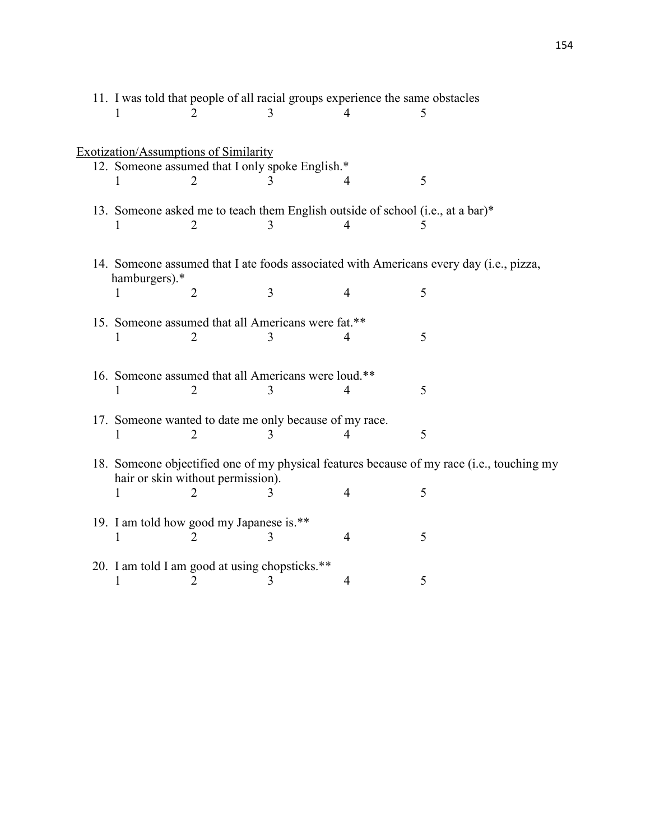|                                                |                                   | 11. I was told that people of all racial groups experience the same obstacles |                |                                                                                           |
|------------------------------------------------|-----------------------------------|-------------------------------------------------------------------------------|----------------|-------------------------------------------------------------------------------------------|
|                                                |                                   |                                                                               |                |                                                                                           |
|                                                |                                   |                                                                               |                |                                                                                           |
| Exotization/Assumptions of Similarity          |                                   |                                                                               |                |                                                                                           |
|                                                |                                   | 12. Someone assumed that I only spoke English.*                               |                |                                                                                           |
|                                                |                                   |                                                                               |                | 5                                                                                         |
|                                                |                                   |                                                                               |                |                                                                                           |
|                                                |                                   |                                                                               |                | 13. Someone asked me to teach them English outside of school (i.e., at a bar)*            |
|                                                |                                   |                                                                               | 4              |                                                                                           |
|                                                |                                   |                                                                               |                |                                                                                           |
|                                                |                                   |                                                                               |                | 14. Someone assumed that I ate foods associated with Americans every day (i.e., pizza,    |
| hamburgers).*                                  |                                   |                                                                               |                |                                                                                           |
|                                                | 2                                 | 3                                                                             | 4              | 5                                                                                         |
|                                                |                                   |                                                                               |                |                                                                                           |
|                                                |                                   | 15. Someone assumed that all Americans were fat.**                            |                |                                                                                           |
|                                                | $\overline{2}$                    |                                                                               | 4              | 5                                                                                         |
|                                                |                                   |                                                                               |                |                                                                                           |
|                                                |                                   | 16. Someone assumed that all Americans were loud.**                           |                |                                                                                           |
|                                                |                                   |                                                                               | 4              | 5                                                                                         |
|                                                |                                   |                                                                               |                |                                                                                           |
|                                                |                                   | 17. Someone wanted to date me only because of my race.                        |                |                                                                                           |
|                                                |                                   |                                                                               |                | 5                                                                                         |
|                                                |                                   |                                                                               |                |                                                                                           |
|                                                |                                   |                                                                               |                | 18. Someone objectified one of my physical features because of my race (i.e., touching my |
|                                                | hair or skin without permission). |                                                                               |                |                                                                                           |
| 1                                              | $\overline{2}$                    | 3                                                                             | $\overline{4}$ | 5                                                                                         |
| 19. I am told how good my Japanese is.**       |                                   |                                                                               |                |                                                                                           |
|                                                |                                   |                                                                               | 4              | 5                                                                                         |
|                                                |                                   |                                                                               |                |                                                                                           |
| 20. I am told I am good at using chopsticks.** |                                   |                                                                               |                |                                                                                           |
|                                                |                                   |                                                                               | 4              | 5                                                                                         |
|                                                |                                   |                                                                               |                |                                                                                           |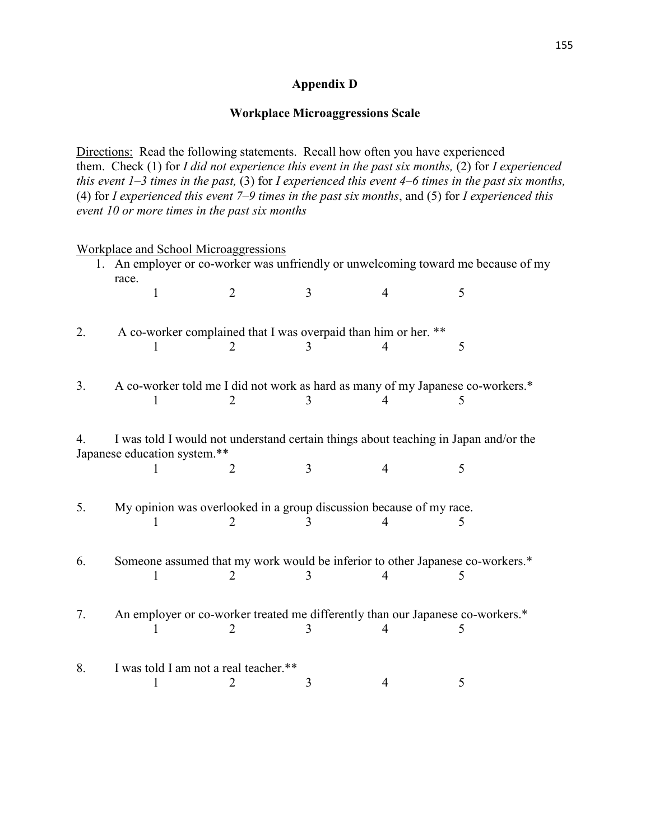## **Appendix D**

#### **Workplace Microaggressions Scale**

Directions: Read the following statements. Recall how often you have experienced them. Check (1) for *I did not experience this event in the past six months,* (2) for *I experienced this event 1–3 times in the past,* (3) for *I experienced this event 4–6 times in the past six months,* (4) for *I experienced this event 7–9 times in the past six months*, and (5) for *I experienced this event 10 or more times in the past six months*

|    | <b>Workplace and School Microaggressions</b>                                               |                                                                                     |   |   |   |  |
|----|--------------------------------------------------------------------------------------------|-------------------------------------------------------------------------------------|---|---|---|--|
|    | 1. An employer or co-worker was unfriendly or unwelcoming toward me because of my<br>race. |                                                                                     |   |   |   |  |
|    | 1                                                                                          | 2                                                                                   | 3 | 4 | 5 |  |
| 2. |                                                                                            | A co-worker complained that I was overpaid than him or her. **                      |   |   |   |  |
|    |                                                                                            |                                                                                     |   | 4 | 5 |  |
| 3. |                                                                                            | A co-worker told me I did not work as hard as many of my Japanese co-workers.*      |   |   |   |  |
|    |                                                                                            |                                                                                     |   |   | 5 |  |
| 4. | Japanese education system.**                                                               | I was told I would not understand certain things about teaching in Japan and/or the |   |   |   |  |
|    |                                                                                            | 2                                                                                   | 3 | 4 | 5 |  |
| 5. |                                                                                            | My opinion was overlooked in a group discussion because of my race.                 |   |   |   |  |
|    |                                                                                            | 2                                                                                   |   | 4 | 5 |  |
| 6. | 1                                                                                          | Someone assumed that my work would be inferior to other Japanese co-workers.*<br>2  | 3 | 4 | 5 |  |
| 7. |                                                                                            | An employer or co-worker treated me differently than our Japanese co-workers.*      |   |   | 5 |  |
| 8. |                                                                                            | I was told I am not a real teacher.**                                               | 3 | 4 | 5 |  |
|    |                                                                                            |                                                                                     |   |   |   |  |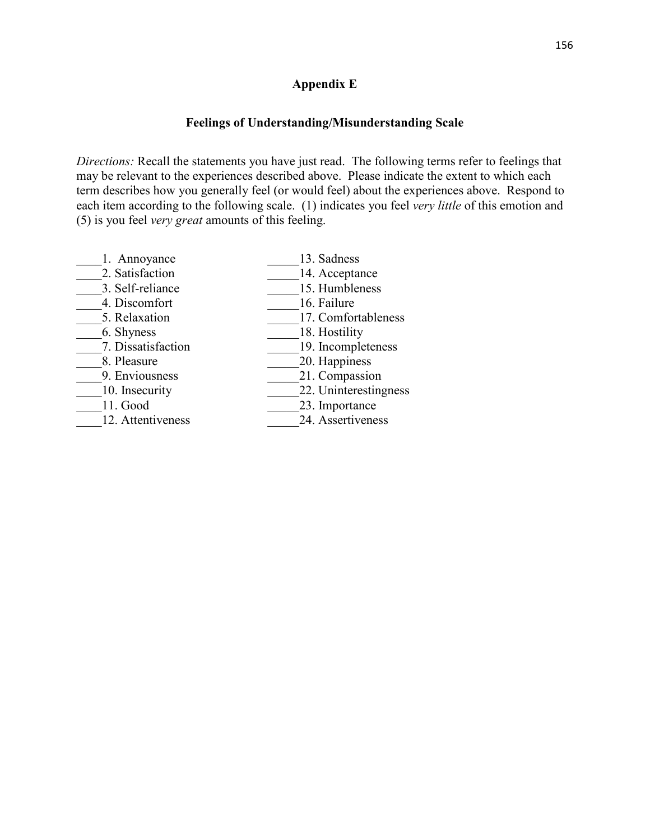#### **Appendix E**

## **Feelings of Understanding/Misunderstanding Scale**

*Directions:* Recall the statements you have just read. The following terms refer to feelings that may be relevant to the experiences described above. Please indicate the extent to which each term describes how you generally feel (or would feel) about the experiences above. Respond to each item according to the following scale. (1) indicates you feel *very little* of this emotion and (5) is you feel *very great* amounts of this feeling.

| 13. Sadness           |
|-----------------------|
| 14. Acceptance        |
| 15. Humbleness        |
| 16. Failure           |
| 17. Comfortableness   |
| 18. Hostility         |
| 19. Incompleteness    |
| 20. Happiness         |
| 21. Compassion        |
| 22. Uninterestingness |
| 23. Importance        |
| 24. Assertiveness     |
|                       |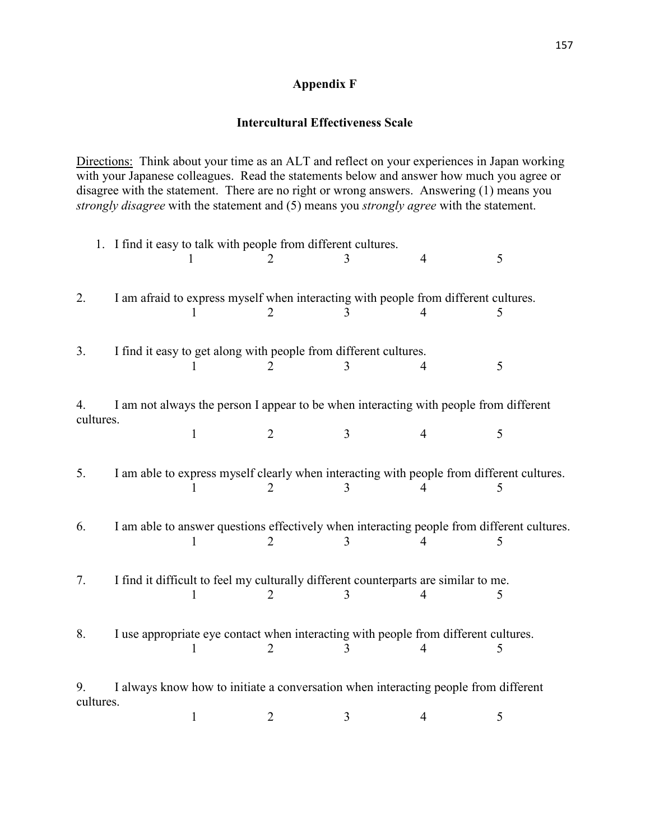## **Appendix F**

## **Intercultural Effectiveness Scale**

Directions: Think about your time as an ALT and reflect on your experiences in Japan working with your Japanese colleagues. Read the statements below and answer how much you agree or disagree with the statement. There are no right or wrong answers. Answering (1) means you *strongly disagree* with the statement and (5) means you *strongly agree* with the statement.

|                 |                                                                                     | 1. I find it easy to talk with people from different cultures.                            |                |   | 4 | 5                                                                                          |  |
|-----------------|-------------------------------------------------------------------------------------|-------------------------------------------------------------------------------------------|----------------|---|---|--------------------------------------------------------------------------------------------|--|
| 2.              |                                                                                     | I am afraid to express myself when interacting with people from different cultures.       |                |   |   | 5                                                                                          |  |
| 3.              |                                                                                     | I find it easy to get along with people from different cultures.                          |                |   |   | 5                                                                                          |  |
| 4.<br>cultures. |                                                                                     | I am not always the person I appear to be when interacting with people from different     |                |   |   |                                                                                            |  |
|                 |                                                                                     | $\mathbf{1}$                                                                              | $\overline{2}$ | 3 | 4 | 5                                                                                          |  |
| 5.              |                                                                                     | I am able to express myself clearly when interacting with people from different cultures. |                | 3 |   |                                                                                            |  |
| 6.              |                                                                                     |                                                                                           | $\overline{2}$ |   |   | I am able to answer questions effectively when interacting people from different cultures. |  |
| 7.              |                                                                                     | I find it difficult to feel my culturally different counterparts are similar to me.       | $\overline{2}$ | 3 |   | 5                                                                                          |  |
| 8.              |                                                                                     | I use appropriate eye contact when interacting with people from different cultures.       | 2              | 3 | 4 | 5                                                                                          |  |
| 9.              | I always know how to initiate a conversation when interacting people from different |                                                                                           |                |   |   |                                                                                            |  |
| cultures.       |                                                                                     | 1                                                                                         | 2              | 3 | 4 | 5                                                                                          |  |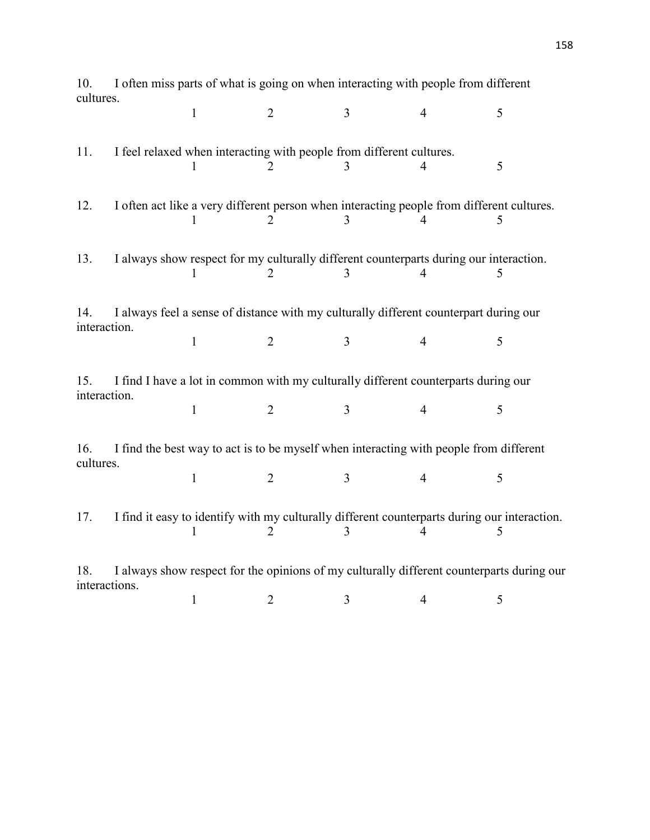| 10.          | I often miss parts of what is going on when interacting with people from different    |              |                                                                      |                |                                                                                              |   |  |  |
|--------------|---------------------------------------------------------------------------------------|--------------|----------------------------------------------------------------------|----------------|----------------------------------------------------------------------------------------------|---|--|--|
| cultures.    |                                                                                       |              |                                                                      |                |                                                                                              |   |  |  |
|              |                                                                                       | $\mathbf{1}$ | $\overline{2}$                                                       | $\overline{3}$ | $\overline{4}$                                                                               | 5 |  |  |
|              |                                                                                       |              |                                                                      |                |                                                                                              |   |  |  |
| 11.          |                                                                                       |              | I feel relaxed when interacting with people from different cultures. |                |                                                                                              |   |  |  |
|              |                                                                                       |              | $\mathcal{D}_{\mathcal{L}}$                                          | 3              | 4                                                                                            | 5 |  |  |
|              |                                                                                       |              |                                                                      |                |                                                                                              |   |  |  |
| 12.          |                                                                                       |              |                                                                      |                | I often act like a very different person when interacting people from different cultures.    |   |  |  |
|              |                                                                                       |              | $\mathcal{D}_{\mathcal{A}}$                                          | 3              |                                                                                              | 5 |  |  |
|              |                                                                                       |              |                                                                      |                |                                                                                              |   |  |  |
| 13.          |                                                                                       |              |                                                                      |                | I always show respect for my culturally different counterparts during our interaction.       |   |  |  |
|              |                                                                                       | 1            | 2                                                                    | 3              | 4                                                                                            | 5 |  |  |
|              |                                                                                       |              |                                                                      |                |                                                                                              |   |  |  |
| 14.          | I always feel a sense of distance with my culturally different counterpart during our |              |                                                                      |                |                                                                                              |   |  |  |
| interaction. |                                                                                       |              |                                                                      |                |                                                                                              |   |  |  |
|              |                                                                                       | $\mathbf{1}$ | $\overline{2}$                                                       | $\overline{3}$ | $\overline{4}$                                                                               | 5 |  |  |
|              |                                                                                       |              |                                                                      |                |                                                                                              |   |  |  |
| 15.          |                                                                                       |              |                                                                      |                | I find I have a lot in common with my culturally different counterparts during our           |   |  |  |
| interaction. |                                                                                       |              |                                                                      |                |                                                                                              |   |  |  |
|              |                                                                                       | $\mathbf{1}$ | $\overline{2}$                                                       | $\overline{3}$ | $\overline{4}$                                                                               | 5 |  |  |
|              |                                                                                       |              |                                                                      |                |                                                                                              |   |  |  |
| 16.          |                                                                                       |              |                                                                      |                | I find the best way to act is to be myself when interacting with people from different       |   |  |  |
| cultures.    |                                                                                       |              |                                                                      |                |                                                                                              |   |  |  |
|              |                                                                                       | $\mathbf{1}$ | $\overline{2}$                                                       | 3              | 4                                                                                            | 5 |  |  |
|              |                                                                                       |              |                                                                      |                |                                                                                              |   |  |  |
| 17.          |                                                                                       |              |                                                                      |                | I find it easy to identify with my culturally different counterparts during our interaction. |   |  |  |
|              |                                                                                       |              | $\mathcal{D}_{\mathcal{L}}$                                          | 3              |                                                                                              | 5 |  |  |
|              |                                                                                       |              |                                                                      |                |                                                                                              |   |  |  |
| 18.          |                                                                                       |              |                                                                      |                | I always show respect for the opinions of my culturally different counterparts during our    |   |  |  |
|              | interactions.                                                                         |              |                                                                      |                |                                                                                              |   |  |  |
|              |                                                                                       | $\mathbf{1}$ | $\overline{2}$                                                       | $\mathfrak{Z}$ | 4                                                                                            | 5 |  |  |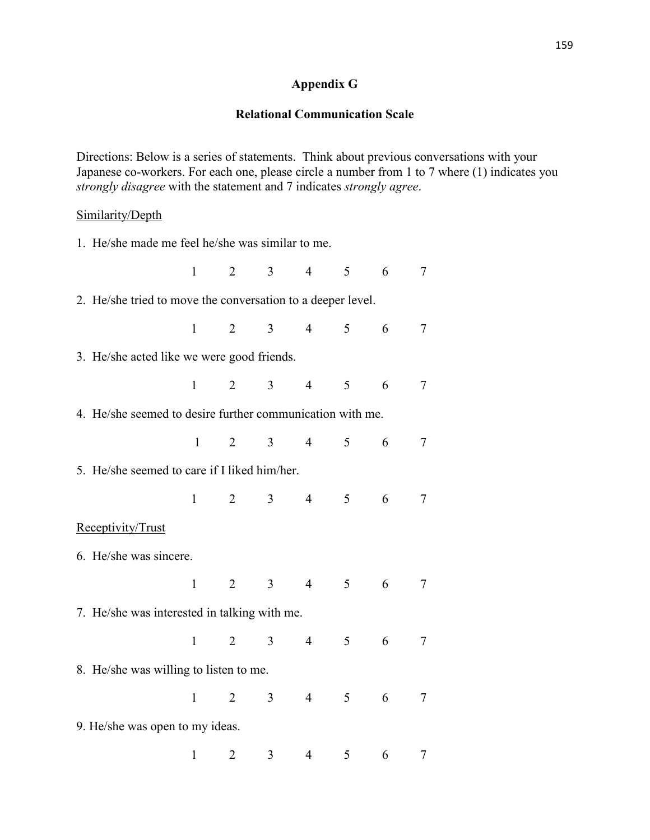## **Appendix G**

#### **Relational Communication Scale**

Directions: Below is a series of statements. Think about previous conversations with your Japanese co-workers. For each one, please circle a number from 1 to 7 where (1) indicates you *strongly disagree* with the statement and 7 indicates *strongly agree*.

#### Similarity/Depth

| 1. He/she made me feel he/she was similar to me.            |              |                |                |                |                |   |                |
|-------------------------------------------------------------|--------------|----------------|----------------|----------------|----------------|---|----------------|
|                                                             | $\mathbf{1}$ | $\overline{2}$ | $\overline{3}$ | $\overline{4}$ | 5              | 6 | $\tau$         |
| 2. He/she tried to move the conversation to a deeper level. |              |                |                |                |                |   |                |
|                                                             | $\mathbf{1}$ | $\overline{2}$ | 3 <sup>1</sup> | $\overline{4}$ | 5              | 6 | $\tau$         |
| 3. He/she acted like we were good friends.                  |              |                |                |                |                |   |                |
|                                                             | $\mathbf{1}$ | $\overline{2}$ | $\overline{3}$ | $\overline{4}$ | 5              | 6 | $\tau$         |
| 4. He/she seemed to desire further communication with me.   |              |                |                |                |                |   |                |
|                                                             | $\mathbf{1}$ | 2              | 3 <sup>1</sup> | $\overline{4}$ | 5              | 6 | $\tau$         |
| 5. He/she seemed to care if I liked him/her.                |              |                |                |                |                |   |                |
|                                                             | $\mathbf{1}$ | $\overline{2}$ | $\mathfrak{Z}$ | $\overline{4}$ | 5              | 6 | $\overline{7}$ |
| Receptivity/Trust                                           |              |                |                |                |                |   |                |
| 6. He/she was sincere.                                      |              |                |                |                |                |   |                |
|                                                             | $\mathbf{1}$ | $\overline{2}$ | $\mathfrak{Z}$ | $\overline{4}$ | 5 <sup>5</sup> | 6 | $\tau$         |
| 7. He/she was interested in talking with me.                |              |                |                |                |                |   |                |
|                                                             | $\mathbf{1}$ | $\overline{2}$ | $\overline{3}$ | $\overline{4}$ | 5              | 6 | $\tau$         |
| 8. He/she was willing to listen to me.                      |              |                |                |                |                |   |                |
|                                                             | $\mathbf{1}$ | $\overline{2}$ | $\overline{3}$ | $\overline{4}$ | 5              | 6 | $\tau$         |
| 9. He/she was open to my ideas.                             |              |                |                |                |                |   |                |
|                                                             | $\mathbf{1}$ | $\overline{2}$ | 3              | $\overline{4}$ | 5              | 6 | 7              |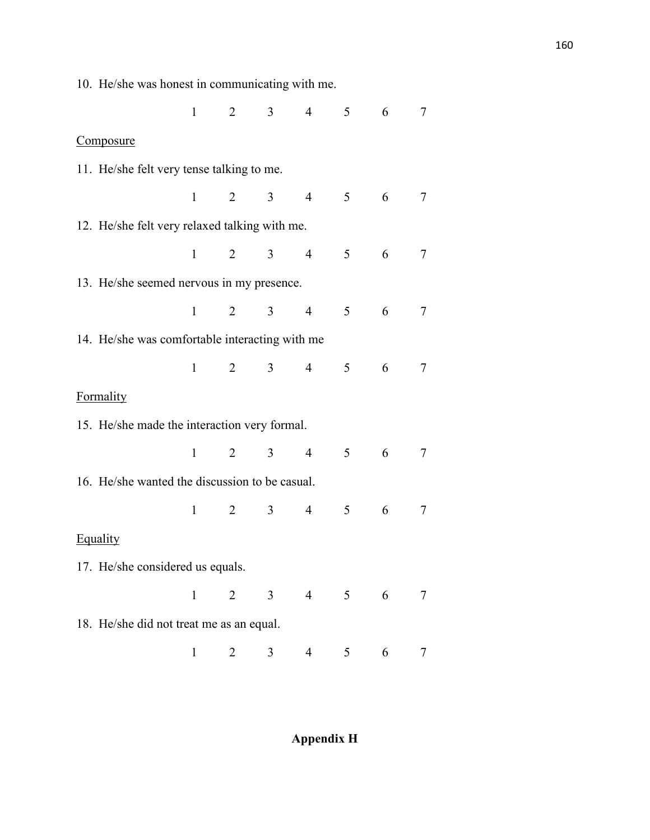| 10. He/she was honest in communicating with me. |              |                       |   |                |                |                 |                |
|-------------------------------------------------|--------------|-----------------------|---|----------------|----------------|-----------------|----------------|
|                                                 |              | $1 \qquad 2 \qquad 3$ |   | $4 \quad 5$    |                | $6\overline{6}$ | 7              |
| Composure                                       |              |                       |   |                |                |                 |                |
| 11. He/she felt very tense talking to me.       |              |                       |   |                |                |                 |                |
|                                                 |              | $1 \t 2 \t 3 \t 4$    |   |                | 5 <sup>5</sup> | 6               | 7              |
| 12. He/she felt very relaxed talking with me.   |              |                       |   |                |                |                 |                |
|                                                 |              | $1 \qquad 2 \qquad 3$ |   | $\overline{4}$ | 5              | 6               | $\overline{7}$ |
| 13. He/she seemed nervous in my presence.       |              |                       |   |                |                |                 |                |
|                                                 |              | $1 \t 2 \t 3 \t 4$    |   |                | 5              | 6               | 7              |
| 14. He/she was comfortable interacting with me  |              |                       |   |                |                |                 |                |
|                                                 |              | $1 \qquad 2 \qquad 3$ |   | $\overline{4}$ | 5              | 6               | $\overline{7}$ |
| Formality                                       |              |                       |   |                |                |                 |                |
| 15. He/she made the interaction very formal.    |              |                       |   |                |                |                 |                |
|                                                 |              | $1 \t 2 \t 3 \t 4$    |   |                | 5              | 6               | 7              |
| 16. He/she wanted the discussion to be casual.  |              |                       |   |                |                |                 |                |
|                                                 |              | $1 \qquad 2 \qquad 3$ |   | $\overline{4}$ | 5              | 6               | 7              |
| Equality                                        |              |                       |   |                |                |                 |                |
| 17. He/she considered us equals.                |              |                       |   |                |                |                 |                |
|                                                 | $\mathbf{1}$ | $\overline{2}$        | 3 | $\overline{4}$ | 5 <sup>5</sup> | 6               | 7              |
| 18. He/she did not treat me as an equal.        |              |                       |   |                |                |                 |                |
|                                                 | $\mathbf{1}$ | 2                     | 3 | 4              | 5              | 6               | 7              |

**Appendix H**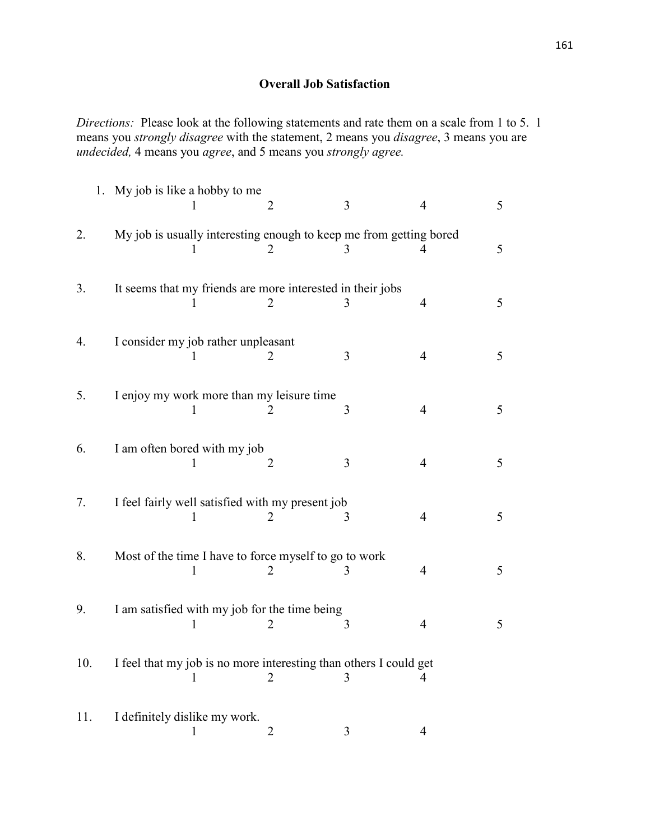## **Overall Job Satisfaction**

*Directions:* Please look at the following statements and rate them on a scale from 1 to 5. 1 means you *strongly disagree* with the statement, 2 means you *disagree*, 3 means you are *undecided,* 4 means you *agree*, and 5 means you *strongly agree.* 

|     | 1. My job is like a hobby to me                                    | 2              | 3              | $\overline{4}$ | 5 |
|-----|--------------------------------------------------------------------|----------------|----------------|----------------|---|
| 2.  | My job is usually interesting enough to keep me from getting bored | $\overline{2}$ | 3              | 4              | 5 |
| 3.  | It seems that my friends are more interested in their jobs         | 2              | 3              | $\overline{4}$ | 5 |
| 4.  | I consider my job rather unpleasant                                |                | $\overline{3}$ | $\overline{4}$ | 5 |
| 5.  | I enjoy my work more than my leisure time                          |                | 3              | $\overline{4}$ | 5 |
| 6.  | I am often bored with my job<br>L                                  | $\overline{2}$ | $\overline{3}$ | $\overline{4}$ | 5 |
| 7.  | I feel fairly well satisfied with my present job                   |                | 3              | $\overline{4}$ | 5 |
| 8.  | Most of the time I have to force myself to go to work              |                | 3              | $\overline{4}$ | 5 |
| 9.  | I am satisfied with my job for the time being<br>1                 | 2              | 3              | $\overline{4}$ | 5 |
| 10. | I feel that my job is no more interesting than others I could get  | 2              | 3              | 4              |   |
| 11. | I definitely dislike my work.<br>1                                 | $\overline{2}$ | 3              | $\overline{4}$ |   |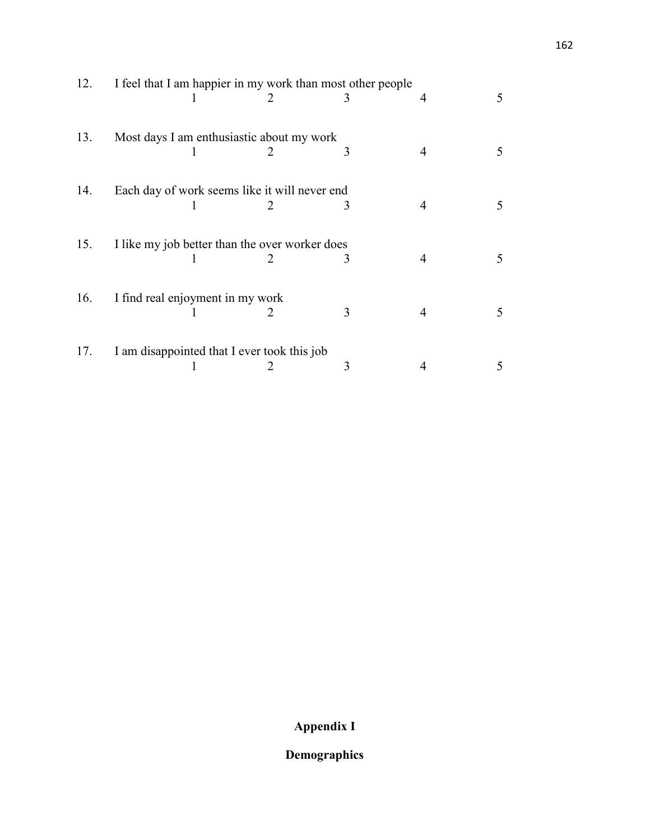| 12. | I feel that I am happier in my work than most other people |  |                             |   |   |   |  |  |
|-----|------------------------------------------------------------|--|-----------------------------|---|---|---|--|--|
|     |                                                            |  | $\mathbf{2}$                |   | 4 | 5 |  |  |
| 13. | Most days I am enthusiastic about my work                  |  |                             |   |   |   |  |  |
|     |                                                            |  |                             | 3 |   |   |  |  |
| 14. | Each day of work seems like it will never end              |  |                             |   |   |   |  |  |
|     |                                                            |  |                             | 3 |   |   |  |  |
| 15. | I like my job better than the over worker does             |  |                             |   |   |   |  |  |
|     |                                                            |  |                             | 3 |   | 5 |  |  |
| 16. | I find real enjoyment in my work                           |  |                             |   |   |   |  |  |
|     |                                                            |  | $\mathcal{D}_{\mathcal{L}}$ | 3 | 4 | 5 |  |  |
| 17. | I am disappointed that I ever took this job                |  |                             |   |   |   |  |  |
|     |                                                            |  |                             | 3 |   |   |  |  |

# **Appendix I**

## **Demographics**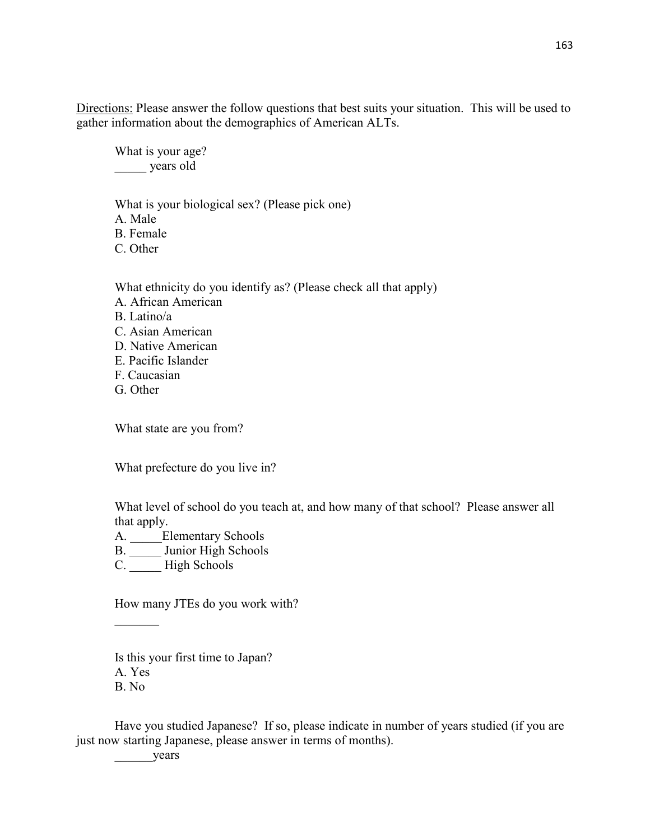Directions: Please answer the follow questions that best suits your situation. This will be used to gather information about the demographics of American ALTs.

What is your age? \_\_\_\_\_ years old

What is your biological sex? (Please pick one)

A. Male

B. Female

C. Other

What ethnicity do you identify as? (Please check all that apply) A. African American B. Latino/a C. Asian American D. Native American E. Pacific Islander F. Caucasian G. Other

What state are you from?

What prefecture do you live in?

What level of school do you teach at, and how many of that school? Please answer all that apply.

A. \_\_\_\_\_Elementary Schools

B. \_\_\_\_\_ Junior High Schools

C. High Schools

How many JTEs do you work with?

Is this your first time to Japan? A. Yes B. No

Have you studied Japanese? If so, please indicate in number of years studied (if you are just now starting Japanese, please answer in terms of months).

\_\_\_\_\_\_years

 $\frac{1}{2}$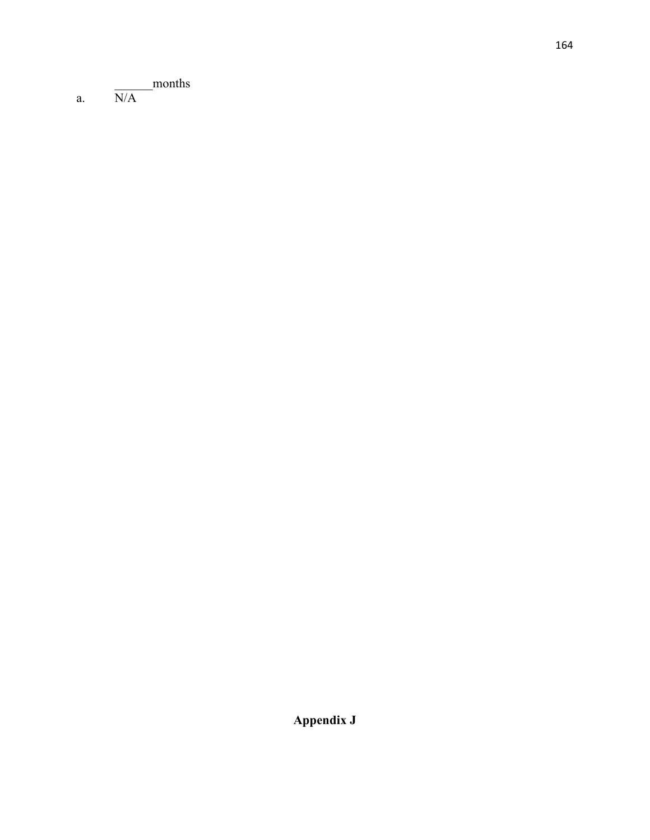\_\_\_\_\_\_months

a.  $N/A$ 

**Appendix J**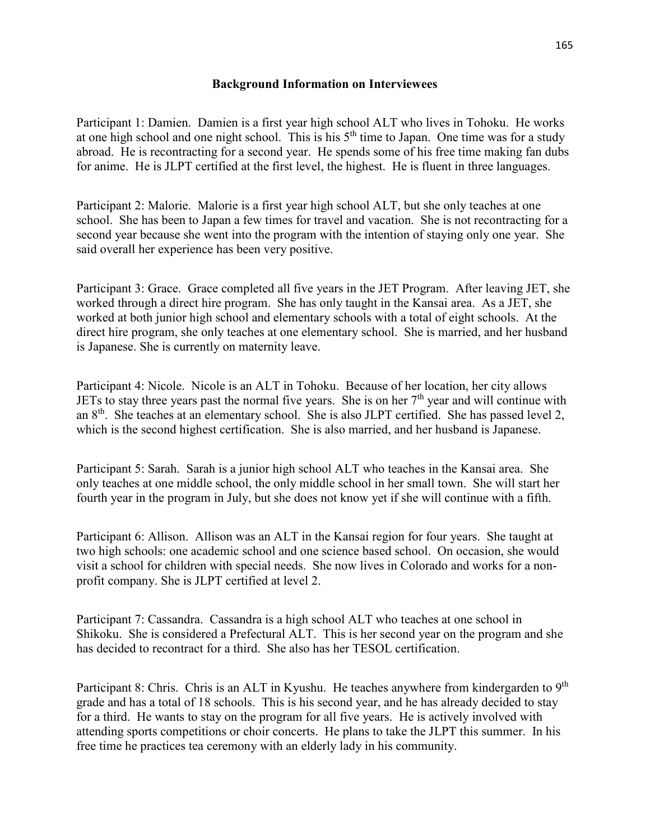#### **Background Information on Interviewees**

Participant 1: Damien. Damien is a first year high school ALT who lives in Tohoku. He works at one high school and one night school. This is his  $5<sup>th</sup>$  time to Japan. One time was for a study abroad. He is recontracting for a second year. He spends some of his free time making fan dubs for anime. He is JLPT certified at the first level, the highest. He is fluent in three languages.

Participant 2: Malorie. Malorie is a first year high school ALT, but she only teaches at one school. She has been to Japan a few times for travel and vacation. She is not recontracting for a second year because she went into the program with the intention of staying only one year. She said overall her experience has been very positive.

Participant 3: Grace. Grace completed all five years in the JET Program. After leaving JET, she worked through a direct hire program. She has only taught in the Kansai area. As a JET, she worked at both junior high school and elementary schools with a total of eight schools. At the direct hire program, she only teaches at one elementary school. She is married, and her husband is Japanese. She is currently on maternity leave.

Participant 4: Nicole. Nicole is an ALT in Tohoku. Because of her location, her city allows JETs to stay three years past the normal five years. She is on her  $7<sup>th</sup>$  year and will continue with an 8th. She teaches at an elementary school. She is also JLPT certified. She has passed level 2, which is the second highest certification. She is also married, and her husband is Japanese.

Participant 5: Sarah. Sarah is a junior high school ALT who teaches in the Kansai area. She only teaches at one middle school, the only middle school in her small town. She will start her fourth year in the program in July, but she does not know yet if she will continue with a fifth.

Participant 6: Allison. Allison was an ALT in the Kansai region for four years. She taught at two high schools: one academic school and one science based school. On occasion, she would visit a school for children with special needs. She now lives in Colorado and works for a nonprofit company. She is JLPT certified at level 2.

Participant 7: Cassandra. Cassandra is a high school ALT who teaches at one school in Shikoku. She is considered a Prefectural ALT. This is her second year on the program and she has decided to recontract for a third. She also has her TESOL certification.

Participant 8: Chris. Chris is an ALT in Kyushu. He teaches anywhere from kindergarden to 9<sup>th</sup> grade and has a total of 18 schools. This is his second year, and he has already decided to stay for a third. He wants to stay on the program for all five years. He is actively involved with attending sports competitions or choir concerts. He plans to take the JLPT this summer. In his free time he practices tea ceremony with an elderly lady in his community.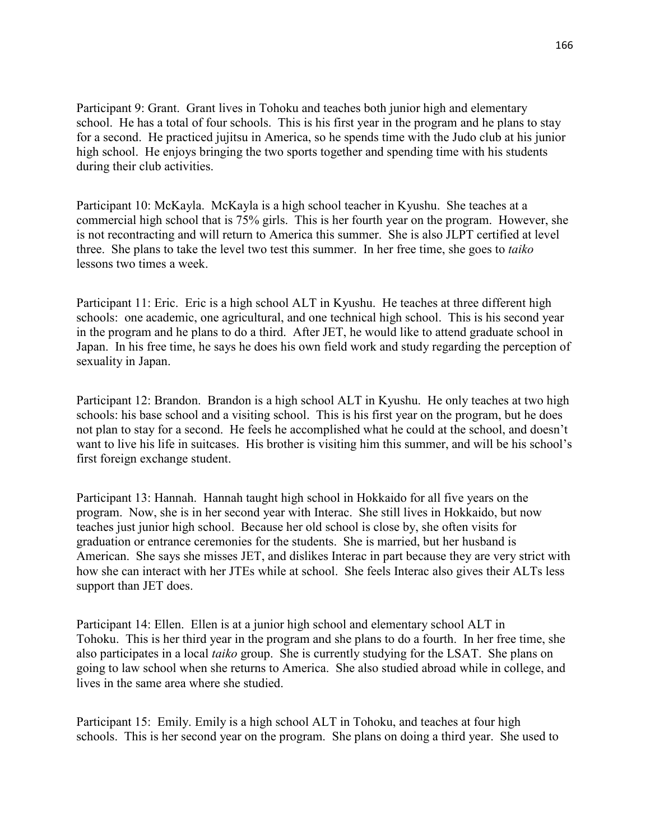Participant 9: Grant. Grant lives in Tohoku and teaches both junior high and elementary school. He has a total of four schools. This is his first year in the program and he plans to stay for a second. He practiced jujitsu in America, so he spends time with the Judo club at his junior high school. He enjoys bringing the two sports together and spending time with his students during their club activities.

Participant 10: McKayla. McKayla is a high school teacher in Kyushu. She teaches at a commercial high school that is 75% girls. This is her fourth year on the program. However, she is not recontracting and will return to America this summer. She is also JLPT certified at level three. She plans to take the level two test this summer. In her free time, she goes to *taiko* lessons two times a week.

Participant 11: Eric. Eric is a high school ALT in Kyushu. He teaches at three different high schools: one academic, one agricultural, and one technical high school. This is his second year in the program and he plans to do a third. After JET, he would like to attend graduate school in Japan. In his free time, he says he does his own field work and study regarding the perception of sexuality in Japan.

Participant 12: Brandon. Brandon is a high school ALT in Kyushu. He only teaches at two high schools: his base school and a visiting school. This is his first year on the program, but he does not plan to stay for a second. He feels he accomplished what he could at the school, and doesn't want to live his life in suitcases. His brother is visiting him this summer, and will be his school's first foreign exchange student.

Participant 13: Hannah. Hannah taught high school in Hokkaido for all five years on the program. Now, she is in her second year with Interac. She still lives in Hokkaido, but now teaches just junior high school. Because her old school is close by, she often visits for graduation or entrance ceremonies for the students. She is married, but her husband is American. She says she misses JET, and dislikes Interac in part because they are very strict with how she can interact with her JTEs while at school. She feels Interac also gives their ALTs less support than JET does.

Participant 14: Ellen. Ellen is at a junior high school and elementary school ALT in Tohoku. This is her third year in the program and she plans to do a fourth. In her free time, she also participates in a local *taiko* group. She is currently studying for the LSAT. She plans on going to law school when she returns to America. She also studied abroad while in college, and lives in the same area where she studied.

Participant 15: Emily. Emily is a high school ALT in Tohoku, and teaches at four high schools. This is her second year on the program. She plans on doing a third year. She used to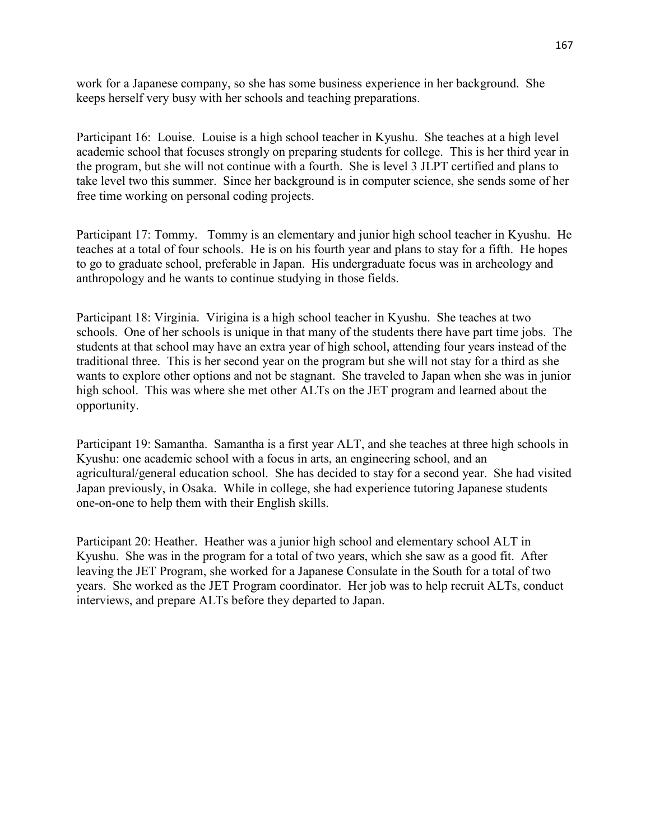work for a Japanese company, so she has some business experience in her background. She keeps herself very busy with her schools and teaching preparations.

Participant 16: Louise. Louise is a high school teacher in Kyushu. She teaches at a high level academic school that focuses strongly on preparing students for college. This is her third year in the program, but she will not continue with a fourth. She is level 3 JLPT certified and plans to take level two this summer. Since her background is in computer science, she sends some of her free time working on personal coding projects.

Participant 17: Tommy. Tommy is an elementary and junior high school teacher in Kyushu. He teaches at a total of four schools. He is on his fourth year and plans to stay for a fifth. He hopes to go to graduate school, preferable in Japan. His undergraduate focus was in archeology and anthropology and he wants to continue studying in those fields.

Participant 18: Virginia. Virigina is a high school teacher in Kyushu. She teaches at two schools. One of her schools is unique in that many of the students there have part time jobs. The students at that school may have an extra year of high school, attending four years instead of the traditional three. This is her second year on the program but she will not stay for a third as she wants to explore other options and not be stagnant. She traveled to Japan when she was in junior high school. This was where she met other ALTs on the JET program and learned about the opportunity.

Participant 19: Samantha. Samantha is a first year ALT, and she teaches at three high schools in Kyushu: one academic school with a focus in arts, an engineering school, and an agricultural/general education school. She has decided to stay for a second year. She had visited Japan previously, in Osaka. While in college, she had experience tutoring Japanese students one-on-one to help them with their English skills.

Participant 20: Heather. Heather was a junior high school and elementary school ALT in Kyushu. She was in the program for a total of two years, which she saw as a good fit. After leaving the JET Program, she worked for a Japanese Consulate in the South for a total of two years. She worked as the JET Program coordinator. Her job was to help recruit ALTs, conduct interviews, and prepare ALTs before they departed to Japan.